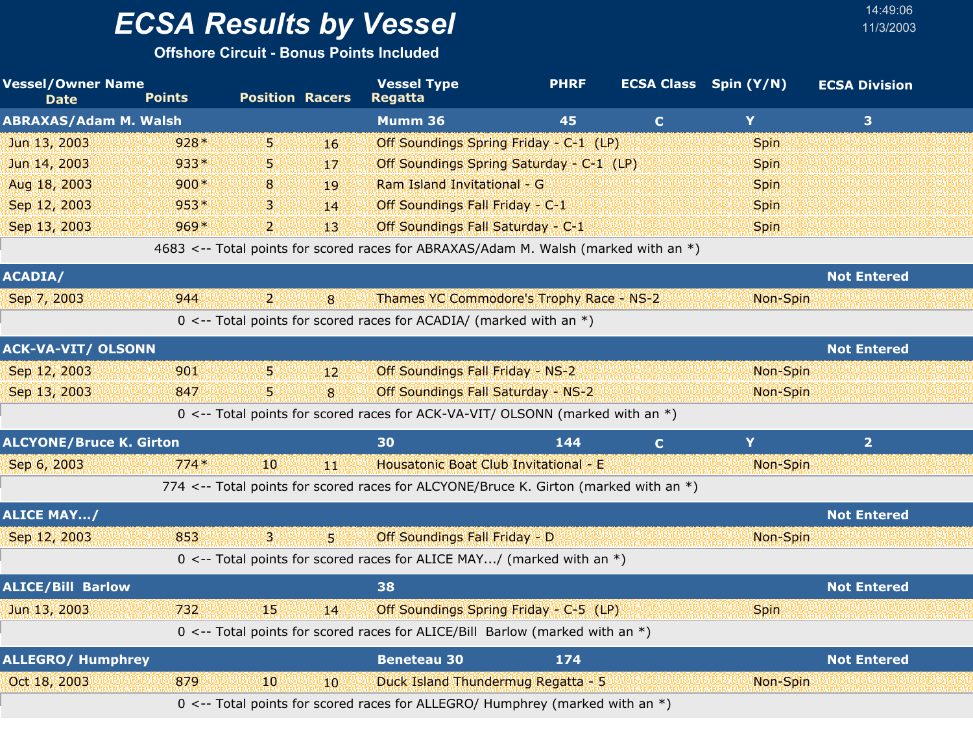**Offshore Circuit - Bonus Points Included**

| <b>Vessel/Owner Name</b><br><b>Date</b> | <b>Points</b> | <b>Position Racers</b> |                | <b>Vessel Type</b><br><b>Regatta</b>                                                 | <b>PHRF</b> |              | <b>ECSA Class</b> Spin (Y/N) | <b>ECSA Division</b> |  |
|-----------------------------------------|---------------|------------------------|----------------|--------------------------------------------------------------------------------------|-------------|--------------|------------------------------|----------------------|--|
| <b>ABRAXAS/Adam M. Walsh</b>            |               |                        |                | Mumm 36                                                                              | 45          | $\mathbf{C}$ | Y                            | 3 <sup>1</sup>       |  |
| Jun 13, 2003                            | $928*$        | 5.                     | 16             | Off Soundings Spring Friday - C-1 (LP)                                               |             |              | Spin                         |                      |  |
| Jun 14, 2003                            | 933*          | 5                      | 17             | Off Soundings Spring Saturday - C-1 (LP)                                             |             |              | <b>Spin</b>                  |                      |  |
| Aug 18, 2003                            | $900*$        | 8                      | 19             | Ram Island Invitational - G                                                          |             |              | Spin                         |                      |  |
| Sep 12, 2003                            | $953*$        | 3                      | 14             | Off Soundings Fall Friday - C-1                                                      |             |              | <b>Spin</b>                  |                      |  |
| Sep 13, 2003                            | 969*          | $\overline{2}$         | 13             | Off Soundings Fall Saturday - C-1                                                    |             |              | <b>Spin</b>                  |                      |  |
|                                         |               |                        |                | 4683 <-- Total points for scored races for ABRAXAS/Adam M. Walsh (marked with an *)  |             |              |                              |                      |  |
| <b>ACADIA/</b>                          |               |                        |                |                                                                                      |             |              |                              | <b>Not Entered</b>   |  |
| Sep 7, 2003                             | 944           | 2.                     | $\mathbf{8}$   | Thames YC Commodore's Trophy Race - NS-2                                             |             |              | Non-Spin                     |                      |  |
|                                         |               |                        |                | 0 <-- Total points for scored races for ACADIA/ (marked with an $*)$                 |             |              |                              |                      |  |
| <b>ACK-VA-VIT/ OLSONN</b>               |               |                        |                |                                                                                      |             |              |                              | <b>Not Entered</b>   |  |
| Sep 12, 2003                            | 901           | 5.                     | 12             | Off Soundings Fall Friday - NS-2                                                     |             |              | Non-Spin                     |                      |  |
| Sep 13, 2003                            | 847           | 51                     | $\overline{8}$ | Off Soundings Fall Saturday - NS-2                                                   |             |              | Non-Spin                     |                      |  |
|                                         |               |                        |                | 0 <-- Total points for scored races for ACK-VA-VIT/ OLSONN (marked with an *)        |             |              |                              |                      |  |
| <b>ALCYONE/Bruce K. Girton</b>          |               |                        |                | 30                                                                                   | 144         | $\mathbf{C}$ | Y                            | 2 <sup>1</sup>       |  |
| Sep 6, 2003                             | $774*$        | 10                     | 44             | Housatonic Boat Club Invitational - E                                                |             |              | Non-Spin                     |                      |  |
|                                         |               |                        |                | 774 <-- Total points for scored races for ALCYONE/Bruce K. Girton (marked with an *) |             |              |                              |                      |  |
| <b>ALICE MAY/</b>                       |               |                        |                |                                                                                      |             |              |                              | <b>Not Entered</b>   |  |
| Sep 12, 2003                            | 853           | 31                     | W              | Off Soundings Fall Friday - D                                                        |             |              | Non-Spin                     |                      |  |
|                                         |               |                        |                | 0 <-- Total points for scored races for ALICE MAY/ (marked with an $*)$              |             |              |                              |                      |  |
| <b>ALICE/Bill Barlow</b>                |               |                        |                | 38                                                                                   |             |              |                              | <b>Not Entered</b>   |  |
| Jun 13, 2003                            | 732           | 15                     | 14             | Off Soundings Spring Friday - C-5 (LP)                                               |             |              | Spin                         |                      |  |
|                                         |               |                        |                | 0 <-- Total points for scored races for ALICE/Bill Barlow (marked with an *)         |             |              |                              |                      |  |
| <b>ALLEGRO/ Humphrey</b>                |               |                        |                | <b>Beneteau 30</b>                                                                   | 174         |              |                              | <b>Not Entered</b>   |  |
| Oct 18, 2003                            | 879           | 10 <sup>1</sup>        | 10             | Duck Island Thundermug Regatta - 5                                                   |             |              | Non-Spin                     |                      |  |
|                                         |               |                        |                | 0 <-- Total points for scored races for ALLEGRO/ Humphrey (marked with an *)         |             |              |                              |                      |  |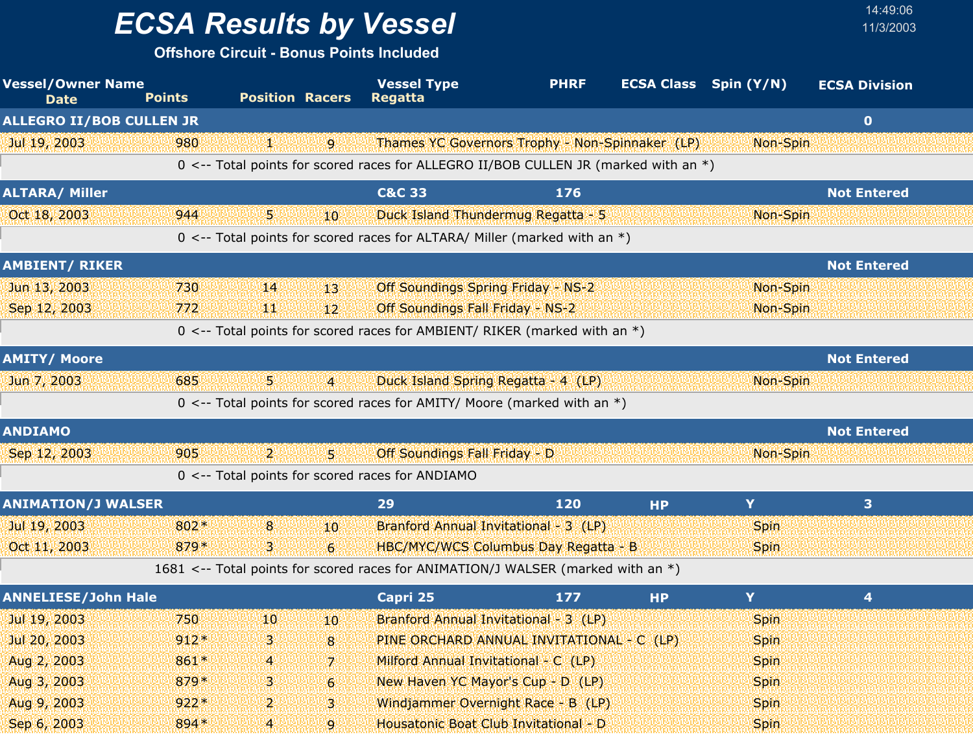## *ECSA Results by Vessel* 11/3/2003

| <b>Vessel/Owner Name</b><br><b>Date</b> | <b>Points</b> | <b>Position Racers</b> |                  | <b>Vessel Type</b><br>Regatta                                                       | <b>PHRF</b> | <b>ECSA Class</b> | Spin $(Y/N)$ | <b>ECSA Division</b> |  |
|-----------------------------------------|---------------|------------------------|------------------|-------------------------------------------------------------------------------------|-------------|-------------------|--------------|----------------------|--|
| <b>ALLEGRO II/BOB CULLEN JR</b>         |               |                        |                  |                                                                                     |             |                   |              | $\bullet$            |  |
| Jul 19, 2003                            | 980           | N M                    | 9                | Thames YC Governors Trophy - Non-Spinnaker (LP)                                     |             |                   | Non-Spin     |                      |  |
|                                         |               |                        |                  | 0 <-- Total points for scored races for ALLEGRO II/BOB CULLEN JR (marked with an *) |             |                   |              |                      |  |
| <b>ALTARA/ Miller</b>                   |               |                        |                  | <b>C&amp;C 33</b>                                                                   | 176         |                   |              | <b>Not Entered</b>   |  |
| Oct 18, 2003                            | 944           | 郹                      | 10               | Duck Island Thundermug Regatta - 5                                                  |             |                   | Non-Spin     |                      |  |
|                                         |               |                        |                  | 0 <-- Total points for scored races for ALTARA/ Miller (marked with an *)           |             |                   |              |                      |  |
| <b>AMBIENT/ RIKER</b>                   |               |                        |                  |                                                                                     |             |                   |              | <b>Not Entered</b>   |  |
| Jun 13, 2003                            | 730           | 14                     | 13               | <b>Off Soundings Spring Friday - NS-2</b>                                           |             |                   | Non-Spin     |                      |  |
| Sep 12, 2003                            | 772           | ЩŅ                     | 12 <sup>2</sup>  | Off Soundings Fall Friday - NS-2                                                    |             |                   | Non-Spin     |                      |  |
|                                         |               |                        |                  | 0 <-- Total points for scored races for AMBIENT/ RIKER (marked with an *)           |             |                   |              |                      |  |
| <b>AMITY/ Moore</b>                     |               |                        |                  |                                                                                     |             |                   |              | <b>Not Entered</b>   |  |
| Jun 7, 2003                             | 685           | 54                     | $\overline{4}$   | Duck Island Spring Regatta - 4 (LP)                                                 |             |                   | Non-Spin     |                      |  |
|                                         |               |                        |                  | 0 <-- Total points for scored races for AMITY/ Moore (marked with an $*)$           |             |                   |              |                      |  |
| <b>ANDIAMO</b>                          |               |                        |                  |                                                                                     |             |                   |              | <b>Not Entered</b>   |  |
| Sep 12, 2003                            | 905           | 2.                     | 51               | Off Soundings Fall Friday - D                                                       |             |                   | Non-Spin     |                      |  |
|                                         |               |                        |                  | 0 <-- Total points for scored races for ANDIAMO                                     |             |                   |              |                      |  |
| <b>ANIMATION/J WALSER</b>               |               |                        |                  | 29                                                                                  | 120         | <b>HP</b>         | Y            | 3                    |  |
| Jul 19, 2003                            | 802*          | 8                      | 10 <sup>10</sup> | Branford Annual Invitational - 3 (LP)                                               |             |                   | <b>Spin</b>  |                      |  |
| Oct 11, 2003                            | 879*          | 3.                     | $6 \overline{6}$ | HBC/MYC/WCS Columbus Day Regatta - B                                                |             |                   | <b>Spin</b>  |                      |  |
|                                         |               |                        |                  | 1681 <-- Total points for scored races for ANIMATION/J WALSER (marked with an *)    |             |                   |              |                      |  |
| <b>ANNELIESE/John Hale</b>              |               |                        |                  | Capri 25                                                                            | 177         | <b>HP</b>         | Y            | 4                    |  |
| Jul 19, 2003                            | 750           | 10                     | 10               | Branford Annual Invitational - 3 (LP)                                               |             |                   | <b>Spin</b>  |                      |  |
| Jul 20, 2003                            | $912*$        | 3                      | 8                | PINE ORCHARD ANNUAL INVITATIONAL - C (LP)                                           |             |                   | <b>Spin</b>  |                      |  |
| Aug 2, 2003                             | 861*          | 4                      | 7                | Milford Annual Invitational - C (LP)                                                |             |                   | <b>Spin</b>  |                      |  |
| Aug 3, 2003                             | 879*          | З.                     | $6 \,$           | New Haven YC Mayor's Cup - D (LP)                                                   |             |                   | <b>Spin</b>  |                      |  |
| Aug 9, 2003                             | $922*$        | 2.                     | 3                | Windjammer Overnight Race - B (LP)                                                  |             |                   | <b>Spin</b>  |                      |  |
| Sep 6, 2003                             | 894 *         | $\overline{4}$         | $\overline{9}$   | Housatonic Boat Club Invitational - D                                               |             |                   | <b>Spin</b>  |                      |  |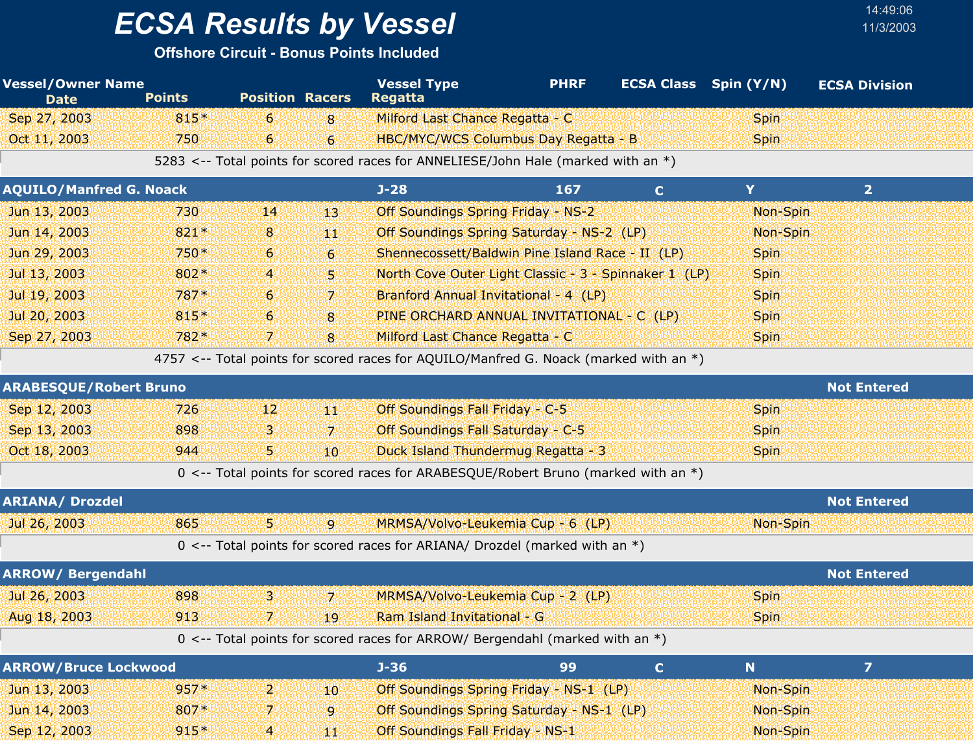## *ECSA Results by Vessel* 11/3/2003

| <b>Vessel/Owner Name</b><br><b>Date</b> | <b>Points</b> | <b>Position Racers</b> |                | <b>Vessel Type</b><br><b>Regatta</b>                                                  | <b>PHRF</b> | <b>ECSA Class</b> Spin (Y/N) |             | <b>ECSA Division</b> |
|-----------------------------------------|---------------|------------------------|----------------|---------------------------------------------------------------------------------------|-------------|------------------------------|-------------|----------------------|
| Sep 27, 2003                            | 815*          | 6                      | 8              | Milford Last Chance Regatta - C                                                       |             |                              | Spin        |                      |
| Oct 11, 2003                            | 750           | 6                      | $6 \,$         | <b>HBC/MYC/WCS Columbus Day Regatta - B</b>                                           |             |                              | <b>Spin</b> |                      |
|                                         |               |                        |                | 5283 <-- Total points for scored races for ANNELIESE/John Hale (marked with an *)     |             |                              |             |                      |
| <b>AQUILO/Manfred G. Noack</b>          |               |                        |                | $J-28$                                                                                | 167         | $\mathbf C$                  | Y           | $\overline{2}$       |
| Jun 13, 2003                            | 730           | 14                     | 13             | Off Soundings Spring Friday - NS-2                                                    |             |                              | Non-Spin    |                      |
| Jun 14, 2003                            | 821*          | 8                      | 44             | Off Soundings Spring Saturday - NS-2 (LP)                                             |             |                              | Non-Spin    |                      |
| Jun 29, 2003                            | 750*          | 6                      | $6 \,$         | Shennecossett/Baldwin Pine Island Race - II (LP)                                      |             |                              | <b>Spin</b> |                      |
| Jul 13, 2003                            | 802*          | 4                      | 5.             | North Cove Outer Light Classic - 3 - Spinnaker 1 (LP)                                 |             |                              | <b>Spin</b> |                      |
| Jul 19, 2003                            | 787*          | 6                      | 7              | Branford Annual Invitational - 4 (LP)                                                 |             |                              | Spin        |                      |
| Jul 20, 2003                            | 815*          | 6                      | 8              | PINE ORCHARD ANNUAL INVITATIONAL - C (LP)                                             |             |                              | <b>Spin</b> |                      |
| Sep 27, 2003                            | 782*          | 7.                     | 8              | Milford Last Chance Regatta - C                                                       |             |                              | Spin        |                      |
|                                         |               |                        |                | 4757 <-- Total points for scored races for AQUILO/Manfred G. Noack (marked with an *) |             |                              |             |                      |
| <b>ARABESQUE/Robert Bruno</b>           |               |                        |                |                                                                                       |             |                              |             | <b>Not Entered</b>   |
| Sep 12, 2003                            | 726           | 12                     | 440            | Off Soundings Fall Friday - C-5                                                       |             |                              | Spin        |                      |
| Sep 13, 2003                            | 898           | З                      | 7              | Off Soundings Fall Saturday - C-5                                                     |             |                              | <b>Spin</b> |                      |
| Oct 18, 2003                            | 944           | 5.                     | 10             | Duck Island Thundermug Regatta - 3                                                    |             |                              | <b>Spin</b> |                      |
|                                         |               |                        |                | 0 <-- Total points for scored races for ARABESQUE/Robert Bruno (marked with an *)     |             |                              |             |                      |
| <b>ARIANA/ Drozdel</b>                  |               |                        |                |                                                                                       |             |                              |             | <b>Not Entered</b>   |
| Jul 26, 2003                            | 865           | 54                     | $\overline{9}$ | MRMSA/Volvo-Leukemia Cup - 6 (LP)                                                     |             |                              | Non-Spin    |                      |
|                                         |               |                        |                | $0 \le -$ Total points for scored races for ARIANA/ Drozdel (marked with an $*)$      |             |                              |             |                      |
| <b>ARROW/ Bergendahl</b>                |               |                        |                |                                                                                       |             |                              |             | <b>Not Entered</b>   |
| Jul 26, 2003                            | 898           | 3.                     | 7.             | MRMSA/Volvo-Leukemia Cup - 2 (LP)                                                     |             |                              | <b>Spin</b> |                      |
| Aug 18, 2003                            | 913           | 7.                     | 19             | Ram Island Invitational - G                                                           |             |                              | Spin        |                      |
|                                         |               |                        |                | 0 <-- Total points for scored races for ARROW/ Bergendahl (marked with an *)          |             |                              |             |                      |
| <b>ARROW/Bruce Lockwood</b>             |               |                        |                | $J - 36$                                                                              | 99          | $\mathbf{C}$                 | N           | $\overline{z}$       |
| Jun 13, 2003                            | $957*$        | 2.                     | 10             | Off Soundings Spring Friday - NS-1 (LP)                                               |             |                              | Non-Spin    |                      |
| Jun 14, 2003                            | 807*          | 7.                     | $\mathbf{9}$   | Off Soundings Spring Saturday - NS-1 (LP)                                             |             |                              | Non-Spin    |                      |
| Sep 12, 2003                            | $915*$        | $\mathbf{4}$           | 44             | Off Soundings Fall Friday - NS-1                                                      |             |                              | Non-Spin    |                      |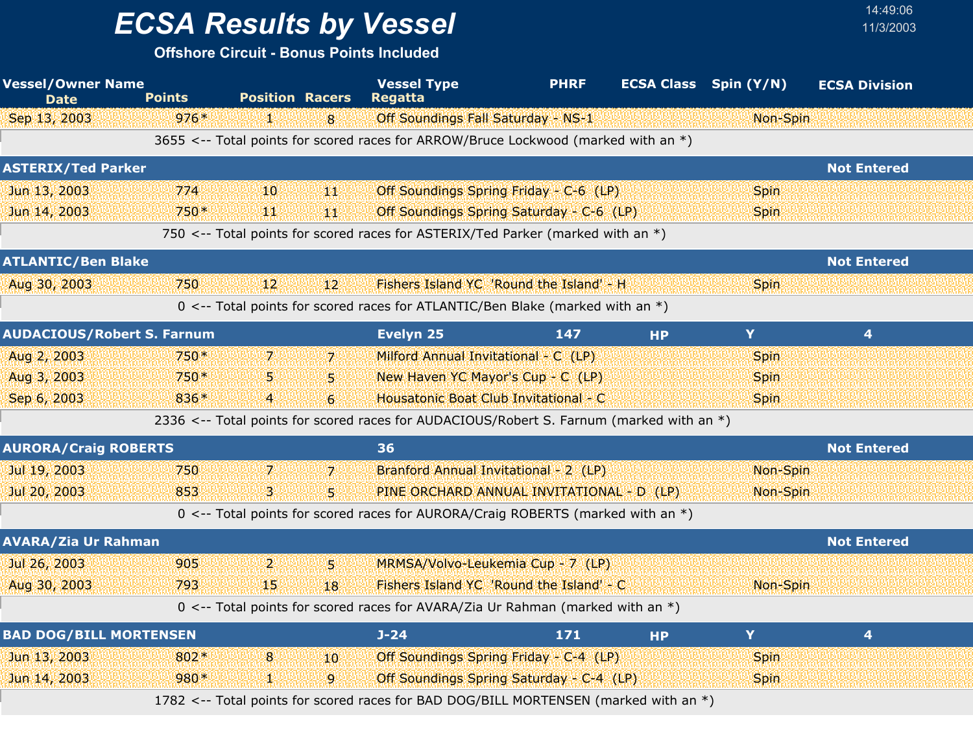## *ECSA Results by Vessel* 11/3/2003

| <b>Vessel/Owner Name</b><br><b>Date</b> | <b>Points</b> | <b>Position Racers</b> |                | <b>Vessel Type</b><br><b>Regatta</b>                                                     | <b>PHRF</b> | <b>ECSA Class</b> Spin (Y/N) |             | <b>ECSA Division</b> |  |
|-----------------------------------------|---------------|------------------------|----------------|------------------------------------------------------------------------------------------|-------------|------------------------------|-------------|----------------------|--|
| Sep 13, 2003                            | $976*$        | Y.                     | 8              | Off Soundings Fall Saturday - NS-1                                                       |             |                              | Non-Spin    |                      |  |
|                                         |               |                        |                | 3655 <-- Total points for scored races for ARROW/Bruce Lockwood (marked with an *)       |             |                              |             |                      |  |
| <b>ASTERIX/Ted Parker</b>               |               |                        |                |                                                                                          |             |                              |             | <b>Not Entered</b>   |  |
| Jun 13, 2003                            | 774           | 10                     | 44             | Off Soundings Spring Friday - C-6 (LP)                                                   |             |                              | <b>Spin</b> |                      |  |
| Jun 14, 2003                            | 750*          | щŅ                     | 44             | Off Soundings Spring Saturday - C-6 (LP)                                                 |             |                              | <b>Spin</b> |                      |  |
|                                         |               |                        |                | 750 <-- Total points for scored races for ASTERIX/Ted Parker (marked with an *)          |             |                              |             |                      |  |
| <b>ATLANTIC/Ben Blake</b>               |               |                        |                |                                                                                          |             |                              |             | <b>Not Entered</b>   |  |
| Aug 30, 2003                            | 750           | 12                     | 12             | Fishers Island YC 'Round the Island' - H                                                 |             |                              | <b>Spin</b> |                      |  |
|                                         |               |                        |                | 0 <-- Total points for scored races for ATLANTIC/Ben Blake (marked with an *)            |             |                              |             |                      |  |
| <b>AUDACIOUS/Robert S. Farnum</b>       |               |                        |                | Evelyn 25                                                                                | 147         | <b>HP</b>                    | Y.          | 4                    |  |
| Aug 2, 2003                             | 750*          | 7.                     | 7.             | Milford Annual Invitational - C (LP)                                                     |             |                              | <b>Spin</b> |                      |  |
| Aug 3, 2003                             | 750*          | 5                      | 5.             | New Haven YC Mayor's Cup - C (LP)                                                        |             |                              | <b>Spin</b> |                      |  |
| Sep 6, 2003                             | 836*          | $\overline{a}$         | $\mathbf{6}$   | Housatonic Boat Club Invitational - C                                                    |             |                              | Spin        |                      |  |
|                                         |               |                        |                | 2336 <-- Total points for scored races for AUDACIOUS/Robert S. Farnum (marked with an *) |             |                              |             |                      |  |
| <b>AURORA/Craig ROBERTS</b>             |               |                        |                | 36                                                                                       |             |                              |             | <b>Not Entered</b>   |  |
| Jul 19, 2003                            | 750           | 7.                     | $\mathbf{z}$   | Branford Annual Invitational - 2 (LP)                                                    |             |                              | Non-Spin    |                      |  |
| Jul 20, 2003                            | 853           | 3                      | 5              | PINE ORCHARD ANNUAL INVITATIONAL - D (LP)                                                |             |                              | Non-Spin    |                      |  |
|                                         |               |                        |                | 0 <-- Total points for scored races for AURORA/Craig ROBERTS (marked with an *)          |             |                              |             |                      |  |
| <b>AVARA/Zia Ur Rahman</b>              |               |                        |                |                                                                                          |             |                              |             | <b>Not Entered</b>   |  |
| Jul 26, 2003                            | 905           | $\overline{2}$         | 51             | MRMSA/Volvo-Leukemia Cup - 7 (LP)                                                        |             |                              |             |                      |  |
| Aug 30, 2003                            | 793           | 15                     | 18             | Fishers Island YC 'Round the Island' - C                                                 |             |                              | Non-Spin    |                      |  |
|                                         |               |                        |                | 0 <-- Total points for scored races for AVARA/Zia Ur Rahman (marked with an *)           |             |                              |             |                      |  |
| <b>BAD DOG/BILL MORTENSEN</b>           |               |                        |                | $J - 24$                                                                                 | 171         | <b>HP</b>                    | Y           | $\overline{4}$       |  |
| Jun 13, 2003                            | 802*          | 8                      | 10             | Off Soundings Spring Friday - C-4 (LP)                                                   |             |                              | <b>Spin</b> |                      |  |
| Jun 14, 2003                            | 980*          | и.                     | $\overline{9}$ | Off Soundings Spring Saturday - C-4 (LP)                                                 |             |                              | <b>Spin</b> |                      |  |
|                                         |               |                        |                | 1782 <-- Total points for scored races for BAD DOG/BILL MORTENSEN (marked with an *)     |             |                              |             |                      |  |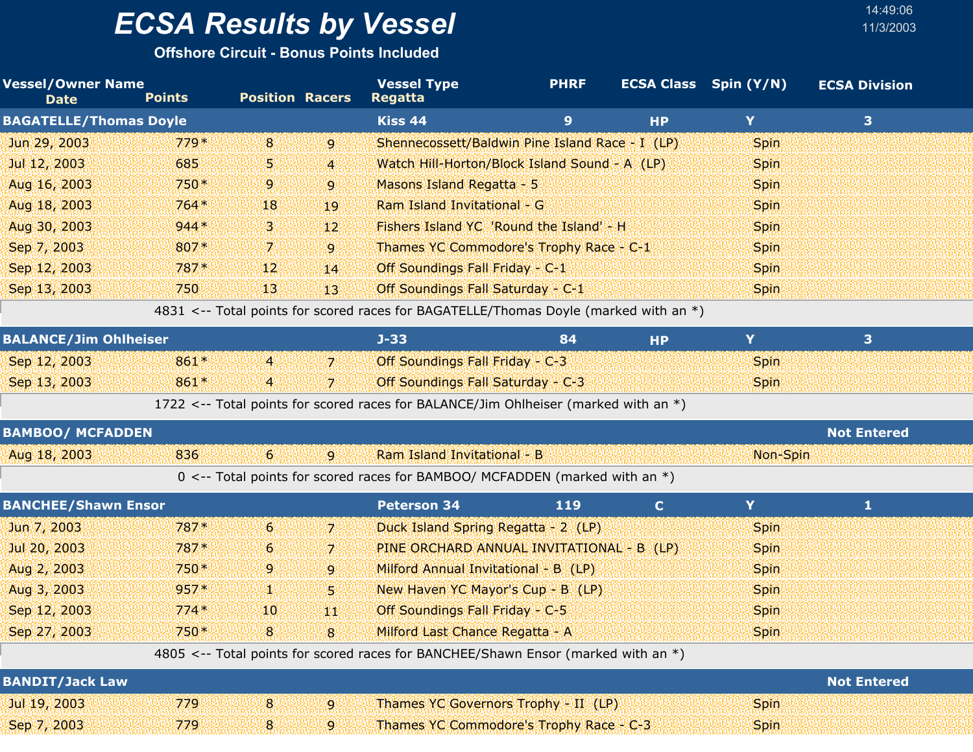**Offshore Circuit - Bonus Points Included**

| <b>Vessel/Owner Name</b><br><b>Date</b> | <b>Points</b> | <b>Position Racers</b> |                 | <b>Vessel Type</b><br>Regatta                                                        | <b>PHRF</b> |           | <b>ECSA Class</b> Spin (Y/N) | <b>ECSA Division</b> |  |
|-----------------------------------------|---------------|------------------------|-----------------|--------------------------------------------------------------------------------------|-------------|-----------|------------------------------|----------------------|--|
| <b>BAGATELLE/Thomas Doyle</b>           |               |                        |                 | Kiss 44                                                                              | 9           | <b>HP</b> | Y                            | 3                    |  |
| Jun 29, 2003                            | $779*$        | 8                      | 9               | Shennecossett/Baldwin Pine Island Race - I (LP)                                      |             |           | <b>Spin</b>                  |                      |  |
| Jul 12, 2003                            | 685           | 5.                     | $\overline{4}$  | Watch Hill-Horton/Block Island Sound - A (LP)                                        |             |           | <b>Spin</b>                  |                      |  |
| Aug 16, 2003                            | $750*$        | 9 <sub>1</sub>         | $\overline{9}$  | Masons Island Regatta - 5                                                            |             |           | <b>Spin</b>                  |                      |  |
| Aug 18, 2003                            | $764*$        | 18                     | 19              | Ram Island Invitational - G                                                          |             |           | <b>Spin</b>                  |                      |  |
| Aug 30, 2003                            | $944*$        | 31                     | $12^{\circ}$    | Fishers Island YC 'Round the Island' - H                                             |             |           | <b>Spin</b>                  |                      |  |
| Sep 7, 2003                             | 807*          | 7.                     | 9               | Thames YC Commodore's Trophy Race - C-1                                              |             |           | <b>Spin</b>                  |                      |  |
| Sep 12, 2003                            | $787*$        | 12 <sup>1</sup>        | 14              | Off Soundings Fall Friday - C-1                                                      |             |           | <b>Spin</b>                  |                      |  |
| Sep 13, 2003                            | 750           | 13 <sup>1</sup>        | 13 <sup>1</sup> | Off Soundings Fall Saturday - C-1                                                    |             |           | <b>Spin</b>                  |                      |  |
|                                         |               |                        |                 | 4831 <-- Total points for scored races for BAGATELLE/Thomas Doyle (marked with an *) |             |           |                              |                      |  |
| <b>BALANCE/Jim Ohlheiser</b>            |               |                        |                 | $J - 33$                                                                             | 84          | <b>HP</b> | Y                            | 3                    |  |
| Sep 12, 2003                            | 861*          | $\overline{4}$         | $\mathbf{Z}$    | Off Soundings Fall Friday - C-3                                                      |             |           | <b>Spin</b>                  |                      |  |
| Sep 13, 2003                            | 861*          | $\overline{4}$         | 7.              | Off Soundings Fall Saturday - C-3                                                    |             |           | <b>Spin</b>                  |                      |  |

1722 <-- Total points for scored races for BALANCE/Jim Ohlheiser (marked with an \*)

| <b>BAMBOO/ MCFADDEN</b> |     |  |                                                                               | <b>Not Entered</b> |
|-------------------------|-----|--|-------------------------------------------------------------------------------|--------------------|
| Aug 18, 2003            | 836 |  | Ram Island Invitational - B                                                   | Non-Spin           |
|                         |     |  | 0 <-- Total points for scored races for BAMBOO/ MCFADDEN (marked with an $*)$ |                    |

| <b>BANCHEE/Shawn Ensor</b> |        |                 |                | <b>Peterson 34</b>                                                                | 119 |             |                    |  |
|----------------------------|--------|-----------------|----------------|-----------------------------------------------------------------------------------|-----|-------------|--------------------|--|
| Jun 7, 2003                | $787*$ | 6 <sup>1</sup>  | 7              | Duck Island Spring Regatta - 2 (LP)                                               |     | <b>Spin</b> |                    |  |
| Jul 20, 2003               | $787*$ | 6 <sup>1</sup>  | 7              | PINE ORCHARD ANNUAL INVITATIONAL - B (LP)                                         |     | <b>Spin</b> |                    |  |
| Aug 2, 2003                | $750*$ | 9.              | $\overline{9}$ | Milford Annual Invitational - B (LP)                                              |     | <b>Spin</b> |                    |  |
| Aug 3, 2003                | $957*$ | N N             | 51             | New Haven YC Mayor's Cup - B (LP)                                                 |     | <b>Spin</b> |                    |  |
| Sep 12, 2003               | $774*$ | 10 <sup>1</sup> | ЧW             | Off Soundings Fall Friday - C-5                                                   |     | <b>Spin</b> |                    |  |
| Sep 27, 2003               | $750*$ | 8 <sup>1</sup>  | 8              | Milford Last Chance Regatta - A                                                   |     | <b>Spin</b> |                    |  |
|                            |        |                 |                | 4805 <-- Total points for scored races for BANCHEE/Shawn Ensor (marked with an *) |     |             |                    |  |
| <b>BANDIT/Jack Law</b>     |        |                 |                |                                                                                   |     |             | <b>Not Entered</b> |  |
| Jul 19, 2003               | 779    | 8               | 9              | Thames YC Governors Trophy - II (LP)                                              |     | <b>Spin</b> |                    |  |

Sep 7, 2003 779 8 9 Thames YC Commodore's Trophy Race - C-3 Spin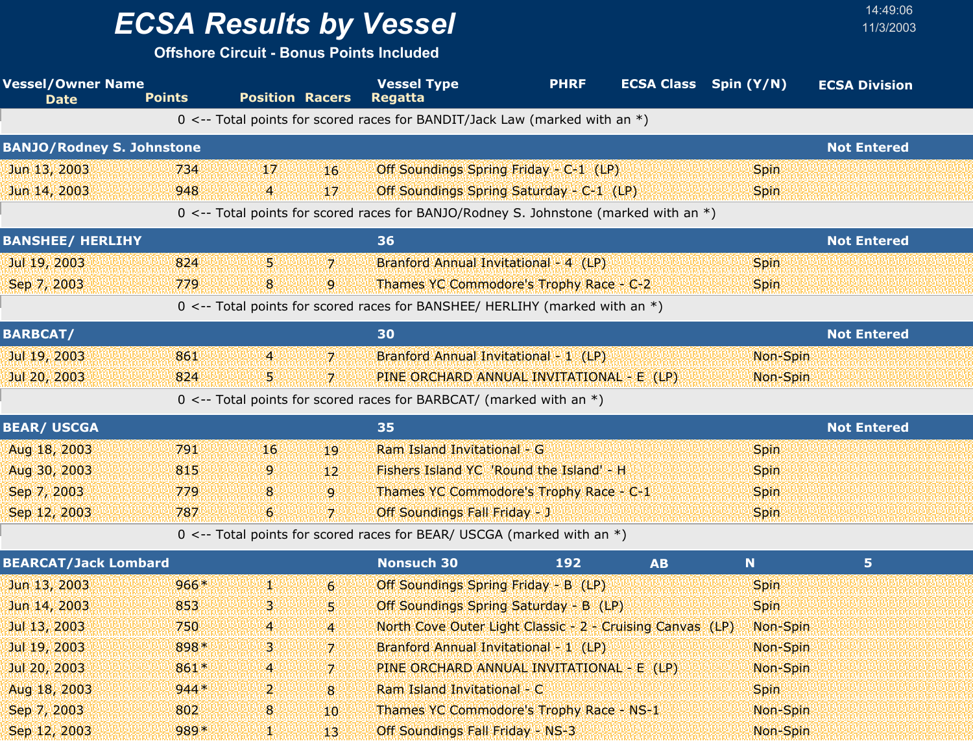**Offshore Circuit - Bonus Points Included**

| <b>Vessel/Owner Name</b><br><b>Date</b> | <b>Points</b> | <b>Position Racers</b> |                 | <b>Vessel Type</b><br><b>Regatta</b>                                                 | <b>PHRF</b> |           | <b>ECSA Class</b> Spin (Y/N) | <b>ECSA Division</b> |
|-----------------------------------------|---------------|------------------------|-----------------|--------------------------------------------------------------------------------------|-------------|-----------|------------------------------|----------------------|
|                                         |               |                        |                 | 0 <-- Total points for scored races for BANDIT/Jack Law (marked with an $*)$         |             |           |                              |                      |
| <b>BANJO/Rodney S. Johnstone</b>        |               |                        |                 |                                                                                      |             |           |                              | <b>Not Entered</b>   |
| Jun 13, 2003                            | 734           | 17                     | 16              | Off Soundings Spring Friday - C-1 (LP)                                               |             |           | <b>Spin</b>                  |                      |
| Jun 14, 2003                            | 948           | 4                      | 17 <sup>°</sup> | Off Soundings Spring Saturday - C-1 (LP)                                             |             |           | <b>Spin</b>                  |                      |
|                                         |               |                        |                 | 0 <-- Total points for scored races for BANJO/Rodney S. Johnstone (marked with an *) |             |           |                              |                      |
| <b>BANSHEE/ HERLIHY</b>                 |               |                        |                 | 36                                                                                   |             |           |                              | <b>Not Entered</b>   |
| Jul 19, 2003                            | 824           | 5.                     | 71              | Branford Annual Invitational - 4 (LP)                                                |             |           | <b>Spin</b>                  |                      |
| Sep 7, 2003                             | 779           | 8                      | 9               | Thames YC Commodore's Trophy Race - C-2                                              |             |           | <b>Spin</b>                  |                      |
|                                         |               |                        |                 | 0 <-- Total points for scored races for BANSHEE/ HERLIHY (marked with an *)          |             |           |                              |                      |
| <b>BARBCAT/</b>                         |               |                        |                 | 30                                                                                   |             |           |                              | <b>Not Entered</b>   |
| Jul 19, 2003                            | 861           | 4                      | 7 <sup>1</sup>  | Branford Annual Invitational - 1 (LP)                                                |             |           | Non-Spin                     |                      |
| Jul 20, 2003                            | 824           | 5                      | 71              | PINE ORCHARD ANNUAL INVITATIONAL - E (LP)                                            |             |           | Non-Spin                     |                      |
|                                         |               |                        |                 | 0 <-- Total points for scored races for BARBCAT/ (marked with an $*)$                |             |           |                              |                      |
| <b>BEAR/ USCGA</b>                      |               |                        |                 | 35                                                                                   |             |           |                              | <b>Not Entered</b>   |
| Aug 18, 2003                            | 791           | 16                     | 19              | Ram Island Invitational - G                                                          |             |           | <b>Spin</b>                  |                      |
| Aug 30, 2003                            | 815           | 9                      | 12 <sup>°</sup> | Fishers Island YC 'Round the Island' - H                                             |             |           | <b>Spin</b>                  |                      |
| Sep 7, 2003                             | 779           | 8                      | 9               | Thames YC Commodore's Trophy Race - C-1                                              |             |           | <b>Spin</b>                  |                      |
| Sep 12, 2003                            | 787           | $6\phantom{1}6$        | $\overline{7}$  | Off Soundings Fall Friday - J                                                        |             |           | <b>Spin</b>                  |                      |
|                                         |               |                        |                 | $0 \le -5$ Total points for scored races for BEAR/ USCGA (marked with an *)          |             |           |                              |                      |
| <b>BEARCAT/Jack Lombard</b>             |               |                        |                 | <b>Nonsuch 30</b>                                                                    | 192         | <b>AB</b> | N                            | 5                    |
| Jun 13, 2003                            | $966*$        | ¥.                     | $\overline{6}$  | Off Soundings Spring Friday - B (LP)                                                 |             |           | <b>Spin</b>                  |                      |
| Jun 14, 2003                            | 853           | В                      | 5               | Off Soundings Spring Saturday - B (LP)                                               |             |           | <b>Spin</b>                  |                      |
| Jul 13, 2003                            | 750           | 4                      | $\overline{4}$  | North Cove Outer Light Classic - 2 - Cruising Canvas (LP)                            |             |           | Non-Spin                     |                      |
| Jul 19, 2003                            | 898*          | з                      | 7.              | Branford Annual Invitational - 1 (LP)                                                |             |           | Non-Spin                     |                      |
| Jul 20, 2003                            | 861*          | $\overline{4}$         | 7.              | PINE ORCHARD ANNUAL INVITATIONAL - E (LP)                                            |             |           | Non-Spin                     |                      |
| Aug 18, 2003                            | $944*$        | 2                      | 8               | Ram Island Invitational - C                                                          |             |           | <b>Spin</b>                  |                      |
| Sep 7, 2003                             | 802           | 8                      | 10              | Thames YC Commodore's Trophy Race - NS-1                                             |             |           | Non-Spin                     |                      |
| Sep 12, 2003                            | $989*$        | 凞                      | 13 <sup>°</sup> | Off Soundings Fall Friday - NS-3                                                     |             |           | Non-Spin                     |                      |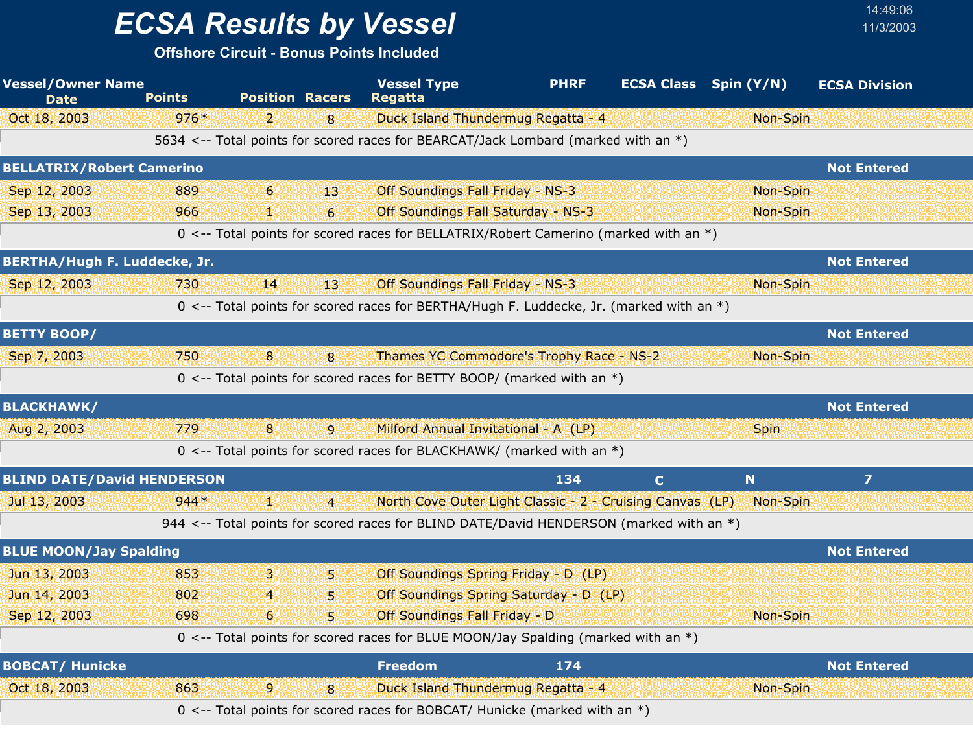## *ECSA Results by Vessel* 11/3/2003

| <b>Vessel/Owner Name</b><br><b>Date</b> | <b>Points</b> | <b>Position Racers</b>                                                                  | <b>Vessel Type</b><br><b>Regatta</b>                      | <b>PHRF</b> | <b>ECSA Class</b> Spin (Y/N) |             | <b>ECSA Division</b> |  |
|-----------------------------------------|---------------|-----------------------------------------------------------------------------------------|-----------------------------------------------------------|-------------|------------------------------|-------------|----------------------|--|
| Oct 18, 2003                            | $976*$        | 2.<br>8                                                                                 | Duck Island Thundermug Regatta - 4                        |             |                              | Non-Spin    |                      |  |
|                                         |               | 5634 <-- Total points for scored races for BEARCAT/Jack Lombard (marked with an *)      |                                                           |             |                              |             |                      |  |
| <b>BELLATRIX/Robert Camerino</b>        |               |                                                                                         |                                                           |             |                              |             | <b>Not Entered</b>   |  |
| Sep 12, 2003                            | 889           | 6<br>13'                                                                                | Off Soundings Fall Friday - NS-3                          |             |                              | Non-Spin    |                      |  |
| Sep 13, 2003                            | 966           | $6 \overline{6}$<br>92                                                                  | <b>Off Soundings Fall Saturday - NS-3</b>                 |             |                              | Non-Spin    |                      |  |
|                                         |               | 0 <-- Total points for scored races for BELLATRIX/Robert Camerino (marked with an *)    |                                                           |             |                              |             |                      |  |
| BERTHA/Hugh F. Luddecke, Jr.            |               |                                                                                         |                                                           |             |                              |             | <b>Not Entered</b>   |  |
| Sep 12, 2003                            | 730           | 14 <br>43.                                                                              | Off Soundings Fall Friday - NS-3                          |             |                              | Non-Spin    |                      |  |
|                                         |               | 0 <-- Total points for scored races for BERTHA/Hugh F. Luddecke, Jr. (marked with an *) |                                                           |             |                              |             |                      |  |
| <b>BETTY BOOP/</b>                      |               |                                                                                         |                                                           |             |                              |             | <b>Not Entered</b>   |  |
| Sep 7, 2003                             | 750           | 8<br>8                                                                                  | Thames YC Commodore's Trophy Race - NS-2                  |             |                              | Non-Spin    |                      |  |
|                                         |               | 0 <-- Total points for scored races for BETTY BOOP/ (marked with an *)                  |                                                           |             |                              |             |                      |  |
| <b>BLACKHAWK/</b>                       |               |                                                                                         |                                                           |             |                              |             | <b>Not Entered</b>   |  |
| Aug 2, 2003                             | 779           | 8<br>$\overline{9}$                                                                     | Milford Annual Invitational - A (LP)                      |             |                              | <b>Spin</b> |                      |  |
|                                         |               | 0 <-- Total points for scored races for BLACKHAWK/ (marked with an $*)$                 |                                                           |             |                              |             |                      |  |
| <b>BLIND DATE/David HENDERSON</b>       |               |                                                                                         |                                                           | 134         | $\mathbf C$                  | $\mathbf N$ | $\overline{ }$       |  |
| Jul 13, 2003                            | $944*$        | 44<br>$\overline{4}$                                                                    | North Cove Outer Light Classic - 2 - Cruising Canvas (LP) |             |                              | Non-Spin    |                      |  |
|                                         |               | 944 <-- Total points for scored races for BLIND DATE/David HENDERSON (marked with an *) |                                                           |             |                              |             |                      |  |
| <b>BLUE MOON/Jay Spalding</b>           |               |                                                                                         |                                                           |             |                              |             | <b>Not Entered</b>   |  |
| Jun 13, 2003                            | 853           | 3<br>5.                                                                                 | Off Soundings Spring Friday - D (LP)                      |             |                              |             |                      |  |
| Jun 14, 2003                            | 802           | 5.<br>4                                                                                 | Off Soundings Spring Saturday - D (LP)                    |             |                              |             |                      |  |
| Sep 12, 2003                            | 698           | 51<br>6                                                                                 | <b>Off Soundings Fall Friday - D</b>                      |             |                              | Non-Spin    |                      |  |
|                                         |               | 0 <-- Total points for scored races for BLUE MOON/Jay Spalding (marked with an *)       |                                                           |             |                              |             |                      |  |
| <b>BOBCAT/ Hunicke</b>                  |               |                                                                                         | <b>Freedom</b>                                            | 174         |                              |             | <b>Not Entered</b>   |  |
| Oct 18, 2003                            | 863           | 9<br>8                                                                                  | Duck Island Thundermug Regatta - 4                        |             |                              | Non-Spin    |                      |  |
|                                         |               | 0 <-- Total points for scored races for BOBCAT/ Hunicke (marked with an *)              |                                                           |             |                              |             |                      |  |
|                                         |               |                                                                                         |                                                           |             |                              |             |                      |  |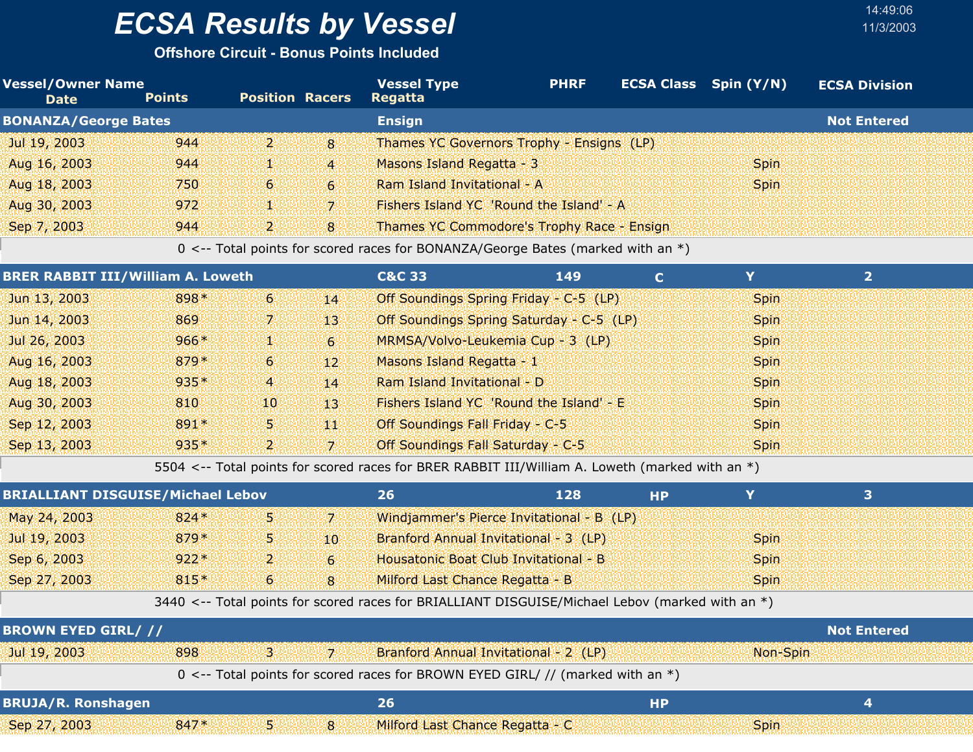**Offshore Circuit - Bonus Points Included**

| <b>Vessel/Owner Name</b><br><b>Date</b> | <b>Points</b> | <b>Position Racers</b> |              | <b>Vessel Type</b><br>Regatta                     | <b>PHRF</b> | ECSA Class Spin (Y/N) | <b>ECSA Division</b> |
|-----------------------------------------|---------------|------------------------|--------------|---------------------------------------------------|-------------|-----------------------|----------------------|
| <b>BONANZA/George Bates</b>             |               |                        |              | <b>Ensign</b>                                     |             |                       | <b>Not Entered</b>   |
| Jul 19, 2003                            | 944           | עצי                    | 8            | Thames YC Governors Trophy - Ensigns (LP)         |             |                       |                      |
| Aug 16, 2003                            | 944           | تنانا                  | $\mathbf{4}$ | Masons Island Regatta - 3                         |             | <b>Spin</b>           |                      |
| Aug 18, 2003                            | 750           | -61                    | $\epsilon$   | Ram Island Invitational - A                       |             | <b>Spin</b>           |                      |
| Aug 30, 2003                            | 972           | 455                    | -71          | Fishers Island YC 'Round the Island' - A          |             |                       |                      |
| Sep 7, 2003                             | 944           | ועי                    | <b>8</b>     | <b>Thames YC Commodore's Trophy Race - Ensign</b> |             |                       |                      |

0 <-- Total points for scored races for BONANZA/George Bates (marked with an \*)

| <b>BRER RABBIT III/William A. Loweth</b> |        |                |                | <b>C&amp;C 33</b>                 | 149                                      |             |  |
|------------------------------------------|--------|----------------|----------------|-----------------------------------|------------------------------------------|-------------|--|
| Jun 13, 2003                             | 898*   | -6.            | 14             |                                   | Off Soundings Spring Friday - C-5 (LP)   | <b>Spin</b> |  |
| Jun 14, 2003                             | 869    | 7.             | 43.            |                                   | Off Soundings Spring Saturday - C-5 (LP) | <b>Spin</b> |  |
| Jul 26, 2003                             | $966*$ | N.             | 6 <sup>1</sup> |                                   | MRMSA/Volvo-Leukemia Cup - 3 (LP)        | <b>Spin</b> |  |
| Aug 16, 2003                             | $879*$ | 6 <sup>1</sup> | $12^{\circ}$   | Masons Island Regatta - 1         |                                          | <b>Spin</b> |  |
| Aug 18, 2003                             | 935*   | $\overline{4}$ | 14             | Ram Island Invitational - D       |                                          | <b>Spin</b> |  |
| Aug 30, 2003                             | 810    | 10             | 43             |                                   | Fishers Island YC 'Round the Island' - E | <b>Spin</b> |  |
| Sep 12, 2003                             | 891*   | 5.             | 440            | Off Soundings Fall Friday - C-5   |                                          | <b>Spin</b> |  |
| Sep 13, 2003                             | 935*   | $\overline{2}$ | v.             | Off Soundings Fall Saturday - C-5 |                                          | <b>Spin</b> |  |

5504 <-- Total points for scored races for BRER RABBIT III/William A. Loweth (marked with an \*)

| <b>BRIALLIANT DISGUISE/Michael Lebov</b> |        |      |                  | 26<br>128                                                                                       | <b>HP</b> |             | 3                  |  |
|------------------------------------------|--------|------|------------------|-------------------------------------------------------------------------------------------------|-----------|-------------|--------------------|--|
| May 24, 2003                             | $824*$ | 5.   | 71               | Windjammer's Pierce Invitational - B (LP)                                                       |           |             |                    |  |
| Jul 19, 2003                             | $879*$ | 5.   | 10 <sup>°</sup>  | Branford Annual Invitational - 3 (LP)                                                           |           | <b>Spin</b> |                    |  |
| Sep 6, 2003                              | $922*$ | ו קי | $6 \overline{6}$ | Housatonic Boat Club Invitational - B                                                           |           | <b>Spin</b> |                    |  |
| Sep 27, 2003                             | 815*   | 6    | 8                | Milford Last Chance Regatta - B                                                                 |           | <b>Spin</b> |                    |  |
|                                          |        |      |                  | 3440 <-- Total points for scored races for BRIALLIANT DISGUISE/Michael Lebov (marked with an *) |           |             |                    |  |
|                                          |        |      |                  |                                                                                                 |           |             |                    |  |
| <b>BROWN EYED GIRL///</b>                |        |      |                  |                                                                                                 |           |             | <b>Not Entered</b> |  |
| Jul 19, 2003                             | 898    | З.   | 7.               | Branford Annual Invitational - 2 (LP)                                                           |           | Non-Spin    |                    |  |
|                                          |        |      |                  | 0 <-- Total points for scored races for BROWN EYED GIRL/ // (marked with an *)                  |           |             |                    |  |
| <b>BRUJA/R. Ronshagen</b>                |        |      |                  | 26                                                                                              | <b>HP</b> |             | 4                  |  |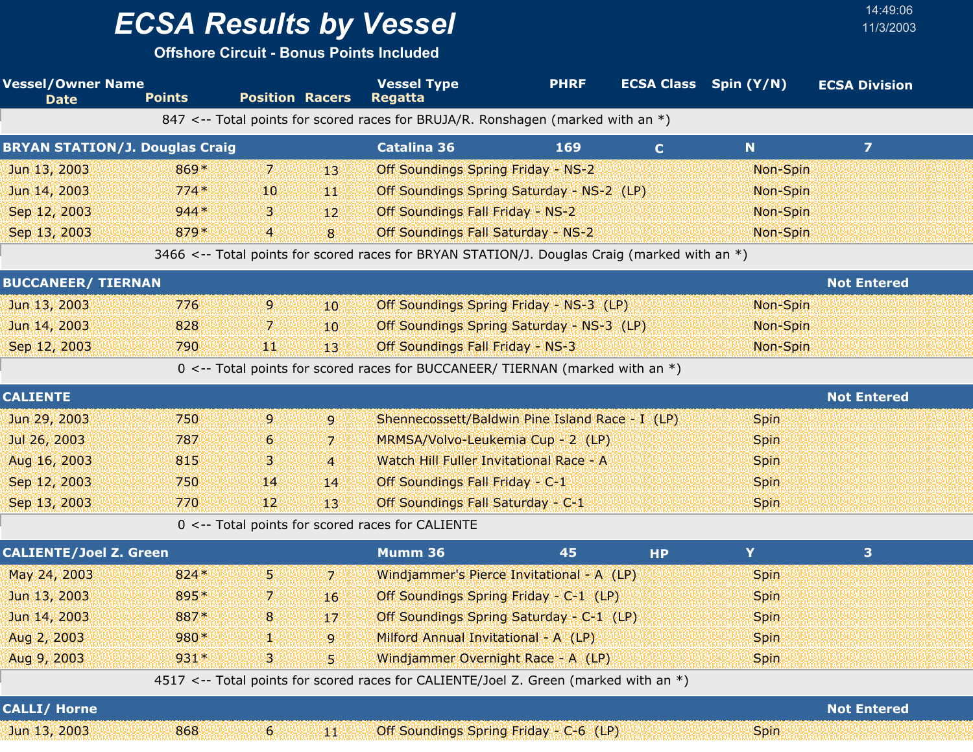**Offshore Circuit - Bonus Points Included**

| <b>Vessel/Owner Name</b><br><b>Date</b> | <b>Points</b> | <b>Position Racers</b> |                 | <b>Vessel Type</b><br><b>Regatta</b>                                                           | <b>PHRF</b> |             | <b>ECSA Class</b> Spin (Y/N) | <b>ECSA Division</b> |
|-----------------------------------------|---------------|------------------------|-----------------|------------------------------------------------------------------------------------------------|-------------|-------------|------------------------------|----------------------|
|                                         |               |                        |                 | 847 <-- Total points for scored races for BRUJA/R. Ronshagen (marked with an $*)$              |             |             |                              |                      |
| <b>BRYAN STATION/J. Douglas Craig</b>   |               |                        |                 | <b>Catalina 36</b>                                                                             | 169         | $\mathbf C$ | N                            | $\overline{z}$       |
| Jun 13, 2003                            | 869*          | 7.                     | 13              | <b>Off Soundings Spring Friday - NS-2</b>                                                      |             |             | Non-Spin                     |                      |
| Jun 14, 2003                            | $774*$        | 10                     | W               | Off Soundings Spring Saturday - NS-2 (LP)                                                      |             |             | Non-Spin                     |                      |
| Sep 12, 2003                            | $944*$        | З.                     | 12 <sup>2</sup> | <b>Off Soundings Fall Friday - NS-2</b>                                                        |             |             | Non-Spin                     |                      |
| Sep 13, 2003                            | 879*          | 4                      | $\bf{8}$        | <b>Off Soundings Fall Saturday - NS-2</b>                                                      |             |             | Non-Spin                     |                      |
|                                         |               |                        |                 | 3466 <-- Total points for scored races for BRYAN STATION/J. Douglas Craig (marked with an $*)$ |             |             |                              |                      |
| <b>BUCCANEER/ TIERNAN</b>               |               |                        |                 |                                                                                                |             |             |                              | <b>Not Entered</b>   |
| Jun 13, 2003                            | 776           | 9                      | 10              | Off Soundings Spring Friday - NS-3 (LP)                                                        |             |             | Non-Spin                     |                      |
| Jun 14, 2003                            | 828           | 7.                     | 10              | Off Soundings Spring Saturday - NS-3 (LP)                                                      |             |             | Non-Spin                     |                      |
| Sep 12, 2003                            | 790           | 喇叭                     | 13 <sup>°</sup> | Off Soundings Fall Friday - NS-3                                                               |             |             | Non-Spin                     |                      |
|                                         |               |                        |                 | 0 <-- Total points for scored races for BUCCANEER/ TIERNAN (marked with an *)                  |             |             |                              |                      |
| <b>CALIENTE</b>                         |               |                        |                 |                                                                                                |             |             |                              | <b>Not Entered</b>   |
| Jun 29, 2003                            | 750           | 9                      | $\overline{9}$  | Shennecossett/Baldwin Pine Island Race - I (LP)                                                |             |             | <b>Spin</b>                  |                      |
| Jul 26, 2003                            | 787           | 6                      | 7               | MRMSA/Volvo-Leukemia Cup - 2 (LP)                                                              |             |             | <b>Spin</b>                  |                      |
| Aug 16, 2003                            | 815           | 3                      | $\overline{4}$  | Watch Hill Fuller Invitational Race - A                                                        |             |             | <b>Spin</b>                  |                      |
| Sep 12, 2003                            | 750           | 14                     | 14              | Off Soundings Fall Friday - C-1                                                                |             |             | <b>Spin</b>                  |                      |
| Sep 13, 2003                            | 770           | 12                     | 13              | Off Soundings Fall Saturday - C-1                                                              |             |             | <b>Spin</b>                  |                      |
|                                         |               |                        |                 | 0 <-- Total points for scored races for CALIENTE                                               |             |             |                              |                      |
| <b>CALIENTE/Joel Z. Green</b>           |               |                        |                 | Mumm 36                                                                                        | 45          | <b>HP</b>   | Y                            | 3                    |
| May 24, 2003                            | $824*$        | 5.                     | 7.              | Windjammer's Pierce Invitational - A (LP)                                                      |             |             | <b>Spin</b>                  |                      |
| Jun 13, 2003                            | 895*          | 7.                     | 16              | Off Soundings Spring Friday - C-1 (LP)                                                         |             |             | <b>Spin</b>                  |                      |
| Jun 14, 2003                            | 887*          | 8                      | 17              | Off Soundings Spring Saturday - C-1 (LP)                                                       |             |             | <b>Spin</b>                  |                      |
| Aug 2, 2003                             | 980*          |                        | 9               | Milford Annual Invitational - A (LP)                                                           |             |             | <b>Spin</b>                  |                      |
| Aug 9, 2003                             | $931*$        | 3.                     | 5               | Windjammer Overnight Race - A (LP)                                                             |             |             | <b>Spin</b>                  |                      |
|                                         |               |                        |                 | 4517 <-- Total points for scored races for CALIENTE/Joel Z. Green (marked with an *)           |             |             |                              |                      |
| <b>CALLI/ Horne</b>                     |               |                        |                 |                                                                                                |             |             |                              | <b>Not Entered</b>   |
| Jun 13, 2003                            | 868           | $6 \overline{6}$       | 鱜               | Off Soundings Spring Friday - C-6 (LP)                                                         |             |             | <b>Spin</b>                  |                      |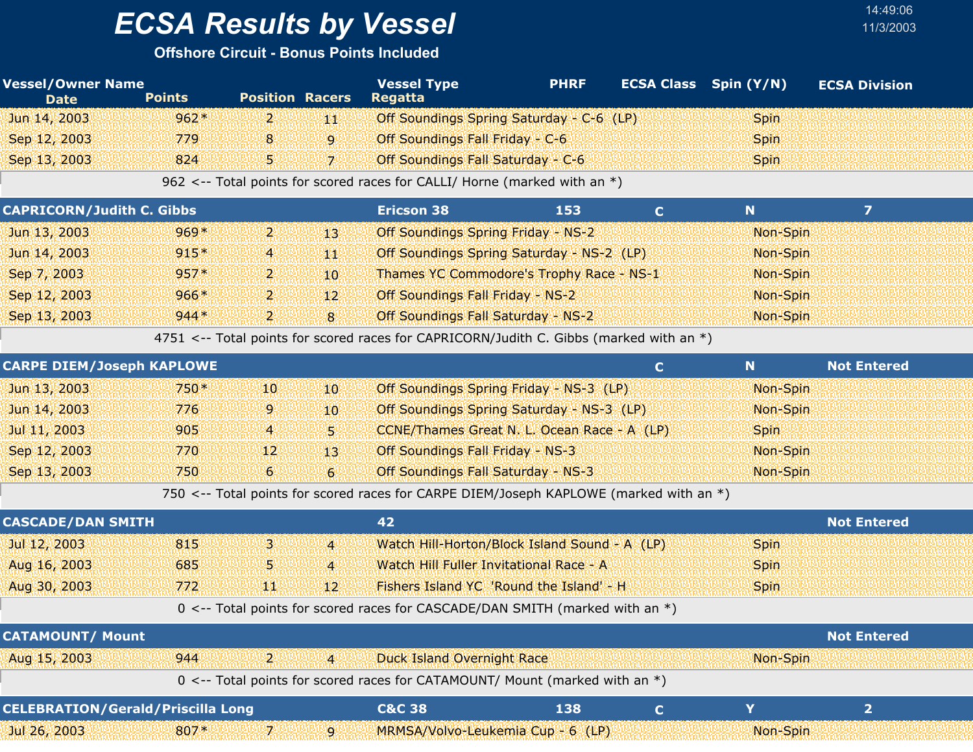**Offshore Circuit - Bonus Points Included**

| <b>Vessel/Owner Name</b><br><b>Date</b>  | <b>Points</b> | <b>Position Racers</b> |                  | <b>Vessel Type</b><br><b>Regatta</b>                                                    | <b>PHRF</b> |              | <b>ECSA Class</b> Spin (Y/N) | <b>ECSA Division</b> |  |
|------------------------------------------|---------------|------------------------|------------------|-----------------------------------------------------------------------------------------|-------------|--------------|------------------------------|----------------------|--|
| Jun 14, 2003                             | $962*$        | $\mathbf{2}$           | YЩ               | Off Soundings Spring Saturday - C-6 (LP)                                                |             |              | <b>Spin</b>                  |                      |  |
| Sep 12, 2003                             | 779           | 8                      | $\overline{9}$   | Off Soundings Fall Friday - C-6                                                         |             |              | <b>Spin</b>                  |                      |  |
| Sep 13, 2003                             | 824           | 5.                     | $\overline{7}$   | Off Soundings Fall Saturday - C-6                                                       |             |              | <b>Spin</b>                  |                      |  |
|                                          |               |                        |                  | 962 <-- Total points for scored races for CALLI/ Horne (marked with an $*)$             |             |              |                              |                      |  |
| <b>CAPRICORN/Judith C. Gibbs</b>         |               |                        |                  | <b>Ericson 38</b>                                                                       | 153         | $\mathbf C$  | N                            | $\overline{z}$       |  |
| Jun 13, 2003                             | $969*$        | $\mathbf{2}$           | 13               | <b>Off Soundings Spring Friday - NS-2</b>                                               |             |              | Non-Spin                     |                      |  |
| Jun 14, 2003                             | $915*$        | 4                      | YЩ               | Off Soundings Spring Saturday - NS-2 (LP)                                               |             |              | Non-Spin                     |                      |  |
| Sep 7, 2003                              | $957*$        | $\mathbf{2}$           | 10               | Thames YC Commodore's Trophy Race - NS-1                                                |             |              | Non-Spin                     |                      |  |
| Sep 12, 2003                             | $966*$        | 2.                     | 12               | Off Soundings Fall Friday - NS-2                                                        |             |              | Non-Spin                     |                      |  |
| Sep 13, 2003                             | $944*$        | 2.                     | 8                | Off Soundings Fall Saturday - NS-2                                                      |             |              | Non-Spin                     |                      |  |
|                                          |               |                        |                  | 4751 <-- Total points for scored races for CAPRICORN/Judith C. Gibbs (marked with an *) |             |              |                              |                      |  |
| <b>CARPE DIEM/Joseph KAPLOWE</b>         |               |                        |                  |                                                                                         |             | $\mathbf{C}$ | $\mathbf N$                  | <b>Not Entered</b>   |  |
| Jun 13, 2003                             | 750*          | 10                     | 10               | Off Soundings Spring Friday - NS-3 (LP)                                                 |             |              | Non-Spin                     |                      |  |
| Jun 14, 2003                             | 776           | 9                      | 10               | Off Soundings Spring Saturday - NS-3 (LP)                                               |             |              | Non-Spin                     |                      |  |
| Jul 11, 2003                             | 905           | 4                      | 5 <sub>1</sub>   | CCNE/Thames Great N. L. Ocean Race - A (LP)                                             |             |              | <b>Spin</b>                  |                      |  |
| Sep 12, 2003                             | 770           | 12 <sup>1</sup>        | 13               | Off Soundings Fall Friday - NS-3                                                        |             |              | Non-Spin                     |                      |  |
| Sep 13, 2003                             | 750           | $6 \overline{6}$       | $6 \overline{6}$ | Off Soundings Fall Saturday - NS-3                                                      |             |              | Non-Spin                     |                      |  |
|                                          |               |                        |                  | 750 <-- Total points for scored races for CARPE DIEM/Joseph KAPLOWE (marked with an *)  |             |              |                              |                      |  |
| <b>CASCADE/DAN SMITH</b>                 |               |                        |                  | 42                                                                                      |             |              |                              | <b>Not Entered</b>   |  |
| Jul 12, 2003                             | 815           | З.                     | $\overline{4}$   | Watch Hill-Horton/Block Island Sound - A (LP)                                           |             |              | <b>Spin</b>                  |                      |  |
| Aug 16, 2003                             | 685           | 5                      | $\overline{4}$   | Watch Hill Fuller Invitational Race - A                                                 |             |              | <b>Spin</b>                  |                      |  |
| Aug 30, 2003                             | 772           | 雞集                     | 12 <sup>2</sup>  | Fishers Island YC 'Round the Island' - H                                                |             |              | <b>Spin</b>                  |                      |  |
|                                          |               |                        |                  | 0 <-- Total points for scored races for CASCADE/DAN SMITH (marked with an *)            |             |              |                              |                      |  |
| <b>CATAMOUNT/ Mount</b>                  |               |                        |                  |                                                                                         |             |              |                              | <b>Not Entered</b>   |  |
| Aug 15, 2003                             | 944           | 2.                     | $\overline{4}$   | <b>Duck Island Overnight Race</b>                                                       |             |              | Non-Spin                     |                      |  |
|                                          |               |                        |                  | 0 <-- Total points for scored races for CATAMOUNT/ Mount (marked with an *)             |             |              |                              |                      |  |
| <b>CELEBRATION/Gerald/Priscilla Long</b> |               |                        |                  | <b>C&amp;C 38</b>                                                                       | 138         | $\mathbf C$  | Y                            | $\overline{2}$       |  |
| Jul 26, 2003                             | 807*          | 7.                     | 9                | MRMSA/Volvo-Leukemia Cup - 6 (LP)                                                       |             |              | Non-Spin                     |                      |  |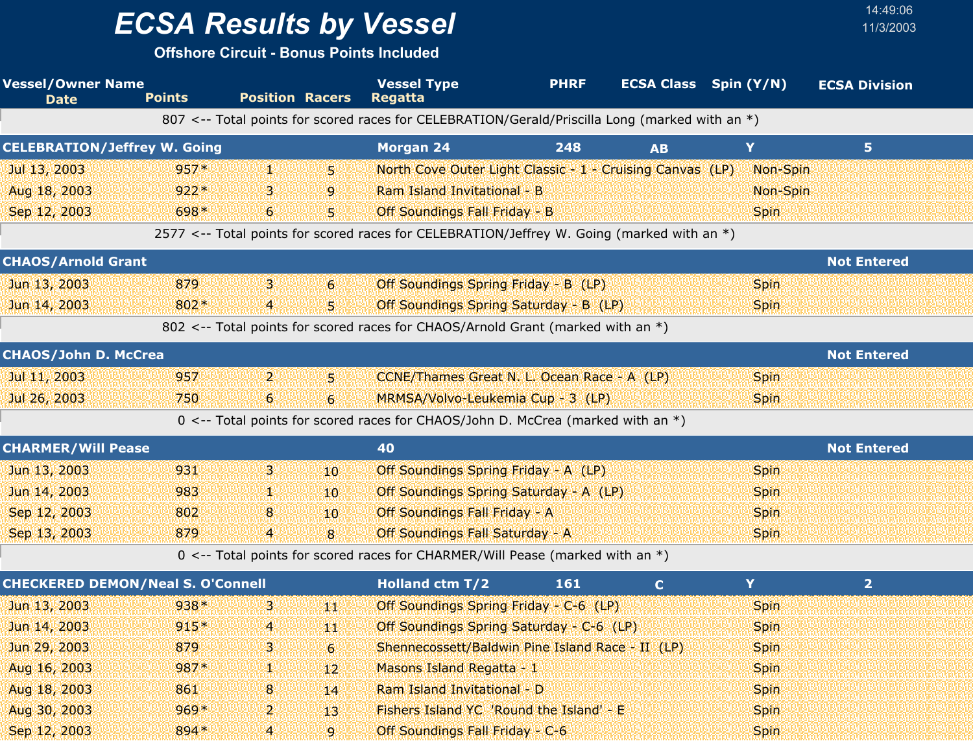**Offshore Circuit - Bonus Points Included**

| <b>Vessel/Owner Name</b><br><b>Date</b>  | <b>Points</b> | <b>Position Racers</b>   |                | <b>Vessel Type</b><br><b>Regatta</b>                                                           | <b>PHRF</b> |             | <b>ECSA Class</b> Spin (Y/N) | <b>ECSA Division</b> |  |
|------------------------------------------|---------------|--------------------------|----------------|------------------------------------------------------------------------------------------------|-------------|-------------|------------------------------|----------------------|--|
|                                          |               |                          |                | 807 <-- Total points for scored races for CELEBRATION/Gerald/Priscilla Long (marked with an *) |             |             |                              |                      |  |
| <b>CELEBRATION/Jeffrey W. Going</b>      |               |                          |                | <b>Morgan 24</b>                                                                               | 248         | <b>AB</b>   | Y                            | 5.                   |  |
| Jul 13, 2003                             | $957*$        | 92                       | 51             | North Cove Outer Light Classic - 1 - Cruising Canvas (LP)                                      |             |             | Non-Spin                     |                      |  |
| Aug 18, 2003                             | $922*$        | З.                       | $\overline{9}$ | Ram Island Invitational - B                                                                    |             |             | Non-Spin                     |                      |  |
| Sep 12, 2003                             | 698*          | 6                        | 5              | Off Soundings Fall Friday - B                                                                  |             |             | <b>Spin</b>                  |                      |  |
|                                          |               |                          |                | 2577 <-- Total points for scored races for CELEBRATION/Jeffrey W. Going (marked with an *)     |             |             |                              |                      |  |
| <b>CHAOS/Arnold Grant</b>                |               |                          |                |                                                                                                |             |             |                              | <b>Not Entered</b>   |  |
| Jun 13, 2003                             | 879           | З.                       | $6 \,$         | Off Soundings Spring Friday - B (LP)                                                           |             |             | <b>Spin</b>                  |                      |  |
| Jun 14, 2003                             | 802*          | $\overline{4}$           | S)             | Off Soundings Spring Saturday - B (LP)                                                         |             |             | <b>Spin</b>                  |                      |  |
|                                          |               |                          |                | 802 <-- Total points for scored races for CHAOS/Arnold Grant (marked with an *)                |             |             |                              |                      |  |
| <b>CHAOS/John D. McCrea</b>              |               |                          |                |                                                                                                |             |             |                              | <b>Not Entered</b>   |  |
| Jul 11, 2003                             | 957           | $\mathbf{Z}$             | 51             | CCNE/Thames Great N. L. Ocean Race - A (LP)                                                    |             |             | <b>Spin</b>                  |                      |  |
| Jul 26, 2003                             | 750           | 6                        | $6 \,$         | MRMSA/Volvo-Leukemia Cup - 3 (LP)                                                              |             |             | <b>Spin</b>                  |                      |  |
|                                          |               |                          |                | 0 <-- Total points for scored races for CHAOS/John D. McCrea (marked with an *)                |             |             |                              |                      |  |
| <b>CHARMER/Will Pease</b>                |               |                          |                | 40                                                                                             |             |             |                              | <b>Not Entered</b>   |  |
| Jun 13, 2003                             | 931           | B.                       | 10             | Off Soundings Spring Friday - A (LP)                                                           |             |             | <b>Spin</b>                  |                      |  |
| Jun 14, 2003                             | 983           |                          | 10.            | Off Soundings Spring Saturday - A (LP)                                                         |             |             | <b>Spin</b>                  |                      |  |
| Sep 12, 2003                             | 802           | 8                        | 10             | Off Soundings Fall Friday - A                                                                  |             |             | <b>Spin</b>                  |                      |  |
| Sep 13, 2003                             | 879           | $\overline{4}$           | 8              | <b>Off Soundings Fall Saturday - A</b>                                                         |             |             | <b>Spin</b>                  |                      |  |
|                                          |               |                          |                | 0 <-- Total points for scored races for CHARMER/Will Pease (marked with an *)                  |             |             |                              |                      |  |
| <b>CHECKERED DEMON/Neal S. O'Connell</b> |               |                          |                | <b>Holland ctm T/2</b>                                                                         | 161         | $\mathbf C$ | Y                            | $\overline{2}$       |  |
| Jun 13, 2003                             | 938*          | з.                       | 440            | Off Soundings Spring Friday - C-6 (LP)                                                         |             |             | <b>Spin</b>                  |                      |  |
| Jun 14, 2003                             | $915*$        | BBBBB <mark>4</mark> BBB | WHA            | Off Soundings Spring Saturday - C-6 (LP)                                                       |             |             | <b>Spin</b>                  |                      |  |
| Jun 29, 2003                             | 879           | 3.                       | 6              | Shennecossett/Baldwin Pine Island Race - II (LP)                                               |             |             | <b>Spin</b>                  |                      |  |
| Aug 16, 2003                             | 987*          | Ψ                        | 12             | Masons Island Regatta - 1                                                                      |             |             | <b>Spin</b>                  |                      |  |
| Aug 18, 2003                             | 861           | 8                        | 14             | Ram Island Invitational - D                                                                    |             |             | Spin                         |                      |  |
| Aug 30, 2003                             | $969*$        | 2                        | -13            | Fishers Island YC 'Round the Island' - E                                                       |             |             | <b>Spin</b>                  |                      |  |
| Sep 12, 2003                             | 894*          | $\boldsymbol{A}$         | $\mathbf{9}$   | Off Soundings Fall Friday - C-6                                                                |             |             | <b>Spin</b>                  |                      |  |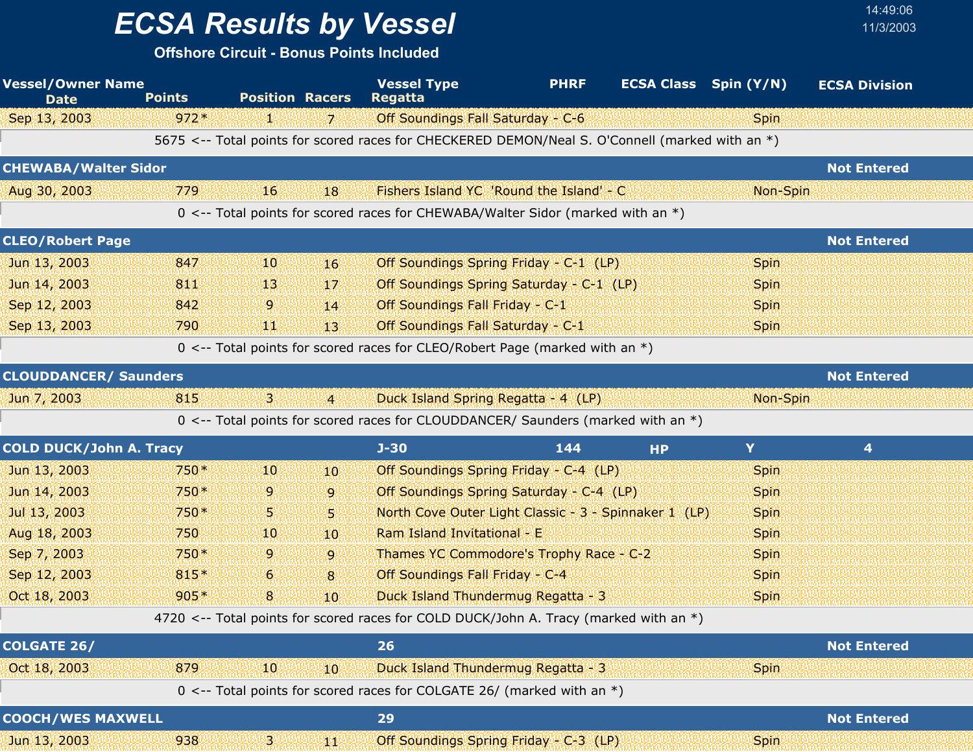# *ECSA Results by Vessel* 11/3/2003

| <b>Vessel/Owner Name</b><br><b>Date</b> | <b>Points</b> | <b>Position Racers</b> |                 | <b>Vessel Type</b><br><b>Regatta</b>                                                            | <b>PHRF</b> | <b>ECSA Class</b> Spin (Y/N) |             | <b>ECSA Division</b> |  |
|-----------------------------------------|---------------|------------------------|-----------------|-------------------------------------------------------------------------------------------------|-------------|------------------------------|-------------|----------------------|--|
| Sep 13, 2003                            | $972*$        | 4                      | 71              | Off Soundings Fall Saturday - C-6                                                               |             |                              | <b>Spin</b> |                      |  |
|                                         |               |                        |                 | 5675 <-- Total points for scored races for CHECKERED DEMON/Neal S. O'Connell (marked with an *) |             |                              |             |                      |  |
| <b>CHEWABA/Walter Sidor</b>             |               |                        |                 |                                                                                                 |             |                              |             | <b>Not Entered</b>   |  |
| Aug 30, 2003                            | 779           | 16                     | 18              | Fishers Island YC 'Round the Island' - C                                                        |             |                              | Non-Spin    |                      |  |
|                                         |               |                        |                 | 0 <-- Total points for scored races for CHEWABA/Walter Sidor (marked with an *)                 |             |                              |             |                      |  |
| <b>CLEO/Robert Page</b>                 |               |                        |                 |                                                                                                 |             |                              |             | <b>Not Entered</b>   |  |
| Jun 13, 2003                            | 847           | 10                     | 16              | Off Soundings Spring Friday - C-1 (LP)                                                          |             |                              | <b>Spin</b> |                      |  |
| Jun 14, 2003                            | 811           | 13                     | 17              | Off Soundings Spring Saturday - C-1 (LP)                                                        |             |                              | <b>Spin</b> |                      |  |
| Sep 12, 2003                            | 842           | 9                      | 14              | Off Soundings Fall Friday - C-1                                                                 |             |                              | <b>Spin</b> |                      |  |
| Sep 13, 2003                            | 790           | ЩŅ                     | 13!             | Off Soundings Fall Saturday - C-1                                                               |             |                              | <b>Spin</b> |                      |  |
|                                         |               |                        |                 | 0 <-- Total points for scored races for CLEO/Robert Page (marked with an *)                     |             |                              |             |                      |  |
| <b>CLOUDDANCER/ Saunders</b>            |               |                        |                 |                                                                                                 |             |                              |             | <b>Not Entered</b>   |  |
| Jun 7, 2003                             | 815           | В.                     | $\overline{4}$  | Duck Island Spring Regatta - 4 (LP)                                                             |             |                              | Non-Spin    |                      |  |
|                                         |               |                        |                 | 0 <-- Total points for scored races for CLOUDDANCER/ Saunders (marked with an *)                |             |                              |             |                      |  |
| <b>COLD DUCK/John A. Tracy</b>          |               |                        |                 | $J - 30$                                                                                        | 144         | <b>HP</b>                    | Y           | 4                    |  |
| Jun 13, 2003                            | $750*$        | 10                     | 10              | Off Soundings Spring Friday - C-4 (LP)                                                          |             |                              | Spin        |                      |  |
| Jun 14, 2003                            | 750*          | 9                      | 9               | Off Soundings Spring Saturday - C-4 (LP)                                                        |             |                              | <b>Spin</b> |                      |  |
| Jul 13, 2003                            | 750*          | 5.                     | 5               | North Cove Outer Light Classic - 3 - Spinnaker 1 (LP)                                           |             |                              | <b>Spin</b> |                      |  |
| Aug 18, 2003                            | 750           | 10                     | 10 <sup>°</sup> | Ram Island Invitational - E                                                                     |             |                              | <b>Spin</b> |                      |  |
| Sep 7, 2003                             | $750*$        | 9                      | $\overline{9}$  | Thames YC Commodore's Trophy Race - C-2                                                         |             |                              | <b>Spin</b> |                      |  |
| Sep 12, 2003                            | 815*          | 6                      | 8               | Off Soundings Fall Friday - C-4                                                                 |             |                              | <b>Spin</b> |                      |  |
| Oct 18, 2003                            | $905*$        | 8                      | 10 <sup>°</sup> | Duck Island Thundermug Regatta - 3                                                              |             |                              | Spin        |                      |  |
|                                         |               |                        |                 | 4720 <-- Total points for scored races for COLD DUCK/John A. Tracy (marked with an *)           |             |                              |             |                      |  |
| <b>COLGATE 26/</b>                      |               |                        |                 | 26                                                                                              |             |                              |             | <b>Not Entered</b>   |  |
| Oct 18, 2003                            | 879           | 10                     | 10              | Duck Island Thundermug Regatta - 3                                                              |             |                              | <b>Spin</b> |                      |  |
|                                         |               |                        |                 | 0 <-- Total points for scored races for COLGATE 26/ (marked with an *)                          |             |                              |             |                      |  |
| <b>COOCH/WES MAXWELL</b>                |               |                        |                 | 29                                                                                              |             |                              |             | <b>Not Entered</b>   |  |
| Jun 13, 2003                            | 938           | Ъ.                     | 判期              | Off Soundings Spring Friday - C-3 (LP)                                                          |             |                              | <b>Spin</b> |                      |  |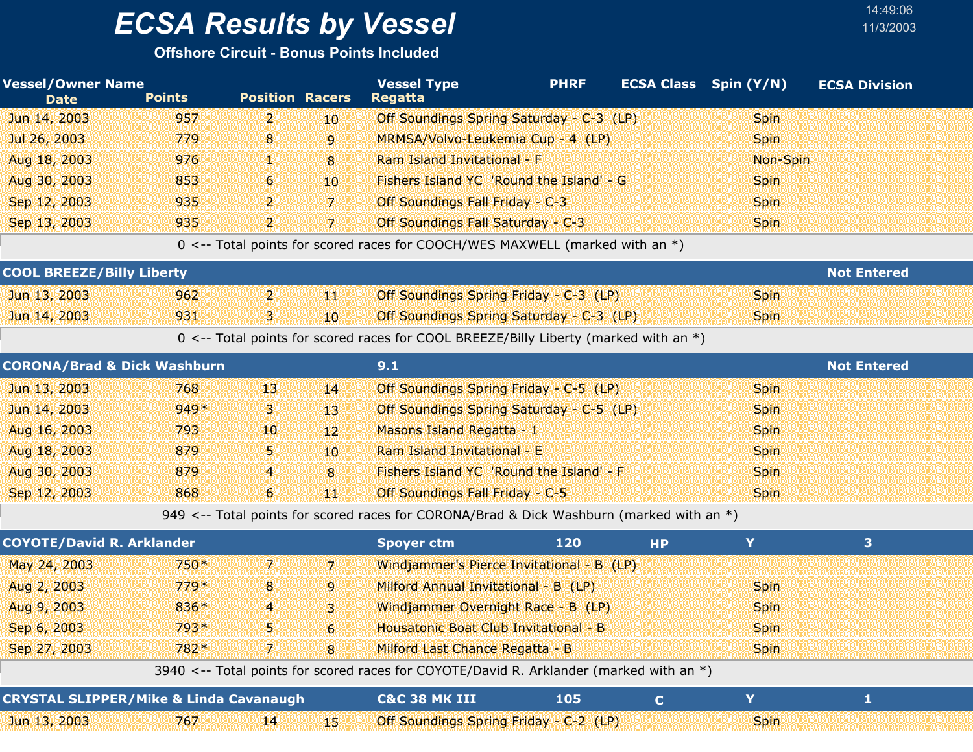**Offshore Circuit - Bonus Points Included**

| <b>Vessel/Owner Name</b><br><b>Date</b> | <b>Points</b> | <b>Position Racers</b> |                 | <b>Vessel Type</b><br><b>Regatta</b>                                                     | <b>PHRF</b> |           | <b>ECSA Class</b> Spin (Y/N) | <b>ECSA Division</b> |
|-----------------------------------------|---------------|------------------------|-----------------|------------------------------------------------------------------------------------------|-------------|-----------|------------------------------|----------------------|
| Jun 14, 2003                            | 957           | $\mathbf{2}$           | 10 <sup>°</sup> | Off Soundings Spring Saturday - C-3 (LP)                                                 |             |           | <b>Spin</b>                  |                      |
| Jul 26, 2003                            | 779           | 8                      | $\overline{9}$  | MRMSA/Volvo-Leukemia Cup - 4 (LP)                                                        |             |           | <b>Spin</b>                  |                      |
| Aug 18, 2003                            | 976           | 92                     | 8               | Ram Island Invitational - F                                                              |             |           | Non-Spin                     |                      |
| Aug 30, 2003                            | 853           | 6                      | 10              | Fishers Island YC 'Round the Island' - G                                                 |             |           | <b>Spin</b>                  |                      |
| Sep 12, 2003                            | 935           | $\mathbf{Z}$           | 7               | Off Soundings Fall Friday - C-3                                                          |             |           | <b>Spin</b>                  |                      |
| Sep 13, 2003                            | 935           | 2.                     | $\overline{7}$  | Off Soundings Fall Saturday - C-3                                                        |             |           | <b>Spin</b>                  |                      |
|                                         |               |                        |                 | 0 <-- Total points for scored races for COOCH/WES MAXWELL (marked with an *)             |             |           |                              |                      |
| <b>COOL BREEZE/Billy Liberty</b>        |               |                        |                 |                                                                                          |             |           |                              | <b>Not Entered</b>   |
| Jun 13, 2003                            | 962           | $\mathbf{p}$           | 郷               | Off Soundings Spring Friday - C-3 (LP)                                                   |             |           | <b>Spin</b>                  |                      |
| Jun 14, 2003                            | 931           | 31                     | $10^{\circ}$    | Off Soundings Spring Saturday - C-3 (LP)                                                 |             |           | <b>Spin</b>                  |                      |
|                                         |               |                        |                 | 0 <-- Total points for scored races for COOL BREEZE/Billy Liberty (marked with an *)     |             |           |                              |                      |
| <b>CORONA/Brad &amp; Dick Washburn</b>  |               |                        |                 | 9.1                                                                                      |             |           |                              | <b>Not Entered</b>   |
| Jun 13, 2003                            | 768           | 13                     | 14              | Off Soundings Spring Friday - C-5 (LP)                                                   |             |           | <b>Spin</b>                  |                      |
| Jun 14, 2003                            | 949*          | Ъ.                     | 13              | Off Soundings Spring Saturday - C-5 (LP)                                                 |             |           | <b>Spin</b>                  |                      |
| Aug 16, 2003                            | 793           | 10                     | 12              | Masons Island Regatta - 1                                                                |             |           | <b>Spin</b>                  |                      |
| Aug 18, 2003                            | 879           | 5.                     | 10              | Ram Island Invitational - E                                                              |             |           | <b>Spin</b>                  |                      |
| Aug 30, 2003                            | 879           | $\overline{4}$         | 8               | Fishers Island YC 'Round the Island' - F                                                 |             |           | <b>Spin</b>                  |                      |
| Sep 12, 2003                            | 868           | $\mathbf{6}$           | 4KI             | Off Soundings Fall Friday - C-5                                                          |             |           | <b>Spin</b>                  |                      |
|                                         |               |                        |                 | 949 <-- Total points for scored races for CORONA/Brad & Dick Washburn (marked with an *) |             |           |                              |                      |
| <b>COYOTE/David R. Arklander</b>        |               |                        |                 | <b>Spoyer ctm</b>                                                                        | 120         | <b>HP</b> | Y                            | 3                    |
| May 24, 2003                            | 750*          | 7 <sup>1</sup>         | $\overline{z}$  | Windjammer's Pierce Invitational - B (LP)                                                |             |           |                              |                      |

| 3940 <-- Total points for scored races for COYOTE/David R. Arklander (marked with an *) |     |      |          |                                        |     |  |             |  |  |  |  |
|-----------------------------------------------------------------------------------------|-----|------|----------|----------------------------------------|-----|--|-------------|--|--|--|--|
| <b>CRYSTAL SLIPPER/Mike &amp; Linda Cavanaugh</b>                                       |     |      |          | C&C 38 MK III                          | 105 |  |             |  |  |  |  |
| Jun 13, 2003                                                                            | 767 | '14' | بالإلالا | Off Soundings Spring Friday - C-2 (LP) |     |  | <b>Spin</b> |  |  |  |  |

Aug 2, 2003 8 779 Milford Annual Invitational - B (LP) \* Spin

Aug 9, 2003 4 836 Windjammer Overnight Race - B (LP) \* Spin

Sep 6, 2003 5 793 Housatonic Boat Club Invitational - B \* Spin

Sep 27, 2003 7 782 Milford Last Chance Regatta - B \* Spin

9

3

6

8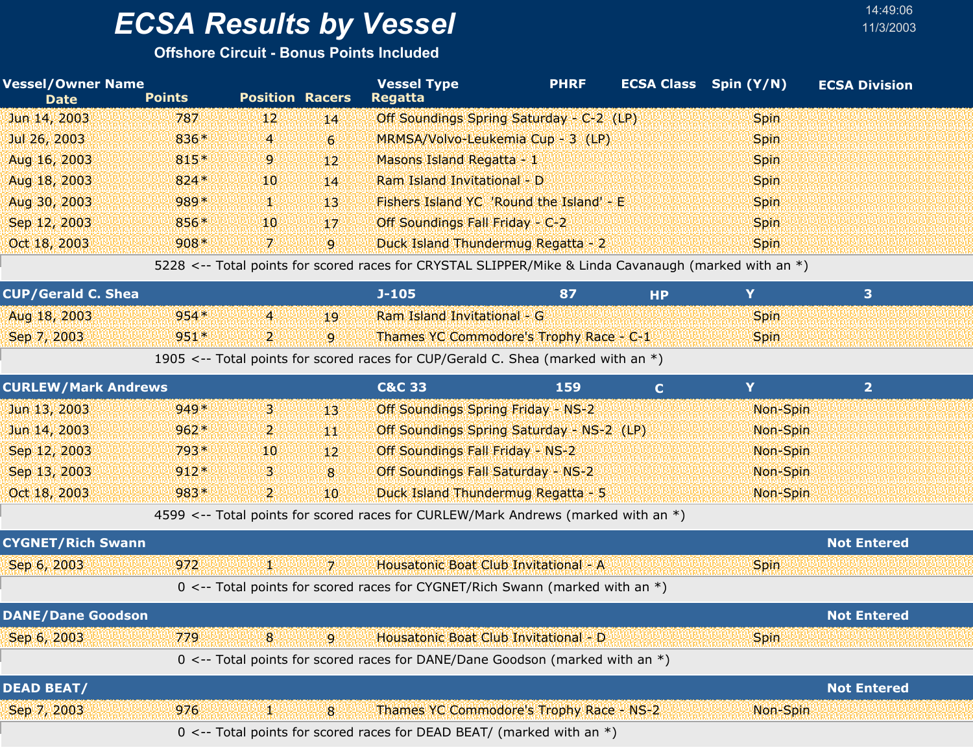**Offshore Circuit - Bonus Points Included**

| <b>Vessel/Owner Name</b><br><b>Date</b> | <b>Points</b> | <b>Position Racers</b> |                 | <b>Vessel Type</b><br><b>Regatta</b>                                                                 | <b>PHRF</b> | <b>ECSA Class</b> Spin (Y/N) | <b>ECSA Division</b> |
|-----------------------------------------|---------------|------------------------|-----------------|------------------------------------------------------------------------------------------------------|-------------|------------------------------|----------------------|
| Jun 14, 2003                            | 787           | $12^{1}$               | 14 <sup>°</sup> | Off Soundings Spring Saturday - C-2 (LP)                                                             |             | <b>Spin</b>                  |                      |
| Jul 26, 2003                            | 836*          | $\overline{4}$         | 6 <sup>1</sup>  | MRMSA/Volvo-Leukemia Cup - 3 (LP)                                                                    |             | <b>Spin</b>                  |                      |
| Aug 16, 2003                            | $815*$        | $\mathbf{9}$           | $12^{\circ}$    | Masons Island Regatta - 1                                                                            |             | <b>Spin</b>                  |                      |
| Aug 18, 2003                            | $824*$        | $10^{\circ}$           | 14              | Ram Island Invitational - D                                                                          |             | <b>Spin</b>                  |                      |
| Aug 30, 2003                            | 989*          | N A                    | $13^{\circ}$    | Fishers Island YC 'Round the Island' - E                                                             |             | <b>Spin</b>                  |                      |
| Sep 12, 2003                            | 856*          | 10 <sup>1</sup>        | 17              | Off Soundings Fall Friday - C-2                                                                      |             | <b>Spin</b>                  |                      |
| Oct 18, 2003                            | $908*$        | 4W                     | 9               | Duck Island Thundermug Regatta - 2                                                                   |             | <b>Spin</b>                  |                      |
|                                         |               |                        |                 | 5228 <-- Total points for scored races for CRYSTAL SLIPPER/Mike & Linda Cavanaugh (marked with an *) |             |                              |                      |

14:49:06

| <b>CUP/Gerald C. Shea</b> |        |             | J-105                                   |  |             |  |
|---------------------------|--------|-------------|-----------------------------------------|--|-------------|--|
| Aug 18, 2003              | $954*$ | 4           | Ram Island Invitational - G             |  | <b>Spin</b> |  |
| Sep 7, 2003               | $951*$ | ூ<br>سيعتبر | Thames YC Commodore's Trophy Race - C-1 |  | <b>Spin</b> |  |

1905 <-- Total points for scored races for CUP/Gerald C. Shea (marked with an \*)

| <b>CURLEW/Mark Andrews</b> |        |      |                 | <b>C&amp;C 33</b>                                                                 | 159                                       |          |  |
|----------------------------|--------|------|-----------------|-----------------------------------------------------------------------------------|-------------------------------------------|----------|--|
| Jun 13, 2003               | $949*$ | 31   | -134            | <b>Off Soundings Spring Friday - NS-2</b>                                         |                                           | Non-Spin |  |
| Jun 14, 2003               | $962*$ | וי ק | 44              |                                                                                   | Off Soundings Spring Saturday - NS-2 (LP) | Non-Spin |  |
| Sep 12, 2003               | $793*$ | 401  | $12^{\circ}$    | <b>Off Soundings Fall Friday - NS-2</b>                                           |                                           | Non-Spin |  |
| Sep 13, 2003               | $912*$ | 31   | 8               | <b>Off Soundings Fall Saturday - NS-2</b>                                         |                                           | Non-Spin |  |
| Oct 18, 2003               | $983*$ | 25   | 10 <sup>°</sup> | Duck Island Thundermug Regatta - 5                                                |                                           | Non-Spin |  |
|                            |        |      |                 | 4599 <-- Total points for scored races for CURLEW/Mark Andrews (marked with an *) |                                           |          |  |

| <b>CYGNET/Rich Swann</b> |                                                                                  | <b>Not Entered</b> |
|--------------------------|----------------------------------------------------------------------------------|--------------------|
| Sep 6, 2003              | 972<br>Housatonic Boat Club Invitational - A<br>對題<br>-71                        | <b>Spin</b>        |
|                          | 0 <-- Total points for scored races for CYGNET/Rich Swann (marked with an *)     |                    |
| <b>DANE/Dane Goodson</b> |                                                                                  | <b>Not Entered</b> |
| Sep 6, 2003              | 779<br>8 <sup>1</sup><br>Housatonic Boat Club Invitational - D<br>$\overline{9}$ | <b>Spin</b>        |
|                          | 0 <-- Total points for scored races for DANE/Dane Goodson (marked with an *)     |                    |
| <b>DEAD BEAT/</b>        |                                                                                  | <b>Not Entered</b> |
| Sep 7, 2003              | Thames YC Commodore's Trophy Race - NS-2<br>976<br>ھە<br>$\mathbf{8}$            | Non-Spin           |

0 <-- Total points for scored races for DEAD BEAT/ (marked with an \*)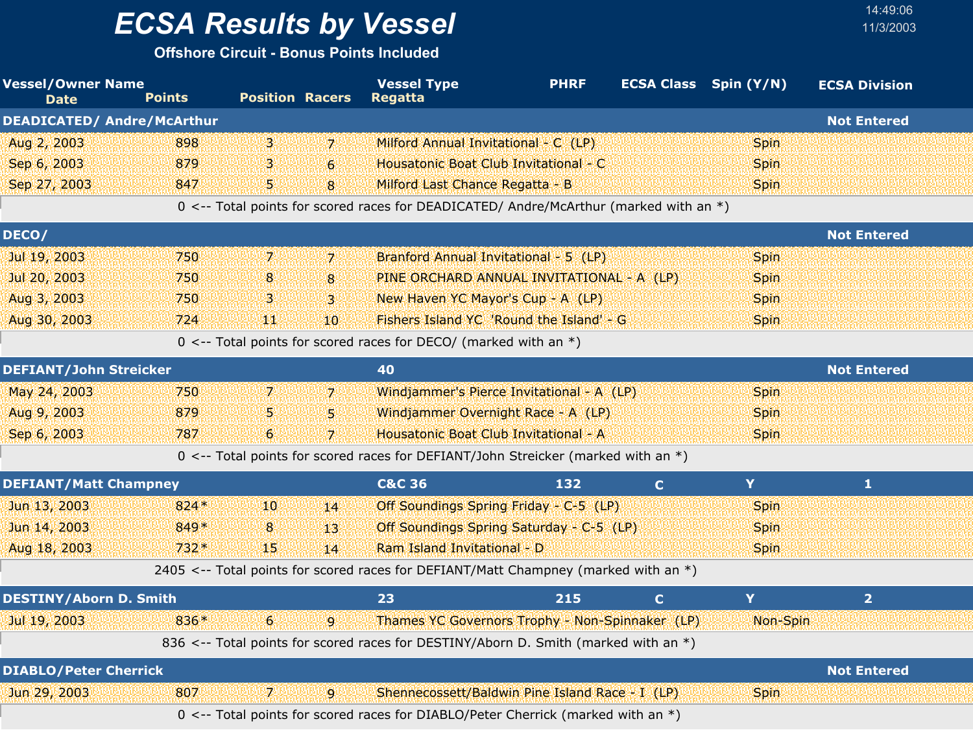**Offshore Circuit - Bonus Points Included**

| <b>Vessel/Owner Name</b><br><b>Date</b> | <b>Points</b> | <b>Position Racers</b> |                 | <b>Vessel Type</b><br><b>Regatta</b>                                                  | <b>PHRF</b> |              | <b>ECSA Class</b> Spin (Y/N) | <b>ECSA Division</b> |  |
|-----------------------------------------|---------------|------------------------|-----------------|---------------------------------------------------------------------------------------|-------------|--------------|------------------------------|----------------------|--|
| <b>DEADICATED/ Andre/McArthur</b>       |               |                        |                 |                                                                                       |             |              |                              | <b>Not Entered</b>   |  |
| Aug 2, 2003                             | 898           | 3.                     | 7.              | Milford Annual Invitational - C (LP)                                                  |             |              | <b>Spin</b>                  |                      |  |
| Sep 6, 2003                             | 879           | З.                     | 6               | Housatonic Boat Club Invitational - C                                                 |             |              | <b>Spin</b>                  |                      |  |
| Sep 27, 2003                            | 847           | 59                     | 8               | Milford Last Chance Regatta - B                                                       |             |              | <b>Spin</b>                  |                      |  |
|                                         |               |                        |                 | 0 <-- Total points for scored races for DEADICATED/ Andre/McArthur (marked with an *) |             |              |                              |                      |  |
| DECO/                                   |               |                        |                 |                                                                                       |             |              |                              | <b>Not Entered</b>   |  |
| Jul 19, 2003                            | 750           | $\mathbf{7}$           | $\overline{7}$  | Branford Annual Invitational - 5 (LP)                                                 |             |              | Spin                         |                      |  |
| Jul 20, 2003                            | 750           | 8                      | 8               | PINE ORCHARD ANNUAL INVITATIONAL - A (LP)                                             |             |              | <b>Spin</b>                  |                      |  |
| Aug 3, 2003                             | 750           | З.                     | 3.              | New Haven YC Mayor's Cup - A (LP)                                                     |             |              | <b>Spin</b>                  |                      |  |
| Aug 30, 2003                            | 724           | 雕山                     | 10 <sup>°</sup> | Fishers Island YC 'Round the Island' - G                                              |             |              | <b>Spin</b>                  |                      |  |
|                                         |               |                        |                 | 0 <-- Total points for scored races for DECO/ (marked with an $*)$                    |             |              |                              |                      |  |
| <b>DEFIANT/John Streicker</b>           |               |                        |                 | 40                                                                                    |             |              |                              | <b>Not Entered</b>   |  |
| May 24, 2003                            | 750           | 7.                     | 7               | Windjammer's Pierce Invitational - A (LP)                                             |             |              | <b>Spin</b>                  |                      |  |
| Aug 9, 2003                             | 879           | 5.                     | 5               | Windjammer Overnight Race - A (LP)                                                    |             |              | <b>Spin</b>                  |                      |  |
| Sep 6, 2003                             | 787           | 6                      | 7               | Housatonic Boat Club Invitational - A                                                 |             |              | <b>Spin</b>                  |                      |  |
|                                         |               |                        |                 | 0 <-- Total points for scored races for DEFIANT/John Streicker (marked with an *)     |             |              |                              |                      |  |
| <b>DEFIANT/Matt Champney</b>            |               |                        |                 | <b>C&amp;C 36</b>                                                                     | 132         | $\mathbf C$  | Y                            | 1                    |  |
| Jun 13, 2003                            | $824*$        | 10                     | 14              | Off Soundings Spring Friday - C-5 (LP)                                                |             |              | <b>Spin</b>                  |                      |  |
| Jun 14, 2003                            | 849*          | 8                      | 13'             | Off Soundings Spring Saturday - C-5 (LP)                                              |             |              | <b>Spin</b>                  |                      |  |
| Aug 18, 2003                            | $732*$        | 45                     | 14              | Ram Island Invitational - D                                                           |             |              | <b>Spin</b>                  |                      |  |
|                                         |               |                        |                 | 2405 <-- Total points for scored races for DEFIANT/Matt Champney (marked with an *)   |             |              |                              |                      |  |
| <b>DESTINY/Aborn D. Smith</b>           |               |                        |                 | 23                                                                                    | 215         | $\mathbf{C}$ | Y                            | $\overline{2}$       |  |
| Jul 19, 2003                            | 836*          | $6^{\circ}$            |                 | <b>Thames YC Governors Trophy - Non-Spinnaker (LP)</b> Mon-Spin                       |             |              |                              |                      |  |
|                                         |               |                        |                 | 836 <-- Total points for scored races for DESTINY/Aborn D. Smith (marked with an *)   |             |              |                              |                      |  |
| <b>DIABLO/Peter Cherrick</b>            |               |                        |                 |                                                                                       |             |              |                              | <b>Not Entered</b>   |  |
| Jun 29, 2003                            | 807           | 74                     | 9               | Shennecossett/Baldwin Pine Island Race - I (LP)                                       |             |              | <b>Spin</b>                  |                      |  |
|                                         |               |                        |                 | 0 <-- Total points for scored races for DIABLO/Peter Cherrick (marked with an *)      |             |              |                              |                      |  |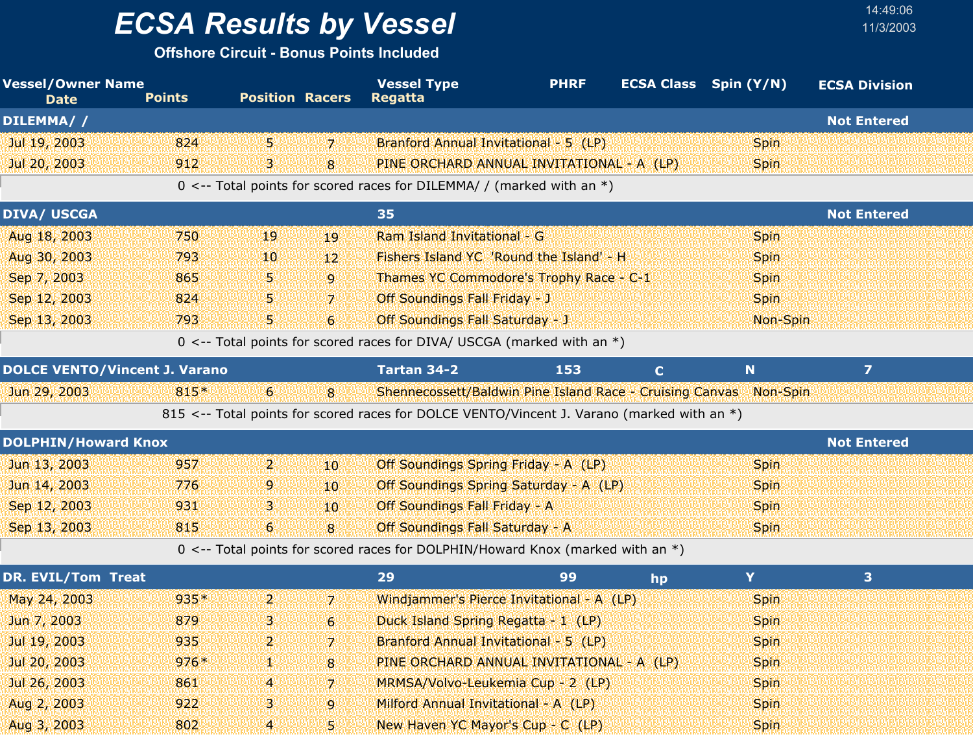**Offshore Circuit - Bonus Points Included**

| <b>Vessel/Owner Name</b><br><b>Date</b> | <b>Points</b> | <b>Position Racers</b> |                 | <b>Vessel Type</b><br><b>Regatta</b>                                                       | <b>PHRF</b> |             | <b>ECSA Class</b> Spin (Y/N) | <b>ECSA Division</b>    |  |
|-----------------------------------------|---------------|------------------------|-----------------|--------------------------------------------------------------------------------------------|-------------|-------------|------------------------------|-------------------------|--|
| DILEMMA//                               |               |                        |                 |                                                                                            |             |             |                              | <b>Not Entered</b>      |  |
| Jul 19, 2003                            | 824           | 5.                     | 17.             | Branford Annual Invitational - 5 (LP)                                                      |             |             | <b>Spin</b>                  |                         |  |
| Jul 20, 2003                            | 912           | З.                     | 8               | PINE ORCHARD ANNUAL INVITATIONAL - A (LP)                                                  |             |             | <b>Spin</b>                  |                         |  |
|                                         |               |                        |                 | 0 <-- Total points for scored races for DILEMMA/ / (marked with an $*)$                    |             |             |                              |                         |  |
| <b>DIVA/ USCGA</b>                      |               |                        |                 | 35                                                                                         |             |             |                              | <b>Not Entered</b>      |  |
| Aug 18, 2003                            | 750           | 19                     | 19              | Ram Island Invitational - G                                                                |             |             | <b>Spin</b>                  |                         |  |
| Aug 30, 2003                            | 793           | 10                     | 12 <sup>2</sup> | Fishers Island YC 'Round the Island' - H                                                   |             |             | <b>Spin</b>                  |                         |  |
| Sep 7, 2003                             | 865           | 5.                     | $\overline{9}$  | Thames YC Commodore's Trophy Race - C-1                                                    |             |             | <b>Spin</b>                  |                         |  |
| Sep 12, 2003                            | 824           | 5.                     | $\mathbf{z}$    | Off Soundings Fall Friday - J                                                              |             |             | <b>Spin</b>                  |                         |  |
| Sep 13, 2003                            | 793           | 5.                     | 6               | <b>Off Soundings Fall Saturday - J</b>                                                     |             |             | Non-Spin                     |                         |  |
|                                         |               |                        |                 | 0 <-- Total points for scored races for DIVA/ USCGA (marked with an $*)$                   |             |             |                              |                         |  |
| <b>DOLCE VENTO/Vincent J. Varano</b>    |               |                        |                 | Tartan 34-2                                                                                | 153         | $\mathbf C$ | N                            | $\overline{\mathbf{z}}$ |  |
| Jun 29, 2003                            | 815*          | 6                      | 8               | Shennecossett/Baldwin Pine Island Race - Cruising Canvas Non-Spin                          |             |             |                              |                         |  |
|                                         |               |                        |                 | 815 <-- Total points for scored races for DOLCE VENTO/Vincent J. Varano (marked with an *) |             |             |                              |                         |  |
| <b>DOLPHIN/Howard Knox</b>              |               |                        |                 |                                                                                            |             |             |                              | <b>Not Entered</b>      |  |
| Jun 13, 2003                            | 957           | $\mathbf{p}$           | 10 <sup>°</sup> | Off Soundings Spring Friday - A (LP)                                                       |             |             | <b>Spin</b>                  |                         |  |
| Jun 14, 2003                            | 776           | 9.                     | 10 <sup>°</sup> | Off Soundings Spring Saturday - A (LP)                                                     |             |             | <b>Spin</b>                  |                         |  |
| Sep 12, 2003                            | 931           | В                      | 10 <sup>°</sup> | Off Soundings Fall Friday - A                                                              |             |             | <b>Spin</b>                  |                         |  |
| Sep 13, 2003                            | 815           | 6                      | 8               | Off Soundings Fall Saturday - A                                                            |             |             | <b>Spin</b>                  |                         |  |
|                                         |               |                        |                 | 0 <-- Total points for scored races for DOLPHIN/Howard Knox (marked with an *)             |             |             |                              |                         |  |
| DR. EVIL/Tom Treat                      |               |                        |                 | 29                                                                                         | 99          | hp          | Y                            | 3                       |  |
| May 24, 2003                            | $935*$        | 2.                     | 7 <sup>1</sup>  | Windjammer's Pierce Invitational - A (LP)                                                  |             |             | <b>Spin</b>                  |                         |  |
| Jun 7, 2003                             | 879           | 3.                     | 6               | Duck Island Spring Regatta - 1 (LP)                                                        |             |             | Spin                         |                         |  |
| Jul 19, 2003                            | 935           | 2                      | 7.              | Branford Annual Invitational - 5 (LP)                                                      |             |             | <b>Spin</b>                  |                         |  |
| Jul 20, 2003                            | $976*$        | 43                     | 8               | PINE ORCHARD ANNUAL INVITATIONAL - A (LP)                                                  |             |             | <b>Spin</b>                  |                         |  |
| Jul 26, 2003                            | 861           | 4                      | $\overline{7}$  | MRMSA/Volvo-Leukemia Cup - 2 (LP)                                                          |             |             | <b>Spin</b>                  |                         |  |
| Aug 2, 2003                             | 922           | з                      | 9               | Milford Annual Invitational - A (LP)                                                       |             |             | <b>Spin</b>                  |                         |  |
| Aug 3, 2003                             | 802           | $\overline{4}$         | 5.              | New Haven YC Mayor's Cup - C (LP)                                                          |             |             | <b>Spin</b>                  |                         |  |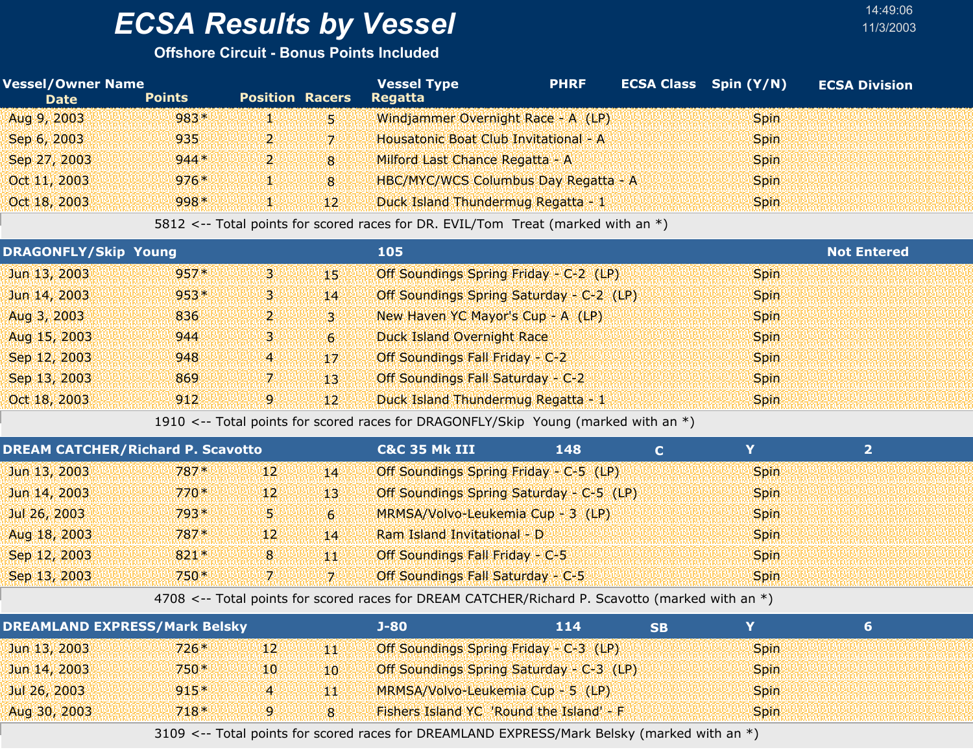#### **Offshore Circuit - Bonus Points Included**

| <b>Vessel/Owner Name</b><br><b>Date</b> | <b>Points</b> | <b>Position Racers</b> |              | <b>Vessel Type</b><br><b>Regatta</b>        | <b>PHRF</b> | <b>ECSA Class</b> Spin (Y/N) | <b>ECSA Division</b> |  |
|-----------------------------------------|---------------|------------------------|--------------|---------------------------------------------|-------------|------------------------------|----------------------|--|
| Aug 9, 2003                             | $983*$        | تخطي                   | 51           | Windjammer Overnight Race - A (LP)          |             | <b>Spin</b>                  |                      |  |
| Sep 6, 2003                             | 935           | تعطي                   | V.           | Housatonic Boat Club Invitational - A       |             | <b>Spin</b>                  |                      |  |
| Sep 27, 2003                            | $944*$        | $\mathbf{p}$           | 8            | Milford Last Chance Regatta - A             |             | <b>Spin</b>                  |                      |  |
| Oct 11, 2003                            | $976*$        | Д¥                     | 8            | <b>HBC/MYC/WCS Columbus Day Regatta - A</b> |             | <b>Spin</b>                  |                      |  |
| Oct 18, 2003                            | $998*$        | I.                     | $12^{\circ}$ | Duck Island Thundermug Regatta - 1          |             | <b>Spin</b>                  |                      |  |

14:49:06

5812 <-- Total points for scored races for DR. EVIL/Tom Treat (marked with an \*)

|              | <b>DRAGONFLY/Skip Young</b> |      |                 | 105                                      | <b>Not Entered</b> |
|--------------|-----------------------------|------|-----------------|------------------------------------------|--------------------|
| Jun 13, 2003 | 957*                        | 9W   | 452             | Off Soundings Spring Friday - C-2 (LP)   | <b>Spin</b>        |
| Jun 14, 2003 | $953*$                      | 43 U | 14              | Off Soundings Spring Saturday - C-2 (LP) | <b>Spin</b>        |
| Aug 3, 2003  | 836                         | ועט  | 1311            | New Haven YC Mayor's Cup - A (LP)        | <b>Spin</b>        |
| Aug 15, 2003 | 944                         | 94   | $6^{\circ}$     | <b>Duck Island Overnight Race</b>        | <b>Spin</b>        |
| Sep 12, 2003 | 948                         | 4    | $17^{1}$        | Off Soundings Fall Friday - C-2          | Spin.              |
| Sep 13, 2003 | 869                         | 47 U | 13.             | Off Soundings Fall Saturday - C-2        | <b>Spin</b>        |
| Oct 18, 2003 | 912                         | 9    | 12 <sup>1</sup> | Duck Island Thundermug Regatta - 1       | <b>Spin</b>        |

1910 <-- Total points for scored races for DRAGONFLY/Skip Young (marked with an \*)

| <b>DREAM CATCHER/Richard P. Scavotto</b> |        |                 |                | <b>C&amp;C 35 Mk III</b>                 | 148 |             |  |
|------------------------------------------|--------|-----------------|----------------|------------------------------------------|-----|-------------|--|
| Jun 13, 2003                             | 787*   | 12 <sup>1</sup> | 14             | Off Soundings Spring Friday - C-5 (LP)   |     | <b>Spin</b> |  |
| Jun 14, 2003                             | $770*$ | 121             | 13.            | Off Soundings Spring Saturday - C-5 (LP) |     | <b>Spin</b> |  |
| Jul 26, 2003                             | $793*$ | AN T            | 6 <sup>1</sup> | MRMSA/Volvo-Leukemia Cup - 3 (LP)        |     | <b>Spin</b> |  |
| Aug 18, 2003                             | 787*   | 12 <sup>1</sup> | 14             | Ram Island Invitational - D              |     | <b>Spin</b> |  |
| Sep 12, 2003                             | $821*$ | 8               | 44             | Off Soundings Fall Friday - C-5          |     | <b>Spin</b> |  |
| Sep 13, 2003                             | $750*$ | 7.              | ולד            | Off Soundings Fall Saturday - C-5        |     | <b>Spin</b> |  |

4708 <-- Total points for scored races for DREAM CATCHER/Richard P. Scavotto (marked with an \*)

| <b>DREAMLAND EXPRESS/Mark Belsky</b> |        |                 |    | J-80 .                                   | 114 | SB |             |  |
|--------------------------------------|--------|-----------------|----|------------------------------------------|-----|----|-------------|--|
| Jun 13, 2003                         | $726*$ | 12 <sup>1</sup> | 44 | Off Soundings Spring Friday - C-3 (LP)   |     |    | <b>Spin</b> |  |
| Jun 14, 2003                         | $750*$ | 401             | 10 | Off Soundings Spring Saturday - C-3 (LP) |     |    | <b>Spin</b> |  |
| Jul 26, 2003                         | $915*$ | 4               | 44 | MRMSA/Volvo-Leukemia Cup - 5 (LP)        |     |    | <b>Spin</b> |  |
| Aug 30, 2003                         | $718*$ | 9.              | 8  | Fishers Island YC 'Round the Island' - F |     |    | <b>Spin</b> |  |

3109 <-- Total points for scored races for DREAMLAND EXPRESS/Mark Belsky (marked with an \*)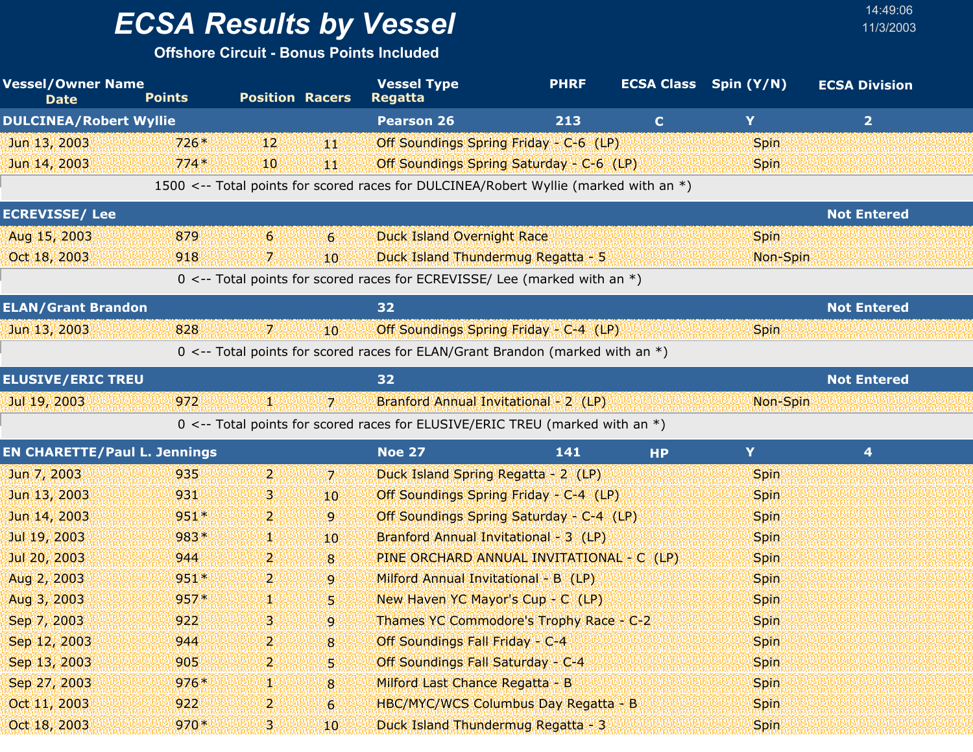**Offshore Circuit - Bonus Points Included**

| <b>Vessel/Owner Name</b><br><b>Date</b> | <b>Points</b> | <b>Position Racers</b> |                 | <b>Vessel Type</b><br><b>Regatta</b>                                                 | <b>PHRF</b> |              | <b>ECSA Class</b> Spin (Y/N) | <b>ECSA Division</b> |  |
|-----------------------------------------|---------------|------------------------|-----------------|--------------------------------------------------------------------------------------|-------------|--------------|------------------------------|----------------------|--|
| <b>DULCINEA/Robert Wyllie</b>           |               |                        |                 | <b>Pearson 26</b>                                                                    | 213         | $\mathbf{C}$ | Y                            | 2 <sup>1</sup>       |  |
| Jun 13, 2003                            | $726*$        | 12                     | 44              | Off Soundings Spring Friday - C-6 (LP)                                               |             |              | <b>Spin</b>                  |                      |  |
| Jun 14, 2003                            | $774*$        | 10                     | 44              | Off Soundings Spring Saturday - C-6 (LP)                                             |             |              | <b>Spin</b>                  |                      |  |
|                                         |               |                        |                 | 1500 <-- Total points for scored races for DULCINEA/Robert Wyllie (marked with an *) |             |              |                              |                      |  |
| <b>ECREVISSE/Lee</b>                    |               |                        |                 |                                                                                      |             |              |                              | <b>Not Entered</b>   |  |
| Aug 15, 2003                            | 879           | 6                      | $6 \,$          | <b>Duck Island Overnight Race</b>                                                    |             |              | <b>Spin</b>                  |                      |  |
| Oct 18, 2003                            | 918           | 7.                     | $10^{\circ}$    | Duck Island Thundermug Regatta - 5                                                   |             |              | Non-Spin                     |                      |  |
|                                         |               |                        |                 | 0 <-- Total points for scored races for ECREVISSE/ Lee (marked with an *)            |             |              |                              |                      |  |
| <b>ELAN/Grant Brandon</b>               |               |                        |                 | 32                                                                                   |             |              |                              | <b>Not Entered</b>   |  |
| Jun 13, 2003                            | 828           | 7.                     | 10 <sup>°</sup> | Off Soundings Spring Friday - C-4 (LP)                                               |             |              | <b>Spin</b>                  |                      |  |
|                                         |               |                        |                 | 0 <-- Total points for scored races for ELAN/Grant Brandon (marked with an *)        |             |              |                              |                      |  |
| <b>ELUSIVE/ERIC TREU</b>                |               |                        |                 | 32                                                                                   |             |              |                              | <b>Not Entered</b>   |  |
| Jul 19, 2003                            | 972           | и.                     | 17.             | Branford Annual Invitational - 2 (LP)                                                |             |              | Non-Spin                     |                      |  |
|                                         |               |                        |                 | 0 <-- Total points for scored races for ELUSIVE/ERIC TREU (marked with an *)         |             |              |                              |                      |  |
| <b>EN CHARETTE/Paul L. Jennings</b>     |               |                        |                 | <b>Noe 27</b>                                                                        | 141         | <b>HP</b>    | Y                            | $\overline{4}$       |  |
| Jun 7, 2003                             | 935           | $\mathbf{p}$           | $\mathbf{Z}$    | Duck Island Spring Regatta - 2 (LP)                                                  |             |              | <b>Spin</b>                  |                      |  |
| Jun 13, 2003                            | 931           | З.                     | 10              | Off Soundings Spring Friday - C-4 (LP)                                               |             |              | <b>Spin</b>                  |                      |  |
| Jun 14, 2003                            | $951*$        | $\mathbf{2}$           | 9               | Off Soundings Spring Saturday - C-4 (LP)                                             |             |              | <b>Spin</b>                  |                      |  |
| Jul 19, 2003                            | 983*          | 98                     | 10 <sup>°</sup> | Branford Annual Invitational - 3 (LP)                                                |             |              | <b>Spin</b>                  |                      |  |
| Jul 20, 2003                            | 944           | 2.                     | 8               | PINE ORCHARD ANNUAL INVITATIONAL - C (LP)                                            |             |              | <b>Spin</b>                  |                      |  |
| Aug 2, 2003                             | $951*$        | $\mathbf{2}$           | $\overline{9}$  | Milford Annual Invitational - B (LP)                                                 |             |              | <b>Spin</b>                  |                      |  |
| Aug 3, 2003                             | $957*$        | ц.                     | 5 <sup>1</sup>  | New Haven YC Mayor's Cup - C (LP)                                                    |             |              | <b>Spin</b>                  |                      |  |
| Sep 7, 2003                             | 922           | 3.                     | 9               | Thames YC Commodore's Trophy Race - C-2                                              |             |              | Spin                         |                      |  |
| Sep 12, 2003                            | 944           | 2                      | $\mathbf{8}$    | Off Soundings Fall Friday - C-4                                                      |             |              | <b>Spin</b>                  |                      |  |
| Sep 13, 2003                            | 905           | 2                      | 5               | Off Soundings Fall Saturday - C-4                                                    |             |              | Spin                         |                      |  |
| Sep 27, 2003                            | $976*$        | 93                     | 8               | Milford Last Chance Regatta - B                                                      |             |              | <b>Spin</b>                  |                      |  |
| Oct 11, 2003                            | 922           | $\overline{2}$         | 6               | HBC/MYC/WCS Columbus Day Regatta - B                                                 |             |              | <b>Spin</b>                  |                      |  |
| Oct 18, 2003                            | $970*$        | 3.                     | 10              | Duck Island Thundermug Regatta - 3                                                   |             |              | <b>Spin</b>                  |                      |  |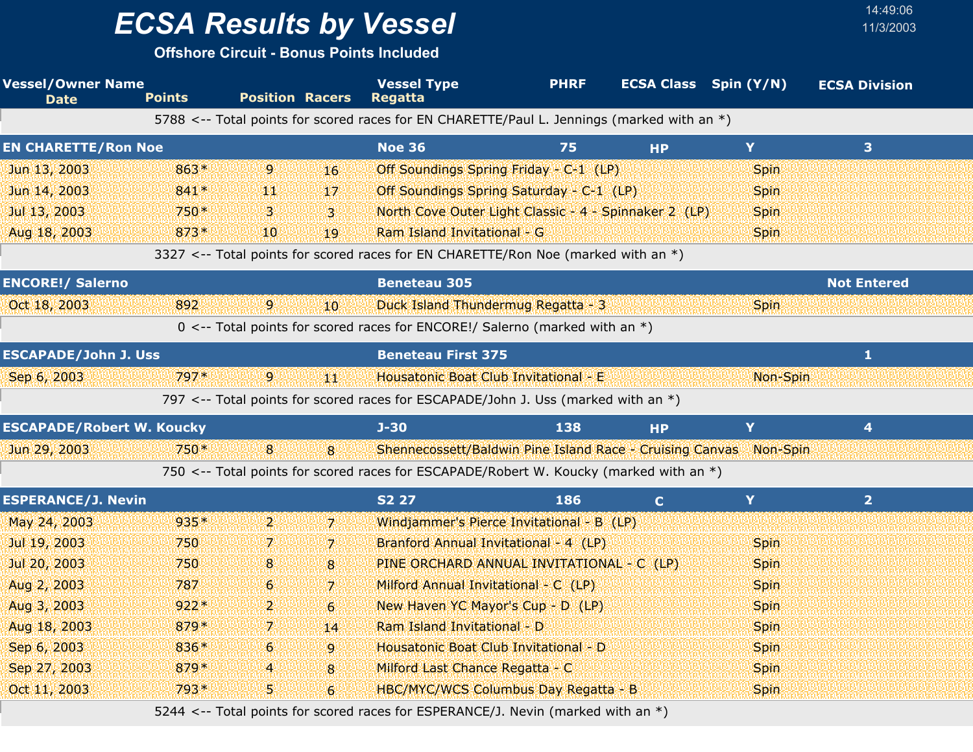**Offshore Circuit - Bonus Points Included**

| <b>Vessel/Owner Name</b><br><b>Date</b> | <b>Points</b>                    | <b>Position Racers</b> |                  | <b>Vessel Type</b><br><b>Regatta</b>                                                       | <b>PHRF</b> | <b>ECSA Class</b> Spin (Y/N) |             | <b>ECSA Division</b> |  |
|-----------------------------------------|----------------------------------|------------------------|------------------|--------------------------------------------------------------------------------------------|-------------|------------------------------|-------------|----------------------|--|
|                                         |                                  |                        |                  | 5788 <-- Total points for scored races for EN CHARETTE/Paul L. Jennings (marked with an *) |             |                              |             |                      |  |
| <b>EN CHARETTE/Ron Noe</b>              |                                  |                        |                  | <b>Noe 36</b>                                                                              | 75          | <b>HP</b>                    | Y           | 3 <sup>1</sup>       |  |
| Jun 13, 2003                            | 863*                             | $\overline{9}$         | 16               | Off Soundings Spring Friday - C-1 (LP)                                                     |             |                              | Spin        |                      |  |
| Jun 14, 2003                            | 841*                             | 90)                    | 17               | Off Soundings Spring Saturday - C-1 (LP)                                                   |             |                              | <b>Spin</b> |                      |  |
| Jul 13, 2003                            | 750*                             | 3                      | $\mathbf{3}$     | North Cove Outer Light Classic - 4 - Spinnaker 2 (LP)                                      |             |                              | <b>Spin</b> |                      |  |
| Aug 18, 2003                            | $873*$                           | 10                     | 19               | Ram Island Invitational - G                                                                |             |                              | Spin        |                      |  |
|                                         |                                  |                        |                  | 3327 <-- Total points for scored races for EN CHARETTE/Ron Noe (marked with an *)          |             |                              |             |                      |  |
| <b>ENCORE!/ Salerno</b>                 |                                  |                        |                  | <b>Beneteau 305</b>                                                                        |             |                              |             | <b>Not Entered</b>   |  |
| Oct 18, 2003                            | 892                              | $\overline{9}$         | 10               | Duck Island Thundermug Regatta - 3                                                         |             |                              | <b>Spin</b> |                      |  |
|                                         |                                  |                        |                  | 0 <-- Total points for scored races for ENCORE!/ Salerno (marked with an *)                |             |                              |             |                      |  |
| <b>ESCAPADE/John J. Uss</b>             |                                  |                        |                  | <b>Beneteau First 375</b>                                                                  |             |                              |             | $\mathbf{1}$         |  |
| Sep 6, 2003                             | 797*                             | $\overline{9}$         | ₩                | Housatonic Boat Club Invitational - E                                                      |             |                              | Non-Spin    |                      |  |
|                                         |                                  |                        |                  | 797 <-- Total points for scored races for ESCAPADE/John J. Uss (marked with an *)          |             |                              |             |                      |  |
|                                         | <b>ESCAPADE/Robert W. Koucky</b> |                        |                  | $J - 30$                                                                                   | 138         | <b>HP</b>                    | Y           | 4                    |  |
| Jun 29, 2003                            | 750*                             | 8                      | 8                | Shennecossett/Baldwin Pine Island Race - Cruising Canvas                                   |             |                              | Non-Spin    |                      |  |
|                                         |                                  |                        |                  | 750 <-- Total points for scored races for ESCAPADE/Robert W. Koucky (marked with an *)     |             |                              |             |                      |  |
| <b>ESPERANCE/J. Nevin</b>               |                                  |                        |                  | <b>S2 27</b>                                                                               | 186         | $\mathbf{C}$                 | Y           | 2 <sup>1</sup>       |  |
| May 24, 2003                            | 935*                             | $\overline{2}$         | $\overline{7}$   | Windjammer's Pierce Invitational - B (LP)                                                  |             |                              |             |                      |  |
| Jul 19, 2003                            | 750                              | 7.                     | 7                | Branford Annual Invitational - 4 (LP)                                                      |             |                              | <b>Spin</b> |                      |  |
| Jul 20, 2003                            | 750                              | 8                      | 8                | PINE ORCHARD ANNUAL INVITATIONAL - C (LP)                                                  |             |                              | Spin        |                      |  |
| Aug 2, 2003                             | 787                              | 6                      | $\overline{7}$   | Milford Annual Invitational - C (LP)                                                       |             |                              | <b>Spin</b> |                      |  |
| Aug 3, 2003                             | $922*$                           | 2.                     | $6 \overline{6}$ | New Haven YC Mayor's Cup - D (LP)                                                          |             |                              | <b>Spin</b> |                      |  |
| Aug 18, 2003                            | 879*                             | 7.                     | 14               | Ram Island Invitational - D                                                                |             |                              | Spin        |                      |  |
| Sep 6, 2003                             | 836*                             | 6                      | 9                | Housatonic Boat Club Invitational - D                                                      |             |                              | Spin        |                      |  |
| Sep 27, 2003                            | 879*                             | 4                      | 8                | Milford Last Chance Regatta - C                                                            |             |                              | <b>Spin</b> |                      |  |
| Oct 11, 2003                            | 793*                             | 5.                     | $\overline{6}$   | HBC/MYC/WCS Columbus Day Regatta - B                                                       |             |                              | Spin        |                      |  |

14:49:06

5244 <-- Total points for scored races for ESPERANCE/J. Nevin (marked with an \*)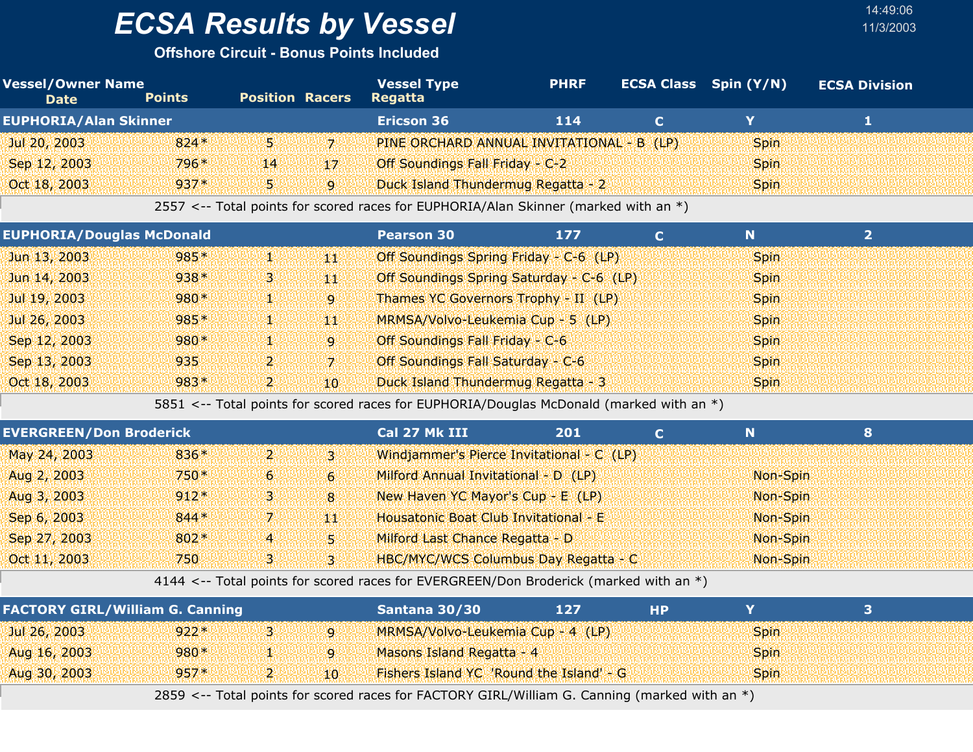**Offshore Circuit - Bonus Points Included**

| <b>Vessel/Owner Name</b><br><b>Date</b> | <b>Points</b> | <b>Position Racers</b> |              | <b>Vessel Type</b><br><b>Regatta</b>      | <b>PHRF</b> | <b>ECSA Class</b> Spin (Y/N) | <b>ECSA Division</b> |  |
|-----------------------------------------|---------------|------------------------|--------------|-------------------------------------------|-------------|------------------------------|----------------------|--|
| <b>EUPHORIA/Alan Skinner</b>            |               |                        |              | <b>Ericson 36</b>                         | 114         |                              |                      |  |
| Jul 20, 2003                            | $824*$        | 51                     | 71           | PINE ORCHARD ANNUAL INVITATIONAL - B (LP) |             | <b>Spin</b>                  |                      |  |
| Sep 12, 2003                            | 796*          | 14 <sup>1</sup>        | $17^{1}$     | Off Soundings Fall Friday - C-2           |             | <b>Spin</b>                  |                      |  |
| Oct 18, 2003                            | $937*$        | 5.                     | $\mathbf{Q}$ | Duck Island Thundermug Regatta - 2        |             | <b>Spin</b>                  |                      |  |
|                                         |               |                        |              | $\overline{C}$                            |             |                              |                      |  |

2557 <-- Total points for scored races for EUPHORIA/Alan Skinner (marked with an \*)

| <b>EUPHORIA/Douglas McDonald</b> |        |        |              | <b>Pearson 30</b>                        | 177 | N.          |  |
|----------------------------------|--------|--------|--------------|------------------------------------------|-----|-------------|--|
| Jun 13, 2003                     | $985*$ | ANY    | 48 V         | Off Soundings Spring Friday - C-6 (LP)   |     | <b>Spin</b> |  |
| Jun 14, 2003                     | $938*$ | 43 A.B | 예설           | Off Soundings Spring Saturday - C-6 (LP) |     | <b>Spin</b> |  |
| Jul 19, 2003                     | $980*$ | ANY    | $\mathbf{9}$ | Thames YC Governors Trophy - II (LP)     |     | <b>Spin</b> |  |
| Jul 26, 2003                     | 985*   | ДW     | 예설           | MRMSA/Volvo-Leukemia Cup - 5 (LP)        |     | <b>Spin</b> |  |
| Sep 12, 2003                     | $980*$ | ANY    | iq l         | Off Soundings Fall Friday - C-6          |     | <b>Spin</b> |  |
| Sep 13, 2003                     | 935    | יי ל   | 171          | Off Soundings Fall Saturday - C-6        |     | <b>Spin</b> |  |
| Oct 18, 2003                     | $983*$ | יי פ   | 10.          | Duck Island Thundermug Regatta - 3       |     | <b>Spin</b> |  |

5851 <-- Total points for scored races for EUPHORIA/Douglas McDonald (marked with an \*)

| <b>EVERGREEN/Don Broderick</b> |        |                |                | Cal 27 Mk III                               | 201 | N        |  |
|--------------------------------|--------|----------------|----------------|---------------------------------------------|-----|----------|--|
| May 24, 2003                   | 836*   | ו 2            | ugu            | Windjammer's Pierce Invitational - C (LP)   |     |          |  |
| Aug 2, 2003                    | $750*$ | 6 <sup>1</sup> | 61             | Milford Annual Invitational - D (LP)        |     | Non-Spin |  |
| Aug 3, 2003                    | $912*$ | 'B'i           | 8 <sup>1</sup> | New Haven YC Mayor's Cup - E (LP)           |     | Non-Spin |  |
| Sep 6, 2003                    | $844*$ | 7.             | 44             | Housatonic Boat Club Invitational - E       |     | Non-Spin |  |
| Sep 27, 2003                   | $802*$ | $\overline{4}$ | 151            | Milford Last Chance Regatta - D             |     | Non-Spin |  |
| Oct 11, 2003                   | 750    | З.             | 131            | <b>HBC/MYC/WCS Columbus Day Regatta - C</b> |     | Non-Spin |  |

4144 <-- Total points for scored races for EVERGREEN/Don Broderick (marked with an \*)

| <b>FACTORY GIRL/William G. Canning</b> |        |         |    | Santana 30/30                            | 127 | НP |       |  |
|----------------------------------------|--------|---------|----|------------------------------------------|-----|----|-------|--|
| Jul 26, 2003                           | $922*$ |         |    | MRMSA/Volvo-Leukemia Cup - 4 (LP)        |     |    | Spin. |  |
| Aug 16, 2003                           | $980*$ |         |    | Masons Island Regatta - 4                |     |    | Spin. |  |
| Aug 30, 2003                           | $957*$ | للتقالة | 10 | Fishers Island YC 'Round the Island' - G |     |    | Spin. |  |

2859 <-- Total points for scored races for FACTORY GIRL/William G. Canning (marked with an \*)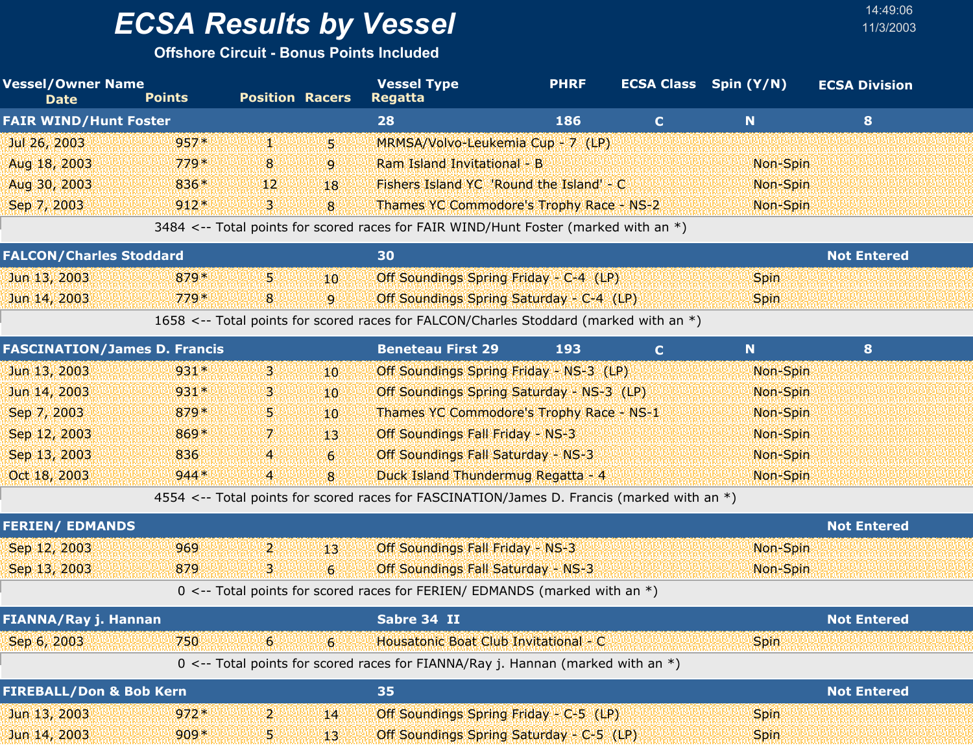**Offshore Circuit - Bonus Points Included**

| <b>Vessel/Owner Name</b><br><b>Date</b> | <b>Points</b> | <b>Position Racers</b> |                 | <b>Vessel Type</b><br><b>Regatta</b>                                                       | <b>PHRF</b> |             | <b>ECSA Class</b> Spin (Y/N) | <b>ECSA Division</b> |
|-----------------------------------------|---------------|------------------------|-----------------|--------------------------------------------------------------------------------------------|-------------|-------------|------------------------------|----------------------|
| <b>FAIR WIND/Hunt Foster</b>            |               |                        |                 | 28                                                                                         | 186         | $\mathbf C$ | $\mathbf N$                  | 8                    |
| Jul 26, 2003                            | $957*$        | 勤恳                     | 5.              | MRMSA/Volvo-Leukemia Cup - 7 (LP)                                                          |             |             |                              |                      |
| Aug 18, 2003                            | $779*$        | 8                      | 9               | Ram Island Invitational - B                                                                |             |             | Non-Spin                     |                      |
| Aug 30, 2003                            | 836*          | 12                     | 18              | Fishers Island YC 'Round the Island' - C                                                   |             |             | Non-Spin                     |                      |
| Sep 7, 2003                             | $912*$        | 3.                     | 8               | Thames YC Commodore's Trophy Race - NS-2                                                   |             |             | Non-Spin                     |                      |
|                                         |               |                        |                 | 3484 <-- Total points for scored races for FAIR WIND/Hunt Foster (marked with an *)        |             |             |                              |                      |
| <b>FALCON/Charles Stoddard</b>          |               |                        |                 | 30                                                                                         |             |             |                              | <b>Not Entered</b>   |
| Jun 13, 2003                            | $879*$        | 53                     | 10              | Off Soundings Spring Friday - C-4 (LP)                                                     |             |             | <b>Spin</b>                  |                      |
| Jun 14, 2003                            | $779*$        | 8                      | 9               | Off Soundings Spring Saturday - C-4 (LP)                                                   |             |             | <b>Spin</b>                  |                      |
|                                         |               |                        |                 | 1658 <-- Total points for scored races for FALCON/Charles Stoddard (marked with an *)      |             |             |                              |                      |
| <b>FASCINATION/James D. Francis</b>     |               |                        |                 | <b>Beneteau First 29</b>                                                                   | 193         | $\mathbf C$ | N                            | 8                    |
| Jun 13, 2003                            | $931*$        | 3.                     | 10              | Off Soundings Spring Friday - NS-3 (LP)                                                    |             |             | Non-Spin                     |                      |
| Jun 14, 2003                            | $931*$        | З                      | 10              | Off Soundings Spring Saturday - NS-3 (LP)                                                  |             |             | Non-Spin                     |                      |
| Sep 7, 2003                             | 879*          | 5.                     | 10              | Thames YC Commodore's Trophy Race - NS-1                                                   |             |             | Non-Spin                     |                      |
| Sep 12, 2003                            | 869*          | 7.                     | 13              | Off Soundings Fall Friday - NS-3                                                           |             |             | Non-Spin                     |                      |
| Sep 13, 2003                            | 836           | 4                      | $6 \,$          | Off Soundings Fall Saturday - NS-3                                                         |             |             | Non-Spin                     |                      |
| Oct 18, 2003                            | $944*$        | 4                      | 8               | Duck Island Thundermug Regatta - 4                                                         |             |             | Non-Spin                     |                      |
|                                         |               |                        |                 | 4554 <-- Total points for scored races for FASCINATION/James D. Francis (marked with an *) |             |             |                              |                      |
| <b>FERIEN/ EDMANDS</b>                  |               |                        |                 |                                                                                            |             |             |                              | <b>Not Entered</b>   |
| Sep 12, 2003                            | 969           | $\mathbf{p}$           | 13 <sup>°</sup> | <b>Off Soundings Fall Friday - NS-3</b>                                                    |             |             | Non-Spin                     |                      |
| Sep 13, 2003                            | 879           | 'B'i                   | $6 \,$          | Off Soundings Fall Saturday - NS-3                                                         |             |             | Non-Spin                     |                      |
|                                         |               |                        |                 | $0 \le -5$ Total points for scored races for FERIEN/ EDMANDS (marked with an *)            |             |             |                              |                      |
| FIANNA/Ray j. Hannan                    |               |                        |                 | Sabre 34 II                                                                                |             |             |                              | <b>Not Entered</b>   |
| Sep 6, 2003                             | 750           | 6                      | $\overline{6}$  | Housatonic Boat Club Invitational - C                                                      |             |             | <b>Spin</b>                  |                      |
|                                         |               |                        |                 | 0 <-- Total points for scored races for FIANNA/Ray j. Hannan (marked with an $*$ )         |             |             |                              |                      |
| <b>FIREBALL/Don &amp; Bob Kern</b>      |               |                        |                 | 35                                                                                         |             |             |                              | <b>Not Entered</b>   |
| Jun 13, 2003                            | $972*$        | $\mathbf{2}$           | 14              | Off Soundings Spring Friday - C-5 (LP)                                                     |             |             | <b>Spin</b>                  |                      |
| Jun 14, 2003                            | $909*$        | W                      | 13 <sup>°</sup> | Off Soundings Spring Saturday - C-5 (LP)                                                   |             |             | <b>Spin</b>                  |                      |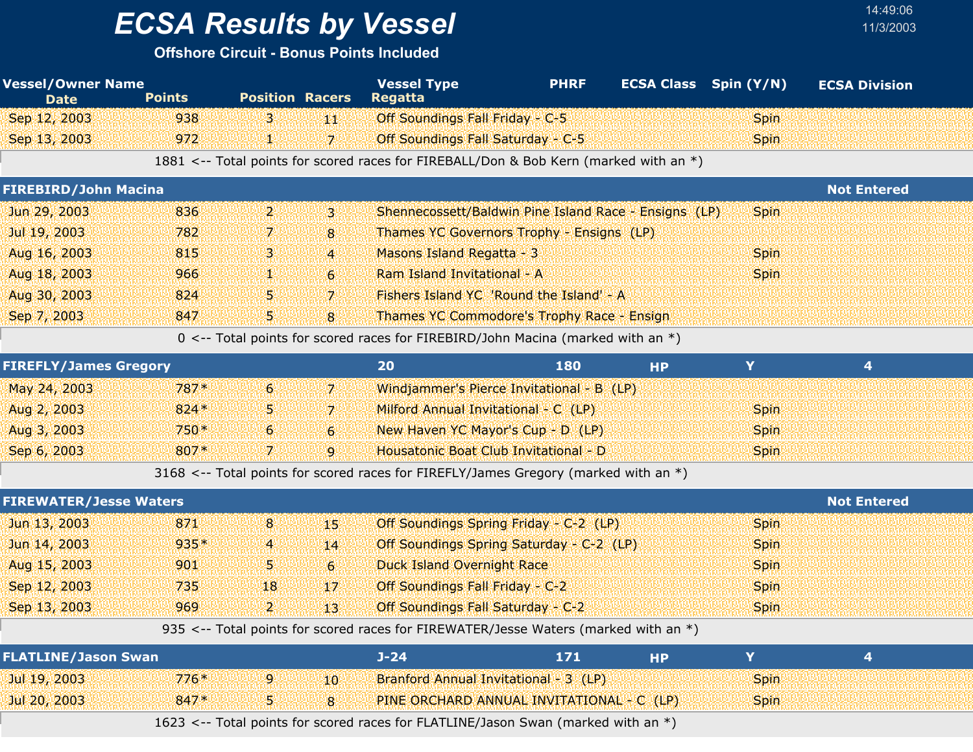## *ECSA Results by Vessel* 11/3/2003

#### **Offshore Circuit - Bonus Points Included**

| <b>Vessel/Owner Name</b><br><b>Date</b> | <b>Points</b> | <b>Position Racers</b> |                | <b>Vessel Type</b><br><b>Regatta</b>                                                  | <b>PHRF</b> | <b>ECSA Class</b> Spin (Y/N) |             | <b>ECSA Division</b>    |  |
|-----------------------------------------|---------------|------------------------|----------------|---------------------------------------------------------------------------------------|-------------|------------------------------|-------------|-------------------------|--|
| Sep 12, 2003                            | 938           | В.                     | 44             | Off Soundings Fall Friday - C-5                                                       |             |                              | Spin        |                         |  |
| Sep 13, 2003                            | 972           | V.                     | $\overline{7}$ | Off Soundings Fall Saturday - C-5                                                     |             |                              | <b>Spin</b> |                         |  |
|                                         |               |                        |                | 1881 <-- Total points for scored races for FIREBALL/Don & Bob Kern (marked with an *) |             |                              |             |                         |  |
| <b>FIREBIRD/John Macina</b>             |               |                        |                |                                                                                       |             |                              |             | <b>Not Entered</b>      |  |
| Jun 29, 2003                            | 836           | $\mathbf{p}$           | $\mathbf{3}$   | Shennecossett/Baldwin Pine Island Race - Ensigns (LP)                                 |             |                              | Spin        |                         |  |
| Jul 19, 2003                            | 782           | 7.                     | 8              | Thames YC Governors Trophy - Ensigns (LP)                                             |             |                              |             |                         |  |
| Aug 16, 2003                            | 815           | з                      | $\overline{4}$ | Masons Island Regatta - 3                                                             |             |                              | <b>Spin</b> |                         |  |
| Aug 18, 2003                            | 966           | V.                     | $\mathbf{6}$   | Ram Island Invitational - A                                                           |             |                              | <b>Spin</b> |                         |  |
| Aug 30, 2003                            | 824           | 5                      | $\overline{7}$ | Fishers Island YC 'Round the Island' - A                                              |             |                              |             |                         |  |
| Sep 7, 2003                             | 847           | 5                      | 8              | Thames YC Commodore's Trophy Race - Ensign                                            |             |                              |             |                         |  |
|                                         |               |                        |                | 0 <-- Total points for scored races for FIREBIRD/John Macina (marked with an $*)$     |             |                              |             |                         |  |
| <b>FIREFLY/James Gregory</b>            |               |                        |                | 20                                                                                    | 180         | <b>HP</b>                    | Y           | $\overline{\mathbf{4}}$ |  |
| May 24, 2003                            | 787*          | 6                      | $\mathbf{Z}$   | Windjammer's Pierce Invitational - B (LP)                                             |             |                              |             |                         |  |
| Aug 2, 2003                             | $824*$        | 5                      | $\overline{z}$ | Milford Annual Invitational - C (LP)                                                  |             |                              | <b>Spin</b> |                         |  |
| Aug 3, 2003                             | 750*          | 6                      | $6\phantom{1}$ | New Haven YC Mayor's Cup - D (LP)                                                     |             |                              | <b>Spin</b> |                         |  |
| Sep 6, 2003                             | 807*          | $\overline{7}$         | $\overline{9}$ | Housatonic Boat Club Invitational - D                                                 |             |                              | <b>Spin</b> |                         |  |
|                                         |               |                        |                | 3168 <-- Total points for scored races for FIREFLY/James Gregory (marked with an *)   |             |                              |             |                         |  |
| <b>FIREWATER/Jesse Waters</b>           |               |                        |                |                                                                                       |             |                              |             | <b>Not Entered</b>      |  |
| Jun 13, 2003                            | 871           | 8                      | 49             | Off Soundings Spring Friday - C-2 (LP)                                                |             |                              | <b>Spin</b> |                         |  |
| Jun 14, 2003                            | 935*          | 4                      | 14             | Off Soundings Spring Saturday - C-2 (LP)                                              |             |                              | <b>Spin</b> |                         |  |
| Aug 15, 2003                            | 901           | 5                      | 6              | <b>Duck Island Overnight Race</b>                                                     |             |                              | <b>Spin</b> |                         |  |
| Sep 12, 2003                            | 735           | 18                     | 17             | Off Soundings Fall Friday - C-2                                                       |             |                              | Spin        |                         |  |
| Sep 13, 2003                            | 969           | $\overline{2}$         | 13             | Off Soundings Fall Saturday - C-2                                                     |             |                              | <b>Spin</b> |                         |  |
|                                         |               |                        |                | 935 <-- Total points for scored races for FIREWATER/Jesse Waters (marked with an *)   |             |                              |             |                         |  |
| <b>FLATLINE/Jason Swan</b>              |               |                        |                | $J - 24$                                                                              | 171         | <b>HP</b>                    | Y           | $\overline{4}$          |  |
| Jul 19, 2003                            | $776*$        | 9                      | 10             | Branford Annual Invitational - 3 (LP)                                                 |             |                              | <b>Spin</b> |                         |  |
| Jul 20, 2003                            | 847*          | 5                      | 8              | PINE ORCHARD ANNUAL INVITATIONAL - C (LP)                                             |             |                              | <b>Spin</b> |                         |  |

1623 <-- Total points for scored races for FLATLINE/Jason Swan (marked with an  $*)$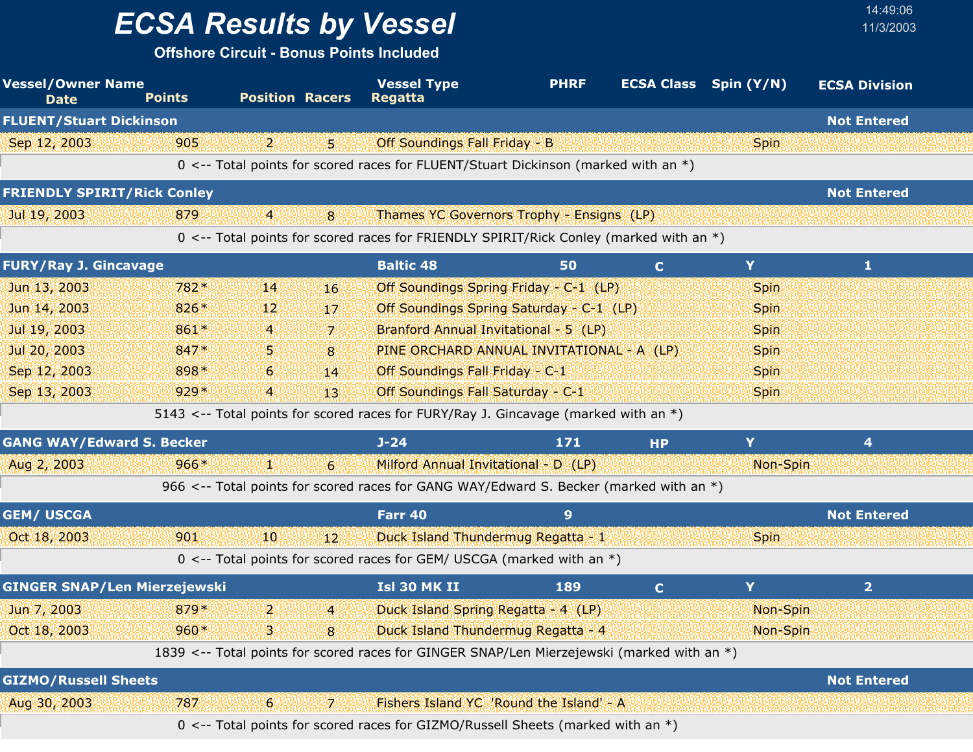**Offshore Circuit - Bonus Points Included**

| <b>Vessel/Owner Name</b><br><b>Date</b> | <b>Points</b> |        | <b>Position Racers</b> |                  | <b>Vessel Type</b><br><b>Regatta</b>                                                       | <b>PHRF</b> |              | <b>ECSA Class</b> Spin (Y/N) | <b>ECSA Division</b> |
|-----------------------------------------|---------------|--------|------------------------|------------------|--------------------------------------------------------------------------------------------|-------------|--------------|------------------------------|----------------------|
| <b>FLUENT/Stuart Dickinson</b>          |               |        |                        |                  |                                                                                            |             |              |                              | <b>Not Entered</b>   |
| Sep 12, 2003                            |               | 905    | $\mathbf{p}$           | 5.               | Off Soundings Fall Friday - B                                                              |             |              | <b>Spin</b>                  |                      |
|                                         |               |        |                        |                  | 0 <-- Total points for scored races for FLUENT/Stuart Dickinson (marked with an *)         |             |              |                              |                      |
| <b>FRIENDLY SPIRIT/Rick Conley</b>      |               |        |                        |                  |                                                                                            |             |              |                              | <b>Not Entered</b>   |
| Jul 19, 2003                            |               | 879    | $\overline{4}$         | 8                | Thames YC Governors Trophy - Ensigns (LP)                                                  |             |              |                              |                      |
|                                         |               |        |                        |                  | 0 <-- Total points for scored races for FRIENDLY SPIRIT/Rick Conley (marked with an *)     |             |              |                              |                      |
| <b>FURY/Ray J. Gincavage</b>            |               |        |                        |                  | <b>Baltic 48</b>                                                                           | 50          | $\mathbf C$  | Y                            | 1                    |
| Jun 13, 2003                            |               | 782*   | 14                     | 16               | Off Soundings Spring Friday - C-1 (LP)                                                     |             |              | <b>Spin</b>                  |                      |
| Jun 14, 2003                            |               | 826*   | 12 <sup>1</sup>        | 17               | Off Soundings Spring Saturday - C-1 (LP)                                                   |             |              | <b>Spin</b>                  |                      |
| Jul 19, 2003                            |               | 861*   | 4                      | $\overline{z}$   | Branford Annual Invitational - 5 (LP)                                                      |             |              | <b>Spin</b>                  |                      |
| Jul 20, 2003                            |               | 847*   | 5.                     | 8                | PINE ORCHARD ANNUAL INVITATIONAL - A (LP)                                                  |             |              | <b>Spin</b>                  |                      |
| Sep 12, 2003                            |               | 898*   | 6                      | 14               | Off Soundings Fall Friday - C-1                                                            |             |              | <b>Spin</b>                  |                      |
| Sep 13, 2003                            |               | $929*$ | 4                      | 13               | Off Soundings Fall Saturday - C-1                                                          |             |              | <b>Spin</b>                  |                      |
|                                         |               |        |                        |                  | 5143 <-- Total points for scored races for FURY/Ray J. Gincavage (marked with an *)        |             |              |                              |                      |
| <b>GANG WAY/Edward S. Becker</b>        |               |        |                        |                  | $J - 24$                                                                                   | 171         | <b>HP</b>    | Y                            | 4                    |
| Aug 2, 2003                             |               | $966*$ | ¥ë                     | $6 \overline{6}$ | Milford Annual Invitational - D (LP)                                                       |             |              | Non-Spin                     |                      |
|                                         |               |        |                        |                  | 966 <-- Total points for scored races for GANG WAY/Edward S. Becker (marked with an *)     |             |              |                              |                      |
| <b>GEM/ USCGA</b>                       |               |        |                        |                  | Farr 40                                                                                    | 9           |              |                              | <b>Not Entered</b>   |
| Oct 18, 2003                            |               | 901    | 10                     | $12^{\circ}$     | Duck Island Thundermug Regatta - 1                                                         |             |              | <b>Spin</b>                  |                      |
|                                         |               |        |                        |                  | 0 <-- Total points for scored races for GEM/ USCGA (marked with an $*)$                    |             |              |                              |                      |
| <b>GINGER SNAP/Len Mierzejewski</b>     |               |        |                        |                  | Isl 30 MK II                                                                               | 189         | $\mathbf{C}$ | Y                            | 2 <sup>1</sup>       |
| Jun 7, 2003                             |               | 879*   | $\mathbf{p}$           | $\overline{4}$   | Duck Island Spring Regatta - 4 (LP)                                                        |             |              | Non-Spin                     |                      |
| Oct 18, 2003                            |               | $960*$ | $\overline{3}$         | $\overline{8}$   | Duck Island Thundermug Regatta - 4                                                         |             |              | Non-Spin                     |                      |
|                                         |               |        |                        |                  | 1839 <-- Total points for scored races for GINGER SNAP/Len Mierzejewski (marked with an *) |             |              |                              |                      |
| <b>GIZMO/Russell Sheets</b>             |               |        |                        |                  |                                                                                            |             |              |                              | <b>Not Entered</b>   |
| Aug 30, 2003                            |               | 787    | 6 <sub>1</sub>         | 7.               | Fishers Island YC 'Round the Island' - A                                                   |             |              |                              |                      |
|                                         |               |        |                        |                  | 0 <-- Total points for scored races for GIZMO/Russell Sheets (marked with an *)            |             |              |                              |                      |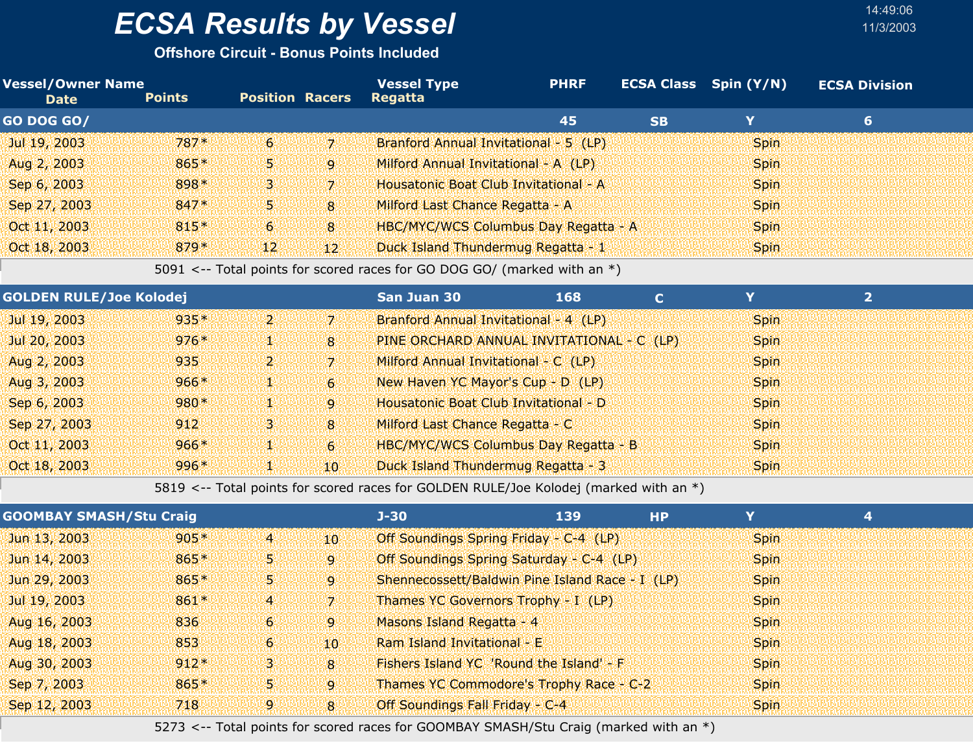**Offshore Circuit - Bonus Points Included**

| <b>Vessel/Owner Name</b><br><b>Date</b> | <b>Points</b> | <b>Position Racers</b> |                 | <b>Vessel Type</b><br><b>Regatta</b>        | <b>PHRF</b> |           | <b>ECSA Class</b> Spin (Y/N) | <b>ECSA Division</b> |  |
|-----------------------------------------|---------------|------------------------|-----------------|---------------------------------------------|-------------|-----------|------------------------------|----------------------|--|
| <b>GO DOG GO/</b>                       |               |                        |                 |                                             | 45          | <b>SB</b> | Y                            | 6                    |  |
| Jul 19, 2003                            | $787*$        | -6                     | -71             | Branford Annual Invitational - 5 (LP)       |             |           | <b>Spin</b>                  |                      |  |
| Aug 2, 2003                             | 865*          | 55                     | 9               | Milford Annual Invitational - A (LP)        |             |           | <b>Spin</b>                  |                      |  |
| Sep 6, 2003                             | 898*          | 34                     | -71             | Housatonic Boat Club Invitational - A       |             |           | <b>Spin</b>                  |                      |  |
| Sep 27, 2003                            | $847*$        | 55                     | 8               | Milford Last Chance Regatta - A             |             |           | <b>Spin</b>                  |                      |  |
| Oct 11, 2003                            | $815*$        | 6 <sup>1</sup>         | $\overline{8}$  | <b>HBC/MYC/WCS Columbus Day Regatta - A</b> |             |           | <b>Spin</b>                  |                      |  |
| Oct 18, 2003                            | $879*$        | 12 <sup>1</sup>        | 12 <sup>1</sup> | Duck Island Thundermug Regatta - 1          |             |           | <b>Spin</b>                  |                      |  |

5091 <-- Total points for scored races for GO DOG GO/ (marked with an \*)

| <b>GOLDEN RULE/Joe Kolodej</b> |        |       |                | <b>San Juan 30</b>                          | 168 |             |  |
|--------------------------------|--------|-------|----------------|---------------------------------------------|-----|-------------|--|
| Jul 19, 2003                   | $935*$ | تعطيط | 7              | Branford Annual Invitational - 4 (LP)       |     | <b>Spin</b> |  |
| Jul 20, 2003                   | $976*$ | V.    | $\overline{8}$ | PINE ORCHARD ANNUAL INVITATIONAL - C (LP)   |     | <b>Spin</b> |  |
| Aug 2, 2003                    | 935    | ו קי  | 71             | Milford Annual Invitational - C (LP)        |     | <b>Spin</b> |  |
| Aug 3, 2003                    | $966*$ | 52    | 6              | New Haven YC Mayor's Cup - D (LP)           |     | <b>Spin</b> |  |
| Sep 6, 2003                    | $980*$ | V.    | $\mathbf{Q}$   | Housatonic Boat Club Invitational - D       |     | <b>Spin</b> |  |
| Sep 27, 2003                   | 912    | 3.    | $\overline{8}$ | Milford Last Chance Regatta - C             |     | <b>Spin</b> |  |
| Oct 11, 2003                   | $966*$ | V.    | 6 <sup>1</sup> | <b>HBC/MYC/WCS Columbus Day Regatta - B</b> |     | <b>Spin</b> |  |
| Oct 18, 2003                   | $996*$ | y.    | $10^{\circ}$   | Duck Island Thundermug Regatta - 3          |     | <b>Spin</b> |  |

5819 <-- Total points for scored races for GOLDEN RULE/Joe Kolodej (marked with an \*)

| <b>GOOMBAY SMASH/Stu Craig</b> |        |                |                | $J - 30$                        | 139                                             | <b>HP</b> |             |  |
|--------------------------------|--------|----------------|----------------|---------------------------------|-------------------------------------------------|-----------|-------------|--|
| Jun 13, 2003                   | $905*$ | $\overline{4}$ | 10             |                                 | Off Soundings Spring Friday - C-4 (LP)          |           | <b>Spin</b> |  |
| Jun 14, 2003                   | $865*$ | 5.             | .q.            |                                 | Off Soundings Spring Saturday - C-4 (LP)        |           | <b>Spin</b> |  |
| Jun 29, 2003                   | 865*   | 51             | $\mathbf{Q}$   |                                 | Shennecossett/Baldwin Pine Island Race - I (LP) |           | <b>Spin</b> |  |
| Jul 19, 2003                   | $861*$ | $\overline{4}$ | 171            |                                 | Thames YC Governors Trophy - I (LP)             |           | <b>Spin</b> |  |
| Aug 16, 2003                   | 836    | 6 <sup>1</sup> | .q.            | Masons Island Regatta - 4       |                                                 |           | <b>Spin</b> |  |
| Aug 18, 2003                   | 853    | 6 <sup>1</sup> | 10             | Ram Island Invitational - E     |                                                 |           | <b>Spin</b> |  |
| Aug 30, 2003                   | $912*$ | З.             | 8 <sup>1</sup> |                                 | Fishers Island YC 'Round the Island' - F        |           | <b>Spin</b> |  |
| Sep 7, 2003                    | 865*   | 51             | '9'            |                                 | Thames YC Commodore's Trophy Race - C-2         |           | <b>Spin</b> |  |
| Sep 12, 2003                   | 718    | 9              | $\mathbf{8}$   | Off Soundings Fall Friday - C-4 |                                                 |           | <b>Spin</b> |  |

5273 <-- Total points for scored races for GOOMBAY SMASH/Stu Craig (marked with an \*)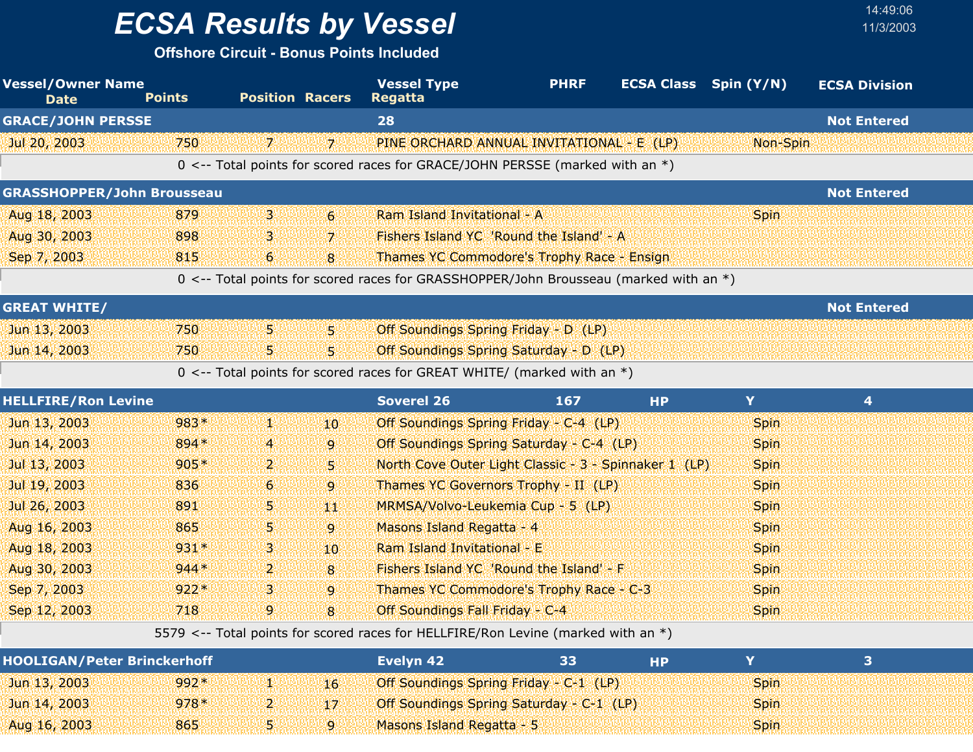## *ECSA Results by Vessel* 11/3/2003

**Offshore Circuit - Bonus Points Included**

| <b>Vessel/Owner Name</b><br><b>Date</b> | <b>Points</b> | <b>Position Racers</b> |                  | <b>Vessel Type</b><br><b>Regatta</b>                                                  | <b>PHRF</b> | <b>ECSA Class</b> Spin (Y/N) |             | <b>ECSA Division</b> |  |
|-----------------------------------------|---------------|------------------------|------------------|---------------------------------------------------------------------------------------|-------------|------------------------------|-------------|----------------------|--|
| <b>GRACE/JOHN PERSSE</b>                |               |                        |                  | 28                                                                                    |             |                              |             | <b>Not Entered</b>   |  |
| Jul 20, 2003                            | 750           | 71                     | 71               | PINE ORCHARD ANNUAL INVITATIONAL - E (LP)                                             |             |                              | Non-Spin    |                      |  |
|                                         |               |                        |                  | 0 <-- Total points for scored races for GRACE/JOHN PERSSE (marked with an *)          |             |                              |             |                      |  |
| <b>GRASSHOPPER/John Brousseau</b>       |               |                        |                  |                                                                                       |             |                              |             | <b>Not Entered</b>   |  |
| Aug 18, 2003                            | 879           | 3.                     | $6 \overline{6}$ | Ram Island Invitational - A                                                           |             |                              | <b>Spin</b> |                      |  |
| Aug 30, 2003                            | 898           | З.                     | $\overline{7}$   | Fishers Island YC 'Round the Island' - A                                              |             |                              |             |                      |  |
| Sep 7, 2003                             | 815           | 6                      | 8                | Thames YC Commodore's Trophy Race - Ensign                                            |             |                              |             |                      |  |
|                                         |               |                        |                  | 0 <-- Total points for scored races for GRASSHOPPER/John Brousseau (marked with an *) |             |                              |             |                      |  |
| <b>GREAT WHITE/</b>                     |               |                        |                  |                                                                                       |             |                              |             | <b>Not Entered</b>   |  |
| Jun 13, 2003                            | 750           | 5.                     | 5.               | Off Soundings Spring Friday - D (LP)                                                  |             |                              |             |                      |  |
| Jun 14, 2003                            | 750           | 5.                     | 5.               | Off Soundings Spring Saturday - D (LP)                                                |             |                              |             |                      |  |
|                                         |               |                        |                  | 0 <-- Total points for scored races for GREAT WHITE/ (marked with an $*)$             |             |                              |             |                      |  |
| <b>HELLFIRE/Ron Levine</b>              |               |                        |                  | <b>Soverel 26</b>                                                                     | 167         | <b>HP</b>                    | Y           | 4                    |  |
| Jun 13, 2003                            | 983*          | Щ.                     | 10.              | Off Soundings Spring Friday - C-4 (LP)                                                |             |                              | <b>Spin</b> |                      |  |
| Jun 14, 2003                            | 894 *         | 4                      | 9                | Off Soundings Spring Saturday - C-4 (LP)                                              |             |                              | <b>Spin</b> |                      |  |
| Jul 13, 2003                            | $905*$        | $\mathbf{2}$           | 5.               | North Cove Outer Light Classic - 3 - Spinnaker 1 (LP)                                 |             |                              | <b>Spin</b> |                      |  |
| Jul 19, 2003                            | 836           | 6                      | $\overline{9}$   | Thames YC Governors Trophy - II (LP)                                                  |             |                              | Spin        |                      |  |
| Jul 26, 2003                            | 891           | 5.                     | 44               | MRMSA/Volvo-Leukemia Cup - 5 (LP)                                                     |             |                              | <b>Spin</b> |                      |  |
| Aug 16, 2003                            | 865           | 5.                     | $\overline{9}$   | Masons Island Regatta - 4                                                             |             |                              | <b>Spin</b> |                      |  |
| Aug 18, 2003                            | $931*$        | 3.                     | 10               | Ram Island Invitational - E                                                           |             |                              | <b>Spin</b> |                      |  |
| Aug 30, 2003                            | $944*$        | $\mathbf{2}$           | 8                | Fishers Island YC 'Round the Island' - F                                              |             |                              | <b>Spin</b> |                      |  |
| Sep 7, 2003                             | $922*$        | 3.                     | $\overline{9}$   | Thames YC Commodore's Trophy Race - C-3                                               |             |                              | Spin        |                      |  |
| Sep 12, 2003                            | 718           | 9                      | 8                | Off Soundings Fall Friday - C-4                                                       |             |                              | Spin        |                      |  |

5579 <-- Total points for scored races for HELLFIRE/Ron Levine (marked with an \*)

| <b>HOOLIGAN/Peter Brinckerhoff</b> |        |   | Evelvn 42                                       | 33 |             |  |
|------------------------------------|--------|---|-------------------------------------------------|----|-------------|--|
| Jun 13, 2003                       | $992*$ |   | Off Soundings Spring Friday - C-1 (LP)          |    | <b>Spin</b> |  |
| Jun 14, 2003                       | $978*$ | z | <b>Off Soundings Spring Saturday - C-1 (LP)</b> |    | <b>Spin</b> |  |
| Aug 16, 2003                       | 865    |   | Masons Island Regatta - 5                       |    | <b>Spin</b> |  |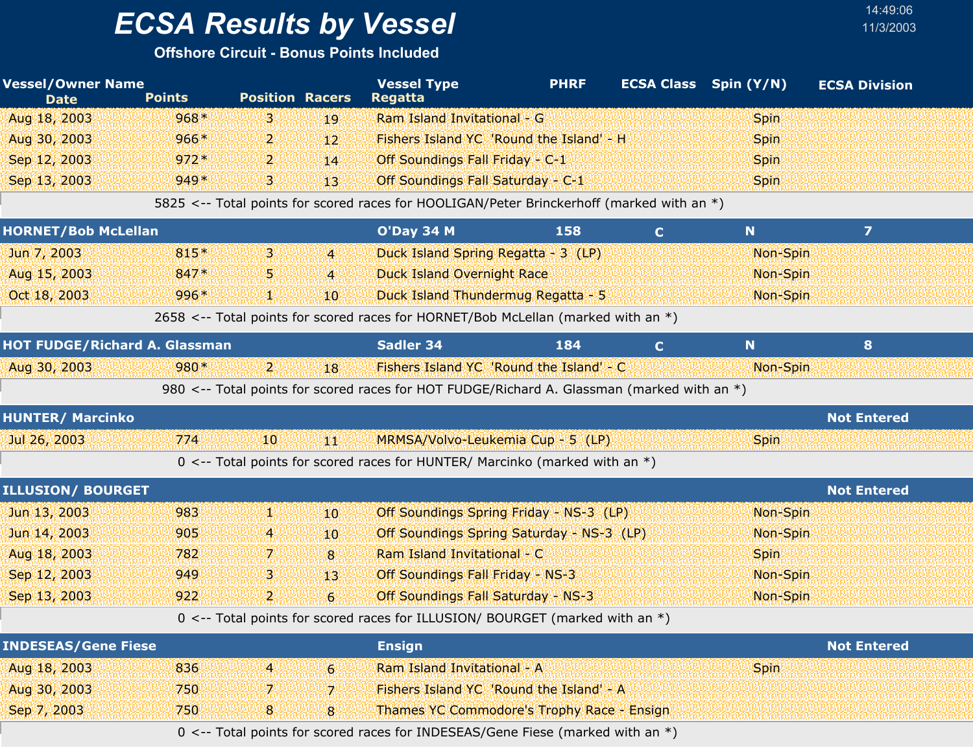**Offshore Circuit - Bonus Points Included**

| <b>Vessel/Owner Name</b><br><b>Date</b> | <b>Points</b> | <b>Position Racers</b> |                 | <b>Vessel Type</b><br><b>Regatta</b>                                                       | <b>PHRF</b>                        |              | <b>ECSA Class</b> Spin (Y/N) | <b>ECSA Division</b> |  |
|-----------------------------------------|---------------|------------------------|-----------------|--------------------------------------------------------------------------------------------|------------------------------------|--------------|------------------------------|----------------------|--|
| Aug 18, 2003                            | $968*$        | з.                     | 19              | Ram Island Invitational - G                                                                |                                    |              | <b>Spin</b>                  |                      |  |
| Aug 30, 2003                            | $966*$        | 2.                     | $12^{\circ}$    | Fishers Island YC 'Round the Island' - H                                                   |                                    |              | <b>Spin</b>                  |                      |  |
| Sep 12, 2003                            | $972*$        | $\overline{2}$         | 14              | Off Soundings Fall Friday - C-1                                                            |                                    |              | <b>Spin</b>                  |                      |  |
| Sep 13, 2003                            | $949*$        | 3.                     | 13 <sup>1</sup> | Off Soundings Fall Saturday - C-1                                                          |                                    |              | <b>Spin</b>                  |                      |  |
|                                         |               |                        |                 | 5825 <-- Total points for scored races for HOOLIGAN/Peter Brinckerhoff (marked with an *)  |                                    |              |                              |                      |  |
| <b>HORNET/Bob McLellan</b>              |               |                        |                 | <b>O'Day 34 M</b>                                                                          | 158                                | $\mathbf{C}$ | N                            | $\overline{z}$       |  |
| Jun 7, 2003                             | $815*$        | 3.                     | $\overline{4}$  | Duck Island Spring Regatta - 3 (LP)                                                        |                                    |              | Non-Spin                     |                      |  |
| Aug 15, 2003                            | 847*          | ъ                      | $\overline{4}$  | <b>Duck Island Overnight Race</b>                                                          |                                    |              | Non-Spin                     |                      |  |
| Oct 18, 2003                            | 996*          | Ш.                     | 10 <sup>°</sup> | Duck Island Thundermug Regatta - 5                                                         |                                    |              | Non-Spin                     |                      |  |
|                                         |               |                        |                 | 2658 <-- Total points for scored races for HORNET/Bob McLellan (marked with an *)          |                                    |              |                              |                      |  |
| <b>HOT FUDGE/Richard A. Glassman</b>    |               |                        |                 | Sadler 34                                                                                  | 184                                | $\mathbf{C}$ | N                            | 8                    |  |
| Aug 30, 2003                            | 980*          | $\mathbf{2}$           | 18              | Fishers Island YC 'Round the Island' - C                                                   |                                    |              | Non-Spin                     |                      |  |
|                                         |               |                        |                 | 980 <-- Total points for scored races for HOT FUDGE/Richard A. Glassman (marked with an *) |                                    |              |                              |                      |  |
| <b>HUNTER/ Marcinko</b>                 |               |                        |                 |                                                                                            |                                    |              |                              | <b>Not Entered</b>   |  |
| Jul 26, 2003                            | 774           | '10'                   | 4KI             | MRMSA/Volvo-Leukemia Cup - 5 (LP)                                                          |                                    |              | <b>Spin</b>                  |                      |  |
|                                         |               |                        |                 | 0 <-- Total points for scored races for HUNTER/ Marcinko (marked with an $*$ )             |                                    |              |                              |                      |  |
| <b>ILLUSION/ BOURGET</b>                |               |                        |                 |                                                                                            |                                    |              |                              | <b>Not Entered</b>   |  |
| Jun 13, 2003                            | 983           | Ж,                     | 10 <sup>°</sup> | Off Soundings Spring Friday - NS-3 (LP)                                                    |                                    |              | Non-Spin                     |                      |  |
| Jun 14, 2003                            | 905           | $\overline{a}$         | 10 <sup>°</sup> | Off Soundings Spring Saturday - NS-3 (LP)                                                  |                                    |              | Non-Spin                     |                      |  |
| Aug 18, 2003                            | 782           | 7.                     | 8               | Ram Island Invitational - C                                                                |                                    |              | <b>Spin</b>                  |                      |  |
| Sep 12, 2003                            | 949           | В.                     | 13 <sup>1</sup> | Off Soundings Fall Friday - NS-3                                                           |                                    |              | Non-Spin                     |                      |  |
| Sep 13, 2003                            | 922           | $\mathbf{2}$           | 6               | <b>Off Soundings Fall Saturday - NS-3</b>                                                  |                                    |              | Non-Spin                     |                      |  |
|                                         |               |                        |                 | 0 <-- Total points for scored races for ILLUSION/ BOURGET (marked with an *)               |                                    |              |                              |                      |  |
| <b>INDESEAS/Gene Fiese</b>              |               |                        |                 | <b>Ensign</b>                                                                              |                                    |              |                              | <b>Not Entered</b>   |  |
| Aug 18, 2003                            | 836           | $\overline{4}$         | 6               | Ram Island Invitational - A                                                                |                                    |              | Spin                         |                      |  |
| Aug 30, 2003                            | 750           | 7.                     | 7.              | Fishers Island YC 'Round the Island' - A                                                   |                                    |              |                              |                      |  |
| Sep 7, 2003                             | 750           | $\boldsymbol{8}$       | 8               | Thames YC Commodore's Trophy Race - Ensign                                                 |                                    |              |                              |                      |  |
|                                         |               |                        |                 |                                                                                            | $ININFCFLAC/Cana$ $Tisea$ (marked) |              |                              |                      |  |

14:49:06

0 <-- Total points for scored races for INDESEAS/Gene Fiese (marked with an \*)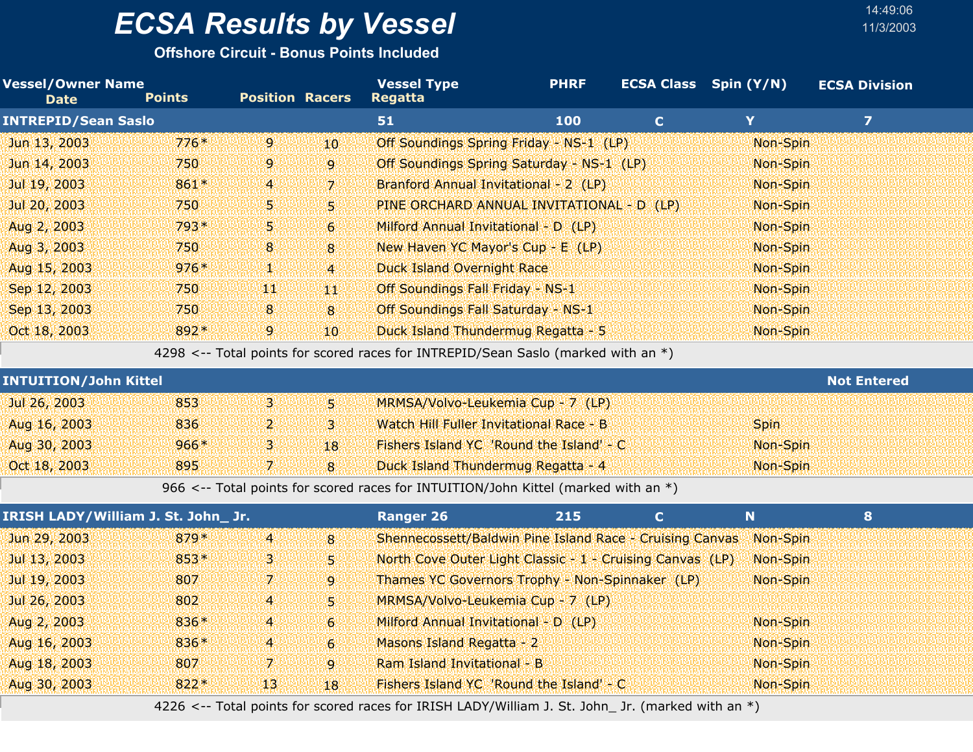**Offshore Circuit - Bonus Points Included**

| <b>Vessel/Owner Name</b><br><b>Points</b> |                         |                                     | <b>Vessel Type</b><br><b>Regatta</b> | <b>PHRF</b> |                                                                                                                                                                                                                                                                                                                                                                                                                                                                                                                                        |                                                                                                                                                                                                                                                                                                                                                                                                                                                         | <b>ECSA Division</b>                                                                                                                                  |
|-------------------------------------------|-------------------------|-------------------------------------|--------------------------------------|-------------|----------------------------------------------------------------------------------------------------------------------------------------------------------------------------------------------------------------------------------------------------------------------------------------------------------------------------------------------------------------------------------------------------------------------------------------------------------------------------------------------------------------------------------------|---------------------------------------------------------------------------------------------------------------------------------------------------------------------------------------------------------------------------------------------------------------------------------------------------------------------------------------------------------------------------------------------------------------------------------------------------------|-------------------------------------------------------------------------------------------------------------------------------------------------------|
| <b>INTREPID/Sean Saslo</b>                |                         |                                     | 51                                   | 100         | $\mathbf C$                                                                                                                                                                                                                                                                                                                                                                                                                                                                                                                            | Y                                                                                                                                                                                                                                                                                                                                                                                                                                                       | $\overline{z}$                                                                                                                                        |
| $776*$                                    | $\mathbf{9}$            | 10                                  |                                      |             |                                                                                                                                                                                                                                                                                                                                                                                                                                                                                                                                        | Non-Spin                                                                                                                                                                                                                                                                                                                                                                                                                                                |                                                                                                                                                       |
| 750                                       | 9                       | 9                                   |                                      |             |                                                                                                                                                                                                                                                                                                                                                                                                                                                                                                                                        | Non-Spin                                                                                                                                                                                                                                                                                                                                                                                                                                                |                                                                                                                                                       |
| 861*                                      | $\overline{4}$          | 7                                   |                                      |             |                                                                                                                                                                                                                                                                                                                                                                                                                                                                                                                                        | Non-Spin                                                                                                                                                                                                                                                                                                                                                                                                                                                |                                                                                                                                                       |
| 750                                       | 5                       | 5                                   |                                      |             |                                                                                                                                                                                                                                                                                                                                                                                                                                                                                                                                        | Non-Spin                                                                                                                                                                                                                                                                                                                                                                                                                                                |                                                                                                                                                       |
| 793*                                      | 5.                      | $\mathbf{6}$                        |                                      |             |                                                                                                                                                                                                                                                                                                                                                                                                                                                                                                                                        | Non-Spin                                                                                                                                                                                                                                                                                                                                                                                                                                                |                                                                                                                                                       |
| 750                                       | 8                       | 8                                   |                                      |             |                                                                                                                                                                                                                                                                                                                                                                                                                                                                                                                                        | Non-Spin                                                                                                                                                                                                                                                                                                                                                                                                                                                |                                                                                                                                                       |
| $976*$                                    | V.                      | $\overline{4}$                      |                                      |             |                                                                                                                                                                                                                                                                                                                                                                                                                                                                                                                                        | Non-Spin                                                                                                                                                                                                                                                                                                                                                                                                                                                |                                                                                                                                                       |
| 750                                       | 90                      | W                                   |                                      |             |                                                                                                                                                                                                                                                                                                                                                                                                                                                                                                                                        | Non-Spin                                                                                                                                                                                                                                                                                                                                                                                                                                                |                                                                                                                                                       |
| 750                                       | 8                       | 8                                   |                                      |             |                                                                                                                                                                                                                                                                                                                                                                                                                                                                                                                                        | Non-Spin                                                                                                                                                                                                                                                                                                                                                                                                                                                |                                                                                                                                                       |
| 892*                                      | $\overline{9}$          | 10                                  |                                      |             |                                                                                                                                                                                                                                                                                                                                                                                                                                                                                                                                        | Non-Spin                                                                                                                                                                                                                                                                                                                                                                                                                                                |                                                                                                                                                       |
|                                           |                         |                                     |                                      |             |                                                                                                                                                                                                                                                                                                                                                                                                                                                                                                                                        |                                                                                                                                                                                                                                                                                                                                                                                                                                                         |                                                                                                                                                       |
| <b>INTUITION/John Kittel</b>              |                         |                                     |                                      |             |                                                                                                                                                                                                                                                                                                                                                                                                                                                                                                                                        |                                                                                                                                                                                                                                                                                                                                                                                                                                                         | <b>Not Entered</b>                                                                                                                                    |
| 853                                       | B                       | Ы                                   |                                      |             |                                                                                                                                                                                                                                                                                                                                                                                                                                                                                                                                        |                                                                                                                                                                                                                                                                                                                                                                                                                                                         |                                                                                                                                                       |
| 836                                       | $\overline{2}$          | $\overline{\mathbf{3}}$             |                                      |             |                                                                                                                                                                                                                                                                                                                                                                                                                                                                                                                                        | Spin                                                                                                                                                                                                                                                                                                                                                                                                                                                    |                                                                                                                                                       |
| $966*$                                    | З.                      | 18                                  |                                      |             |                                                                                                                                                                                                                                                                                                                                                                                                                                                                                                                                        | Non-Spin                                                                                                                                                                                                                                                                                                                                                                                                                                                |                                                                                                                                                       |
| 895                                       | 7 <sup>1</sup>          | 8                                   |                                      |             |                                                                                                                                                                                                                                                                                                                                                                                                                                                                                                                                        | Non-Spin                                                                                                                                                                                                                                                                                                                                                                                                                                                |                                                                                                                                                       |
|                                           |                         |                                     |                                      |             |                                                                                                                                                                                                                                                                                                                                                                                                                                                                                                                                        |                                                                                                                                                                                                                                                                                                                                                                                                                                                         |                                                                                                                                                       |
|                                           |                         |                                     | <b>Ranger 26</b>                     | 215         | $\mathbf{C}$                                                                                                                                                                                                                                                                                                                                                                                                                                                                                                                           | N.                                                                                                                                                                                                                                                                                                                                                                                                                                                      | 8                                                                                                                                                     |
| 879*                                      | $\overline{4}$          | 8                                   |                                      |             |                                                                                                                                                                                                                                                                                                                                                                                                                                                                                                                                        | Non-Spin                                                                                                                                                                                                                                                                                                                                                                                                                                                |                                                                                                                                                       |
| 853*                                      | 3.                      | 5                                   |                                      |             |                                                                                                                                                                                                                                                                                                                                                                                                                                                                                                                                        | Non-Spin                                                                                                                                                                                                                                                                                                                                                                                                                                                |                                                                                                                                                       |
| 807                                       | 7                       | $\overline{9}$                      |                                      |             |                                                                                                                                                                                                                                                                                                                                                                                                                                                                                                                                        | Non-Spin                                                                                                                                                                                                                                                                                                                                                                                                                                                |                                                                                                                                                       |
| 802                                       | $\overline{4}$          | 5                                   |                                      |             |                                                                                                                                                                                                                                                                                                                                                                                                                                                                                                                                        |                                                                                                                                                                                                                                                                                                                                                                                                                                                         |                                                                                                                                                       |
| 836*                                      | 4                       | $\mathbf{6}$                        |                                      |             |                                                                                                                                                                                                                                                                                                                                                                                                                                                                                                                                        | Non-Spin                                                                                                                                                                                                                                                                                                                                                                                                                                                |                                                                                                                                                       |
| 836*                                      | $\overline{\mathbf{4}}$ | $\mathbf{6}$                        |                                      |             |                                                                                                                                                                                                                                                                                                                                                                                                                                                                                                                                        | Non-Spin                                                                                                                                                                                                                                                                                                                                                                                                                                                |                                                                                                                                                       |
| 807                                       | 7.                      | $\overline{9}$                      |                                      |             |                                                                                                                                                                                                                                                                                                                                                                                                                                                                                                                                        | Non-Spin                                                                                                                                                                                                                                                                                                                                                                                                                                                |                                                                                                                                                       |
| $822*$                                    | 13                      | 18                                  |                                      |             |                                                                                                                                                                                                                                                                                                                                                                                                                                                                                                                                        | Non-Spin                                                                                                                                                                                                                                                                                                                                                                                                                                                |                                                                                                                                                       |
|                                           |                         | IRISH LADY/William J. St. John_ Jr. | <b>Position Racers</b>               |             | Branford Annual Invitational - 2 (LP)<br>Milford Annual Invitational - D (LP)<br>New Haven YC Mayor's Cup - E (LP)<br><b>Duck Island Overnight Race</b><br>Off Soundings Fall Friday - NS-1<br>Off Soundings Fall Saturday - NS-1<br>Duck Island Thundermug Regatta - 5<br>MRMSA/Volvo-Leukemia Cup - 7 (LP)<br>Watch Hill Fuller Invitational Race - B<br>Duck Island Thundermug Regatta - 4<br>MRMSA/Volvo-Leukemia Cup - 7 (LP)<br>Milford Annual Invitational - D (LP)<br>Masons Island Regatta - 2<br>Ram Island Invitational - B | Off Soundings Spring Friday - NS-1 (LP)<br>Off Soundings Spring Saturday - NS-1 (LP)<br>PINE ORCHARD ANNUAL INVITATIONAL - D (LP)<br>4298 <-- Total points for scored races for INTREPID/Sean Saslo (marked with an *)<br>Fishers Island YC 'Round the Island' - C<br>966 <-- Total points for scored races for INTUITION/John Kittel (marked with an *)<br>Thames YC Governors Trophy - Non-Spinnaker (LP)<br>Fishers Island YC 'Round the Island' - C | <b>ECSA Class</b> Spin (Y/N)<br>Shennecossett/Baldwin Pine Island Race - Cruising Canvas<br>North Cove Outer Light Classic - 1 - Cruising Canvas (LP) |

4226 <-- Total points for scored races for IRISH LADY/William J. St. John\_ Jr. (marked with an \*)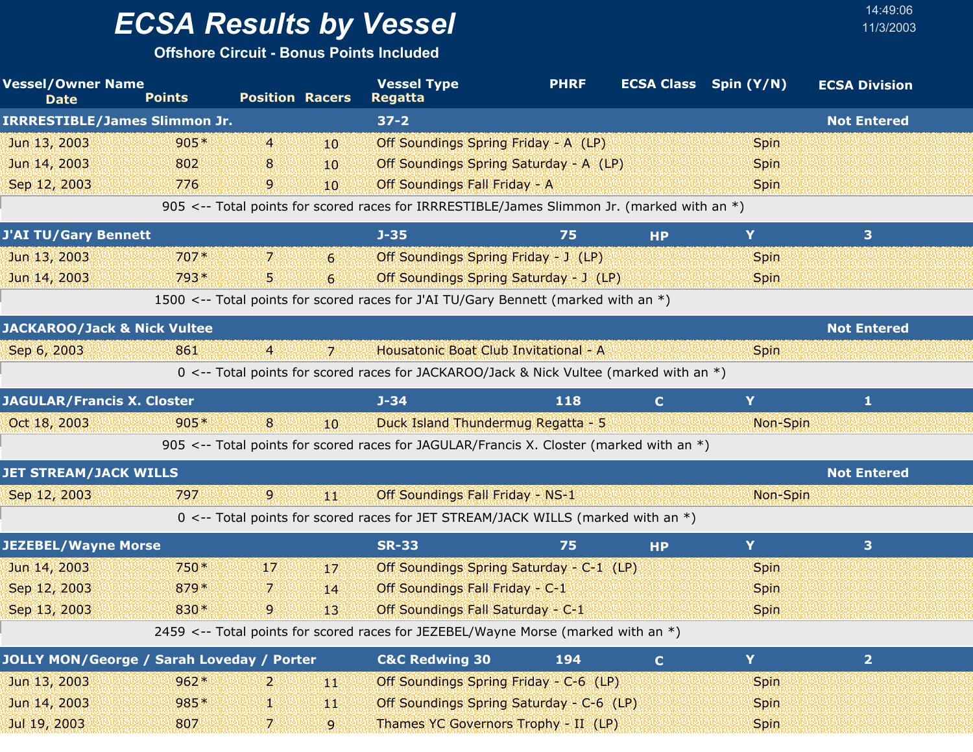**Offshore Circuit - Bonus Points Included**

| <b>Vessel/Owner Name</b><br><b>Date</b>          | <b>Points</b> | <b>Position Racers</b> |                  | <b>Vessel Type</b><br><b>Regatta</b>                                                       | <b>PHRF</b> |              | <b>ECSA Class</b> Spin (Y/N) | <b>ECSA Division</b>    |  |
|--------------------------------------------------|---------------|------------------------|------------------|--------------------------------------------------------------------------------------------|-------------|--------------|------------------------------|-------------------------|--|
| <b>IRRRESTIBLE/James Slimmon Jr.</b>             |               |                        |                  | $37 - 2$                                                                                   |             |              |                              | <b>Not Entered</b>      |  |
| Jun 13, 2003                                     | $905*$        | $\overline{4}$         | 10               | Off Soundings Spring Friday - A (LP)                                                       |             |              | Spin                         |                         |  |
| Jun 14, 2003                                     | 802           | 8                      | 10 <sup>10</sup> | Off Soundings Spring Saturday - A (LP)                                                     |             |              | <b>Spin</b>                  |                         |  |
| Sep 12, 2003                                     | 776           | 9                      | 10               | Off Soundings Fall Friday - A                                                              |             |              | <b>Spin</b>                  |                         |  |
|                                                  |               |                        |                  | 905 <-- Total points for scored races for IRRRESTIBLE/James Slimmon Jr. (marked with an *) |             |              |                              |                         |  |
| <b>J'AI TU/Gary Bennett</b>                      |               |                        |                  | $J - 35$                                                                                   | 75          | <b>HP</b>    | Y                            | $\overline{\mathbf{3}}$ |  |
| Jun 13, 2003                                     | $707*$        | 7                      | $6 \overline{6}$ | Off Soundings Spring Friday - J (LP)                                                       |             |              | <b>Spin</b>                  |                         |  |
| Jun 14, 2003                                     | 793*          | 5.                     | $6 \overline{6}$ | Off Soundings Spring Saturday - J (LP)                                                     |             |              | <b>Spin</b>                  |                         |  |
|                                                  |               |                        |                  | 1500 <-- Total points for scored races for J'AI TU/Gary Bennett (marked with an *)         |             |              |                              |                         |  |
| <b>JACKAROO/Jack &amp; Nick Vultee</b>           |               |                        |                  |                                                                                            |             |              |                              | <b>Not Entered</b>      |  |
| Sep 6, 2003                                      | 861           | $\overline{4}$         | $\overline{7}$   | Housatonic Boat Club Invitational - A                                                      |             |              | <b>Spin</b>                  |                         |  |
|                                                  |               |                        |                  | 0 <-- Total points for scored races for JACKAROO/Jack & Nick Vultee (marked with an *)     |             |              |                              |                         |  |
| <b>JAGULAR/Francis X. Closter</b>                |               |                        |                  | $J - 34$                                                                                   | 118         | $\mathbf{C}$ | Y                            | 1                       |  |
| Oct 18, 2003                                     | $905*$        | 8                      | 10               | Duck Island Thundermug Regatta - 5                                                         |             |              | Non-Spin                     |                         |  |
|                                                  |               |                        |                  | 905 <-- Total points for scored races for JAGULAR/Francis X. Closter (marked with an $*)$  |             |              |                              |                         |  |
| <b>JET STREAM/JACK WILLS</b>                     |               |                        |                  |                                                                                            |             |              |                              | <b>Not Entered</b>      |  |
| Sep 12, 2003                                     | 797           | $\mathbf{9}$           | 郷                | Off Soundings Fall Friday - NS-1                                                           |             |              | Non-Spin                     |                         |  |
|                                                  |               |                        |                  | 0 <-- Total points for scored races for JET STREAM/JACK WILLS (marked with an *)           |             |              |                              |                         |  |
| <b>JEZEBEL/Wayne Morse</b>                       |               |                        |                  | <b>SR-33</b>                                                                               | 75          | <b>HP</b>    | Y                            | 3                       |  |
| Jun 14, 2003                                     | $750*$        | 17                     | 17               | Off Soundings Spring Saturday - C-1 (LP)                                                   |             |              | <b>Spin</b>                  |                         |  |
| Sep 12, 2003                                     | 879*          | 7.                     | 14               | Off Soundings Fall Friday - C-1                                                            |             |              | <b>Spin</b>                  |                         |  |
| Sep 13, 2003                                     | 830*          | 9                      | 13               | Off Soundings Fall Saturday - C-1                                                          |             |              | <b>Spin</b>                  |                         |  |
|                                                  |               |                        |                  | 2459 <-- Total points for scored races for JEZEBEL/Wayne Morse (marked with an *)          |             |              |                              |                         |  |
| <b>JOLLY MON/George / Sarah Loveday / Porter</b> |               |                        |                  | <b>C&amp;C Redwing 30</b>                                                                  | 194         | $\mathbf{C}$ | Y                            | $\overline{2}$          |  |
| Jun 13, 2003                                     | $962*$        | 2                      | 鱜                | Off Soundings Spring Friday - C-6 (LP)                                                     |             |              | Spin                         |                         |  |
| Jun 14, 2003                                     | 985*          | 48                     | 44               | Off Soundings Spring Saturday - C-6 (LP)                                                   |             |              | <b>Spin</b>                  |                         |  |
| Jul 19, 2003                                     | 807           | 7.                     | $\overline{9}$   | Thames YC Governors Trophy - II (LP)                                                       |             |              | <b>Spin</b>                  |                         |  |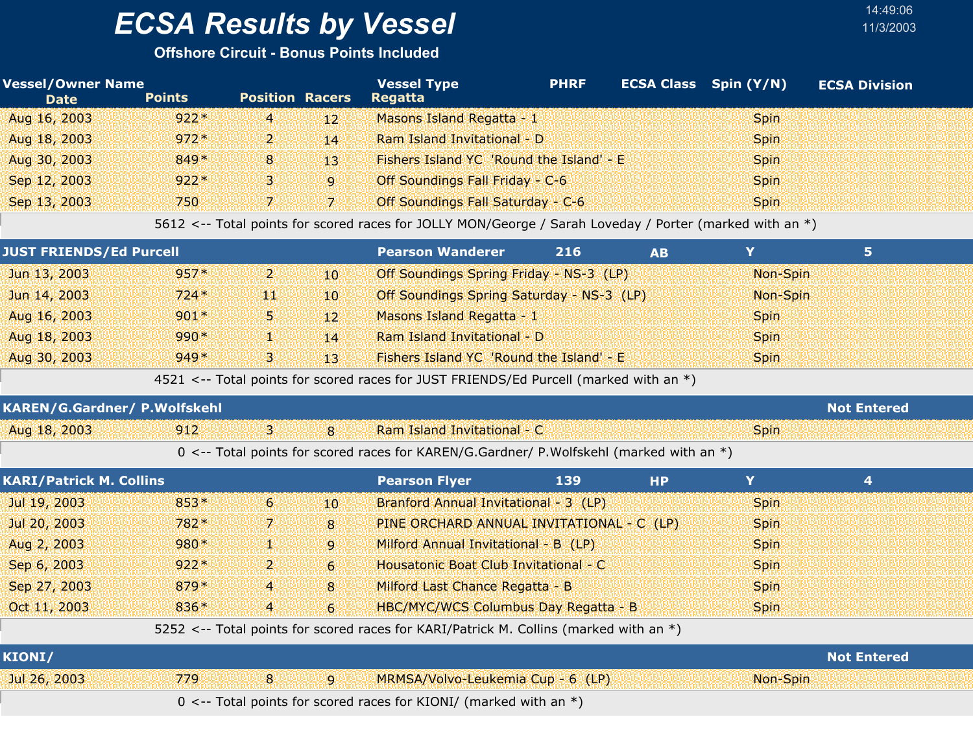#### **Offshore Circuit - Bonus Points Included**

| <b>Vessel/Owner Name</b><br><b>Date</b> | <b>Points</b> | <b>Position Racers</b> |                 | <b>Vessel Type</b><br>Regatta                                                                           | <b>PHRF</b> |           | <b>ECSA Class</b> Spin (Y/N) | <b>ECSA Division</b> |
|-----------------------------------------|---------------|------------------------|-----------------|---------------------------------------------------------------------------------------------------------|-------------|-----------|------------------------------|----------------------|
| Aug 16, 2003                            | $922*$        | $\overline{4}$         | 12 <sup>1</sup> | Masons Island Regatta - 1                                                                               |             |           | <b>Spin</b>                  |                      |
| Aug 18, 2003                            | $972*$        | $\mathbf{p}$           | 14              | Ram Island Invitational - D                                                                             |             |           | <b>Spin</b>                  |                      |
| Aug 30, 2003                            | $849*$        | 8 <sup>1</sup>         | 13 <sup>1</sup> | Fishers Island YC 'Round the Island' - E                                                                |             |           | <b>Spin</b>                  |                      |
| Sep 12, 2003                            | $922*$        | В.                     | 9               | Off Soundings Fall Friday - C-6                                                                         |             |           | <b>Spin</b>                  |                      |
| Sep 13, 2003                            | 750           | 7.                     | -71             | Off Soundings Fall Saturday - C-6                                                                       |             |           | <b>Spin</b>                  |                      |
|                                         |               |                        |                 | 5612 <-- Total points for scored races for JOLLY MON/George / Sarah Loveday / Porter (marked with an *) |             |           |                              |                      |
| <b>JUST FRIENDS/Ed Purcell</b>          |               |                        |                 | <b>Pearson Wanderer</b>                                                                                 | 216         | <b>AB</b> | Y                            | 5                    |
| Jun 13, 2003                            | $957*$        | ויעי                   | 10.             | Off Soundings Spring Friday - NS-3 (LP)                                                                 |             |           | Non-Spin                     |                      |
| Jun 14, 2003                            | $724*$        | 900                    | $10^{\circ}$    | Off Soundings Spring Saturday - NS-3 (LP)                                                               |             |           | Non-Spin                     |                      |
| Aug 16, 2003                            | $901*$        | 51                     | $12^{\circ}$    | Masons Island Regatta - 1                                                                               |             |           | <b>Spin</b>                  |                      |
| Aug 18, 2003                            | $990*$        | 92                     | 14              | Ram Island Invitational - D                                                                             |             |           | <b>Spin</b>                  |                      |
| Aug 30, 2003                            | $949*$        | 3.                     | 13 <sup>1</sup> | Fishers Island YC 'Round the Island' - E                                                                |             |           | <b>Spin</b>                  |                      |

4521 <-- Total points for scored races for JUST FRIENDS/Ed Purcell (marked with an \*)

| <b>KAREN/G.Gardner/ P.Wolfskehl</b> |     |  |                                                                                           |             | <b>Not Entered</b> |
|-------------------------------------|-----|--|-------------------------------------------------------------------------------------------|-------------|--------------------|
| Aug 18, 2003                        | 912 |  | Ram Island Invitational - C                                                               | <b>Spin</b> |                    |
|                                     |     |  | 0 <-- Total points for scored races for KAREN/G.Gardner/ P.Wolfskehl (marked with an $*)$ |             |                    |

| <b>KARI/Patrick M. Collins</b> |        |                |              | <b>Pearson Flyer</b>                        | 139 | <b>HP</b> |             |  |
|--------------------------------|--------|----------------|--------------|---------------------------------------------|-----|-----------|-------------|--|
| Jul 19, 2003                   | $853*$ | 6 <sup>1</sup> | $10^{\circ}$ | Branford Annual Invitational - 3 (LP)       |     |           | <b>Spin</b> |  |
| Jul 20, 2003                   | $782*$ | 71             | $\mathbf{8}$ | PINE ORCHARD ANNUAL INVITATIONAL - C (LP)   |     |           | <b>Spin</b> |  |
| Aug 2, 2003                    | $980*$ | سلام           | $\mathbf{Q}$ | Milford Annual Invitational - B (LP)        |     |           | <b>Spin</b> |  |
| Sep 6, 2003                    | $922*$ | ייני           | 6            | Housatonic Boat Club Invitational - C       |     |           | <b>Spin</b> |  |
| Sep 27, 2003                   | $879*$ | 4 <sup>1</sup> | 8            | Milford Last Chance Regatta - B             |     |           | <b>Spin</b> |  |
| Oct 11, 2003                   | $836*$ | $\overline{4}$ | $6^{\circ}$  | <b>HBC/MYC/WCS Columbus Day Regatta - B</b> |     |           | <b>Spin</b> |  |
|                                |        |                |              |                                             |     |           |             |  |

5252 <-- Total points for scored races for KARI/Patrick M. Collins (marked with an \*)

| KIONI/       |      |   |     |                                                                         | <b>Not Entered</b> |
|--------------|------|---|-----|-------------------------------------------------------------------------|--------------------|
| Jul 26, 2003 | 779. | 8 | wor | MRMSA/Volvo-Leukemia Cup - 6 (LP)                                       | Non-Spin           |
|              |      |   |     | $0 \le -$ Total points for scored races for KIONI/ (marked with an $*)$ |                    |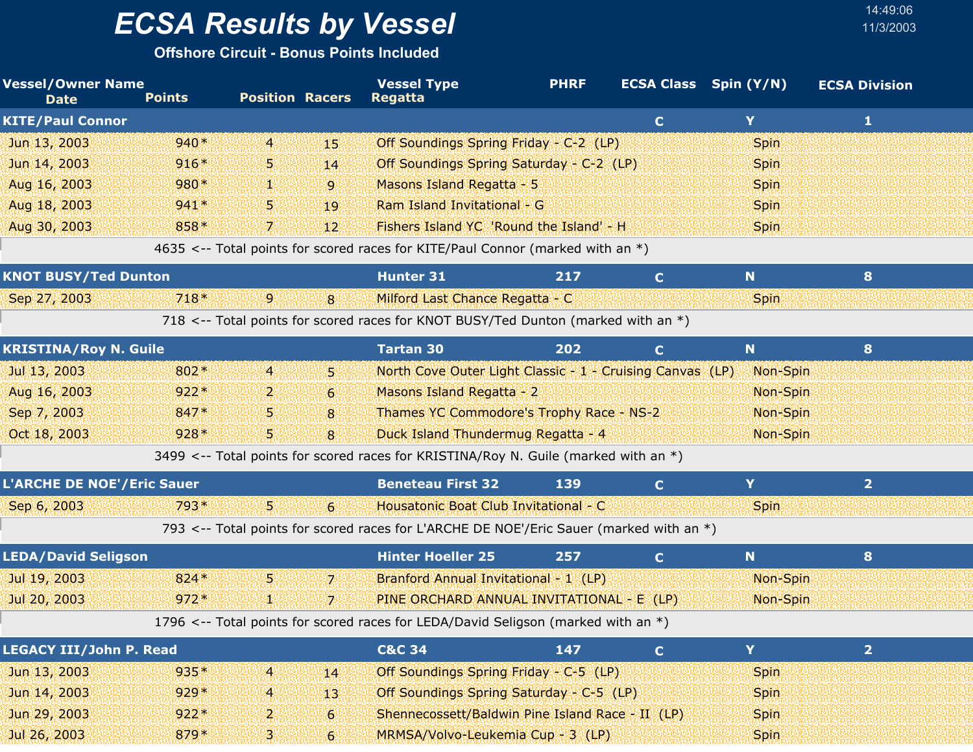**Offshore Circuit - Bonus Points Included**

| <b>Vessel/Owner Name</b><br><b>Date</b> | <b>Points</b> | <b>Position Racers</b> |                 | <b>Vessel Type</b><br><b>Regatta</b>                                                    | <b>PHRF</b> |              | <b>ECSA Class</b> Spin (Y/N) | <b>ECSA Division</b> |  |
|-----------------------------------------|---------------|------------------------|-----------------|-----------------------------------------------------------------------------------------|-------------|--------------|------------------------------|----------------------|--|
| <b>KITE/Paul Connor</b>                 |               |                        |                 |                                                                                         |             | $\mathbf{C}$ | Y                            | $\mathbf{1}$         |  |
| Jun 13, 2003                            | $940*$        | $\overline{4}$         | 45.             | Off Soundings Spring Friday - C-2 (LP)                                                  |             |              | <b>Spin</b>                  |                      |  |
| Jun 14, 2003                            | $916*$        | 5.                     | 14              | Off Soundings Spring Saturday - C-2 (LP)                                                |             |              | <b>Spin</b>                  |                      |  |
| Aug 16, 2003                            | 980*          | y.                     | 9               | Masons Island Regatta - 5                                                               |             |              | Spin                         |                      |  |
| Aug 18, 2003                            | $941*$        | 5.                     | 19              | Ram Island Invitational - G                                                             |             |              | <b>Spin</b>                  |                      |  |
| Aug 30, 2003                            | 858*          | 7.                     | 12 <sup>2</sup> | Fishers Island YC 'Round the Island' - H                                                |             |              | <b>Spin</b>                  |                      |  |
|                                         |               |                        |                 | 4635 <-- Total points for scored races for KITE/Paul Connor (marked with an *)          |             |              |                              |                      |  |
| <b>KNOT BUSY/Ted Dunton</b>             |               |                        |                 | <b>Hunter 31</b>                                                                        | 217         | $\mathbf{C}$ | N                            | 8                    |  |
| Sep 27, 2003                            | $718*$        | -91                    | 8               | Milford Last Chance Regatta - C                                                         |             |              | <b>Spin</b>                  |                      |  |
|                                         |               |                        |                 | 718 <-- Total points for scored races for KNOT BUSY/Ted Dunton (marked with an *)       |             |              |                              |                      |  |
| <b>KRISTINA/Roy N. Guile</b>            |               |                        |                 | <b>Tartan 30</b>                                                                        | 202         | C.           | N                            | 8                    |  |
| Jul 13, 2003                            | 802*          | $\overline{4}$         | 5.              | North Cove Outer Light Classic - 1 - Cruising Canvas (LP)                               |             |              | Non-Spin                     |                      |  |
| Aug 16, 2003                            | $922*$        | 2.                     | 6               | Masons Island Regatta - 2                                                               |             |              | Non-Spin                     |                      |  |
| Sep 7, 2003                             | 847*          | 5.                     | 8               | Thames YC Commodore's Trophy Race - NS-2                                                |             |              | Non-Spin                     |                      |  |
| Oct 18, 2003                            | $928*$        | 5                      | 8               | Duck Island Thundermug Regatta - 4                                                      |             |              | Non-Spin                     |                      |  |
|                                         |               |                        |                 | 3499 <-- Total points for scored races for KRISTINA/Roy N. Guile (marked with an *)     |             |              |                              |                      |  |
| <b>L'ARCHE DE NOE'/Eric Sauer</b>       |               |                        |                 | <b>Beneteau First 32</b>                                                                | 139         | $\mathbf{C}$ | Y                            | $\overline{2}$       |  |
| Sep 6, 2003                             | $793*$        | 5.                     | $6 \,$          | Housatonic Boat Club Invitational - C                                                   |             |              | <b>Spin</b>                  |                      |  |
|                                         |               |                        |                 | 793 <-- Total points for scored races for L'ARCHE DE NOE'/Eric Sauer (marked with an *) |             |              |                              |                      |  |
| <b>LEDA/David Seligson</b>              |               |                        |                 | <b>Hinter Hoeller 25</b>                                                                | 257         | $\mathbf{C}$ | N                            | 8                    |  |
| Jul 19, 2003                            | $824*$        | 5.                     | 71              | Branford Annual Invitational - 1 (LP)                                                   |             |              | Non-Spin                     |                      |  |
| Jul 20, 2003                            | $972*$        | 12                     | 7.              | PINE ORCHARD ANNUAL INVITATIONAL - E (LP)                                               |             |              | Non-Spin                     |                      |  |
|                                         |               |                        |                 | 1796 <-- Total points for scored races for LEDA/David Seligson (marked with an *)       |             |              |                              |                      |  |
| <b>LEGACY III/John P. Read</b>          |               |                        |                 | <b>C&amp;C 34</b>                                                                       | 147         | $\mathbf{C}$ | Y                            | $\overline{2}$       |  |
| Jun 13, 2003                            | $935*$        | $\overline{4}$         | 14              | Off Soundings Spring Friday - C-5 (LP)                                                  |             |              | <b>Spin</b>                  |                      |  |
| Jun 14, 2003                            | $929*$        | $\overline{4}$         | 13              | Off Soundings Spring Saturday - C-5 (LP)                                                |             |              | <b>Spin</b>                  |                      |  |
| Jun 29, 2003                            | $922*$        | 2.                     | $6 \,$          | Shennecossett/Baldwin Pine Island Race - II (LP)                                        |             |              | <b>Spin</b>                  |                      |  |
| Jul 26, 2003                            | 879*          | 3.                     | $6 \,$          | MRMSA/Volvo-Leukemia Cup - 3 (LP)                                                       |             |              | <b>Spin</b>                  |                      |  |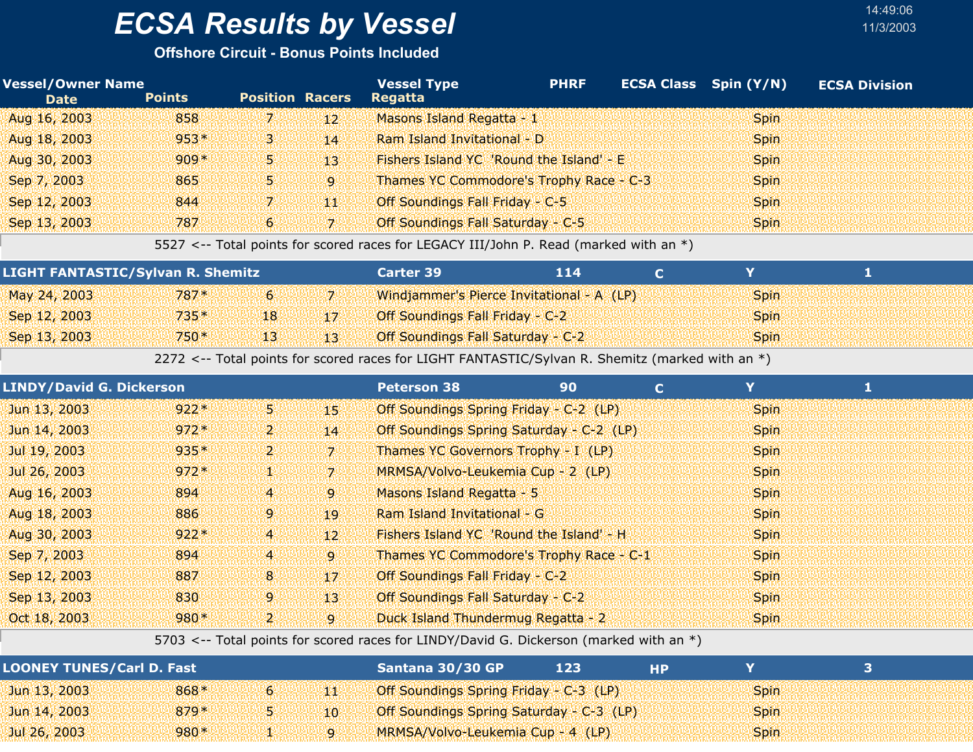#### **Offshore Circuit - Bonus Points Included**

| <b>Vessel/Owner Name</b><br><b>Date</b> | <b>Points</b> | <b>Position Racers</b> |              | <b>Vessel Type</b><br><b>Regatta</b>     | <b>PHRF</b> | ECSA Class Spin (Y/N) | <b>ECSA Division</b> |
|-----------------------------------------|---------------|------------------------|--------------|------------------------------------------|-------------|-----------------------|----------------------|
| Aug 16, 2003                            | 858           | 7.                     | $12^{\circ}$ | Masons Island Regatta - 1                |             | Spin.                 |                      |
| Aug 18, 2003                            | $953*$        | з                      | 14           | Ram Island Invitational - D              |             | <b>Spin</b>           |                      |
| Aug 30, 2003                            | $909*$        | 5.                     | 13.          | Fishers Island YC 'Round the Island' - E |             | <b>Spin</b>           |                      |
| Sep 7, 2003                             | 865           | AV.                    | $\mathbf{Q}$ | Thames YC Commodore's Trophy Race - C-3  |             | Spin.                 |                      |
| Sep 12, 2003                            | 844           |                        | 44           | Off Soundings Fall Friday - C-5          |             | <b>Spin</b>           |                      |
| Sep 13, 2003                            | 787           | 6                      | -71          | Off Soundings Fall Saturday - C-5        |             | <b>Spin</b>           |                      |

5527 <-- Total points for scored races for LEGACY III/John P. Read (marked with an \*)

| <b>LIGHT FANTASTIC/Sylvan R. Shemitz</b> |        |              | <b>Carter 39</b>                         | 114                                       |             |  |
|------------------------------------------|--------|--------------|------------------------------------------|-------------------------------------------|-------------|--|
| May 24, 2003                             | $787*$ | $\mathbf{b}$ |                                          | Windjammer's Pierce Invitational - A (LP) | <b>Spin</b> |  |
| Sep 12, 2003                             | $735*$ | 18           | <b>Off Soundings Fall Friday - C-2</b>   |                                           | <b>Spin</b> |  |
| Sep 13, 2003                             | $750*$ | 4131         | <b>Off Soundings Fall Saturday - C-2</b> |                                           | <b>Spin</b> |  |

2272 <-- Total points for scored races for LIGHT FANTASTIC/Sylvan R. Shemitz (marked with an \*)

| <b>LINDY/David G. Dickerson</b> |        |                |                 | <b>Peterson 38</b>                       | 90 | $\mathbf C$ | Y           |  |
|---------------------------------|--------|----------------|-----------------|------------------------------------------|----|-------------|-------------|--|
| Jun 13, 2003                    | $922*$ | 55             | 45              | Off Soundings Spring Friday - C-2 (LP)   |    |             | <b>Spin</b> |  |
| Jun 14, 2003                    | $972*$ | בי             | 14              | Off Soundings Spring Saturday - C-2 (LP) |    |             | <b>Spin</b> |  |
| Jul 19, 2003                    | $935*$ | בי             | 7.              | Thames YC Governors Trophy - I (LP)      |    |             | <b>Spin</b> |  |
| Jul 26, 2003                    | $972*$ | 92             | 71              | MRMSA/Volvo-Leukemia Cup - 2 (LP)        |    |             | <b>Spin</b> |  |
| Aug 16, 2003                    | 894    | $\overline{4}$ | 9               | Masons Island Regatta - 5                |    |             | <b>Spin</b> |  |
| Aug 18, 2003                    | 886    | 9.             | 19              | Ram Island Invitational - G              |    |             | <b>Spin</b> |  |
| Aug 30, 2003                    | $922*$ | 4              | 12 <sup>1</sup> | Fishers Island YC 'Round the Island' - H |    |             | <b>Spin</b> |  |
| Sep 7, 2003                     | 894    | $\overline{4}$ | $\overline{9}$  | Thames YC Commodore's Trophy Race - C-1  |    |             | <b>Spin</b> |  |
| Sep 12, 2003                    | 887    | 8 <sup>1</sup> | 17              | Off Soundings Fall Friday - C-2          |    |             | <b>Spin</b> |  |
| Sep 13, 2003                    | 830    | 9              | 13 <sup>1</sup> | Off Soundings Fall Saturday - C-2        |    |             | <b>Spin</b> |  |
| Oct 18, 2003                    | $980*$ | 2.             | 9               | Duck Island Thundermug Regatta - 2       |    |             | <b>Spin</b> |  |

5703 <-- Total points for scored races for LINDY/David G. Dickerson (marked with an \*)

| <b>LOONEY TUNES/Carl D. Fast</b> |        |    | Santana 30/30 GP                         | 123 | НD |             |  |
|----------------------------------|--------|----|------------------------------------------|-----|----|-------------|--|
| $Jun$ 13, 2003                   | 868*   | 6. | Off Soundings Spring Friday - C-3 (LP)   |     |    | <b>Spin</b> |  |
| Jun 14, 2003                     | $879*$ |    | Off Soundings Spring Saturday - C-3 (LP) |     |    | <b>Spin</b> |  |
| Jul 26, 2003                     | $980*$ |    | MRMSA/Volvo-Leukemia Cup - 4 (LP)        |     |    | <b>Spin</b> |  |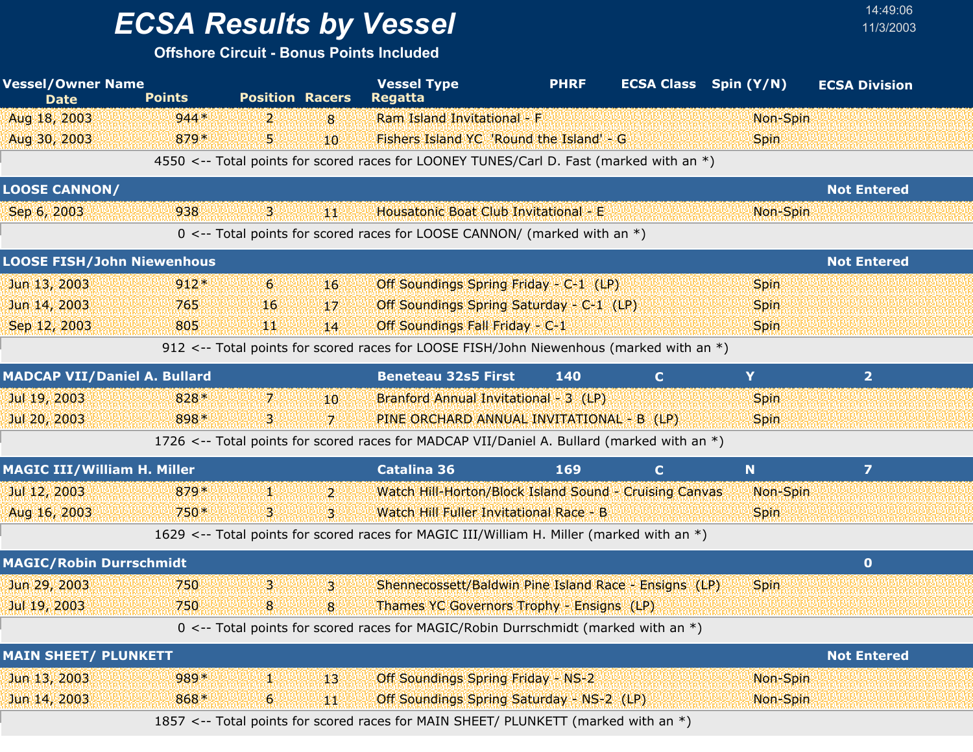# *ECSA Results by Vessel* 11/3/2003

| <b>Vessel/Owner Name</b><br><b>Date</b> | <b>Points</b> | <b>Position Racers</b> | <b>Vessel Type</b><br><b>Regatta</b>                                                       | <b>PHRF</b> | <b>ECSA Class</b> Spin (Y/N) |             | <b>ECSA Division</b> |
|-----------------------------------------|---------------|------------------------|--------------------------------------------------------------------------------------------|-------------|------------------------------|-------------|----------------------|
| Aug 18, 2003                            | $944*$        | $\overline{2}$<br>8    | Ram Island Invitational - F                                                                |             |                              | Non-Spin    |                      |
| Aug 30, 2003                            | 879*          | 5.<br>10               | Fishers Island YC 'Round the Island' - G                                                   |             |                              | <b>Spin</b> |                      |
|                                         |               |                        | 4550 <-- Total points for scored races for LOONEY TUNES/Carl D. Fast (marked with an *)    |             |                              |             |                      |
| <b>LOOSE CANNON/</b>                    |               |                        |                                                                                            |             |                              |             | <b>Not Entered</b>   |
| Sep 6, 2003                             | 938           | 3.<br>乳類               | Housatonic Boat Club Invitational - E                                                      |             |                              | Non-Spin    |                      |
|                                         |               |                        | 0 <-- Total points for scored races for LOOSE CANNON/ (marked with an $*$ )                |             |                              |             |                      |
| <b>LOOSE FISH/John Niewenhous</b>       |               |                        |                                                                                            |             |                              |             | <b>Not Entered</b>   |
| Jun 13, 2003                            | $912*$        | 6 <sup>1</sup><br>16   | Off Soundings Spring Friday - C-1 (LP)                                                     |             |                              | <b>Spin</b> |                      |
| Jun 14, 2003                            | 765           | 16<br>17               | Off Soundings Spring Saturday - C-1 (LP)                                                   |             |                              | <b>Spin</b> |                      |
| Sep 12, 2003                            | 805           | ЧЩ.<br>14              | Off Soundings Fall Friday - C-1                                                            |             |                              | <b>Spin</b> |                      |
|                                         |               |                        | 912 <-- Total points for scored races for LOOSE FISH/John Niewenhous (marked with an *)    |             |                              |             |                      |
| <b>MADCAP VII/Daniel A. Bullard</b>     |               |                        | <b>Beneteau 32s5 First</b>                                                                 | 140         | $\mathbf{C}$                 | Y           | $\overline{2}$       |
| Jul 19, 2003                            | 828*          | 7.<br>10 <sup>°</sup>  | Branford Annual Invitational - 3 (LP)                                                      |             |                              | <b>Spin</b> |                      |
| Jul 20, 2003                            | 898*          | В.<br>7.               | PINE ORCHARD ANNUAL INVITATIONAL - B (LP)                                                  |             |                              | <b>Spin</b> |                      |
|                                         |               |                        | 1726 <-- Total points for scored races for MADCAP VII/Daniel A. Bullard (marked with an *) |             |                              |             |                      |
| <b>MAGIC III/William H. Miller</b>      |               |                        | <b>Catalina 36</b>                                                                         | 169         | $\mathbf C$                  | N           | $\overline{ }$       |
| Jul 12, 2003                            | $879*$        | 92<br>$\mathbf{2}$     | Watch Hill-Horton/Block Island Sound - Cruising Canvas                                     |             |                              | Non-Spin    |                      |
| Aug 16, 2003                            | 750*          | 3.<br>в.               | Watch Hill Fuller Invitational Race - B                                                    |             |                              | <b>Spin</b> |                      |
|                                         |               |                        | 1629 <-- Total points for scored races for MAGIC III/William H. Miller (marked with an *)  |             |                              |             |                      |
| <b>MAGIC/Robin Durrschmidt</b>          |               |                        |                                                                                            |             |                              |             | $\bullet$            |
| Jun 29, 2003                            | 750           | 3<br>3                 | Shennecossett/Baldwin Pine Island Race - Ensigns (LP)                                      |             |                              | <b>Spin</b> |                      |
| Jul 19, 2003                            | 750           | 8<br>8                 | <b>Thames YC Governors Trophy - Ensigns (LP)</b>                                           |             |                              |             |                      |
|                                         |               |                        | 0 <-- Total points for scored races for MAGIC/Robin Durrschmidt (marked with an $*)$       |             |                              |             |                      |
| <b>MAIN SHEET/ PLUNKETT</b>             |               |                        |                                                                                            |             |                              |             | <b>Not Entered</b>   |
| Jun 13, 2003                            | 989*          | W.<br>13               | <b>Off Soundings Spring Friday - NS-2</b>                                                  |             |                              | Non-Spin    |                      |
| Jun 14, 2003                            | 868*          | 6 <sub>1</sub><br>44   | Off Soundings Spring Saturday - NS-2 (LP)                                                  |             |                              | Non-Spin    |                      |
|                                         |               |                        | 1857 <-- Total points for scored races for MAIN SHEET/ PLUNKETT (marked with an *)         |             |                              |             |                      |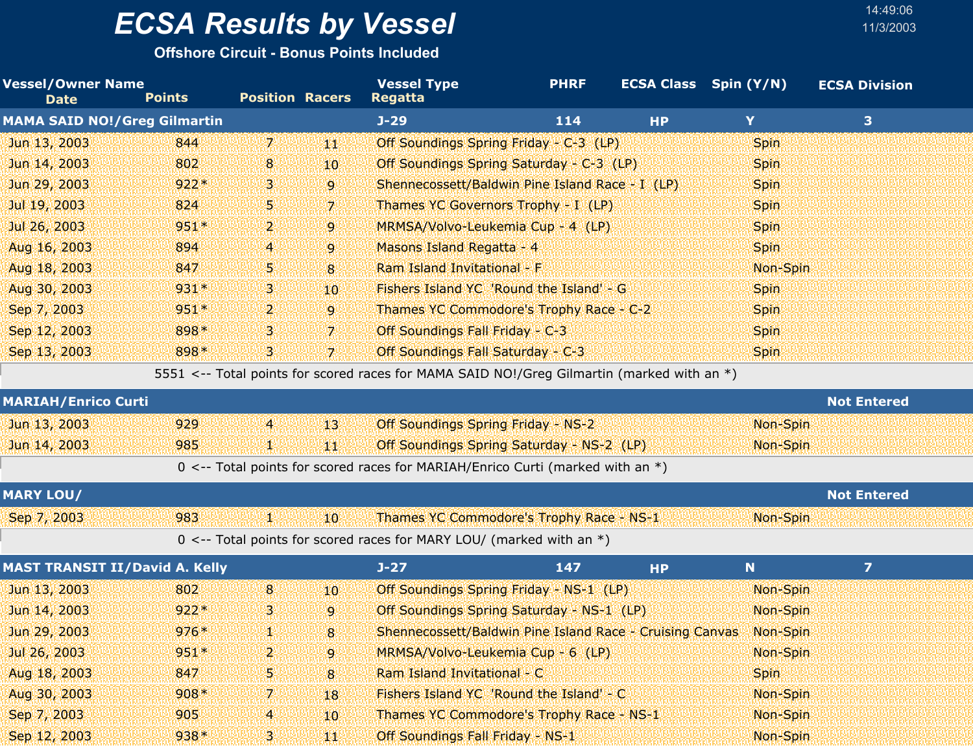**Offshore Circuit - Bonus Points Included**

| <b>Vessel/Owner Name</b><br><b>Date</b> | <b>Points</b> | <b>Position Racers</b> |                  | <b>Vessel Type</b><br><b>Regatta</b>                                                       | <b>PHRF</b> |           | <b>ECSA Class</b> Spin (Y/N) | <b>ECSA Division</b> |
|-----------------------------------------|---------------|------------------------|------------------|--------------------------------------------------------------------------------------------|-------------|-----------|------------------------------|----------------------|
| <b>MAMA SAID NO! / Greg Gilmartin</b>   |               |                        |                  | $J-29$                                                                                     | 114         | <b>HP</b> | Y                            | 3                    |
| Jun 13, 2003                            | 844           | 7.                     | 44               | Off Soundings Spring Friday - C-3 (LP)                                                     |             |           | <b>Spin</b>                  |                      |
| Jun 14, 2003                            | 802           | 8                      | 10               | Off Soundings Spring Saturday - C-3 (LP)                                                   |             |           | <b>Spin</b>                  |                      |
| Jun 29, 2003                            | $922*$        | 3.                     | 9                | Shennecossett/Baldwin Pine Island Race - I (LP)                                            |             |           | Spin                         |                      |
| Jul 19, 2003                            | 824           | 5.                     | $\overline{z}$   | Thames YC Governors Trophy - I (LP)                                                        |             |           | <b>Spin</b>                  |                      |
| Jul 26, 2003                            | 951*          | 2.                     | 9                | MRMSA/Volvo-Leukemia Cup - 4 (LP)                                                          |             |           | Spin                         |                      |
| Aug 16, 2003                            | 894           | 4                      | 9                | Masons Island Regatta - 4                                                                  |             |           | Spin                         |                      |
| Aug 18, 2003                            | 847           | 5                      | 8                | Ram Island Invitational - F                                                                |             |           | Non-Spin                     |                      |
| Aug 30, 2003                            | 931*          | з.                     | 10 <sup>10</sup> | Fishers Island YC 'Round the Island' - G                                                   |             |           | Spin                         |                      |
| Sep 7, 2003                             | $951*$        | $\mathbf{2}$           | 9                | Thames YC Commodore's Trophy Race - C-2                                                    |             |           | <b>Spin</b>                  |                      |
| Sep 12, 2003                            | 898*          | з                      | $\overline{7}$   | Off Soundings Fall Friday - C-3                                                            |             |           | Spin                         |                      |
| Sep 13, 2003                            | 898*          | З.                     | 7                | Off Soundings Fall Saturday - C-3                                                          |             |           | <b>Spin</b>                  |                      |
|                                         |               |                        |                  | 5551 <-- Total points for scored races for MAMA SAID NO!/Greg Gilmartin (marked with an *) |             |           |                              |                      |
| <b>MARIAH/Enrico Curti</b>              |               |                        |                  |                                                                                            |             |           |                              | <b>Not Entered</b>   |
| Jun 13, 2003                            | 929           | $\overline{4}$         | 13               | <b>Off Soundings Spring Friday - NS-2</b>                                                  |             |           | Non-Spin                     |                      |
| Jun 14, 2003                            | 985           | V.                     | 44               | Off Soundings Spring Saturday - NS-2 (LP)                                                  |             |           | Non-Spin                     |                      |
|                                         |               |                        |                  | 0 <-- Total points for scored races for MARIAH/Enrico Curti (marked with an $*)$           |             |           |                              |                      |
| <b>MARY LOU/</b>                        |               |                        |                  |                                                                                            |             |           |                              | <b>Not Entered</b>   |
| Sep 7, 2003                             | 983           | 削離                     | 10               | Thames YC Commodore's Trophy Race - NS-1                                                   |             |           | Non-Spin                     |                      |
|                                         |               |                        |                  | 0 <-- Total points for scored races for MARY LOU/ (marked with an $*)$                     |             |           |                              |                      |
| <b>MAST TRANSIT II/David A. Kelly</b>   |               |                        |                  | $J - 27$                                                                                   | 147         | <b>HP</b> | N                            | $\overline{7}$       |
| Jun 13, 2003                            | 802           | 8 <sup>2</sup>         | 10               | Off Soundings Spring Friday - NS-1 (LP)                                                    |             |           | Non-Spin                     |                      |
| Jun 14, 2003                            | $922*$        | з                      | $\overline{9}$   | Off Soundings Spring Saturday - NS-1 (LP)                                                  |             |           | Non-Spin                     |                      |
| Jun 29, 2003                            | $976*$        |                        | 8                | Shennecossett/Baldwin Pine Island Race - Cruising Canvas                                   |             |           | Non-Spin                     |                      |
| Jul 26, 2003                            | $951*$        | 2.                     | 9                | MRMSA/Volvo-Leukemia Cup - 6 (LP)                                                          |             |           | Non-Spin                     |                      |
| Aug 18, 2003                            | 847           | 5.                     | 8                | Ram Island Invitational - C                                                                |             |           | <b>Spin</b>                  |                      |
| Aug 30, 2003                            | $908*$        | 7.                     | 18               | Fishers Island YC 'Round the Island' - C                                                   |             |           | Non-Spin                     |                      |
| Sep 7, 2003                             | 905           | $\overline{4}$         | 10               | Thames YC Commodore's Trophy Race - NS-1                                                   |             |           | Non-Spin                     |                      |
| Sep 12, 2003                            | $938*$        | 3.                     | 濰                | Off Soundings Fall Friday - NS-1                                                           |             |           | Non-Spin                     |                      |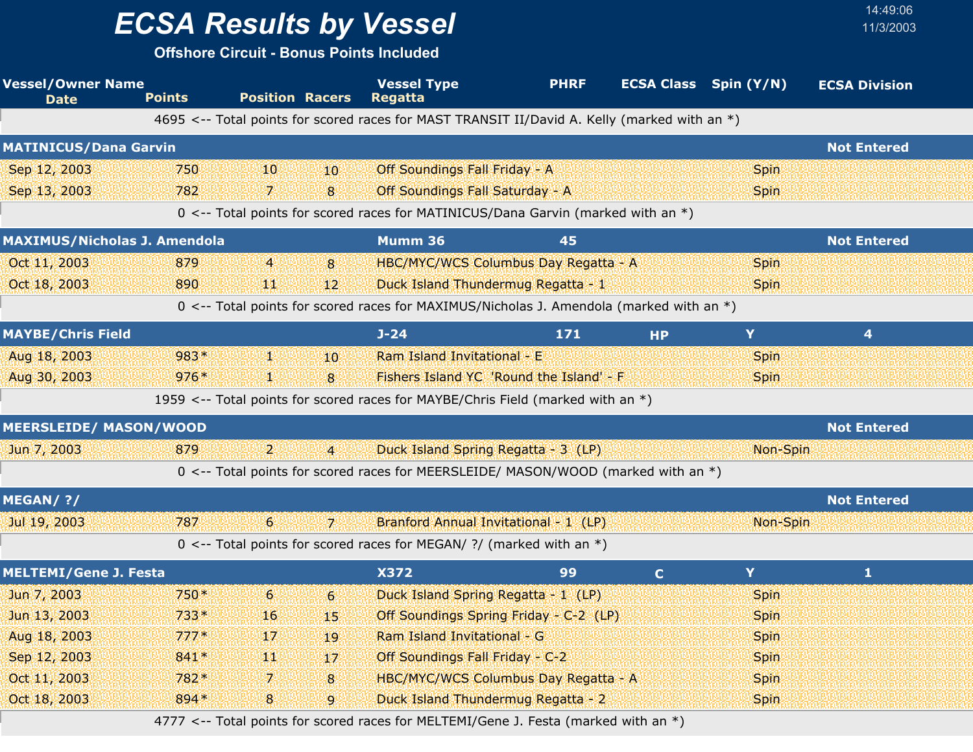**Offshore Circuit - Bonus Points Included**

| <b>Vessel/Owner Name</b><br><b>Date</b> | <b>Points</b> | <b>Position Racers</b> |                  | <b>Vessel Type</b><br><b>Regatta</b>                                                         | <b>PHRF</b> |             | <b>ECSA Class</b> Spin (Y/N) | <b>ECSA Division</b> |  |
|-----------------------------------------|---------------|------------------------|------------------|----------------------------------------------------------------------------------------------|-------------|-------------|------------------------------|----------------------|--|
|                                         |               |                        |                  | 4695 <-- Total points for scored races for MAST TRANSIT II/David A. Kelly (marked with an *) |             |             |                              |                      |  |
| <b>MATINICUS/Dana Garvin</b>            |               |                        |                  |                                                                                              |             |             |                              | <b>Not Entered</b>   |  |
| Sep 12, 2003                            | 750           | '10                    | 10               | Off Soundings Fall Friday - A                                                                |             |             | <b>Spin</b>                  |                      |  |
| Sep 13, 2003                            | 782           | 7.                     | 8                | Off Soundings Fall Saturday - A                                                              |             |             | <b>Spin</b>                  |                      |  |
|                                         |               |                        |                  | 0 <-- Total points for scored races for MATINICUS/Dana Garvin (marked with an *)             |             |             |                              |                      |  |
| <b>MAXIMUS/Nicholas J. Amendola</b>     |               |                        |                  | Mumm 36                                                                                      | 45          |             |                              | <b>Not Entered</b>   |  |
| Oct 11, 2003                            | 879           | $\overline{4}$         | 8                | HBC/MYC/WCS Columbus Day Regatta - A                                                         |             |             | <b>Spin</b>                  |                      |  |
| Oct 18, 2003                            | 890           | ИW                     | 12 <sup>2</sup>  | Duck Island Thundermug Regatta - 1                                                           |             |             | <b>Spin</b>                  |                      |  |
|                                         |               |                        |                  | 0 <-- Total points for scored races for MAXIMUS/Nicholas J. Amendola (marked with an *)      |             |             |                              |                      |  |
| <b>MAYBE/Chris Field</b>                |               |                        |                  | $J - 24$                                                                                     | 171         | <b>HP</b>   | Y                            | 4                    |  |
| Aug 18, 2003                            | 983*          | n e                    | 10               | Ram Island Invitational - E                                                                  |             |             | <b>Spin</b>                  |                      |  |
| Aug 30, 2003                            | $976*$        | 92                     | 8                | Fishers Island YC 'Round the Island' - F                                                     |             |             | <b>Spin</b>                  |                      |  |
|                                         |               |                        |                  | 1959 <-- Total points for scored races for MAYBE/Chris Field (marked with an *)              |             |             |                              |                      |  |
| <b>MEERSLEIDE/ MASON/WOOD</b>           |               |                        |                  |                                                                                              |             |             |                              | <b>Not Entered</b>   |  |
| Jun 7, 2003                             | 879           | 2.                     | $\overline{4}$   | Duck Island Spring Regatta - 3 (LP)                                                          |             |             | Non-Spin                     |                      |  |
|                                         |               |                        |                  | 0 <-- Total points for scored races for MEERSLEIDE/ MASON/WOOD (marked with an *)            |             |             |                              |                      |  |
| MEGAN/ ?/                               |               |                        |                  |                                                                                              |             |             |                              | <b>Not Entered</b>   |  |
| Jul 19, 2003                            | 787           | 6                      | 7                | Branford Annual Invitational - 1 (LP)                                                        |             |             | Non-Spin                     |                      |  |
|                                         |               |                        |                  | 0 <-- Total points for scored races for MEGAN/ ?/ (marked with an $*)$                       |             |             |                              |                      |  |
| <b>MELTEMI/Gene J. Festa</b>            |               |                        |                  | <b>X372</b>                                                                                  | 99          | $\mathbf C$ | Y                            | $\mathbf{1}$         |  |
| Jun 7, 2003                             | 750*          | 6                      | $6 \overline{6}$ | Duck Island Spring Regatta - 1 (LP)                                                          |             |             | <b>Spin</b>                  |                      |  |
| Jun 13, 2003                            | $733*$        | 16                     | 45               | Off Soundings Spring Friday - C-2 (LP)                                                       |             |             | <b>Spin</b>                  |                      |  |
| Aug 18, 2003                            | $777*$        | 17                     | 19               | Ram Island Invitational - G                                                                  |             |             | <b>Spin</b>                  |                      |  |
| Sep 12, 2003                            | 841*          | 90.                    | 17               | Off Soundings Fall Friday - C-2                                                              |             |             | <b>Spin</b>                  |                      |  |
| Oct 11, 2003                            | 782*          | 7.                     | 8                | HBC/MYC/WCS Columbus Day Regatta - A                                                         |             |             | <b>Spin</b>                  |                      |  |
| Oct 18, 2003                            | 894*          | $8\phantom{1}$         | 9                | Duck Island Thundermug Regatta - 2                                                           |             |             | <b>Spin</b>                  |                      |  |
|                                         |               |                        |                  | 4777 <-- Total points for scored races for MELTEMI/Gene J. Festa (marked with an *)          |             |             |                              |                      |  |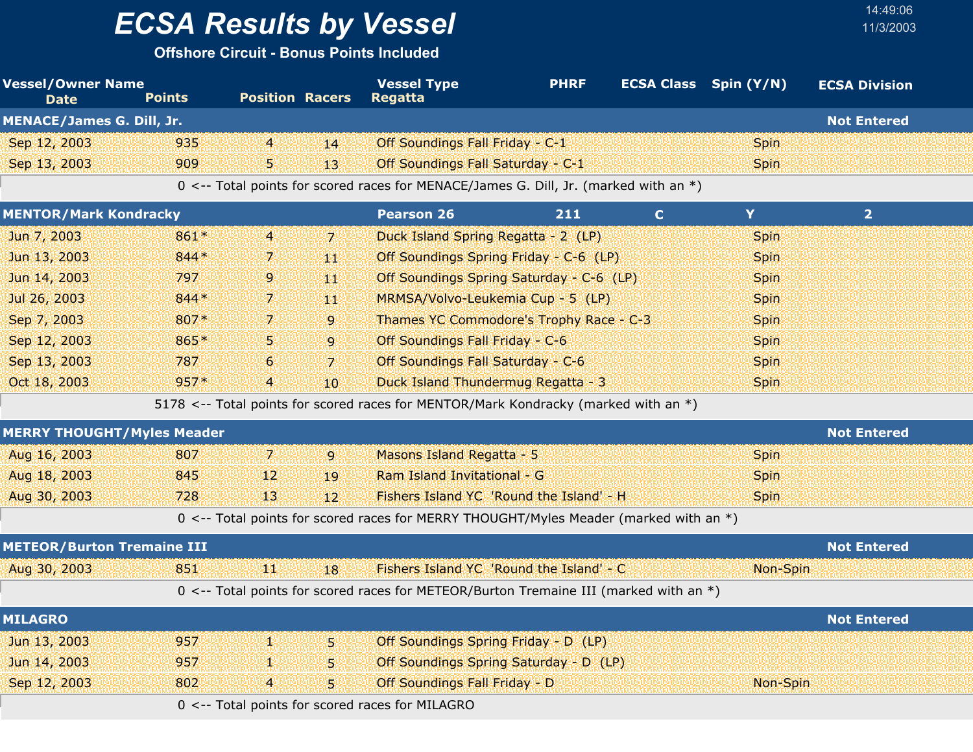**Offshore Circuit - Bonus Points Included**

| <b>Vessel/Owner Name</b><br><b>Date</b> | <b>Points</b> | <b>Position Racers</b> |                  | <b>Vessel Type</b><br><b>Regatta</b>                                                  | <b>PHRF</b> | <b>ECSA Class</b> Spin (Y/N) |             | <b>ECSA Division</b> |
|-----------------------------------------|---------------|------------------------|------------------|---------------------------------------------------------------------------------------|-------------|------------------------------|-------------|----------------------|
| <b>MENACE/James G. Dill, Jr.</b>        |               |                        |                  |                                                                                       |             |                              |             | <b>Not Entered</b>   |
| Sep 12, 2003                            | 935           | $\overline{4}$         | 14               | Off Soundings Fall Friday - C-1                                                       |             |                              | <b>Spin</b> |                      |
| Sep 13, 2003                            | 909           | 5                      | 43 <sup>°</sup>  | Off Soundings Fall Saturday - C-1                                                     |             |                              | <b>Spin</b> |                      |
|                                         |               |                        |                  | 0 <-- Total points for scored races for MENACE/James G. Dill, Jr. (marked with an *)  |             |                              |             |                      |
| <b>MENTOR/Mark Kondracky</b>            |               |                        |                  | <b>Pearson 26</b>                                                                     | 211         | $\mathbf{C}$                 | Y           | 2 <sup>1</sup>       |
| Jun 7, 2003                             | 861*          | $\overline{4}$         | $\overline{z}$   | Duck Island Spring Regatta - 2 (LP)                                                   |             |                              | Spin        |                      |
| Jun 13, 2003                            | 844 *         | 7.                     | 441              | Off Soundings Spring Friday - C-6 (LP)                                                |             |                              | Spin        |                      |
| Jun 14, 2003                            | 797           | 9                      | 44               | Off Soundings Spring Saturday - C-6 (LP)                                              |             |                              | Spin        |                      |
| Jul 26, 2003                            | 844*          | 7.                     | 441              | MRMSA/Volvo-Leukemia Cup - 5 (LP)                                                     |             |                              | <b>Spin</b> |                      |
| Sep 7, 2003                             | 807*          | 7.                     | $\overline{9}$   | Thames YC Commodore's Trophy Race - C-3                                               |             |                              | Spin        |                      |
| Sep 12, 2003                            | 865*          | 5                      | 9                | Off Soundings Fall Friday - C-6                                                       |             |                              | <b>Spin</b> |                      |
| Sep 13, 2003                            | 787           | 6                      | $\overline{7}$   | Off Soundings Fall Saturday - C-6                                                     |             |                              | Spin        |                      |
| Oct 18, 2003                            | $957*$        | $\overline{4}$         | 10 <sup>10</sup> | Duck Island Thundermug Regatta - 3                                                    |             |                              | <b>Spin</b> |                      |
|                                         |               |                        |                  | 5178 <-- Total points for scored races for MENTOR/Mark Kondracky (marked with an *)   |             |                              |             |                      |
| <b>MERRY THOUGHT/Myles Meader</b>       |               |                        |                  |                                                                                       |             |                              |             | <b>Not Entered</b>   |
| Aug 16, 2003                            | 807           | $\mathbf{7}$           | $\overline{9}$   | Masons Island Regatta - 5                                                             |             |                              | Spin        |                      |
| Aug 18, 2003                            | 845           | 12                     | 19               | Ram Island Invitational - G                                                           |             |                              | Spin        |                      |
| Aug 30, 2003                            | 728           | 13 <sup>1</sup>        | 12               | Fishers Island YC 'Round the Island' - H                                              |             |                              | <b>Spin</b> |                      |
|                                         |               |                        |                  | 0 <-- Total points for scored races for MERRY THOUGHT/Myles Meader (marked with an *) |             |                              |             |                      |
| <b>METEOR/Burton Tremaine III</b>       |               |                        |                  |                                                                                       |             |                              |             | <b>Not Entered</b>   |
| Aug 30, 2003                            | 851           | щŅ                     | 18               | Fishers Island YC 'Round the Island' - C                                              |             |                              | Non-Spin    |                      |
|                                         |               |                        |                  | 0 <-- Total points for scored races for METEOR/Burton Tremaine III (marked with an *) |             |                              |             |                      |
| <b>MILAGRO</b>                          |               |                        |                  |                                                                                       |             |                              |             | <b>Not Entered</b>   |
| Jun 13, 2003                            | 957           | V.                     | 5.               | Off Soundings Spring Friday - D (LP)                                                  |             |                              |             |                      |
| Jun 14, 2003                            | 957           | 43                     | 5                | Off Soundings Spring Saturday - D (LP)                                                |             |                              |             |                      |
| Sep 12, 2003                            | 802           | 4                      | $\overline{5}$   | <b>Off Soundings Fall Friday - D</b>                                                  |             |                              | Non-Spin    |                      |
|                                         |               |                        |                  | 0 <-- Total points for scored races for MILAGRO                                       |             |                              |             |                      |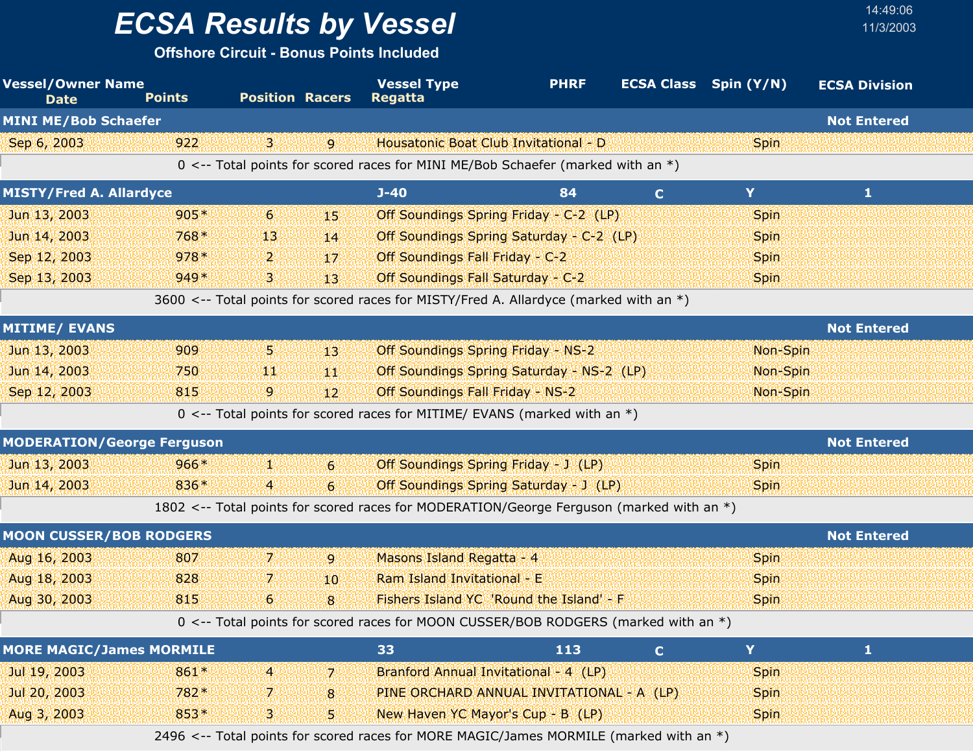**Offshore Circuit - Bonus Points Included**

| <b>Vessel/Owner Name</b><br><b>Date</b> | <b>Points</b> | <b>Position Racers</b> |                  | <b>Vessel Type</b><br><b>Regatta</b>                                                     | <b>PHRF</b> | <b>ECSA Class</b> Spin (Y/N) |             | <b>ECSA Division</b> |  |
|-----------------------------------------|---------------|------------------------|------------------|------------------------------------------------------------------------------------------|-------------|------------------------------|-------------|----------------------|--|
| <b>MINI ME/Bob Schaefer</b>             |               |                        |                  |                                                                                          |             |                              |             | <b>Not Entered</b>   |  |
| Sep 6, 2003                             | 922           | 3.                     | 9                | Housatonic Boat Club Invitational - D                                                    |             |                              | <b>Spin</b> |                      |  |
|                                         |               |                        |                  | 0 <-- Total points for scored races for MINI ME/Bob Schaefer (marked with an $*)$        |             |                              |             |                      |  |
| <b>MISTY/Fred A. Allardyce</b>          |               |                        |                  | $J - 40$                                                                                 | 84          | $\mathbf{C}$                 | Y           | 1                    |  |
| Jun 13, 2003                            | $905*$        | $6\phantom{.}6$        | 45.              | Off Soundings Spring Friday - C-2 (LP)                                                   |             |                              | <b>Spin</b> |                      |  |
| Jun 14, 2003                            | 768*          | 13                     | 14               | Off Soundings Spring Saturday - C-2 (LP)                                                 |             |                              | Spin        |                      |  |
| Sep 12, 2003                            | $978*$        | 2.                     | 17               | Off Soundings Fall Friday - C-2                                                          |             |                              | <b>Spin</b> |                      |  |
| Sep 13, 2003                            | $949*$        | 3.                     | 13               | Off Soundings Fall Saturday - C-2                                                        |             |                              | <b>Spin</b> |                      |  |
|                                         |               |                        |                  | 3600 <-- Total points for scored races for MISTY/Fred A. Allardyce (marked with an *)    |             |                              |             |                      |  |
| <b>MITIME/ EVANS</b>                    |               |                        |                  |                                                                                          |             |                              |             | <b>Not Entered</b>   |  |
| Jun 13, 2003                            | 909           | 5.                     | 43.              | <b>Off Soundings Spring Friday - NS-2</b>                                                |             |                              | Non-Spin    |                      |  |
| Jun 14, 2003                            | 750           | 聊                      | 44               | Off Soundings Spring Saturday - NS-2 (LP)                                                |             |                              | Non-Spin    |                      |  |
| Sep 12, 2003                            | 815           | 9.                     | 12 <sup>°</sup>  | Off Soundings Fall Friday - NS-2                                                         |             |                              | Non-Spin    |                      |  |
|                                         |               |                        |                  | 0 <-- Total points for scored races for MITIME/ EVANS (marked with an $*)$               |             |                              |             |                      |  |
| <b>MODERATION/George Ferguson</b>       |               |                        |                  |                                                                                          |             |                              |             | <b>Not Entered</b>   |  |
| Jun 13, 2003                            | $966*$        | Ж,                     | $6 \,$           | Off Soundings Spring Friday - J (LP)                                                     |             |                              | Spin        |                      |  |
| Jun 14, 2003                            | 836*          | $\overline{4}$         | $6 \overline{6}$ | Off Soundings Spring Saturday - J (LP)                                                   |             |                              | <b>Spin</b> |                      |  |
|                                         |               |                        |                  | 1802 <-- Total points for scored races for MODERATION/George Ferguson (marked with an *) |             |                              |             |                      |  |
| <b>MOON CUSSER/BOB RODGERS</b>          |               |                        |                  |                                                                                          |             |                              |             | <b>Not Entered</b>   |  |
| Aug 16, 2003                            | 807           | 7.                     | $\overline{9}$   | Masons Island Regatta - 4                                                                |             |                              | Spin        |                      |  |
| Aug 18, 2003                            | 828           | 7.                     | 10 <sup>°</sup>  | Ram Island Invitational - E                                                              |             |                              | Spin        |                      |  |
| Aug 30, 2003                            | 815           | 6                      | 8                | Fishers Island YC 'Round the Island' - F                                                 |             |                              | <b>Spin</b> |                      |  |
|                                         |               |                        |                  | 0 <-- Total points for scored races for MOON CUSSER/BOB RODGERS (marked with an *)       |             |                              |             |                      |  |
| <b>MORE MAGIC/James MORMILE</b>         |               |                        |                  | 33                                                                                       | 113         | C.                           | Y           | $\mathbf{1}$         |  |
| Jul 19, 2003                            | 861*          | $\overline{a}$         | 7                | Branford Annual Invitational - 4 (LP)                                                    |             |                              | <b>Spin</b> |                      |  |
| Jul 20, 2003                            | 782*          | 7.                     | 8                | PINE ORCHARD ANNUAL INVITATIONAL - A (LP)                                                |             |                              | Spin        |                      |  |
| Aug 3, 2003                             | 853*          | 3.                     | 5.               | New Haven YC Mayor's Cup - B (LP)                                                        |             |                              | <b>Spin</b> |                      |  |
|                                         |               |                        |                  | 2496 <-- Total points for scored races for MORE MAGIC/James MORMILE (marked with an *)   |             |                              |             |                      |  |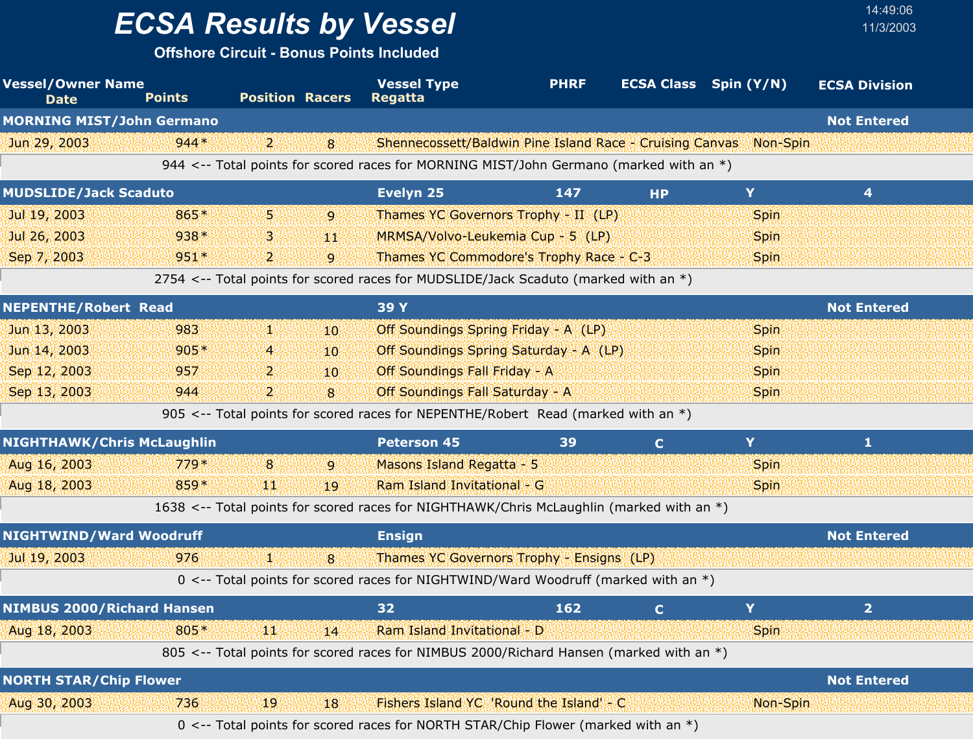**Offshore Circuit - Bonus Points Included**

| <b>Vessel/Owner Name</b><br><b>Date</b> | <b>Points</b> | <b>Position Racers</b> |    | <b>Vessel Type</b><br><b>Regatta</b>                                                              | <b>PHRF</b> | <b>ECSA Class</b> Spin (Y/N) |             | <b>ECSA Division</b> |
|-----------------------------------------|---------------|------------------------|----|---------------------------------------------------------------------------------------------------|-------------|------------------------------|-------------|----------------------|
| <b>MORNING MIST/John Germano</b>        |               |                        |    |                                                                                                   |             |                              |             | <b>Not Entered</b>   |
| Jun 29, 2003                            | $944*$        | י 2                    | 8  | Shennecossett/Baldwin Pine Island Race - Cruising Canvas                                          |             |                              | Non-Spin    |                      |
|                                         |               |                        |    | 944 $\lt$ -- Total points for scored races for MORNING MIST/John Germano (marked with an $\ast$ ) |             |                              |             |                      |
| <b>MUDSLIDE/Jack Scaduto</b>            |               |                        |    | Evelyn 25                                                                                         | 147         | <b>HP</b>                    | Y           | 4                    |
| Jul 19, 2003                            | 865*          | 5.                     | 9  | Thames YC Governors Trophy - II (LP)                                                              |             |                              | <b>Spin</b> |                      |
| Jul 26, 2003                            | $938*$        | З.                     | YЩ | MRMSA/Volvo-Leukemia Cup - 5 (LP)                                                                 |             |                              | <b>Spin</b> |                      |
| Sep 7, 2003                             | $951*$        | $\overline{2}$         | 9  | Thames YC Commodore's Trophy Race - C-3                                                           |             |                              | <b>Spin</b> |                      |
|                                         |               |                        |    | 2754 <-- Total points for scored races for MUDSLIDE/Jack Scaduto (marked with an *)               |             |                              |             |                      |
| <b>NEPENTHE/Robert Read</b>             |               |                        |    | 39 Y                                                                                              |             |                              |             | <b>Not Entered</b>   |
| Jun 13, 2003                            | 983           | 52                     | 10 | Off Soundings Spring Friday - A (LP)                                                              |             |                              | Spin        |                      |
| Jun 14, 2003                            | $905*$        | 4                      | 10 | Off Soundings Spring Saturday - A (LP)                                                            |             |                              | <b>Spin</b> |                      |
| Sep 12, 2003                            | 957           | 2.                     | 10 | Off Soundings Fall Friday - A                                                                     |             |                              | <b>Spin</b> |                      |
| Sep 13, 2003                            | 944           | 2.                     | 8  | <b>Off Soundings Fall Saturday - A</b>                                                            |             |                              | <b>Spin</b> |                      |
|                                         |               |                        |    | 905 <-- Total points for scored races for NEPENTHE/Robert Read (marked with an *)                 |             |                              |             |                      |
| <b>NIGHTHAWK/Chris McLaughlin</b>       |               |                        |    | <b>Peterson 45</b>                                                                                | 39          | $\mathbf{C}$                 | Y           | 1                    |
| Aug 16, 2003                            | $779*$        | 8                      | 9  | Masons Island Regatta - 5                                                                         |             |                              | <b>Spin</b> |                      |
| Aug 18, 2003                            | 859*          | ЧW                     | 19 | Ram Island Invitational - G                                                                       |             |                              | <b>Spin</b> |                      |
|                                         |               |                        |    | 1638 <-- Total points for scored races for NIGHTHAWK/Chris McLaughlin (marked with an *)          |             |                              |             |                      |
| NIGHTWIND/Ward Woodruff                 |               |                        |    | <b>Ensign</b>                                                                                     |             |                              |             | <b>Not Entered</b>   |
| Jul 19, 2003                            | 976           | И.                     | 8  | Thames YC Governors Trophy - Ensigns (LP)                                                         |             |                              |             |                      |
|                                         |               |                        |    | 0 <-- Total points for scored races for NIGHTWIND/Ward Woodruff (marked with an *)                |             |                              |             |                      |
| <b>NIMBUS 2000/Richard Hansen</b>       |               |                        |    | 32                                                                                                | 162         | $\mathbf C$                  | Y           | 2 <sup>1</sup>       |
| Aug 18, 2003                            | 805*          | 90)                    | 14 | Ram Island Invitational - D                                                                       |             |                              | <b>Spin</b> |                      |
|                                         |               |                        |    | 805 <-- Total points for scored races for NIMBUS 2000/Richard Hansen (marked with an *)           |             |                              |             |                      |
| <b>NORTH STAR/Chip Flower</b>           |               |                        |    |                                                                                                   |             |                              |             | <b>Not Entered</b>   |
| Aug 30, 2003                            | 736           | 19                     | 18 | Fishers Island YC 'Round the Island' - C                                                          |             |                              | Non-Spin    |                      |
|                                         |               |                        |    | 0 <-- Total points for scored races for NORTH STAR/Chip Flower (marked with an *)                 |             |                              |             |                      |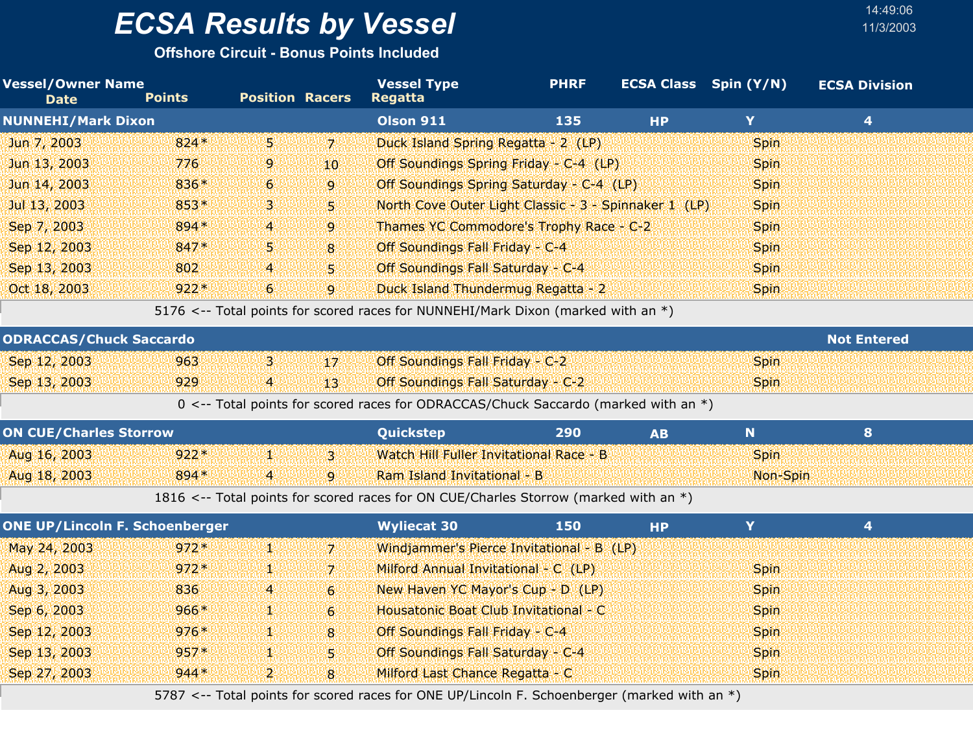**Offshore Circuit - Bonus Points Included**

| <b>Vessel/Owner Name</b>       |               |                        |    | <b>Vessel Type</b>                                                                 | <b>PHRF</b> |           | <b>ECSA Class Spin (Y/N)</b> | <b>ECSA Division</b> |  |
|--------------------------------|---------------|------------------------|----|------------------------------------------------------------------------------------|-------------|-----------|------------------------------|----------------------|--|
| <b>Date</b>                    | <b>Points</b> | <b>Position Racers</b> |    | <b>Regatta</b>                                                                     |             |           |                              |                      |  |
| <b>NUNNEHI/Mark Dixon</b>      |               |                        |    | <b>Olson 911</b>                                                                   | 135         | <b>HP</b> | Y                            | 4                    |  |
| Jun 7, 2003                    | $824*$        | 51                     | 71 | Duck Island Spring Regatta - 2 (LP)                                                |             |           | <b>Spin</b>                  |                      |  |
| Jun 13, 2003                   | 776           | 9                      | 10 | Off Soundings Spring Friday - C-4 (LP)                                             |             |           | <b>Spin</b>                  |                      |  |
| Jun 14, 2003                   | 836*          | $6^{\circ}$            | 9  | Off Soundings Spring Saturday - C-4 (LP)                                           |             |           | <b>Spin</b>                  |                      |  |
| Jul 13, 2003                   | 853*          | 3.                     | 51 | North Cove Outer Light Classic - 3 - Spinnaker 1 (LP)                              |             |           | <b>Spin</b>                  |                      |  |
| Sep 7, 2003                    | 894 *         | $\overline{4}$         | 9  | Thames YC Commodore's Trophy Race - C-2                                            |             |           | <b>Spin</b>                  |                      |  |
| Sep 12, 2003                   | 847*          | 5.                     | 8  | Off Soundings Fall Friday - C-4                                                    |             |           | <b>Spin</b>                  |                      |  |
| Sep 13, 2003                   | 802           | $\overline{4}$         | 51 | Off Soundings Fall Saturday - C-4                                                  |             |           | <b>Spin</b>                  |                      |  |
| Oct 18, 2003                   | $922*$        | $6^{\circ}$            | 9  | Duck Island Thundermug Regatta - 2                                                 |             |           | <b>Spin</b>                  |                      |  |
|                                |               |                        |    | 5176 <-- Total points for scored races for NUNNEHI/Mark Dixon (marked with an $*)$ |             |           |                              |                      |  |
| <b>ODRACCAS/Chuck Saccardo</b> |               |                        |    |                                                                                    |             |           |                              | <b>Not Entered</b>   |  |
| Sep 12, 2003                   | 963           | з.                     | 17 | Off Soundings Fall Friday - C-2                                                    |             |           | <b>Spin</b>                  |                      |  |
| Sep 13, 2003                   | 929           | 4                      | 13 | Off Soundings Fall Saturday - C-2                                                  |             |           | <b>Spin</b>                  |                      |  |

0 <-- Total points for scored races for ODRACCAS/Chuck Saccardo (marked with an \*)

| <b>ON CUE/Charles Storrow</b> |        |   | <b>Quickstep</b>                        | 290 |             |  |
|-------------------------------|--------|---|-----------------------------------------|-----|-------------|--|
| Aug 16, 2003                  | $922*$ |   | Watch Hill Fuller Invitational Race - B |     | <b>Spin</b> |  |
| Aug 18, 2003                  | 894 *  | 4 | Ram Island Invitational - B             |     | Non-Spin    |  |

1816 <-- Total points for scored races for ON CUE/Charles Storrow (marked with an \*)

| <b>ONE UP/Lincoln F. Schoenberger</b> |        |                |             | <b>Wyliecat 30</b>                        | 150 | <b>HP</b> |             | 4 |  |
|---------------------------------------|--------|----------------|-------------|-------------------------------------------|-----|-----------|-------------|---|--|
| May 24, 2003                          | $972*$ | AU             | 7.          | Windjammer's Pierce Invitational - B (LP) |     |           |             |   |  |
| Aug 2, 2003                           | $972*$ | AN.            | 71          | Milford Annual Invitational - C (LP)      |     |           | <b>Spin</b> |   |  |
| Aug 3, 2003                           | 836    | $\overline{4}$ | $6^{\circ}$ | New Haven YC Mayor's Cup - D (LP)         |     |           | <b>Spin</b> |   |  |
| Sep 6, 2003                           | $966*$ | ЧM             | 6           | Housatonic Boat Club Invitational - C     |     |           | <b>Spin</b> |   |  |
| Sep 12, 2003                          | $976*$ | 對對             | 8           | Off Soundings Fall Friday - C-4           |     |           | <b>Spin</b> |   |  |
| Sep 13, 2003                          | $957*$ | 92             | S.          | Off Soundings Fall Saturday - C-4         |     |           | <b>Spin</b> |   |  |
| Sep 27, 2003                          | $944*$ | ו כי           | 8           | Milford Last Chance Regatta - C           |     |           | <b>Spin</b> |   |  |

5787 <-- Total points for scored races for ONE UP/Lincoln F. Schoenberger (marked with an \*)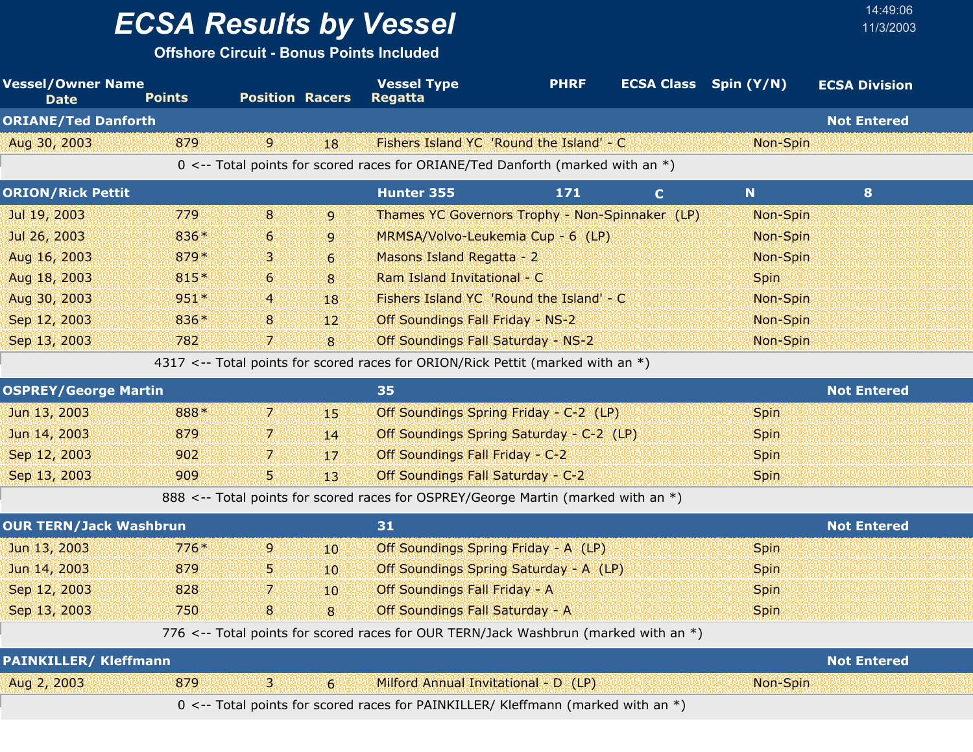**Offshore Circuit - Bonus Points Included**

| <b>Vessel/Owner Name</b><br><b>Date</b> | <b>Points</b> | <b>Position Racers</b> |                  | <b>Vessel Type</b><br><b>Regatta</b>                                                | <b>PHRF</b> | <b>ECSA Class</b> Spin (Y/N) |             | <b>ECSA Division</b> |
|-----------------------------------------|---------------|------------------------|------------------|-------------------------------------------------------------------------------------|-------------|------------------------------|-------------|----------------------|
| <b>ORIANE/Ted Danforth</b>              |               |                        |                  |                                                                                     |             |                              |             | <b>Not Entered</b>   |
| Aug 30, 2003                            | 879           | $\overline{9}$         | 18               | Fishers Island YC 'Round the Island' - C                                            |             |                              | Non-Spin    |                      |
|                                         |               |                        |                  | 0 <-- Total points for scored races for ORIANE/Ted Danforth (marked with an *)      |             |                              |             |                      |
| <b>ORION/Rick Pettit</b>                |               |                        |                  | Hunter 355                                                                          | 171         | $\mathbf{C}$                 | N           | 8                    |
| Jul 19, 2003                            | 779           | 8                      | $\overline{9}$   | Thames YC Governors Trophy - Non-Spinnaker (LP)                                     |             |                              | Non-Spin    |                      |
| Jul 26, 2003                            | 836*          | 6                      | 9                | MRMSA/Volvo-Leukemia Cup - 6 (LP)                                                   |             |                              | Non-Spin    |                      |
| Aug 16, 2003                            | 879*          | з                      | $\overline{6}$   | Masons Island Regatta - 2                                                           |             |                              | Non-Spin    |                      |
| Aug 18, 2003                            | 815*          | 6                      | 8                | Ram Island Invitational - C                                                         |             |                              | <b>Spin</b> |                      |
| Aug 30, 2003                            | 951*          | $\overline{a}$         | 18               | Fishers Island YC 'Round the Island' - C                                            |             |                              | Non-Spin    |                      |
| Sep 12, 2003                            | 836*          | 8                      | 12               | <b>Off Soundings Fall Friday - NS-2</b>                                             |             |                              | Non-Spin    |                      |
| Sep 13, 2003                            | 782           | 7.                     | 8                | Off Soundings Fall Saturday - NS-2                                                  |             |                              | Non-Spin    |                      |
|                                         |               |                        |                  | 4317 <-- Total points for scored races for ORION/Rick Pettit (marked with an *)     |             |                              |             |                      |
| <b>OSPREY/George Martin</b>             |               |                        |                  | 35                                                                                  |             |                              |             | <b>Not Entered</b>   |
| Jun 13, 2003                            | 888*          | 7.                     | 45.              | Off Soundings Spring Friday - C-2 (LP)                                              |             |                              | <b>Spin</b> |                      |
| Jun 14, 2003                            | 879           | 7.                     | 14               | Off Soundings Spring Saturday - C-2 (LP)                                            |             |                              | <b>Spin</b> |                      |
| Sep 12, 2003                            | 902           | 7.                     | 17               | Off Soundings Fall Friday - C-2                                                     |             |                              | <b>Spin</b> |                      |
| Sep 13, 2003                            | 909           | 5                      | 13               | Off Soundings Fall Saturday - C-2                                                   |             |                              | <b>Spin</b> |                      |
|                                         |               |                        |                  | 888 <-- Total points for scored races for OSPREY/George Martin (marked with an *)   |             |                              |             |                      |
| <b>OUR TERN/Jack Washbrun</b>           |               |                        |                  | 31                                                                                  |             |                              |             | <b>Not Entered</b>   |
| Jun 13, 2003                            | $776*$        | 9                      | 10 <sup>°</sup>  | Off Soundings Spring Friday - A (LP)                                                |             |                              | <b>Spin</b> |                      |
| Jun 14, 2003                            | 879           | 5.                     | 10 <sup>10</sup> | Off Soundings Spring Saturday - A (LP)                                              |             |                              | <b>Spin</b> |                      |
| Sep 12, 2003                            | 828           | 7.                     | 10               | Off Soundings Fall Friday - A                                                       |             |                              | <b>Spin</b> |                      |
| Sep 13, 2003                            | 750           | 8                      | 8                | Off Soundings Fall Saturday - A                                                     |             |                              | <b>Spin</b> |                      |
|                                         |               |                        |                  | 776 <-- Total points for scored races for OUR TERN/Jack Washbrun (marked with an *) |             |                              |             |                      |
| <b>PAINKILLER/ Kleffmann</b>            |               |                        |                  |                                                                                     |             |                              |             | <b>Not Entered</b>   |
| Aug 2, 2003                             | 879           | 3.                     | 6                | Milford Annual Invitational - D (LP)                                                |             |                              | Non-Spin    |                      |
|                                         |               |                        |                  | 0 <-- Total points for scored races for PAINKILLER/ Kleffmann (marked with an *)    |             |                              |             |                      |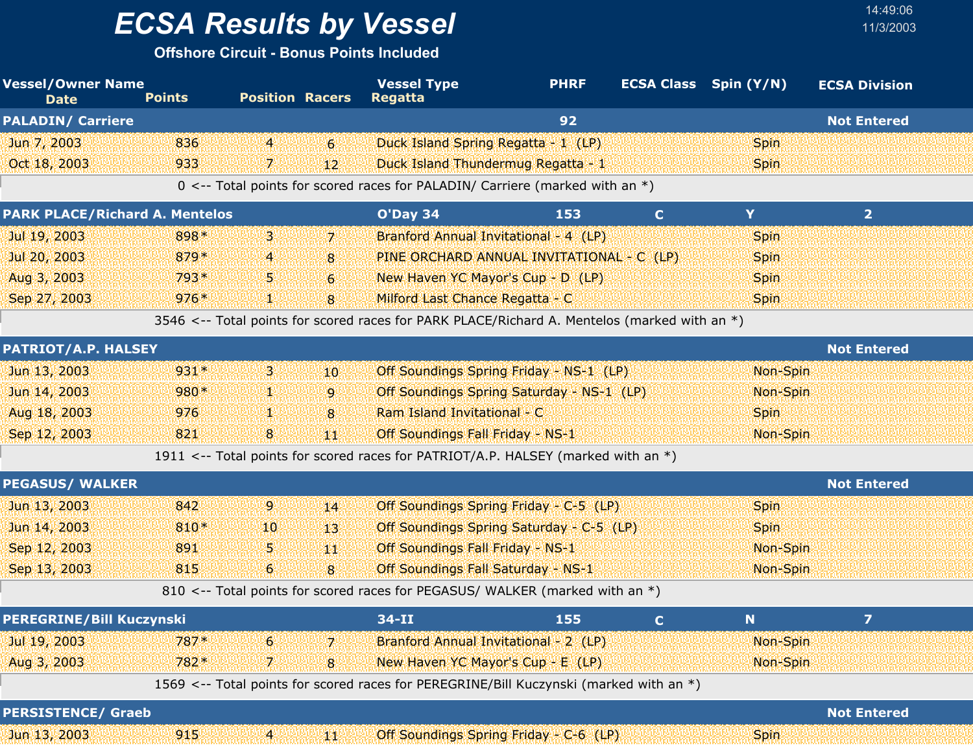**Offshore Circuit - Bonus Points Included**

| <b>Vessel/Owner Name</b><br><b>Date</b> | <b>Points</b> | <b>Position Racers</b> |                  | <b>Vessel Type</b><br><b>Regatta</b>                                                         | <b>PHRF</b> |              | <b>ECSA Class</b> Spin (Y/N) | <b>ECSA Division</b> |  |
|-----------------------------------------|---------------|------------------------|------------------|----------------------------------------------------------------------------------------------|-------------|--------------|------------------------------|----------------------|--|
| <b>PALADIN/ Carriere</b>                |               |                        |                  |                                                                                              | 92          |              |                              | <b>Not Entered</b>   |  |
| Jun 7, 2003                             | 836           | $\overline{4}$         | $6 \overline{6}$ | Duck Island Spring Regatta - 1 (LP)                                                          |             |              | <b>Spin</b>                  |                      |  |
| Oct 18, 2003                            | 933           | 7                      | 12 <sup>°</sup>  | Duck Island Thundermug Regatta - 1                                                           |             |              | <b>Spin</b>                  |                      |  |
|                                         |               |                        |                  | 0 <-- Total points for scored races for PALADIN/ Carriere (marked with an $*)$               |             |              |                              |                      |  |
| <b>PARK PLACE/Richard A. Mentelos</b>   |               |                        |                  | O'Day 34                                                                                     | 153         | $\mathbf{C}$ | Y                            | 2 <sup>1</sup>       |  |
| Jul 19, 2003                            | 898*          | З.                     | $\mathbf{Z}$     | Branford Annual Invitational - 4 (LP)                                                        |             |              | <b>Spin</b>                  |                      |  |
| Jul 20, 2003                            | 879*          | 4                      | 8                | PINE ORCHARD ANNUAL INVITATIONAL - C (LP)                                                    |             |              | <b>Spin</b>                  |                      |  |
| Aug 3, 2003                             | 793*          | ъ                      | 6                | New Haven YC Mayor's Cup - D (LP)                                                            |             |              | <b>Spin</b>                  |                      |  |
| Sep 27, 2003                            | $976*$        | ¥                      | 8                | Milford Last Chance Regatta - C                                                              |             |              | <b>Spin</b>                  |                      |  |
|                                         |               |                        |                  | 3546 <-- Total points for scored races for PARK PLACE/Richard A. Mentelos (marked with an *) |             |              |                              |                      |  |
| <b>PATRIOT/A.P. HALSEY</b>              |               |                        |                  |                                                                                              |             |              |                              | <b>Not Entered</b>   |  |
| Jun 13, 2003                            | 931*          | B.                     | 10               | Off Soundings Spring Friday - NS-1 (LP)                                                      |             |              | Non-Spin                     |                      |  |
| Jun 14, 2003                            | 980*          | 92                     | 9                | Off Soundings Spring Saturday - NS-1 (LP)                                                    |             |              | Non-Spin                     |                      |  |
| Aug 18, 2003                            | 976           | 92                     | 8                | Ram Island Invitational - C                                                                  |             |              | <b>Spin</b>                  |                      |  |
| Sep 12, 2003                            | 821           | 8                      | 鄉                | Off Soundings Fall Friday - NS-1                                                             |             |              | Non-Spin                     |                      |  |
|                                         |               |                        |                  | 1911 <-- Total points for scored races for PATRIOT/A.P. HALSEY (marked with an *)            |             |              |                              |                      |  |
| <b>PEGASUS/ WALKER</b>                  |               |                        |                  |                                                                                              |             |              |                              | <b>Not Entered</b>   |  |
| Jun 13, 2003                            | 842           | $\mathbf{9}$           | 14               | Off Soundings Spring Friday - C-5 (LP)                                                       |             |              | <b>Spin</b>                  |                      |  |
| Jun 14, 2003                            | 810*          | 10                     | 13 <sup>1</sup>  | Off Soundings Spring Saturday - C-5 (LP)                                                     |             |              | <b>Spin</b>                  |                      |  |
| Sep 12, 2003                            | 891           | 5.                     | 44               | Off Soundings Fall Friday - NS-1                                                             |             |              | Non-Spin                     |                      |  |
| Sep 13, 2003                            | 815           | $6\phantom{.}6$        | 8                | Off Soundings Fall Saturday - NS-1                                                           |             |              | Non-Spin                     |                      |  |
|                                         |               |                        |                  | 810 <-- Total points for scored races for PEGASUS/ WALKER (marked with an *)                 |             |              |                              |                      |  |
| <b>PEREGRINE/Bill Kuczynski</b>         |               |                        |                  | $34 - II$                                                                                    | 155         | C.           | N                            | 7                    |  |
| Jul 19, 2003                            | 787*          | 6                      | 7.               | Branford Annual Invitational - 2 (LP)                                                        |             |              | Non-Spin                     |                      |  |
| Aug 3, 2003                             | 782*          | 7.                     | 8                | New Haven YC Mayor's Cup - E (LP)                                                            |             |              | Non-Spin                     |                      |  |
|                                         |               |                        |                  | 1569 <-- Total points for scored races for PEREGRINE/Bill Kuczynski (marked with an *)       |             |              |                              |                      |  |
| <b>PERSISTENCE/ Graeb</b>               |               |                        |                  |                                                                                              |             |              |                              | <b>Not Entered</b>   |  |
| Jun 13, 2003                            | 915           | $\mathbf{A}$           | 郷                | Off Soundings Spring Friday - C-6 (LP)                                                       |             |              | <b>Spin</b>                  |                      |  |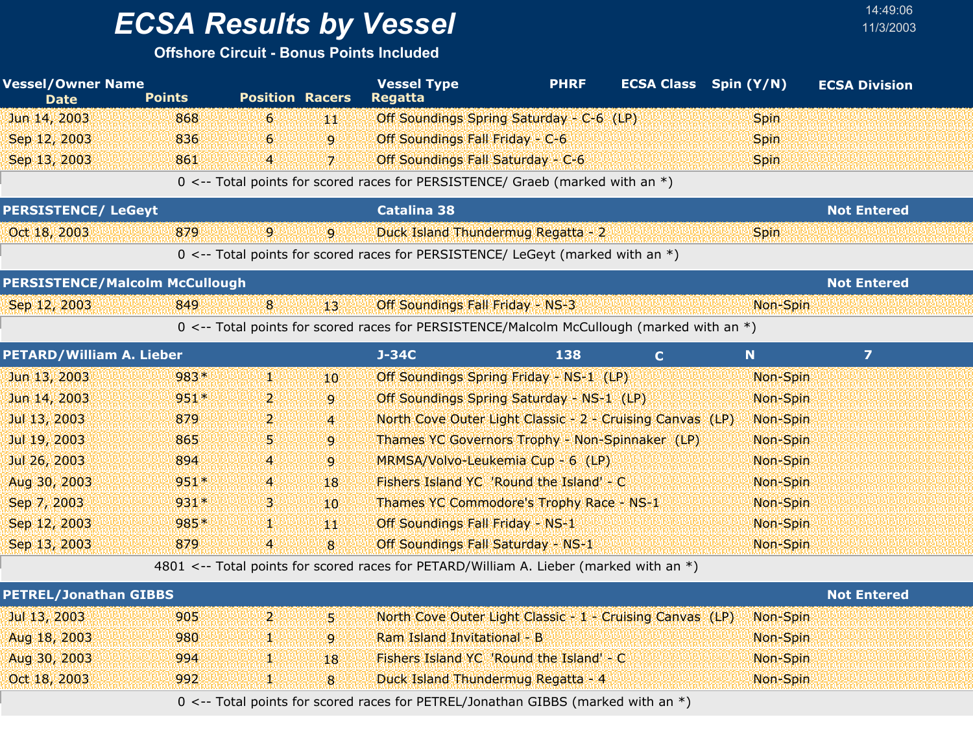## *ECSA Results by Vessel* 11/3/2003

#### **Offshore Circuit - Bonus Points Included**

| <b>Vessel/Owner Name</b><br><b>Date</b> | <b>Points</b> | <b>Position Racers</b> |                | <b>Vessel Type</b><br><b>Regatta</b>                                                      | <b>PHRF</b> | <b>ECSA Class</b> Spin (Y/N) |             | <b>ECSA Division</b> |  |
|-----------------------------------------|---------------|------------------------|----------------|-------------------------------------------------------------------------------------------|-------------|------------------------------|-------------|----------------------|--|
| Jun 14, 2003                            | 868           | 6                      | 罪犯             | Off Soundings Spring Saturday - C-6 (LP)                                                  |             |                              | <b>Spin</b> |                      |  |
| Sep 12, 2003                            | 836           | 6                      | $\mathbf{9}$   | Off Soundings Fall Friday - C-6                                                           |             |                              | Spin        |                      |  |
| Sep 13, 2003                            | 861           | 4                      | 71             | Off Soundings Fall Saturday - C-6                                                         |             |                              | <b>Spin</b> |                      |  |
|                                         |               |                        |                | 0 <-- Total points for scored races for PERSISTENCE/ Graeb (marked with an *)             |             |                              |             |                      |  |
| <b>PERSISTENCE/ LeGeyt</b>              |               |                        |                | <b>Catalina 38</b>                                                                        |             |                              |             | <b>Not Entered</b>   |  |
| Oct 18, 2003                            | 879           | $\overline{9}$         | 9              | Duck Island Thundermug Regatta - 2                                                        |             |                              | <b>Spin</b> |                      |  |
|                                         |               |                        |                | 0 <-- Total points for scored races for PERSISTENCE/ LeGeyt (marked with an *)            |             |                              |             |                      |  |
| <b>PERSISTENCE/Malcolm McCullough</b>   |               |                        |                |                                                                                           |             |                              |             | <b>Not Entered</b>   |  |
| Sep 12, 2003                            | 849           | 8 <sup>1</sup>         | $13^{\circ}$   | Off Soundings Fall Friday - NS-3                                                          |             |                              | Non-Spin    |                      |  |
|                                         |               |                        |                | 0 <-- Total points for scored races for PERSISTENCE/Malcolm McCullough (marked with an *) |             |                              |             |                      |  |
| <b>PETARD/William A. Lieber</b>         |               |                        |                | $J-34C$                                                                                   | 138         | $\mathbf{C}$                 | N           | $\overline{z}$       |  |
| Jun 13, 2003                            | 983*          | W.                     | 10             | Off Soundings Spring Friday - NS-1 (LP)                                                   |             |                              | Non-Spin    |                      |  |
| Jun 14, 2003                            | 951*          | 2.                     | 9              | Off Soundings Spring Saturday - NS-1 (LP)                                                 |             |                              | Non-Spin    |                      |  |
| Jul 13, 2003                            | 879           | 2.                     | $\overline{4}$ | North Cove Outer Light Classic - 2 - Cruising Canvas (LP)                                 |             |                              | Non-Spin    |                      |  |
| Jul 19, 2003                            | 865           | 5.                     | $\overline{9}$ | Thames YC Governors Trophy - Non-Spinnaker (LP)                                           |             |                              | Non-Spin    |                      |  |
| Jul 26, 2003                            | 894           | 4                      | 9              | MRMSA/Volvo-Leukemia Cup - 6 (LP)                                                         |             |                              | Non-Spin    |                      |  |
| Aug 30, 2003                            | $951*$        | 4                      | 18             | Fishers Island YC 'Round the Island' - C                                                  |             |                              | Non-Spin    |                      |  |
| Sep 7, 2003                             | $931*$        | З.                     | 10             | Thames YC Commodore's Trophy Race - NS-1                                                  |             |                              | Non-Spin    |                      |  |
| Sep 12, 2003                            | 985*          | V.                     | YЩ             | Off Soundings Fall Friday - NS-1                                                          |             |                              | Non-Spin    |                      |  |
| Sep 13, 2003                            | 879           | $\overline{4}$         | 8              | Off Soundings Fall Saturday - NS-1                                                        |             |                              | Non-Spin    |                      |  |
|                                         |               |                        |                | 4801 <-- Total points for scored races for PETARD/William A. Lieber (marked with an *)    |             |                              |             |                      |  |
| <b>PETREL/Jonathan GIBBS</b>            |               |                        |                |                                                                                           |             |                              |             | <b>Not Entered</b>   |  |
| Jul 13, 2003                            | 905           | $\overline{2}$         | 51             | North Cove Outer Light Classic - 1 - Cruising Canvas (LP)                                 |             |                              | Non-Spin    |                      |  |
| Aug 18, 2003                            | 980           | y.                     | 9              | Ram Island Invitational - B                                                               |             |                              | Non-Spin    |                      |  |
| Aug 30, 2003                            | 994           | ¥.                     | 18             | Fishers Island YC 'Round the Island' - C                                                  |             |                              | Non-Spin    |                      |  |
| Oct 18, 2003                            | 992           | V.                     | 8              | Duck Island Thundermug Regatta - 4                                                        |             |                              | Non-Spin    |                      |  |

0 <-- Total points for scored races for PETREL/Jonathan GIBBS (marked with an \*)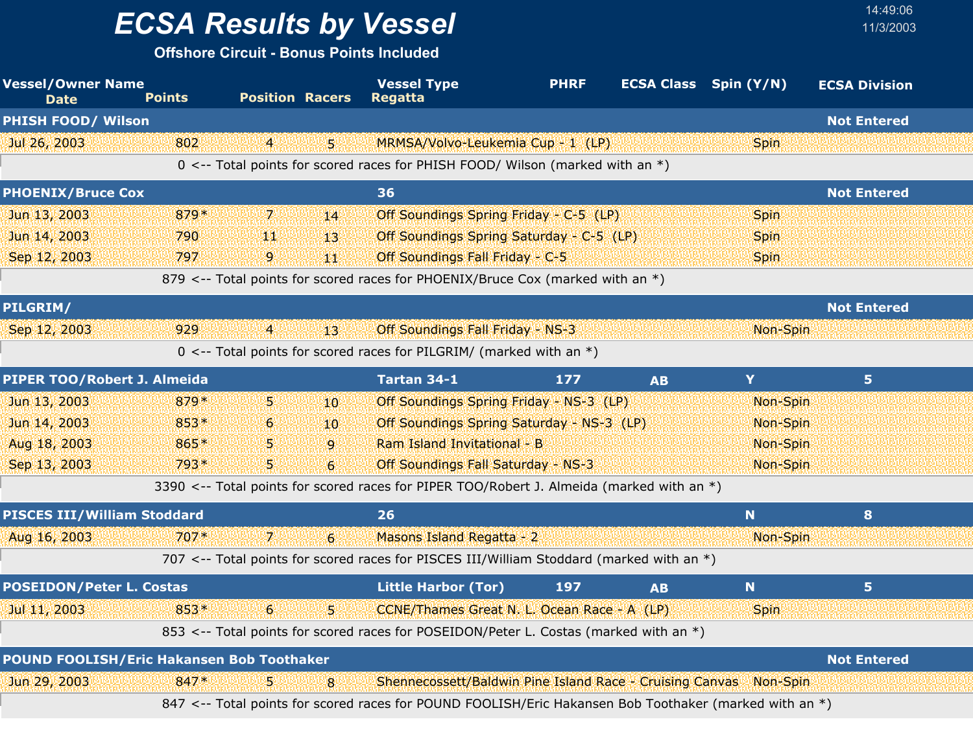**Offshore Circuit - Bonus Points Included**

| <b>Vessel/Owner Name</b><br><b>Date</b>          | <b>Points</b> | <b>Position Racers</b> |                  | <b>Vessel Type</b><br><b>Regatta</b>                                                                   | <b>PHRF</b> |           | <b>ECSA Class</b> Spin (Y/N) | <b>ECSA Division</b> |
|--------------------------------------------------|---------------|------------------------|------------------|--------------------------------------------------------------------------------------------------------|-------------|-----------|------------------------------|----------------------|
| <b>PHISH FOOD/ Wilson</b>                        |               |                        |                  |                                                                                                        |             |           |                              | <b>Not Entered</b>   |
| Jul 26, 2003                                     | 802           | $\overline{4}$         | S.               | MRMSA/Volvo-Leukemia Cup - 1 (LP)                                                                      |             |           | <b>Spin</b>                  |                      |
|                                                  |               |                        |                  | 0 <-- Total points for scored races for PHISH FOOD/ Wilson (marked with an *)                          |             |           |                              |                      |
| <b>PHOENIX/Bruce Cox</b>                         |               |                        |                  | 36                                                                                                     |             |           |                              | <b>Not Entered</b>   |
| Jun 13, 2003                                     | 879*          | $\mathbf{7}$           | 14               | Off Soundings Spring Friday - C-5 (LP)                                                                 |             |           | <b>Spin</b>                  |                      |
| Jun 14, 2003                                     | 790           | ЩŅ                     | 13               | Off Soundings Spring Saturday - C-5 (LP)                                                               |             |           | <b>Spin</b>                  |                      |
| Sep 12, 2003                                     | 797           | 9                      | ΨЮ               | Off Soundings Fall Friday - C-5                                                                        |             |           | <b>Spin</b>                  |                      |
|                                                  |               |                        |                  | 879 <-- Total points for scored races for PHOENIX/Bruce Cox (marked with an *)                         |             |           |                              |                      |
| PILGRIM/                                         |               |                        |                  |                                                                                                        |             |           |                              | <b>Not Entered</b>   |
| Sep 12, 2003                                     | 929           | $\overline{4}$         | 13               | Off Soundings Fall Friday - NS-3                                                                       |             |           | Non-Spin                     |                      |
|                                                  |               |                        |                  | 0 <-- Total points for scored races for PILGRIM/ (marked with an *)                                    |             |           |                              |                      |
| PIPER TOO/Robert J. Almeida                      |               |                        |                  | Tartan 34-1                                                                                            | 177         | <b>AB</b> | Y                            | 5 <sup>1</sup>       |
| Jun 13, 2003                                     | 879*          | 5.                     | 10               | Off Soundings Spring Friday - NS-3 (LP)                                                                |             |           | Non-Spin                     |                      |
| Jun 14, 2003                                     | 853*          | 6                      | 10               | Off Soundings Spring Saturday - NS-3 (LP)                                                              |             |           | Non-Spin                     |                      |
| Aug 18, 2003                                     | 865*          | 5                      | $\overline{9}$   | Ram Island Invitational - B                                                                            |             |           | Non-Spin                     |                      |
| Sep 13, 2003                                     | 793*          | 5                      | $6 \overline{6}$ | Off Soundings Fall Saturday - NS-3                                                                     |             |           | Non-Spin                     |                      |
|                                                  |               |                        |                  | 3390 <-- Total points for scored races for PIPER TOO/Robert J. Almeida (marked with an *)              |             |           |                              |                      |
| <b>PISCES III/William Stoddard</b>               |               |                        |                  | 26                                                                                                     |             |           | N                            | 8                    |
| Aug 16, 2003                                     | $707*$        | 71                     | $\overline{6}$   | Masons Island Regatta - 2                                                                              |             |           | Non-Spin                     |                      |
|                                                  |               |                        |                  | 707 <-- Total points for scored races for PISCES III/William Stoddard (marked with an $*)$             |             |           |                              |                      |
| <b>POSEIDON/Peter L. Costas</b>                  |               |                        |                  | <b>Little Harbor (Tor)</b>                                                                             | 197         | <b>AB</b> | N                            | 5 <sub>1</sub>       |
| Jul 11, 2003                                     | $853*$        | $6\overline{6}$        | S.               | CCNE/Thames Great N. L. Ocean Race - A (LP)                                                            |             |           | <b>Spin</b>                  |                      |
|                                                  |               |                        |                  | 853 <-- Total points for scored races for POSEIDON/Peter L. Costas (marked with an *)                  |             |           |                              |                      |
| <b>POUND FOOLISH/Eric Hakansen Bob Toothaker</b> |               |                        |                  |                                                                                                        |             |           |                              | <b>Not Entered</b>   |
| Jun 29, 2003                                     | $847*$        |                        | 8                | Shennecossett/Baldwin Pine Island Race - Cruising Canvas Non-Spin                                      |             |           |                              |                      |
|                                                  |               |                        |                  | 847 <-- Total points for scored races for POUND FOOLISH/Eric Hakansen Bob Toothaker (marked with an *) |             |           |                              |                      |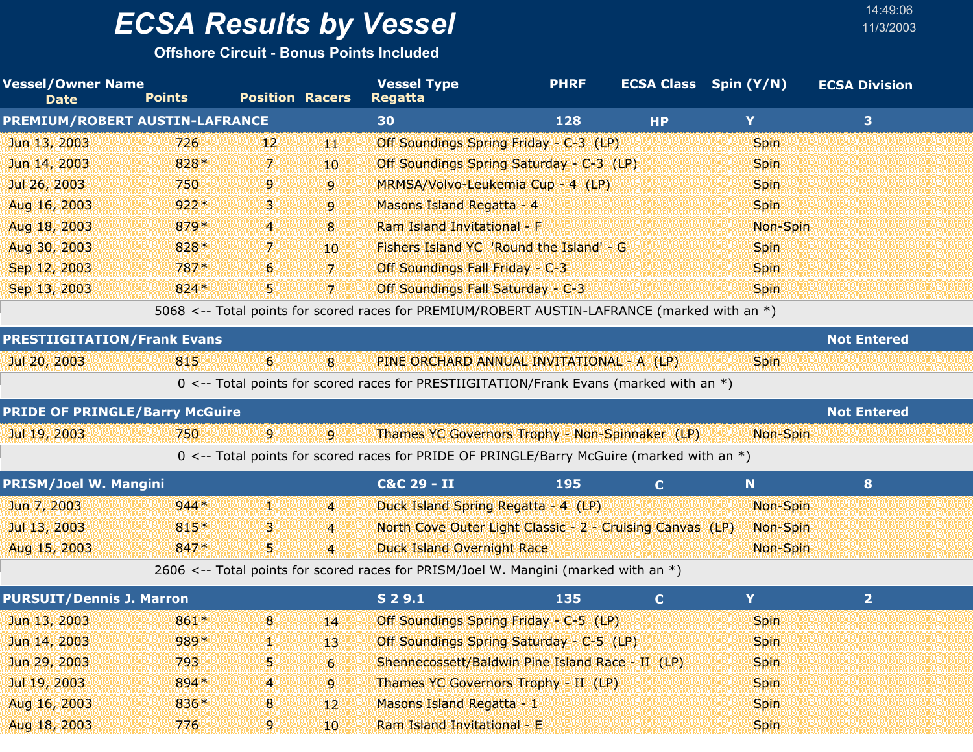**Offshore Circuit - Bonus Points Included**

| <b>Vessel/Owner Name</b><br><b>Date</b> | <b>Points</b> | <b>Position Racers</b> |                 | <b>Vessel Type</b><br><b>Regatta</b>                                                         | <b>PHRF</b> |              | <b>ECSA Class</b> Spin (Y/N) | <b>ECSA Division</b> |  |
|-----------------------------------------|---------------|------------------------|-----------------|----------------------------------------------------------------------------------------------|-------------|--------------|------------------------------|----------------------|--|
| PREMIUM/ROBERT AUSTIN-LAFRANCE          |               |                        |                 | 30                                                                                           | 128         | <b>HP</b>    | Y                            | 3 <sup>1</sup>       |  |
| Jun 13, 2003                            | 726           | 12                     | 維护              | Off Soundings Spring Friday - C-3 (LP)                                                       |             |              | <b>Spin</b>                  |                      |  |
| Jun 14, 2003                            | 828*          | 7.                     | 10              | Off Soundings Spring Saturday - C-3 (LP)                                                     |             |              | <b>Spin</b>                  |                      |  |
| Jul 26, 2003                            | 750           | 9                      | 9               | MRMSA/Volvo-Leukemia Cup - 4 (LP)                                                            |             |              | <b>Spin</b>                  |                      |  |
| Aug 16, 2003                            | $922*$        | З                      | $\overline{9}$  | Masons Island Regatta - 4                                                                    |             |              | <b>Spin</b>                  |                      |  |
| Aug 18, 2003                            | 879*          | 4                      | 8               | Ram Island Invitational - F                                                                  |             |              | Non-Spin                     |                      |  |
| Aug 30, 2003                            | 828*          | 7.                     | 10 <sup>°</sup> | Fishers Island YC 'Round the Island' - G                                                     |             |              | <b>Spin</b>                  |                      |  |
| Sep 12, 2003                            | $787*$        | 6                      | $\overline{7}$  | Off Soundings Fall Friday - C-3                                                              |             |              | <b>Spin</b>                  |                      |  |
| Sep 13, 2003                            | $824*$        | 5                      | $\overline{7}$  | Off Soundings Fall Saturday - C-3                                                            |             |              | Spin                         |                      |  |
|                                         |               |                        |                 | 5068 <-- Total points for scored races for PREMIUM/ROBERT AUSTIN-LAFRANCE (marked with an *) |             |              |                              |                      |  |
| <b>PRESTIIGITATION/Frank Evans</b>      |               |                        |                 |                                                                                              |             |              |                              | <b>Not Entered</b>   |  |
| Jul 20, 2003                            | 815           | 6 <sup>1</sup>         | 8               | PINE ORCHARD ANNUAL INVITATIONAL - A (LP)                                                    |             |              | <b>Spin</b>                  |                      |  |
|                                         |               |                        |                 | 0 <-- Total points for scored races for PRESTIIGITATION/Frank Evans (marked with an *)       |             |              |                              |                      |  |
| <b>PRIDE OF PRINGLE/Barry McGuire</b>   |               |                        |                 |                                                                                              |             |              |                              | <b>Not Entered</b>   |  |
| Jul 19, 2003                            | 750           | $\mathbf{9}$           | $\mathbf{9}$    | Thames YC Governors Trophy - Non-Spinnaker (LP)                                              |             |              | Non-Spin                     |                      |  |
|                                         |               |                        |                 | 0 <-- Total points for scored races for PRIDE OF PRINGLE/Barry McGuire (marked with an *)    |             |              |                              |                      |  |
| <b>PRISM/Joel W. Mangini</b>            |               |                        |                 | C&C 29 - II                                                                                  | 195         | $\mathbf{C}$ | N                            | 8                    |  |
| Jun 7, 2003                             | $944*$        | V.                     | $\overline{4}$  | Duck Island Spring Regatta - 4 (LP)                                                          |             |              | Non-Spin                     |                      |  |
| Jul 13, 2003                            | 815*          | З                      | $\overline{4}$  | North Cove Outer Light Classic - 2 - Cruising Canvas (LP)                                    |             |              | Non-Spin                     |                      |  |
| Aug 15, 2003                            | 847*          | 5.                     | $\overline{4}$  | <b>Duck Island Overnight Race</b>                                                            |             |              | Non-Spin                     |                      |  |
|                                         |               |                        |                 | 2606 <-- Total points for scored races for PRISM/Joel W. Mangini (marked with an *)          |             |              |                              |                      |  |
| <b>PURSUIT/Dennis J. Marron</b>         |               |                        |                 | S 2 9.1                                                                                      | 135         | $\mathbf C$  | Y                            | 2 <sup>1</sup>       |  |
| Jun 13, 2003                            | 861*          | 8                      | 14              | Off Soundings Spring Friday - C-5 (LP)                                                       |             |              | <b>Spin</b>                  |                      |  |
| Jun 14, 2003                            | 989*          | ¥.                     | 13              | Off Soundings Spring Saturday - C-5 (LP)                                                     |             |              | <b>Spin</b>                  |                      |  |
| Jun 29, 2003                            | 793           | 5                      | 6 <sup>1</sup>  | Shennecossett/Baldwin Pine Island Race - II (LP)                                             |             |              | <b>Spin</b>                  |                      |  |
| Jul 19, 2003                            | 894 *         | 4                      | 9               | Thames YC Governors Trophy - II (LP)                                                         |             |              | <b>Spin</b>                  |                      |  |
| Aug 16, 2003                            | 836*          | 8                      | 12              | Masons Island Regatta - 1                                                                    |             |              | Spin                         |                      |  |

Aug 18, 2003 176 776 9 10 Ram Island Invitational - E 10 Spin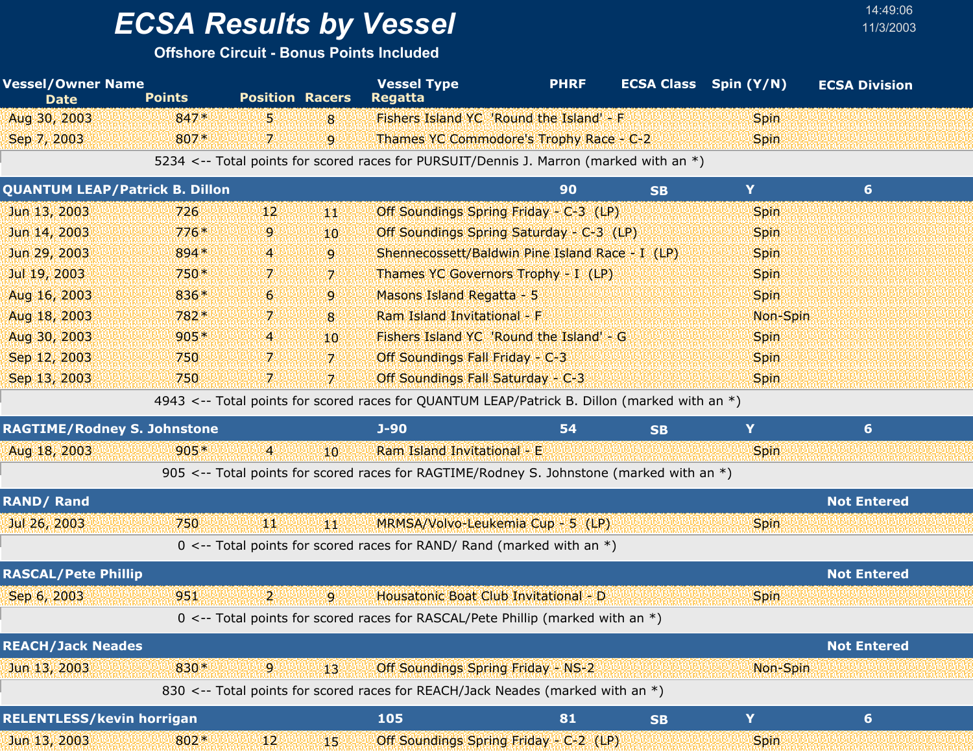## *ECSA Results by Vessel* 11/3/2003

| <b>Vessel/Owner Name</b><br><b>Date</b> | <b>Points</b> | <b>Position Racers</b> |                | <b>Vessel Type</b><br><b>Regatta</b>                                                         | <b>PHRF</b> |           | <b>ECSA Class</b> Spin (Y/N) | <b>ECSA Division</b> |  |
|-----------------------------------------|---------------|------------------------|----------------|----------------------------------------------------------------------------------------------|-------------|-----------|------------------------------|----------------------|--|
| Aug 30, 2003                            | 847*          | 59                     | 8              | Fishers Island YC 'Round the Island' - F                                                     |             |           | <b>Spin</b>                  |                      |  |
| Sep 7, 2003                             | 807*          | 7.                     | 9              | Thames YC Commodore's Trophy Race - C-2                                                      |             |           | <b>Spin</b>                  |                      |  |
|                                         |               |                        |                | 5234 <-- Total points for scored races for PURSUIT/Dennis J. Marron (marked with an *)       |             |           |                              |                      |  |
| <b>QUANTUM LEAP/Patrick B. Dillon</b>   |               |                        |                |                                                                                              | 90          | <b>SB</b> | Y.                           | 6 <sup>1</sup>       |  |
| Jun 13, 2003                            | 726           | 12                     | YЩ             | Off Soundings Spring Friday - C-3 (LP)                                                       |             |           | <b>Spin</b>                  |                      |  |
| Jun 14, 2003                            | $776*$        | 9.                     | 10             | Off Soundings Spring Saturday - C-3 (LP)                                                     |             |           | <b>Spin</b>                  |                      |  |
| Jun 29, 2003                            | 894 *         | 4                      | 9              | Shennecossett/Baldwin Pine Island Race - I (LP)                                              |             |           | <b>Spin</b>                  |                      |  |
| Jul 19, 2003                            | 750*          | 7.                     | 7              | Thames YC Governors Trophy - I (LP)                                                          |             |           | <b>Spin</b>                  |                      |  |
| Aug 16, 2003                            | 836*          | 6                      | 9              | Masons Island Regatta - 5                                                                    |             |           | <b>Spin</b>                  |                      |  |
| Aug 18, 2003                            | 782*          | 7.                     | 8              | Ram Island Invitational - F                                                                  |             |           | Non-Spin                     |                      |  |
| Aug 30, 2003                            | $905*$        | 4.                     | 10             | Fishers Island YC 'Round the Island' - G                                                     |             |           | <b>Spin</b>                  |                      |  |
| Sep 12, 2003                            | 750           | 7.                     | $\overline{7}$ | Off Soundings Fall Friday - C-3                                                              |             |           | <b>Spin</b>                  |                      |  |
| Sep 13, 2003                            | 750           | 7.                     | $\overline{7}$ | Off Soundings Fall Saturday - C-3                                                            |             |           | <b>Spin</b>                  |                      |  |
|                                         |               |                        |                | 4943 <-- Total points for scored races for QUANTUM LEAP/Patrick B. Dillon (marked with an *) |             |           |                              |                      |  |
| <b>RAGTIME/Rodney S. Johnstone</b>      |               |                        |                | $J-90$                                                                                       | 54          | <b>SB</b> | Y                            | 6                    |  |
| Aug 18, 2003                            | $905*$        | $\overline{4}$         | 10             | Ram Island Invitational - E                                                                  |             |           | <b>Spin</b>                  |                      |  |
|                                         |               |                        |                | 905 <-- Total points for scored races for RAGTIME/Rodney S. Johnstone (marked with an *)     |             |           |                              |                      |  |
| <b>RAND/Rand</b>                        |               |                        |                |                                                                                              |             |           |                              | <b>Not Entered</b>   |  |
| Jul 26, 2003                            | 750           | ИW                     | 44             | MRMSA/Volvo-Leukemia Cup - 5 (LP)                                                            |             |           | <b>Spin</b>                  |                      |  |
|                                         |               |                        |                | 0 <-- Total points for scored races for RAND/ Rand (marked with an $*)$                      |             |           |                              |                      |  |
| <b>RASCAL/Pete Phillip</b>              |               |                        |                |                                                                                              |             |           |                              | <b>Not Entered</b>   |  |
| Sep 6, 2003                             | 951           | 2.                     | $\overline{9}$ | Housatonic Boat Club Invitational - D                                                        |             |           | <b>Spin</b>                  |                      |  |
|                                         |               |                        |                | 0 <-- Total points for scored races for RASCAL/Pete Phillip (marked with an *)               |             |           |                              |                      |  |
| <b>REACH/Jack Neades</b>                |               |                        |                |                                                                                              |             |           |                              | <b>Not Entered</b>   |  |
| Jun 13, 2003                            | 830*          | $\mathbf{9}$           | 13             | Off Soundings Spring Friday - NS-2                                                           |             |           | Non-Spin                     |                      |  |
|                                         |               |                        |                | 830 <-- Total points for scored races for REACH/Jack Neades (marked with an *)               |             |           |                              |                      |  |
| <b>RELENTLESS/kevin horrigan</b>        |               |                        |                | 105                                                                                          | 81          | <b>SB</b> | Y                            | $6\phantom{1}$       |  |
| Jun 13, 2003                            | 802*          | 12                     | 45.            | Off Soundings Spring Friday - C-2 (LP)                                                       |             |           | <b>Spin</b>                  |                      |  |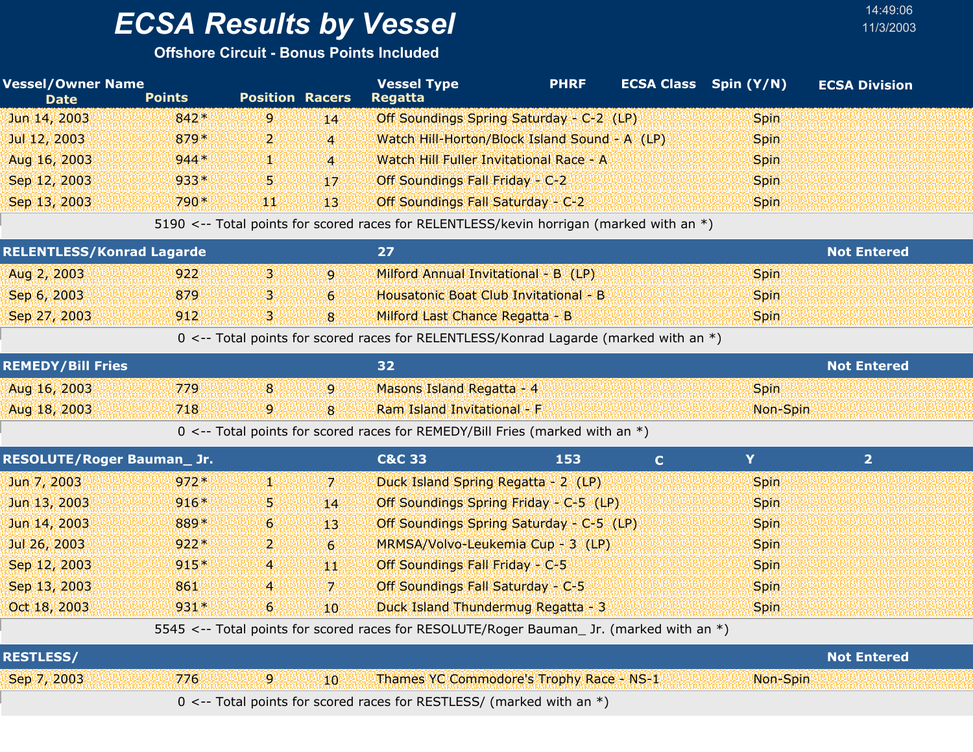**Offshore Circuit - Bonus Points Included**

| <b>Vessel/Owner Name</b><br><b>Date</b> | <b>Points</b> | <b>Position Racers</b> |                  | <b>Vessel Type</b><br><b>Regatta</b>                                                     | <b>PHRF</b> |              | <b>ECSA Class</b> Spin (Y/N) | <b>ECSA Division</b> |
|-----------------------------------------|---------------|------------------------|------------------|------------------------------------------------------------------------------------------|-------------|--------------|------------------------------|----------------------|
| Jun 14, 2003                            | $842*$        | 9                      | 14               | Off Soundings Spring Saturday - C-2 (LP)                                                 |             |              | <b>Spin</b>                  |                      |
| Jul 12, 2003                            | 879*          | 2.                     | $\overline{4}$   | Watch Hill-Horton/Block Island Sound - A (LP)                                            |             |              | <b>Spin</b>                  |                      |
| Aug 16, 2003                            | $944*$        | ŋ.                     | $\overline{4}$   | Watch Hill Fuller Invitational Race - A                                                  |             |              | <b>Spin</b>                  |                      |
| Sep 12, 2003                            | $933*$        | 5                      | 17               | Off Soundings Fall Friday - C-2                                                          |             |              | <b>Spin</b>                  |                      |
| Sep 13, 2003                            | 790*          | щı                     | 13               | Off Soundings Fall Saturday - C-2                                                        |             |              | <b>Spin</b>                  |                      |
|                                         |               |                        |                  | 5190 <-- Total points for scored races for RELENTLESS/kevin horrigan (marked with an *)  |             |              |                              |                      |
| <b>RELENTLESS/Konrad Lagarde</b>        |               |                        |                  | 27                                                                                       |             |              |                              | <b>Not Entered</b>   |
| Aug 2, 2003                             | 922           | $\mathbf{B}$           | $\overline{9}$   | Milford Annual Invitational - B (LP)                                                     |             |              | <b>Spin</b>                  |                      |
| Sep 6, 2003                             | 879           | з                      | 6                | Housatonic Boat Club Invitational - B                                                    |             |              | <b>Spin</b>                  |                      |
| Sep 27, 2003                            | 912           | $\overline{3}$         | 8                | Milford Last Chance Regatta - B                                                          |             |              | <b>Spin</b>                  |                      |
|                                         |               |                        |                  | 0 <-- Total points for scored races for RELENTLESS/Konrad Lagarde (marked with an *)     |             |              |                              |                      |
| <b>REMEDY/Bill Fries</b>                |               |                        |                  | 32                                                                                       |             |              |                              | <b>Not Entered</b>   |
| Aug 16, 2003                            | 779           | 8                      | 9                | Masons Island Regatta - 4                                                                |             |              | <b>Spin</b>                  |                      |
| Aug 18, 2003                            | 718           | 9                      | 8                | Ram Island Invitational - F                                                              |             |              | Non-Spin                     |                      |
|                                         |               |                        |                  | 0 <-- Total points for scored races for REMEDY/Bill Fries (marked with an *)             |             |              |                              |                      |
| <b>RESOLUTE/Roger Bauman_Jr.</b>        |               |                        |                  | <b>C&amp;C 33</b>                                                                        | 153         | $\mathbf{C}$ | Y                            | 2 <sup>1</sup>       |
| Jun 7, 2003                             | $972*$        | W.                     | 7.               | Duck Island Spring Regatta - 2 (LP)                                                      |             |              | <b>Spin</b>                  |                      |
| Jun 13, 2003                            | $916*$        | 5.                     | 14               | Off Soundings Spring Friday - C-5 (LP)                                                   |             |              | <b>Spin</b>                  |                      |
| Jun 14, 2003                            | 889*          | 6                      | 13               | Off Soundings Spring Saturday - C-5 (LP)                                                 |             |              | <b>Spin</b>                  |                      |
| Jul 26, 2003                            | $922*$        | 2.                     | $6 \overline{6}$ | MRMSA/Volvo-Leukemia Cup - 3 (LP)                                                        |             |              | <b>Spin</b>                  |                      |
| Sep 12, 2003                            | $915*$        | $\overline{a}$         | W                | Off Soundings Fall Friday - C-5                                                          |             |              | <b>Spin</b>                  |                      |
| Sep 13, 2003                            | 861           | 4                      | $\mathbf{7}$     | Off Soundings Fall Saturday - C-5                                                        |             |              | <b>Spin</b>                  |                      |
| Oct 18, 2003                            | $931*$        | 6                      | 10               | Duck Island Thundermug Regatta - 3                                                       |             |              | <b>Spin</b>                  |                      |
|                                         |               |                        |                  | 5545 <-- Total points for scored races for RESOLUTE/Roger Bauman_ Jr. (marked with an *) |             |              |                              |                      |
| <b>RESTLESS/</b>                        |               |                        |                  |                                                                                          |             |              |                              | <b>Not Entered</b>   |
| Sep 7, 2003                             | 776           | 9                      | 10               | Thames YC Commodore's Trophy Race - NS-1                                                 |             |              | Non-Spin                     |                      |
|                                         |               |                        |                  | 0 <-- Total points for scored races for RESTLESS/ (marked with an *)                     |             |              |                              |                      |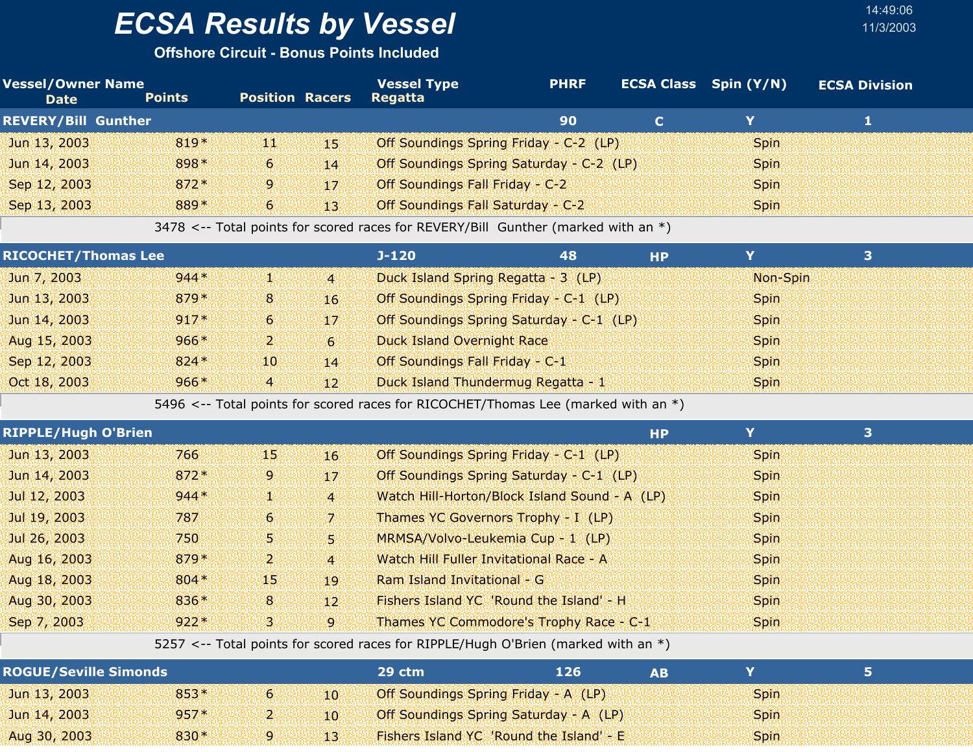**Offshore Circuit - Bonus Points Included**

| <b>Vessel/Owner Name</b><br><b>Date</b> | <b>Points</b> | <b>Position Racers</b> |          | <b>Vessel Type</b><br>Regatta                                                     | <b>PHRF</b> | <b>ECSA Class</b> Spin (Y/N) | <b>ECSA Division</b> |  |
|-----------------------------------------|---------------|------------------------|----------|-----------------------------------------------------------------------------------|-------------|------------------------------|----------------------|--|
| <b>REVERY/Bill Gunther</b>              |               |                        |          |                                                                                   | 90          | v.                           |                      |  |
| Jun 13, 2003                            | $819*$        | 400                    | 455      | Off Soundings Spring Friday - C-2 (LP)                                            |             | <b>Spin</b>                  |                      |  |
| Jun 14, 2003                            | $898*$        | $\sim$                 | 14       | Off Soundings Spring Saturday - C-2 (LP)                                          |             | <b>Spin</b>                  |                      |  |
| Sep 12, 2003                            | $872*$        | <b>9</b>               | $17^{1}$ | Off Soundings Fall Friday - C-2                                                   |             | <b>Spin</b>                  |                      |  |
| Sep 13, 2003                            | 889*          | $6\overline{6}$        | 43       | Off Soundings Fall Saturday - C-2                                                 |             | <b>Spin</b>                  |                      |  |
|                                         |               |                        |          | 3478 <-- Total points for scored races for REVERY/Bill Gunther (marked with an *) |             |                              |                      |  |

14:49:06

| <b>RICOCHET/Thomas Lee</b> |        |                |                 | J-120                                    | 48 | <b>HP</b> |             |  |
|----------------------------|--------|----------------|-----------------|------------------------------------------|----|-----------|-------------|--|
| Jun 7, 2003                | $944*$ | 421            | $\mathbf{4}$    | Duck Island Spring Regatta - 3 (LP)      |    |           | Non-Spin    |  |
| Jun 13, 2003               | $879*$ | -81            | 16 <sup>°</sup> | Off Soundings Spring Friday - C-1 (LP)   |    |           | <b>Spin</b> |  |
| Jun 14, 2003               | $917*$ | 6 <sup>1</sup> | $17^{\circ}$    | Off Soundings Spring Saturday - C-1 (LP) |    |           | <b>Spin</b> |  |
| Aug 15, 2003               | $966*$ | ועי            | G               | <b>Duck Island Overnight Race</b>        |    |           | <b>Spin</b> |  |
| Sep 12, 2003               | $824*$ | 101            | 14              | Off Soundings Fall Friday - C-1          |    |           | <b>Spin</b> |  |
| Oct 18, 2003               | $966*$ | 4              | 12 <sup>1</sup> | Duck Island Thundermug Regatta - 1       |    |           | <b>Spin</b> |  |

5496 <-- Total points for scored races for RICOCHET/Thomas Lee (marked with an \*)

| <b>RIPPLE/Hugh O'Brien</b> |        |                |                 |                                               | <b>HP</b> | Y           | 3 |
|----------------------------|--------|----------------|-----------------|-----------------------------------------------|-----------|-------------|---|
| Jun 13, 2003               | 766    | 451            | 16 <sup>°</sup> | Off Soundings Spring Friday - C-1 (LP)        |           | <b>Spin</b> |   |
| Jun 14, 2003               | $872*$ | 9              | $17^{\circ}$    | Off Soundings Spring Saturday - C-1 (LP)      |           | <b>Spin</b> |   |
| Jul 12, 2003               | $944*$ | 劉治             | $\overline{4}$  | Watch Hill-Horton/Block Island Sound - A (LP) |           | <b>Spin</b> |   |
| Jul 19, 2003               | 787    | 6 <sup>1</sup> | 7               | Thames YC Governors Trophy - I (LP)           |           | <b>Spin</b> |   |
| Jul 26, 2003               | 750    | 54             | 51              | MRMSA/Volvo-Leukemia Cup - 1 (LP)             |           | <b>Spin</b> |   |
| Aug 16, 2003               | 879*   | ויעי           | $\overline{4}$  | Watch Hill Fuller Invitational Race - A       |           | <b>Spin</b> |   |
| Aug 18, 2003               | $804*$ | 451            | 19              | Ram Island Invitational - G                   |           | <b>Spin</b> |   |
| Aug 30, 2003               | 836*   | 8 <sup>1</sup> | $12^{\circ}$    | Fishers Island YC 'Round the Island' - H      |           | <b>Spin</b> |   |
| Sep 7, 2003                | $922*$ | 3.             | $\overline{9}$  | Thames YC Commodore's Trophy Race - C-1       |           | <b>Spin</b> |   |

5257 <-- Total points for scored races for RIPPLE/Hugh O'Brien (marked with an \*)

| <b>ROGUE/Seville Simonds</b> |        |              | 29 ctm                                        | 126 | АR |             |  |
|------------------------------|--------|--------------|-----------------------------------------------|-----|----|-------------|--|
| Jun 13, 2003                 | $853*$ | $10^{\circ}$ | Off Soundings Spring Friday - A (LP)          |     |    | <b>Spin</b> |  |
| Jun 14, 2003                 | $957*$ | $10^{\circ}$ | <b>Off Soundings Spring Saturday - A (LP)</b> |     |    | <b>Spin</b> |  |
| Aug 30, 2003                 | $830*$ |              | Fishers Island YC 'Round the Island' - E      |     |    | <b>Spin</b> |  |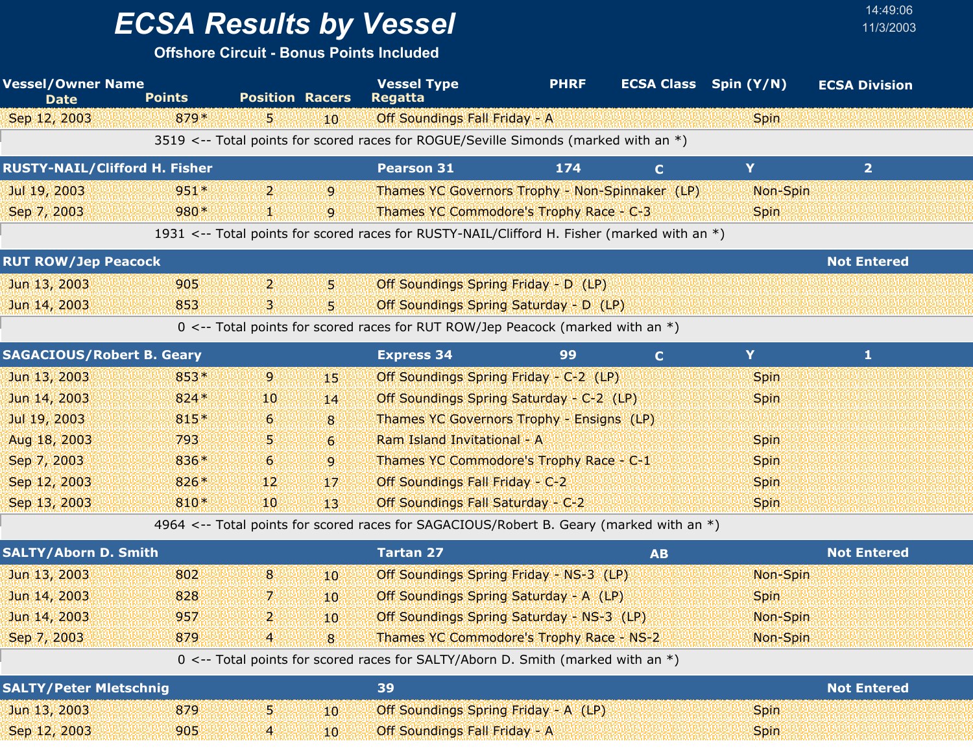**Offshore Circuit - Bonus Points Included**

| <b>Vessel/Owner Name</b><br><b>Date</b> | <b>Points</b> | <b>Position Racers</b> |                 | <b>Vessel Type</b><br><b>Regatta</b>                                                        | <b>PHRF</b> | <b>ECSA Class</b> Spin (Y/N) |             | <b>ECSA Division</b> |  |
|-----------------------------------------|---------------|------------------------|-----------------|---------------------------------------------------------------------------------------------|-------------|------------------------------|-------------|----------------------|--|
| Sep 12, 2003                            | $879*$        | 5.                     | 10              | Off Soundings Fall Friday - A                                                               |             |                              | <b>Spin</b> |                      |  |
|                                         |               |                        |                 | 3519 <-- Total points for scored races for ROGUE/Seville Simonds (marked with an *)         |             |                              |             |                      |  |
| <b>RUSTY-NAIL/Clifford H. Fisher</b>    |               |                        |                 | <b>Pearson 31</b>                                                                           | 174         | $\mathbf C$                  | Y           | $\overline{2}$       |  |
| Jul 19, 2003                            | $951*$        | $\mathbf{2}$           | 9               | Thames YC Governors Trophy - Non-Spinnaker (LP)                                             |             |                              | Non-Spin    |                      |  |
| Sep 7, 2003                             | 980*          | Ш.                     | 9               | Thames YC Commodore's Trophy Race - C-3                                                     |             |                              | <b>Spin</b> |                      |  |
|                                         |               |                        |                 | 1931 <-- Total points for scored races for RUSTY-NAIL/Clifford H. Fisher (marked with an *) |             |                              |             |                      |  |
| <b>RUT ROW/Jep Peacock</b>              |               |                        |                 |                                                                                             |             |                              |             | <b>Not Entered</b>   |  |
| Jun 13, 2003                            | 905           | $\mathbf{2}$           | 5.              | Off Soundings Spring Friday - D (LP)                                                        |             |                              |             |                      |  |
| Jun 14, 2003                            | 853           | В                      | 5.              | Off Soundings Spring Saturday - D (LP)                                                      |             |                              |             |                      |  |
|                                         |               |                        |                 | 0 <-- Total points for scored races for RUT ROW/Jep Peacock (marked with an *)              |             |                              |             |                      |  |
| <b>SAGACIOUS/Robert B. Geary</b>        |               |                        |                 | <b>Express 34</b>                                                                           | 99          | $\mathbf C$                  | Y           | 1                    |  |
| Jun 13, 2003                            | $853*$        | 9                      | 15              | Off Soundings Spring Friday - C-2 (LP)                                                      |             |                              | <b>Spin</b> |                      |  |
| Jun 14, 2003                            | $824*$        | 10                     | 14              | Off Soundings Spring Saturday - C-2 (LP)                                                    |             |                              | <b>Spin</b> |                      |  |
| Jul 19, 2003                            | 815*          | 6                      | 8               | Thames YC Governors Trophy - Ensigns (LP)                                                   |             |                              |             |                      |  |
| Aug 18, 2003                            | 793           | 5                      | $6 \,$          | Ram Island Invitational - A                                                                 |             |                              | <b>Spin</b> |                      |  |
| Sep 7, 2003                             | 836*          | 6                      | 9               | Thames YC Commodore's Trophy Race - C-1                                                     |             |                              | <b>Spin</b> |                      |  |
| Sep 12, 2003                            | 826*          | 12                     | 17              | Off Soundings Fall Friday - C-2                                                             |             |                              | <b>Spin</b> |                      |  |
| Sep 13, 2003                            | 810*          | 10                     | 13 <sup>°</sup> | Off Soundings Fall Saturday - C-2                                                           |             |                              | <b>Spin</b> |                      |  |
|                                         |               |                        |                 | 4964 <-- Total points for scored races for SAGACIOUS/Robert B. Geary (marked with an *)     |             |                              |             |                      |  |
| <b>SALTY/Aborn D. Smith</b>             |               |                        |                 | <b>Tartan 27</b>                                                                            |             | <b>AB</b>                    |             | <b>Not Entered</b>   |  |
| Jun 13, 2003                            | 802           | 8                      | 10 <sup>1</sup> | Off Soundings Spring Friday - NS-3 (LP)                                                     |             |                              | Non-Spin    |                      |  |
| Jun 14, 2003                            | 828           | 7.                     | 10              | Off Soundings Spring Saturday - A (LP)                                                      |             |                              | <b>Spin</b> |                      |  |
| Jun 14, 2003                            | 957           | 2                      | 10              | Off Soundings Spring Saturday - NS-3 (LP)                                                   |             |                              | Non-Spin    |                      |  |
| Sep 7, 2003                             | 879           | $\overline{4}$         | 8               | Thames YC Commodore's Trophy Race - NS-2                                                    |             |                              | Non-Spin    |                      |  |
|                                         |               |                        |                 | 0 <-- Total points for scored races for SALTY/Aborn D. Smith (marked with an *)             |             |                              |             |                      |  |
| <b>SALTY/Peter Mletschnig</b>           |               |                        |                 | 39                                                                                          |             |                              |             | <b>Not Entered</b>   |  |
| Jun 13, 2003                            | 879           | 5                      | 10              | Off Soundings Spring Friday - A (LP)                                                        |             |                              | <b>Spin</b> |                      |  |
| Sep 12, 2003                            | 905           | 4                      | 10              | Off Soundings Fall Friday - A                                                               |             |                              | <b>Spin</b> |                      |  |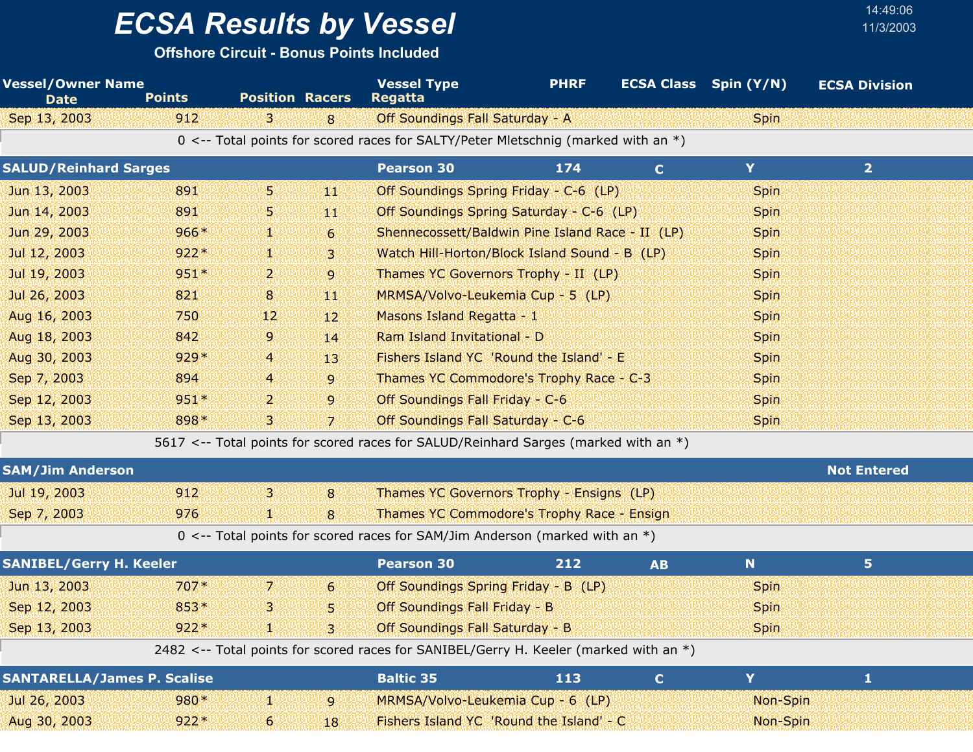**Offshore Circuit - Bonus Points Included**

| <b>Vessel/Owner Name</b><br><b>Date</b> | <b>Points</b> | <b>Position Racers</b> |                  | <b>Vessel Type</b><br><b>Regatta</b>                                                  | <b>PHRF</b> |             | <b>ECSA Class</b> Spin (Y/N) | <b>ECSA Division</b> |  |
|-----------------------------------------|---------------|------------------------|------------------|---------------------------------------------------------------------------------------|-------------|-------------|------------------------------|----------------------|--|
| Sep 13, 2003                            | 912           | В.                     | 8                | Off Soundings Fall Saturday - A                                                       |             |             | <b>Spin</b>                  |                      |  |
|                                         |               |                        |                  | 0 <-- Total points for scored races for SALTY/Peter Mletschnig (marked with an *)     |             |             |                              |                      |  |
| <b>SALUD/Reinhard Sarges</b>            |               |                        |                  | <b>Pearson 30</b>                                                                     | 174         | $\mathbf C$ | Y                            | 2 <sup>1</sup>       |  |
| Jun 13, 2003                            | 891           | 5.                     | 饗襲               | Off Soundings Spring Friday - C-6 (LP)                                                |             |             | <b>Spin</b>                  |                      |  |
| Jun 14, 2003                            | 891           | 5.                     | 郷                | Off Soundings Spring Saturday - C-6 (LP)                                              |             |             | <b>Spin</b>                  |                      |  |
| Jun 29, 2003                            | $966*$        | W.                     | $6 \overline{6}$ | Shennecossett/Baldwin Pine Island Race - II (LP)                                      |             |             | Spin                         |                      |  |
| Jul 12, 2003                            | $922*$        | 92                     | 3.               | Watch Hill-Horton/Block Island Sound - B (LP)                                         |             |             | <b>Spin</b>                  |                      |  |
| Jul 19, 2003                            | $951*$        | 2.                     | 9                | Thames YC Governors Trophy - II (LP)                                                  |             |             | <b>Spin</b>                  |                      |  |
| Jul 26, 2003                            | 821           | 8                      | 44               | MRMSA/Volvo-Leukemia Cup - 5 (LP)                                                     |             |             | Spin                         |                      |  |
| Aug 16, 2003                            | 750           | 12 <sub>1</sub>        | 12 <sup>2</sup>  | Masons Island Regatta - 1                                                             |             |             | Spin                         |                      |  |
| Aug 18, 2003                            | 842           | 9                      | 14               | Ram Island Invitational - D                                                           |             |             | <b>Spin</b>                  |                      |  |
| Aug 30, 2003                            | $929*$        | $\overline{4}$         | 13.              | Fishers Island YC 'Round the Island' - E                                              |             |             | Spin                         |                      |  |
| Sep 7, 2003                             | 894           | 4                      | 9                | Thames YC Commodore's Trophy Race - C-3                                               |             |             | <b>Spin</b>                  |                      |  |
| Sep 12, 2003                            | $951*$        | 2                      | 9                | Off Soundings Fall Friday - C-6                                                       |             |             | <b>Spin</b>                  |                      |  |
| Sep 13, 2003                            | 898*          | З.                     | 71               | Off Soundings Fall Saturday - C-6                                                     |             |             | <b>Spin</b>                  |                      |  |
|                                         |               |                        |                  | 5617 <-- Total points for scored races for SALUD/Reinhard Sarges (marked with an *)   |             |             |                              |                      |  |
| <b>SAM/Jim Anderson</b>                 |               |                        |                  |                                                                                       |             |             |                              | <b>Not Entered</b>   |  |
| Jul 19, 2003                            | 912           | 3                      | 8                | Thames YC Governors Trophy - Ensigns (LP)                                             |             |             |                              |                      |  |
| Sep 7, 2003                             | 976           | W.                     | 8                | Thames YC Commodore's Trophy Race - Ensign                                            |             |             |                              |                      |  |
|                                         |               |                        |                  | 0 <-- Total points for scored races for SAM/Jim Anderson (marked with an $*)$         |             |             |                              |                      |  |
| <b>SANIBEL/Gerry H. Keeler</b>          |               |                        |                  | <b>Pearson 30</b>                                                                     | 212         | <b>AB</b>   | $\mathbf N$                  | 5 <sub>1</sub>       |  |
| Jun 13, 2003                            | $707*$        | 7.                     | $6 \overline{6}$ | Off Soundings Spring Friday - B (LP)                                                  |             |             | <b>Spin</b>                  |                      |  |
| Sep 12, 2003                            | 853*          | 3                      | 5 <sub>1</sub>   | Off Soundings Fall Friday - B                                                         |             |             | Spin                         |                      |  |
| Sep 13, 2003                            | $922*$        |                        | 3.               | <b>Off Soundings Fall Saturday - B</b>                                                |             |             | <b>Spin</b>                  |                      |  |
|                                         |               |                        |                  | 2482 <-- Total points for scored races for SANIBEL/Gerry H. Keeler (marked with an *) |             |             |                              |                      |  |
| <b>SANTARELLA/James P. Scalise</b>      |               |                        |                  | <b>Baltic 35</b>                                                                      | 113         | $\mathbf C$ | Y                            | $\mathbf{1}$         |  |
| Jul 26, 2003                            | 980*          | V.                     | 9                | MRMSA/Volvo-Leukemia Cup - 6 (LP)                                                     |             |             | Non-Spin                     |                      |  |
| Aug 30, 2003                            | $922*$        | $\boldsymbol{6}$       | 18               | Fishers Island YC 'Round the Island' - C                                              |             |             | Non-Spin                     |                      |  |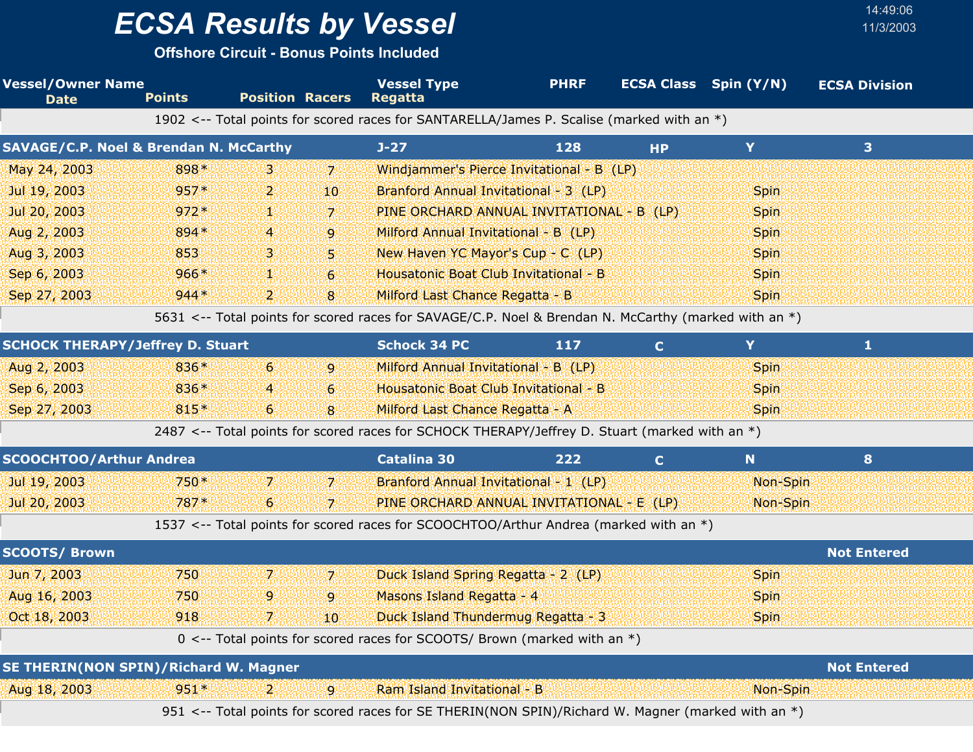**Offshore Circuit - Bonus Points Included**

| <b>Vessel/Owner Name</b><br><b>Date</b>           | <b>Points</b>  | <b>Position Racers</b> |                  | <b>Vessel Type</b><br><b>Regatta</b>                                                                 | <b>PHRF</b> |             | <b>ECSA Class</b> Spin (Y/N) | <b>ECSA Division</b> |
|---------------------------------------------------|----------------|------------------------|------------------|------------------------------------------------------------------------------------------------------|-------------|-------------|------------------------------|----------------------|
|                                                   |                |                        |                  | 1902 <-- Total points for scored races for SANTARELLA/James P. Scalise (marked with an *)            |             |             |                              |                      |
| <b>SAVAGE/C.P. Noel &amp; Brendan N. McCarthy</b> |                |                        |                  | $J-27$                                                                                               | 128         | <b>HP</b>   | Y                            | 3                    |
| May 24, 2003                                      | 898*           | З.                     | 7.               | Windjammer's Pierce Invitational - B (LP)                                                            |             |             |                              |                      |
| Jul 19, 2003                                      | 957*           | 2.                     | 10 <sup>10</sup> | Branford Annual Invitational - 3 (LP)                                                                |             |             | <b>Spin</b>                  |                      |
| Jul 20, 2003                                      | $972*$         | т                      | $\overline{z}$   | PINE ORCHARD ANNUAL INVITATIONAL - B (LP)                                                            |             |             | Spin                         |                      |
| Aug 2, 2003                                       | 894*           | 4                      | 9                | Milford Annual Invitational - B (LP)                                                                 |             |             | <b>Spin</b>                  |                      |
| Aug 3, 2003                                       | 853            | В                      | 5                | New Haven YC Mayor's Cup - C (LP)                                                                    |             |             | Spin                         |                      |
| Sep 6, 2003                                       | $966*$         | 93                     | 6                | Housatonic Boat Club Invitational - B                                                                |             |             | Spin                         |                      |
| Sep 27, 2003                                      | $944*$         | 2.                     | 8                | Milford Last Chance Regatta - B                                                                      |             |             | <b>Spin</b>                  |                      |
|                                                   |                |                        |                  | 5631 <-- Total points for scored races for SAVAGE/C.P. Noel & Brendan N. McCarthy (marked with an *) |             |             |                              |                      |
| <b>SCHOCK THERAPY/Jeffrey D. Stuart</b>           |                |                        |                  | <b>Schock 34 PC</b>                                                                                  | 117         | $\mathbf C$ | Y                            | 1                    |
| Aug 2, 2003                                       | 836*           | $6\overline{6}$        | 9                | Milford Annual Invitational - B (LP)                                                                 |             |             | Spin                         |                      |
| Sep 6, 2003                                       | 836*           | 4                      | 6                | Housatonic Boat Club Invitational - B                                                                |             |             | Spin                         |                      |
| Sep 27, 2003                                      | $815*$         | 6 <sub>1</sub>         | 8                | Milford Last Chance Regatta - A                                                                      |             |             | <b>Spin</b>                  |                      |
|                                                   |                |                        |                  | 2487 <-- Total points for scored races for SCHOCK THERAPY/Jeffrey D. Stuart (marked with an *)       |             |             |                              |                      |
| <b>SCOOCHTOO/Arthur Andrea</b>                    |                |                        |                  | <b>Catalina 30</b>                                                                                   | 222         | C.          | N                            | 8                    |
| Jul 19, 2003                                      | $750*$         | 7.                     | 7                | Branford Annual Invitational - 1 (LP)                                                                |             |             | Non-Spin                     |                      |
| Jul 20, 2003                                      | $787*$         | 6                      | 7                | PINE ORCHARD ANNUAL INVITATIONAL - E (LP)                                                            |             |             | Non-Spin                     |                      |
|                                                   |                |                        |                  | 1537 <-- Total points for scored races for SCOOCHTOO/Arthur Andrea (marked with an *)                |             |             |                              |                      |
| <b>SCOOTS/ Brown</b>                              |                |                        |                  |                                                                                                      |             |             |                              | <b>Not Entered</b>   |
| Jun 7, 2003                                       | 750            | 7.                     | 7.               | Duck Island Spring Regatta - 2 (LP)                                                                  |             |             | Spin                         |                      |
| Aug 16, 2003                                      | 750            | 9.                     | 9                | Masons Island Regatta - 4                                                                            |             |             | Spin                         |                      |
| Oct 18, 2003                                      | $918$ $7$ $10$ |                        |                  | <b>Example 2018</b> Duck Island Thundermug Regatta - 3 Martin Contract 2019 Spin Spin Contract 2019  |             |             |                              |                      |
|                                                   |                |                        |                  | 0 <-- Total points for scored races for SCOOTS/ Brown (marked with an $*$ )                          |             |             |                              |                      |
| SE THERIN(NON SPIN)/Richard W. Magner             |                |                        |                  |                                                                                                      |             |             |                              | <b>Not Entered</b>   |
| Aug 18, 2003                                      | $951*$         | 21                     | 9                | Ram Island Invitational - B                                                                          |             |             | Non-Spin                     |                      |
|                                                   |                |                        |                  | 951 <-- Total points for scored races for SE THERIN(NON SPIN)/Richard W. Magner (marked with an *)   |             |             |                              |                      |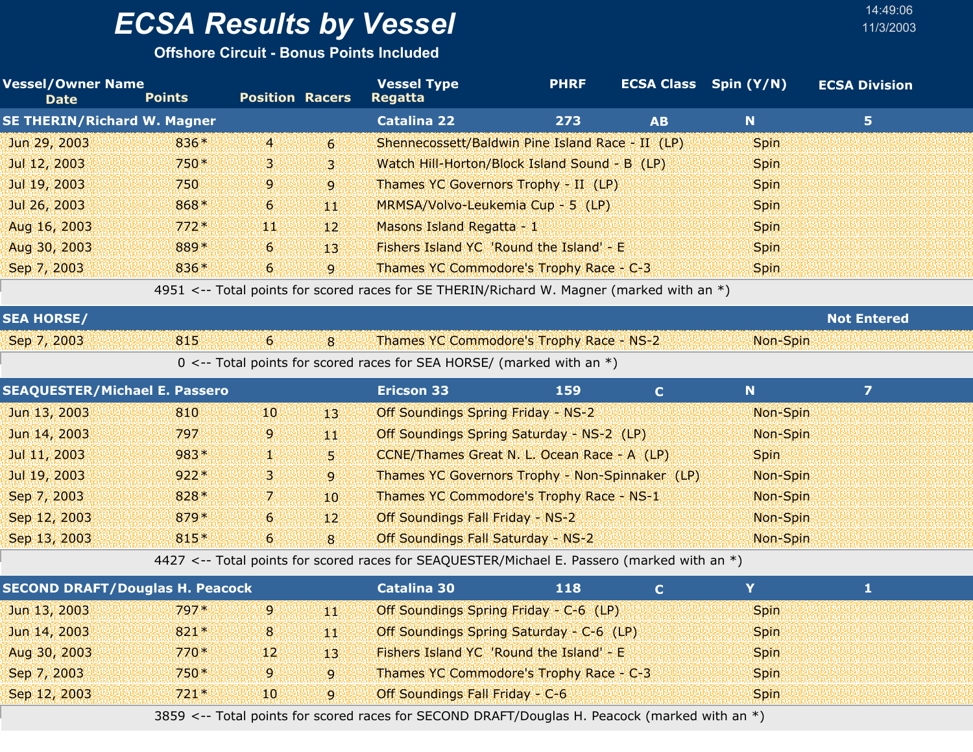**Offshore Circuit - Bonus Points Included**

| <b>Vessel/Owner Name</b><br><b>Date</b> | <b>Points</b> | <b>Position Racers</b> |                 | <b>Vessel Type</b><br><b>Regatta</b>                                                        | <b>PHRF</b> |              | <b>ECSA Class</b> Spin (Y/N) | <b>ECSA Division</b> |  |
|-----------------------------------------|---------------|------------------------|-----------------|---------------------------------------------------------------------------------------------|-------------|--------------|------------------------------|----------------------|--|
| <b>SE THERIN/Richard W. Magner</b>      |               |                        |                 | <b>Catalina 22</b>                                                                          | 273         | <b>AB</b>    | $\mathbf N$                  | 5 <sub>1</sub>       |  |
| Jun 29, 2003                            | 836*          | $\overline{4}$         | $\epsilon$      | Shennecossett/Baldwin Pine Island Race - II (LP)                                            |             |              | <b>Spin</b>                  |                      |  |
| Jul 12, 2003                            | 750*          | 3                      | 3               | Watch Hill-Horton/Block Island Sound - B (LP)                                               |             |              | <b>Spin</b>                  |                      |  |
| Jul 19, 2003                            | 750           | 9                      | 9               | Thames YC Governors Trophy - II (LP)                                                        |             |              | <b>Spin</b>                  |                      |  |
| Jul 26, 2003                            | 868*          | 6                      | 郷               | MRMSA/Volvo-Leukemia Cup - 5 (LP)                                                           |             |              | <b>Spin</b>                  |                      |  |
| Aug 16, 2003                            | $772*$        | 904                    | 12              | Masons Island Regatta - 1                                                                   |             |              | <b>Spin</b>                  |                      |  |
| Aug 30, 2003                            | 889*          | 6                      | 13              | Fishers Island YC 'Round the Island' - E                                                    |             |              | <b>Spin</b>                  |                      |  |
| Sep 7, 2003                             | 836*          | 6 <sup>1</sup>         | $\overline{9}$  | Thames YC Commodore's Trophy Race - C-3                                                     |             |              | <b>Spin</b>                  |                      |  |
|                                         |               |                        |                 | 4951 <-- Total points for scored races for SE THERIN/Richard W. Magner (marked with an *)   |             |              |                              |                      |  |
| <b>SEA HORSE/</b>                       |               |                        |                 |                                                                                             |             |              |                              | <b>Not Entered</b>   |  |
| Sep 7, 2003                             | 815           | $6^{\circ}$            | $\overline{8}$  | Thames YC Commodore's Trophy Race - NS-2                                                    |             |              | Non-Spin                     |                      |  |
|                                         |               |                        |                 | $0 \le -5$ Total points for scored races for SEA HORSE/ (marked with an *)                  |             |              |                              |                      |  |
| <b>SEAQUESTER/Michael E. Passero</b>    |               |                        |                 | <b>Ericson 33</b>                                                                           | 159         | $\mathbf{C}$ | N.                           | $\overline{z}$       |  |
| Jun 13, 2003                            | 810           | $10\,$                 | 13'             | <b>Off Soundings Spring Friday - NS-2</b>                                                   |             |              | Non-Spin                     |                      |  |
| Jun 14, 2003                            | 797           | 9                      | 郷               | Off Soundings Spring Saturday - NS-2 (LP)                                                   |             |              | Non-Spin                     |                      |  |
| Jul 11, 2003                            | 983*          | V.                     | Ы               | CCNE/Thames Great N. L. Ocean Race - A (LP)                                                 |             |              | <b>Spin</b>                  |                      |  |
| Jul 19, 2003                            | $922*$        | 3.                     | $\overline{9}$  | Thames YC Governors Trophy - Non-Spinnaker (LP)                                             |             |              | Non-Spin                     |                      |  |
| Sep 7, 2003                             | 828*          | 7.                     | 10 <sup>°</sup> | Thames YC Commodore's Trophy Race - NS-1                                                    |             |              | Non-Spin                     |                      |  |
| Sep 12, 2003                            | 879*          | $6\overline{6}$        | 12              | Off Soundings Fall Friday - NS-2                                                            |             |              | Non-Spin                     |                      |  |
| Sep 13, 2003                            | $815*$        | 6 <sup>1</sup>         | $\overline{8}$  | Off Soundings Fall Saturday - NS-2                                                          |             |              | Non-Spin                     |                      |  |
|                                         |               |                        |                 | 4427 <-- Total points for scored races for SEAQUESTER/Michael E. Passero (marked with an *) |             |              |                              |                      |  |
| <b>SECOND DRAFT/Douglas H. Peacock</b>  |               |                        |                 | <b>Catalina 30</b>                                                                          | 118         | $\mathbf C$  | Y                            | $\mathbf{1}$         |  |
| Jun 13, 2003                            | $797*$        | $\mathbf{9}$           | 脚脚              | Off Soundings Spring Friday - C-6 (LP)                                                      |             |              | <b>Spin</b>                  |                      |  |
| Jun 14, 2003                            | $821*$        | 8                      | 44              | Off Soundings Spring Saturday - C-6 (LP)                                                    |             |              | <b>Spin</b>                  |                      |  |

Sep 12, 2003 10 721 Off Soundings Fall Friday - C-6 \* Spin 3859 <-- Total points for scored races for SECOND DRAFT/Douglas H. Peacock (marked with an \*)

Aug 30, 2003 170\* 770 Fishers Island YC 'Round the Island' - E Sep 7, 2003 750 \* 9 9 Thames YC Commodore's Trophy Race - C-3 Spin

9

9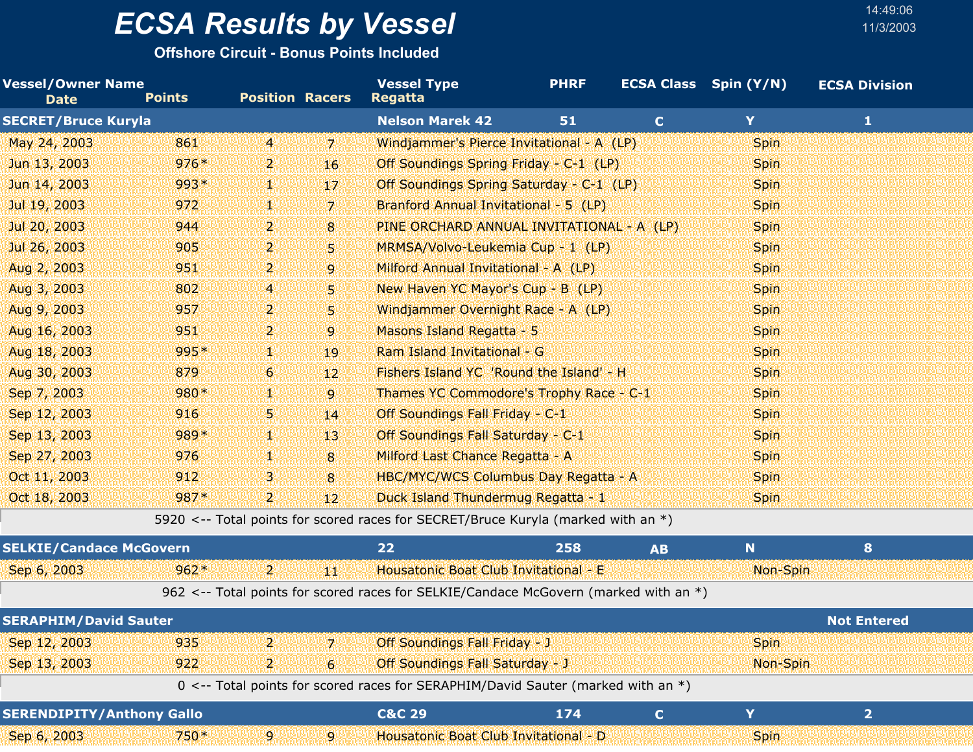**Offshore Circuit - Bonus Points Included**

| <b>Vessel/Owner Name</b><br><b>Date</b> | <b>Points</b> | <b>Position Racers</b> |                 | <b>Vessel Type</b><br><b>Regatta</b>                                                         | <b>PHRF</b> |              | <b>ECSA Class</b> Spin (Y/N) | <b>ECSA Division</b> |  |
|-----------------------------------------|---------------|------------------------|-----------------|----------------------------------------------------------------------------------------------|-------------|--------------|------------------------------|----------------------|--|
| <b>SECRET/Bruce Kuryla</b>              |               |                        |                 | <b>Nelson Marek 42</b>                                                                       | 51          | $\mathbf{C}$ | Y                            | 1                    |  |
| May 24, 2003                            | 861           | $\overline{4}$         | 7               | Windjammer's Pierce Invitational - A (LP)                                                    |             |              | <b>Spin</b>                  |                      |  |
| Jun 13, 2003                            | $976*$        | 2.                     | 16              | Off Soundings Spring Friday - C-1 (LP)                                                       |             |              | <b>Spin</b>                  |                      |  |
| Jun 14, 2003                            | 993*          | W.                     | 17              | Off Soundings Spring Saturday - C-1 (LP)                                                     |             |              | <b>Spin</b>                  |                      |  |
| Jul 19, 2003                            | 972           | ¥.                     | 7               | Branford Annual Invitational - 5 (LP)                                                        |             |              | <b>Spin</b>                  |                      |  |
| Jul 20, 2003                            | 944           | 2.                     | 8               | PINE ORCHARD ANNUAL INVITATIONAL - A (LP)                                                    |             |              | <b>Spin</b>                  |                      |  |
| Jul 26, 2003                            | 905           | 2.                     | 5.              | MRMSA/Volvo-Leukemia Cup - 1 (LP)                                                            |             |              | <b>Spin</b>                  |                      |  |
| Aug 2, 2003                             | 951           | 2.                     | 9               | Milford Annual Invitational - A (LP)                                                         |             |              | <b>Spin</b>                  |                      |  |
| Aug 3, 2003                             | 802           | $\overline{4}$         | 5.              | New Haven YC Mayor's Cup - B (LP)                                                            |             |              | <b>Spin</b>                  |                      |  |
| Aug 9, 2003                             | 957           | $\mathbf{2}$           | 5.              | Windjammer Overnight Race - A (LP)                                                           |             |              | <b>Spin</b>                  |                      |  |
| Aug 16, 2003                            | 951           | 2.                     | 9               | Masons Island Regatta - 5                                                                    |             |              | <b>Spin</b>                  |                      |  |
| Aug 18, 2003                            | $995*$        | V.                     | 19              | Ram Island Invitational - G                                                                  |             |              | <b>Spin</b>                  |                      |  |
| Aug 30, 2003                            | 879           | 6 <sup>1</sup>         | 12 <sup>2</sup> | Fishers Island YC 'Round the Island' - H                                                     |             |              | <b>Spin</b>                  |                      |  |
| Sep 7, 2003                             | 980*          | V.                     | $\overline{9}$  | Thames YC Commodore's Trophy Race - C-1                                                      |             |              | <b>Spin</b>                  |                      |  |
| Sep 12, 2003                            | 916           | 5.                     | 14              | Off Soundings Fall Friday - C-1                                                              |             |              | <b>Spin</b>                  |                      |  |
| Sep 13, 2003                            | 989*          | 鱜                      | 13              | Off Soundings Fall Saturday - C-1                                                            |             |              | <b>Spin</b>                  |                      |  |
| Sep 27, 2003                            | 976           | V.                     | 8               | Milford Last Chance Regatta - A                                                              |             |              | <b>Spin</b>                  |                      |  |
| Oct 11, 2003                            | 912           | В.                     | 8               | HBC/MYC/WCS Columbus Day Regatta - A                                                         |             |              | <b>Spin</b>                  |                      |  |
| Oct 18, 2003                            | 987*          | 2.                     | $12^{\circ}$    | Duck Island Thundermug Regatta - 1                                                           |             |              | <b>Spin</b>                  |                      |  |
|                                         |               |                        |                 | $E020 \times$ Total points for scored rases for SECDET/Rruso Kuryla (marked with an $\ell$ ) |             |              |                              |                      |  |

5920 <-- Total points for scored races for SECRET/Bruce Kuryla (marked with an  $\ast$ )

| <b>SELKIE/Candace McGovern</b> |        |      | 22  |                                       | 258                                                                                    | A <sub>B</sub> | 'N.         |                    |  |
|--------------------------------|--------|------|-----|---------------------------------------|----------------------------------------------------------------------------------------|----------------|-------------|--------------------|--|
| Sep 6, 2003                    | $962*$ | 21   | MM. | Housatonic Boat Club Invitational - E |                                                                                        |                | Non-Spin    |                    |  |
|                                |        |      |     |                                       | 962 <-- Total points for scored races for SELKIE/Candace McGovern (marked with an $*)$ |                |             |                    |  |
| <b>SERAPHIM/David Sauter</b>   |        |      |     |                                       |                                                                                        |                |             | <b>Not Entered</b> |  |
| Sep 12, 2003                   | 935    | עצע  | 171 | <b>Off Soundings Fall Friday - J</b>  |                                                                                        |                | <b>Spin</b> |                    |  |
| Sep 13, 2003                   | 922.   | י כי | 6   | Off Soundings Fall Saturday - J       |                                                                                        |                | Non-Spin    |                    |  |
|                                |        |      |     |                                       | 0 <-- Total points for scored races for SERAPHIM/David Sauter (marked with an *)       |                |             |                    |  |

| <b>SERENDIPITY/Anthony Gallo</b> |      |  | C&C 29 |                                              |             |  |
|----------------------------------|------|--|--------|----------------------------------------------|-------------|--|
| Sep 6, 2003                      | 750* |  |        | <b>Housatonic Boat Club Invitational - D</b> | <b>Spin</b> |  |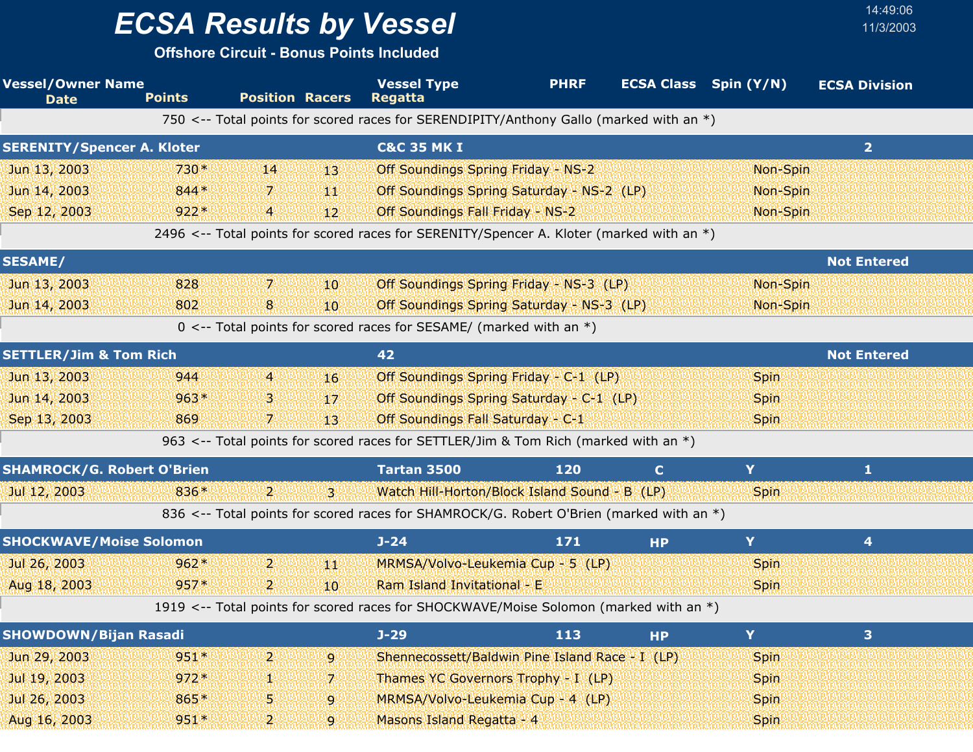**Offshore Circuit - Bonus Points Included**

| <b>Vessel/Owner Name</b><br><b>Date</b> | <b>Points</b> | <b>Position Racers</b> |                 | <b>Vessel Type</b><br><b>Regatta</b>                                                     | <b>PHRF</b> | <b>ECSA Class</b> Spin (Y/N) |             | <b>ECSA Division</b> |  |
|-----------------------------------------|---------------|------------------------|-----------------|------------------------------------------------------------------------------------------|-------------|------------------------------|-------------|----------------------|--|
|                                         |               |                        |                 | 750 <-- Total points for scored races for SERENDIPITY/Anthony Gallo (marked with an *)   |             |                              |             |                      |  |
| <b>SERENITY/Spencer A. Kloter</b>       |               |                        |                 | <b>C&amp;C 35 MK I</b>                                                                   |             |                              |             | $\overline{2}$       |  |
| Jun 13, 2003                            | $730*$        | 14                     | 13.             | <b>Off Soundings Spring Friday - NS-2</b>                                                |             |                              | Non-Spin    |                      |  |
| Jun 14, 2003                            | 844*          | 7.                     | 44              | Off Soundings Spring Saturday - NS-2 (LP)                                                |             |                              | Non-Spin    |                      |  |
| Sep 12, 2003                            | $922*$        | $\overline{4}$         | 12 <sup>1</sup> | <b>Off Soundings Fall Friday - NS-2</b>                                                  |             |                              | Non-Spin    |                      |  |
|                                         |               |                        |                 | 2496 <-- Total points for scored races for SERENITY/Spencer A. Kloter (marked with an *) |             |                              |             |                      |  |
| <b>SESAME/</b>                          |               |                        |                 |                                                                                          |             |                              |             | <b>Not Entered</b>   |  |
| Jun 13, 2003                            | 828           | 7.                     | 10              | Off Soundings Spring Friday - NS-3 (LP)                                                  |             |                              | Non-Spin    |                      |  |
| Jun 14, 2003                            | 802           | 8                      | 10 <sup>°</sup> | Off Soundings Spring Saturday - NS-3 (LP)                                                |             |                              | Non-Spin    |                      |  |
|                                         |               |                        |                 | $0 \le -$ Total points for scored races for SESAME/ (marked with an *)                   |             |                              |             |                      |  |
| <b>SETTLER/Jim &amp; Tom Rich</b>       |               |                        |                 | 42                                                                                       |             |                              |             | <b>Not Entered</b>   |  |
| Jun 13, 2003                            | 944           | $\overline{4}$         | 16              | Off Soundings Spring Friday - C-1 (LP)                                                   |             |                              | <b>Spin</b> |                      |  |
| Jun 14, 2003                            | $963*$        | В                      | 17 <sup>2</sup> | Off Soundings Spring Saturday - C-1 (LP)                                                 |             |                              | <b>Spin</b> |                      |  |
| Sep 13, 2003                            | 869           | 7.                     | 13.             | Off Soundings Fall Saturday - C-1                                                        |             |                              | <b>Spin</b> |                      |  |
|                                         |               |                        |                 | 963 <-- Total points for scored races for SETTLER/Jim & Tom Rich (marked with an *)      |             |                              |             |                      |  |
| <b>SHAMROCK/G. Robert O'Brien</b>       |               |                        |                 | Tartan 3500                                                                              | 120         | $\mathbf C$                  | Y           | 1                    |  |
| Jul 12, 2003                            | 836*          | $\mathbf{2}$           | ig I            | Watch Hill-Horton/Block Island Sound - B (LP)                                            |             |                              | <b>Spin</b> |                      |  |
|                                         |               |                        |                 | 836 <-- Total points for scored races for SHAMROCK/G. Robert O'Brien (marked with an *)  |             |                              |             |                      |  |
| <b>SHOCKWAVE/Moise Solomon</b>          |               |                        |                 | $J - 24$                                                                                 | 171         | <b>HP</b>                    | Y.          | 4                    |  |
| Jul 26, 2003                            | $962*$        | $\overline{2}$         | 44              | MRMSA/Volvo-Leukemia Cup - 5 (LP)                                                        |             |                              | <b>Spin</b> |                      |  |
| Aug 18, 2003                            | $957*$        | $\overline{2}$         | 10 <sup>°</sup> | Ram Island Invitational - E                                                              |             |                              | <b>Spin</b> |                      |  |
|                                         |               |                        |                 | 1919 <-- Total points for scored races for SHOCKWAVE/Moise Solomon (marked with an *)    |             |                              |             |                      |  |
| <b>SHOWDOWN/Bijan Rasadi</b>            |               |                        |                 | $J-29$                                                                                   | 113         | <b>HP</b>                    | Y           | 3                    |  |
| Jun 29, 2003                            | $951*$        | 2.                     | $\overline{9}$  | Shennecossett/Baldwin Pine Island Race - I (LP)                                          |             |                              | <b>Spin</b> |                      |  |
| Jul 19, 2003                            | $972*$        | 92                     | 7.              | Thames YC Governors Trophy - I (LP)                                                      |             |                              | <b>Spin</b> |                      |  |
| Jul 26, 2003                            | 865*          | 5                      | 9               | MRMSA/Volvo-Leukemia Cup - 4 (LP)                                                        |             |                              | <b>Spin</b> |                      |  |
| Aug 16, 2003                            | $951*$        | 2.                     | $\overline{9}$  | Masons Island Regatta - 4                                                                |             |                              | <b>Spin</b> |                      |  |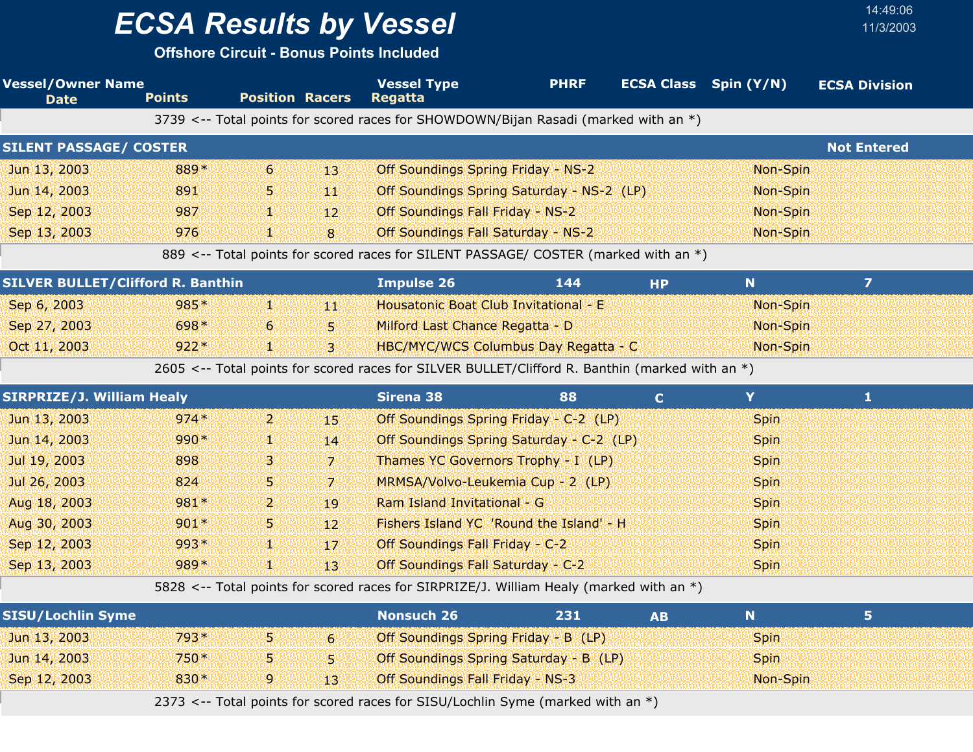**Offshore Circuit - Bonus Points Included**

| <b>Position Racers</b><br><b>Points</b><br><b>Regatta</b><br><b>Date</b>                                   |                    |  |  |
|------------------------------------------------------------------------------------------------------------|--------------------|--|--|
| 3739 <-- Total points for scored races for SHOWDOWN/Bijan Rasadi (marked with an *)                        |                    |  |  |
| <b>SILENT PASSAGE/ COSTER</b>                                                                              | <b>Not Entered</b> |  |  |
| 6<br>Jun 13, 2003<br>889*<br><b>Off Soundings Spring Friday - NS-2</b><br>13'<br>Non-Spin                  |                    |  |  |
| Jun 14, 2003<br>891<br>Off Soundings Spring Saturday - NS-2 (LP)<br>5.<br>Non-Spin<br>4M)                  |                    |  |  |
| Sep 12, 2003<br>987<br><b>Off Soundings Fall Friday - NS-2</b><br>Non-Spin<br>92<br>12 <sup>1</sup>        |                    |  |  |
| Sep 13, 2003<br>976<br>8<br>Off Soundings Fall Saturday - NS-2<br>Non-Spin<br>V.                           |                    |  |  |
| 889 <-- Total points for scored races for SILENT PASSAGE/ COSTER (marked with an *)                        |                    |  |  |
| <b>SILVER BULLET/Clifford R. Banthin</b><br>N<br><b>Impulse 26</b><br>144<br><b>HP</b>                     | $\overline{7}$     |  |  |
| Sep 6, 2003<br>985*<br>W<br>Housatonic Boat Club Invitational - E<br>Non-Spin<br>44                        |                    |  |  |
| Sep 27, 2003<br>698*<br>Milford Last Chance Regatta - D<br>6<br>5 <sub>1</sub><br>Non-Spin                 |                    |  |  |
| $922*$<br>Oct 11, 2003<br>$\overline{3}$<br>HBC/MYC/WCS Columbus Day Regatta - C<br>Non-Spin<br>y.         |                    |  |  |
| 2605 <-- Total points for scored races for SILVER BULLET/Clifford R. Banthin (marked with an *)            |                    |  |  |
| <b>SIRPRIZE/J. William Healy</b><br>Y<br><b>Sirena 38</b><br>88<br>$\mathbf{C}$                            | 1                  |  |  |
| Jun 13, 2003<br>$974*$<br>$\mathbf{p}$<br>Off Soundings Spring Friday - C-2 (LP)<br>15<br><b>Spin</b>      |                    |  |  |
| Jun 14, 2003<br>990*<br>Off Soundings Spring Saturday - C-2 (LP)<br>14<br><b>Spin</b><br>ij.               |                    |  |  |
| Jul 19, 2003<br>898<br>з<br>$\mathbf{7}$<br>Thames YC Governors Trophy - I (LP)<br><b>Spin</b>             |                    |  |  |
| Jul 26, 2003<br>824<br>MRMSA/Volvo-Leukemia Cup - 2 (LP)<br>5.<br>$\mathbf{z}$<br><b>Spin</b>              |                    |  |  |
| Aug 18, 2003<br>981*<br>Ram Island Invitational - G<br>2.<br>Spin<br>19                                    |                    |  |  |
| Aug 30, 2003<br>Fishers Island YC 'Round the Island' - H<br>$901*$<br>5.<br>12 <sup>2</sup><br><b>Spin</b> |                    |  |  |
| Sep 12, 2003<br>993*<br>Off Soundings Fall Friday - C-2<br>V.<br>17<br><b>Spin</b>                         |                    |  |  |
| Sep 13, 2003<br>989*<br>Off Soundings Fall Saturday - C-2<br>Ш.<br>13<br><b>Spin</b>                       |                    |  |  |
| 5828 <-- Total points for scored races for SIRPRIZE/J. William Healy (marked with an *)                    |                    |  |  |
| <b>Nonsuch 26</b><br><b>SISU/Lochlin Syme</b><br>N<br>231<br><b>AB</b>                                     | 5 <sub>1</sub>     |  |  |
| 5.<br>793*<br>Jun 13, 2003<br>6 <sub>1</sub><br>Off Soundings Spring Friday - B (LP)<br>Spin               |                    |  |  |
| 750*<br>Jun 14, 2003<br>Off Soundings Spring Saturday - B (LP)<br><b>Spin</b><br>5<br>5.                   |                    |  |  |
| Sep 12, 2003<br>830*<br>9<br>13<br><b>Off Soundings Fall Friday - NS-3</b><br>Non-Spin                     |                    |  |  |

2373 <-- Total points for scored races for SISU/Lochlin Syme (marked with an \*)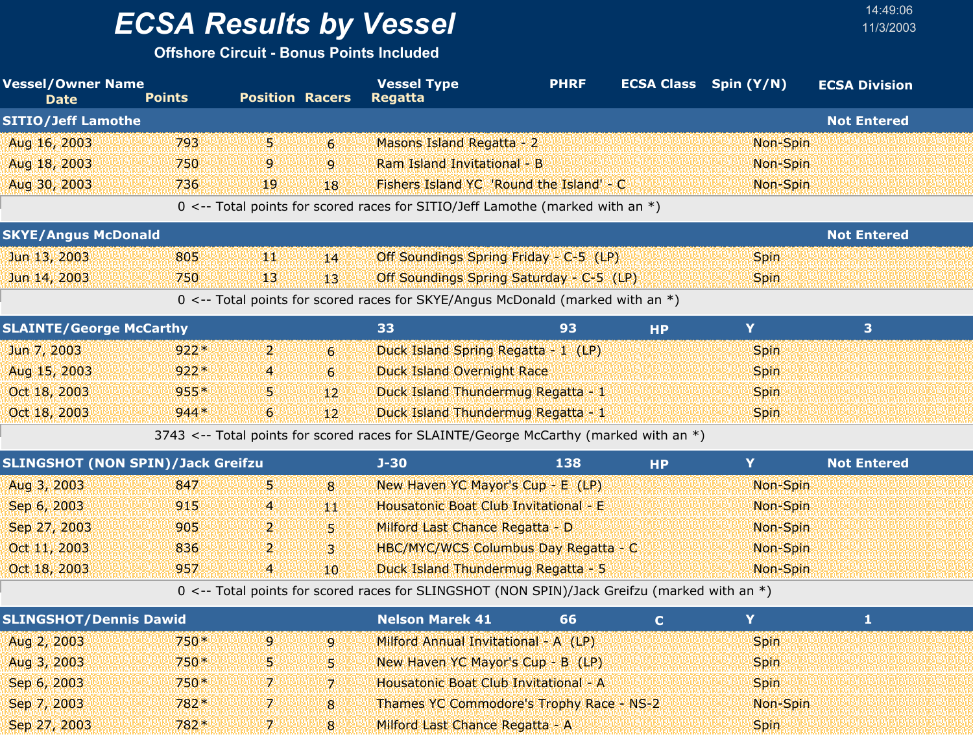**Offshore Circuit - Bonus Points Included**

| <b>Vessel/Owner Name</b><br><b>Date</b>  | <b>Points</b> | <b>Position Racers</b>  |                | <b>Vessel Type</b><br><b>Regatta</b>                                                         | <b>PHRF</b> | <b>ECSA Class</b> Spin (Y/N) |             | <b>ECSA Division</b> |  |
|------------------------------------------|---------------|-------------------------|----------------|----------------------------------------------------------------------------------------------|-------------|------------------------------|-------------|----------------------|--|
| <b>SITIO/Jeff Lamothe</b>                |               |                         |                |                                                                                              |             |                              |             | <b>Not Entered</b>   |  |
| Aug 16, 2003                             | 793           | 5.                      | 6 <sup>1</sup> | Masons Island Regatta - 2                                                                    |             |                              | Non-Spin    |                      |  |
| Aug 18, 2003                             | 750           | 9                       | $\overline{9}$ | Ram Island Invitational - B                                                                  |             |                              | Non-Spin    |                      |  |
| Aug 30, 2003                             | 736           | 19                      | 18             | Fishers Island YC 'Round the Island' - C                                                     |             |                              | Non-Spin    |                      |  |
|                                          |               |                         |                | 0 <-- Total points for scored races for SITIO/Jeff Lamothe (marked with an *)                |             |                              |             |                      |  |
| <b>SKYE/Angus McDonald</b>               |               |                         |                |                                                                                              |             |                              |             | <b>Not Entered</b>   |  |
| Jun 13, 2003                             | 805           | ЧW                      | 14             | Off Soundings Spring Friday - C-5 (LP)                                                       |             |                              | <b>Spin</b> |                      |  |
| Jun 14, 2003                             | 750           | 13                      | 13             | Off Soundings Spring Saturday - C-5 (LP)                                                     |             |                              | <b>Spin</b> |                      |  |
|                                          |               |                         |                | 0 <-- Total points for scored races for SKYE/Angus McDonald (marked with an *)               |             |                              |             |                      |  |
| <b>SLAINTE/George McCarthy</b>           |               |                         |                | 33                                                                                           | 93          | <b>HP</b>                    | Y.          | 3                    |  |
| Jun 7, 2003                              | $922*$        | $\mathbf{2}$            | $\epsilon$     | Duck Island Spring Regatta - 1 (LP)                                                          |             |                              | Spin        |                      |  |
| Aug 15, 2003                             | $922*$        | 4                       | 6 <sup>1</sup> | <b>Duck Island Overnight Race</b>                                                            |             |                              | <b>Spin</b> |                      |  |
| Oct 18, 2003                             | $955*$        | 5.                      | 12             | Duck Island Thundermug Regatta - 1                                                           |             |                              | Spin        |                      |  |
| Oct 18, 2003                             | $944*$        | 6                       | 12             | Duck Island Thundermug Regatta - 1                                                           |             |                              | <b>Spin</b> |                      |  |
|                                          |               |                         |                | 3743 <-- Total points for scored races for SLAINTE/George McCarthy (marked with an *)        |             |                              |             |                      |  |
| <b>SLINGSHOT (NON SPIN)/Jack Greifzu</b> |               |                         |                | $J - 30$                                                                                     | 138         | <b>HP</b>                    | Y           | <b>Not Entered</b>   |  |
| Aug 3, 2003                              | 847           | 5.                      | 8              | New Haven YC Mayor's Cup - E (LP)                                                            |             |                              | Non-Spin    |                      |  |
| Sep 6, 2003                              | 915           | $\overline{a}$          | W              | Housatonic Boat Club Invitational - E                                                        |             |                              | Non-Spin    |                      |  |
| Sep 27, 2003                             | 905           | 2                       | 5.             | Milford Last Chance Regatta - D                                                              |             |                              | Non-Spin    |                      |  |
| Oct 11, 2003                             | 836           | 2                       | $\overline{3}$ | HBC/MYC/WCS Columbus Day Regatta - C                                                         |             |                              | Non-Spin    |                      |  |
| Oct 18, 2003                             | 957           | $\overline{\mathbf{4}}$ | 10             | Duck Island Thundermug Regatta - 5                                                           |             |                              | Non-Spin    |                      |  |
|                                          |               |                         |                | 0 <-- Total points for scored races for SLINGSHOT (NON SPIN)/Jack Greifzu (marked with an *) |             |                              |             |                      |  |
| <b>SLINGSHOT/Dennis Dawid</b>            |               |                         |                | <b>Nelson Marek 41</b>                                                                       | 66          | $\mathbf C$                  | Y           | 1                    |  |
| Aug 2, 2003                              | 750*          | 9                       | 9              | Milford Annual Invitational - A (LP)                                                         |             |                              | Spin        |                      |  |
| Aug 3, 2003                              | $750*$        | 5.                      | 51             | New Haven YC Mayor's Cup - B (LP)                                                            |             |                              | <b>Spin</b> |                      |  |
| Sep 6, 2003                              | 750*          | 7                       | $\overline{7}$ | Housatonic Boat Club Invitational - A                                                        |             |                              | <b>Spin</b> |                      |  |
| Sep 7, 2003                              | 782*          | 7                       | 8              | Thames YC Commodore's Trophy Race - NS-2                                                     |             |                              | Non-Spin    |                      |  |

Sep 27, 2003 7 782 Milford Last Chance Regatta - A \* Spin

8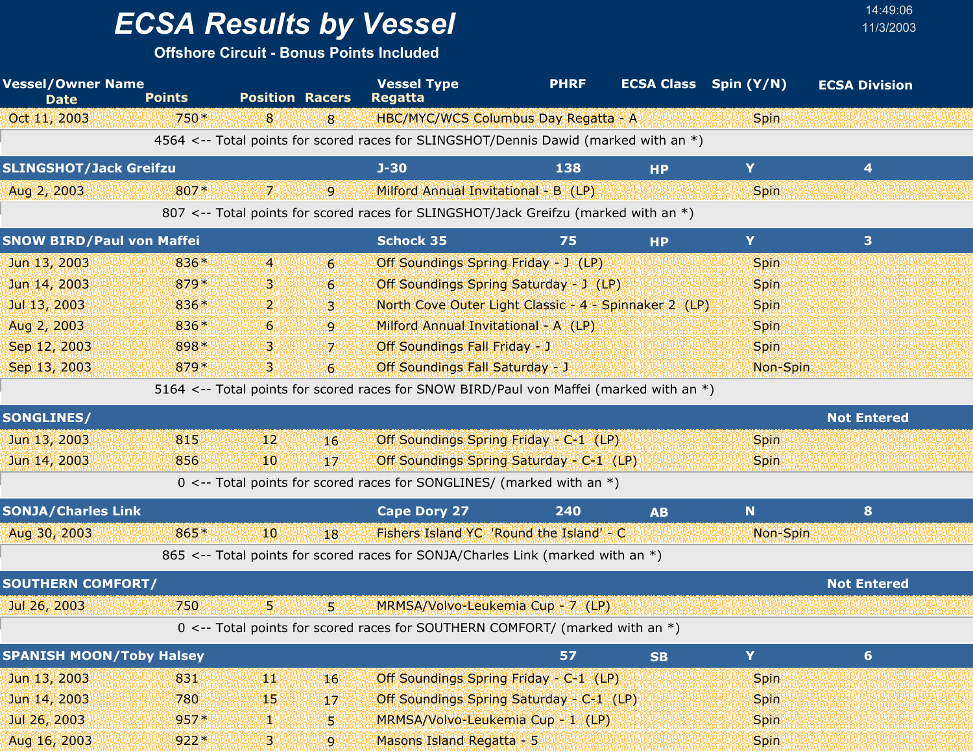**Offshore Circuit - Bonus Points Included**

| <b>Vessel/Owner Name</b><br><b>Date</b> | <b>Points</b> | <b>Position Racers</b> |                  | <b>Vessel Type</b><br><b>Regatta</b>                                                    | <b>PHRF</b> | <b>ECSA Class</b> Spin (Y/N) |             | <b>ECSA Division</b> |  |
|-----------------------------------------|---------------|------------------------|------------------|-----------------------------------------------------------------------------------------|-------------|------------------------------|-------------|----------------------|--|
| Oct 11, 2003                            | 750*          | 8                      | 8                | HBC/MYC/WCS Columbus Day Regatta - A                                                    |             |                              | <b>Spin</b> |                      |  |
|                                         |               |                        |                  | 4564 <-- Total points for scored races for SLINGSHOT/Dennis Dawid (marked with an *)    |             |                              |             |                      |  |
| <b>SLINGSHOT/Jack Greifzu</b>           |               |                        |                  | $J-30$                                                                                  | 138         | <b>HP</b>                    | Y           | 4                    |  |
| Aug 2, 2003                             | 807*          | 7.                     | 9                | Milford Annual Invitational - B (LP)                                                    |             |                              | <b>Spin</b> |                      |  |
|                                         |               |                        |                  | 807 <-- Total points for scored races for SLINGSHOT/Jack Greifzu (marked with an *)     |             |                              |             |                      |  |
| <b>SNOW BIRD/Paul von Maffei</b>        |               |                        |                  | <b>Schock 35</b>                                                                        | 75          | <b>HP</b>                    | Y           | 3                    |  |
| Jun 13, 2003                            | 836*          | $\overline{4}$         | $6 \overline{6}$ | Off Soundings Spring Friday - J (LP)                                                    |             |                              | <b>Spin</b> |                      |  |
| Jun 14, 2003                            | 879*          | В.                     | 6                | Off Soundings Spring Saturday - J (LP)                                                  |             |                              | <b>Spin</b> |                      |  |
| Jul 13, 2003                            | 836*          | $\mathbf{2}$           | 3 <sup>1</sup>   | North Cove Outer Light Classic - 4 - Spinnaker 2 (LP)                                   |             |                              | <b>Spin</b> |                      |  |
| Aug 2, 2003                             | 836*          | 6                      | 9                | Milford Annual Invitational - A (LP)                                                    |             |                              | <b>Spin</b> |                      |  |
| Sep 12, 2003                            | 898*          | з.                     | 7 <sup>1</sup>   | Off Soundings Fall Friday - J                                                           |             |                              | <b>Spin</b> |                      |  |
| Sep 13, 2003                            | 879*          | З.                     | 6                | <b>Off Soundings Fall Saturday - J</b>                                                  |             |                              | Non-Spin    |                      |  |
|                                         |               |                        |                  | 5164 <-- Total points for scored races for SNOW BIRD/Paul von Maffei (marked with an *) |             |                              |             |                      |  |
| <b>SONGLINES/</b>                       |               |                        |                  |                                                                                         |             |                              |             | <b>Not Entered</b>   |  |
| Jun 13, 2003                            | 815           | 12                     | 16               | Off Soundings Spring Friday - C-1 (LP)                                                  |             |                              | <b>Spin</b> |                      |  |
| Jun 14, 2003                            | 856           | 10                     | 17               | Off Soundings Spring Saturday - C-1 (LP)                                                |             |                              | <b>Spin</b> |                      |  |
|                                         |               |                        |                  | $0 \le -5$ Total points for scored races for SONGLINES/ (marked with an *)              |             |                              |             |                      |  |
| <b>SONJA/Charles Link</b>               |               |                        |                  | <b>Cape Dory 27</b>                                                                     | 240         | <b>AB</b>                    | N           | 8                    |  |
| Aug 30, 2003                            | 865*          | 40                     | 18               | Fishers Island YC 'Round the Island' - C                                                |             |                              | Non-Spin    |                      |  |
|                                         |               |                        |                  | 865 <-- Total points for scored races for SONJA/Charles Link (marked with an *)         |             |                              |             |                      |  |
| <b>SOUTHERN COMFORT/</b>                |               |                        |                  |                                                                                         |             |                              |             | <b>Not Entered</b>   |  |
| Jul 26, 2003                            | 750           | 5.                     | W                | MRMSA/Volvo-Leukemia Cup - 7 (LP)                                                       |             |                              |             |                      |  |
|                                         |               |                        |                  | 0 <-- Total points for scored races for SOUTHERN COMFORT/ (marked with an *)            |             |                              |             |                      |  |
| <b>SPANISH MOON/Toby Halsey</b>         |               |                        |                  |                                                                                         | 57          | <b>SB</b>                    | Y.          | 6 <sup>1</sup>       |  |
| Jun 13, 2003                            | 831           | ЩŅ                     | 16 <sup>°</sup>  | Off Soundings Spring Friday - C-1 (LP)                                                  |             |                              | <b>Spin</b> |                      |  |
| Jun 14, 2003                            | 780           | 45                     | 17               | Off Soundings Spring Saturday - C-1 (LP)                                                |             |                              | <b>Spin</b> |                      |  |
| Jul 26, 2003                            | $957*$        | W.                     | 5                | MRMSA/Volvo-Leukemia Cup - 1 (LP)                                                       |             |                              | <b>Spin</b> |                      |  |
| Aug 16, 2003                            | $922*$        | В.                     | 9                | Masons Island Regatta - 5                                                               |             |                              | <b>Spin</b> |                      |  |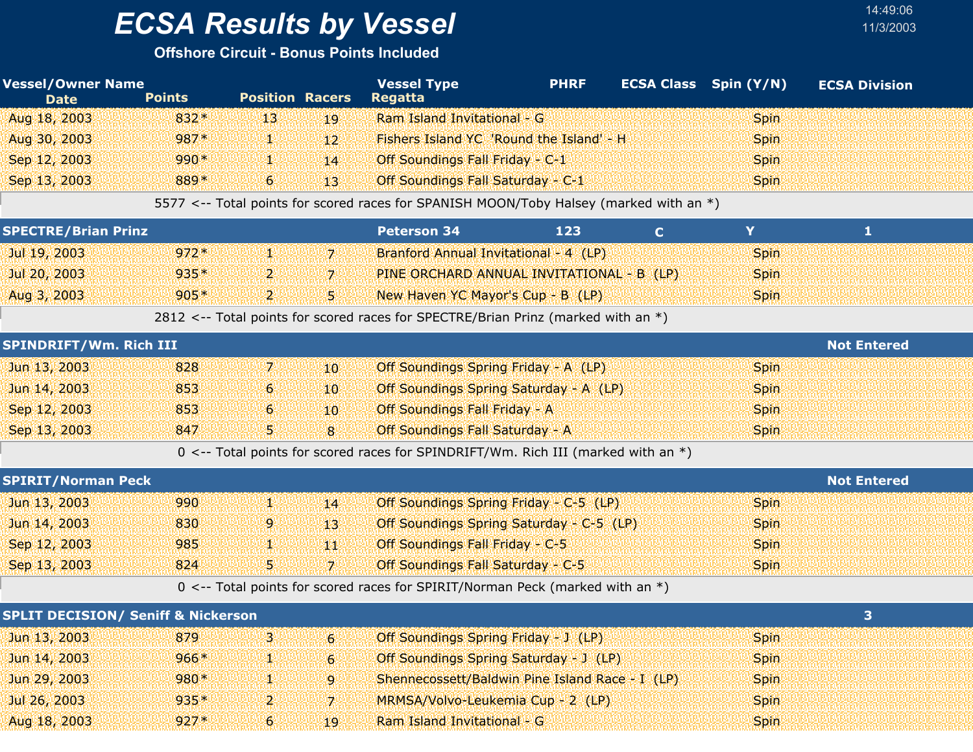**Offshore Circuit - Bonus Points Included**

| <b>Vessel/Owner Name</b><br><b>Date</b> | <b>Points</b> | <b>Position Racers</b> |              | <b>Vessel Type</b><br><b>Regatta</b>                                                   | <b>PHRF</b> |    | <b>ECSA Class</b> Spin (Y/N) | <b>ECSA Division</b> |  |
|-----------------------------------------|---------------|------------------------|--------------|----------------------------------------------------------------------------------------|-------------|----|------------------------------|----------------------|--|
| Aug 18, 2003                            | $832*$        | 1131                   | 19           | Ram Island Invitational - G                                                            |             |    | <b>Spin</b>                  |                      |  |
| Aug 30, 2003                            | 987*          | ym                     | $12^{\circ}$ | Fishers Island YC 'Round the Island' - H                                               |             |    | <b>Spin</b>                  |                      |  |
| Sep 12, 2003                            | $990*$        | 4W                     | 14           | Off Soundings Fall Friday - C-1                                                        |             |    | <b>Spin</b>                  |                      |  |
| Sep 13, 2003                            | 889*          | $6^{\circ}$            | $13^{\circ}$ | Off Soundings Fall Saturday - C-1                                                      |             |    | <b>Spin</b>                  |                      |  |
|                                         |               |                        |              | 5577 <-- Total points for scored races for SPANISH MOON/Toby Halsey (marked with an *) |             |    |                              |                      |  |
| <b>SPECTRE/Brian Prinz</b>              |               |                        |              | <b>Peterson 34</b>                                                                     | 123         | C. | v                            |                      |  |
| Jul 19, 2003                            | $972*$        | 外地                     | -71          | Branford Annual Invitational - 4 (LP)                                                  |             |    | <b>Spin</b>                  |                      |  |
| Jul 20, 2003                            | $935*$        | יעי                    | 7            | PINE ORCHARD ANNUAL INVITATIONAL - B (LP)                                              |             |    | <b>Spin</b>                  |                      |  |

Aug 3, 2003 905\* 2 5 New Haven YC Mayor's Cup - B(LP) Spin 52812 <-- Total points for scored races for SPECTRE/Brian Prinz (marked with an \*)

| <b>SPINDRIFT/Wm. Rich III</b> |     | <b>Not Entered</b> |              |                                             |             |
|-------------------------------|-----|--------------------|--------------|---------------------------------------------|-------------|
| Jun 13, 2003                  | 828 |                    | $10^{\circ}$ | <b>Off Soundings Spring Friday - A (LP)</b> | <b>Spin</b> |
| Jun 14, 2003                  | 853 | 6                  | $10^{\circ}$ | Off Soundings Spring Saturday - A (LP)      | <b>Spin</b> |
| Sep 12, 2003                  | 853 | 6.                 | $10^{\circ}$ | <b>Off Soundings Fall Friday - A</b>        | <b>Spin</b> |
| Sep 13, 2003                  | 847 | 5.                 | $\mathbf{R}$ | Off Soundings Fall Saturday - A             | <b>Spin</b> |
|                               |     |                    |              |                                             |             |

0 <-- Total points for scored races for SPINDRIFT/Wm. Rich III (marked with an \*)

| <b>SPIRIT/Norman Peck</b> |               | <b>Not Entered</b> |      |                                                                                 |             |
|---------------------------|---------------|--------------------|------|---------------------------------------------------------------------------------|-------------|
| Jun 13, 2003              | 990           |                    | 14   | Off Soundings Spring Friday - C-5 (LP)                                          | <b>Spin</b> |
| Jun 14, 2003              | 830           | 9.                 | 48.  | Off Soundings Spring Saturday - C-5 (LP)                                        | <b>Spin</b> |
| Sep 12, 2003              | 985           |                    | 8480 | <b>Off Soundings Fall Friday - C-5</b>                                          | <b>Spin</b> |
| Sep 13, 2003              | 824           |                    |      | Off Soundings Fall Saturday - C-5                                               | <b>Spin</b> |
|                           | $\sim$ $\sim$ | _                  |      | $\sim$ $\sim$ $\sim$<br>$\sim$ $\sim$ $\sim$ $\sim$ $\sim$ $\sim$ $\sim$ $\sim$ |             |

 $0 \le -$  Total points for scored races for SPIRIT/Norman Peck (marked with an  $*)$ 

| <b>SPLIT DECISION/ Seniff &amp; Nickerson</b> |        |    |              |                                                 |             |  |  |  |
|-----------------------------------------------|--------|----|--------------|-------------------------------------------------|-------------|--|--|--|
| Jun 13, 2003                                  | 879    | 31 | $6^{\circ}$  | Off Soundings Spring Friday - J (LP)            | <b>Spin</b> |  |  |  |
| Jun 14, 2003                                  | $966*$ | 99 | ïС           | <b>Off Soundings Spring Saturday - J (LP)</b>   | <b>Spin</b> |  |  |  |
| Jun 29, 2003                                  | $980*$ | ч× | iq.          | Shennecossett/Baldwin Pine Island Race - I (LP) | <b>Spin</b> |  |  |  |
| Jul 26, 2003                                  | $935*$ | 21 |              | MRMSA/Volvo-Leukemia Cup - 2 (LP)               | <b>Spin</b> |  |  |  |
| Aug 18, 2003                                  | $927*$ | 6  | $19^{\circ}$ | Ram Island Invitational - G                     | <b>Spin</b> |  |  |  |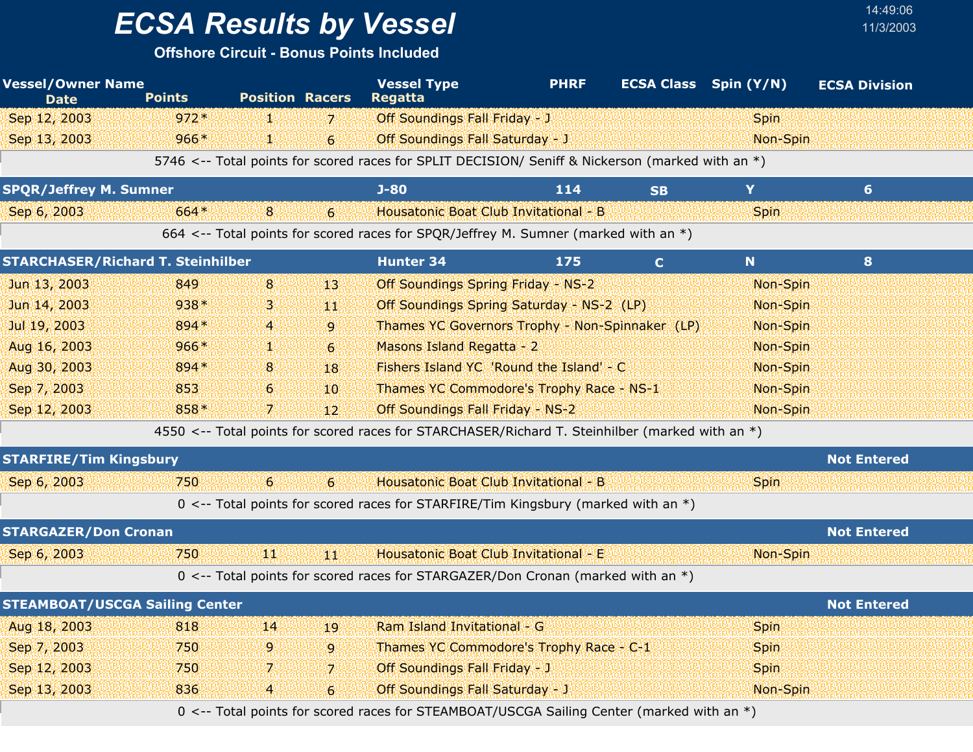**Offshore Circuit - Bonus Points Included**

| <b>Vessel/Owner Name</b><br><b>Date</b>  | <b>Points</b> | <b>Position Racers</b> |                  | <b>Vessel Type</b><br><b>Regatta</b>                                                             | <b>PHRF</b> | <b>ECSA Class</b> Spin (Y/N) |             | <b>ECSA Division</b> |  |
|------------------------------------------|---------------|------------------------|------------------|--------------------------------------------------------------------------------------------------|-------------|------------------------------|-------------|----------------------|--|
| Sep 12, 2003                             | $972*$        | Y.                     | $\overline{z}$   | Off Soundings Fall Friday - J                                                                    |             |                              | <b>Spin</b> |                      |  |
| Sep 13, 2003                             | $966*$        | W.                     | $\overline{6}$   | <b>Off Soundings Fall Saturday - J</b>                                                           |             |                              | Non-Spin    |                      |  |
|                                          |               |                        |                  | 5746 <-- Total points for scored races for SPLIT DECISION/ Seniff & Nickerson (marked with an *) |             |                              |             |                      |  |
| <b>SPQR/Jeffrey M. Sumner</b>            |               |                        |                  | $J-80$                                                                                           | 114         | <b>SB</b>                    | Y           | $6 \overline{6}$     |  |
| Sep 6, 2003                              | 664*          | 8                      | $6\phantom{1}$   | Housatonic Boat Club Invitational - B                                                            |             |                              | Spin        |                      |  |
|                                          |               |                        |                  | 664 <-- Total points for scored races for SPQR/Jeffrey M. Sumner (marked with an *)              |             |                              |             |                      |  |
| <b>STARCHASER/Richard T. Steinhilber</b> |               |                        |                  | <b>Hunter 34</b>                                                                                 | 175         | $\mathbf C$                  | N           | 8                    |  |
| Jun 13, 2003                             | 849           | 8                      | 13               | Off Soundings Spring Friday - NS-2                                                               |             |                              | Non-Spin    |                      |  |
| Jun 14, 2003                             | 938*          | β                      | 44               | Off Soundings Spring Saturday - NS-2 (LP)                                                        |             |                              | Non-Spin    |                      |  |
| Jul 19, 2003                             | 894 *         | 4                      | 9                | Thames YC Governors Trophy - Non-Spinnaker (LP)                                                  |             |                              | Non-Spin    |                      |  |
| Aug 16, 2003                             | $966*$        | Ψ                      | $\sigma$         | Masons Island Regatta - 2                                                                        |             |                              | Non-Spin    |                      |  |
| Aug 30, 2003                             | 894 *         | 8                      | 18               | Fishers Island YC 'Round the Island' - C                                                         |             |                              | Non-Spin    |                      |  |
| Sep 7, 2003                              | 853           | 6                      | 10 <sup>10</sup> | Thames YC Commodore's Trophy Race - NS-1                                                         |             |                              | Non-Spin    |                      |  |
| Sep 12, 2003                             | 858*          | 7.                     | 12               | Off Soundings Fall Friday - NS-2                                                                 |             |                              | Non-Spin    |                      |  |
|                                          |               |                        |                  | 4550 <-- Total points for scored races for STARCHASER/Richard T. Steinhilber (marked with an *)  |             |                              |             |                      |  |
| <b>STARFIRE/Tim Kingsbury</b>            |               |                        |                  |                                                                                                  |             |                              |             | <b>Not Entered</b>   |  |
| Sep 6, 2003                              | 750           | 6                      | 6                | Housatonic Boat Club Invitational - B                                                            |             |                              | <b>Spin</b> |                      |  |
|                                          |               |                        |                  | 0 <-- Total points for scored races for STARFIRE/Tim Kingsbury (marked with an $*)$              |             |                              |             |                      |  |
| <b>STARGAZER/Don Cronan</b>              |               |                        |                  |                                                                                                  |             |                              |             | <b>Not Entered</b>   |  |
| Sep 6, 2003                              | 750           | ЩŅ                     | ¥BN              | Housatonic Boat Club Invitational - E                                                            |             |                              | Non-Spin    |                      |  |
|                                          |               |                        |                  | 0 <-- Total points for scored races for STARGAZER/Don Cronan (marked with an *)                  |             |                              |             |                      |  |
| <b>STEAMBOAT/USCGA Sailing Center</b>    |               |                        |                  |                                                                                                  |             |                              |             | <b>Not Entered</b>   |  |
| Aug 18, 2003                             | 818           | 14                     | 19               | Ram Island Invitational - G                                                                      |             |                              | <b>Spin</b> |                      |  |
| Sep 7, 2003                              | 750           | 9                      | 9                | Thames YC Commodore's Trophy Race - C-1                                                          |             |                              | <b>Spin</b> |                      |  |
| Sep 12, 2003                             | 750           | 7                      | $\overline{z}$   | <b>Off Soundings Fall Friday - J</b>                                                             |             |                              | <b>Spin</b> |                      |  |
| Sep 13, 2003                             | 836           | 4                      | 6                | <b>Off Soundings Fall Saturday - J</b>                                                           |             |                              | Non-Spin    |                      |  |

14:49:06

0 <-- Total points for scored races for STEAMBOAT/USCGA Sailing Center (marked with an \*)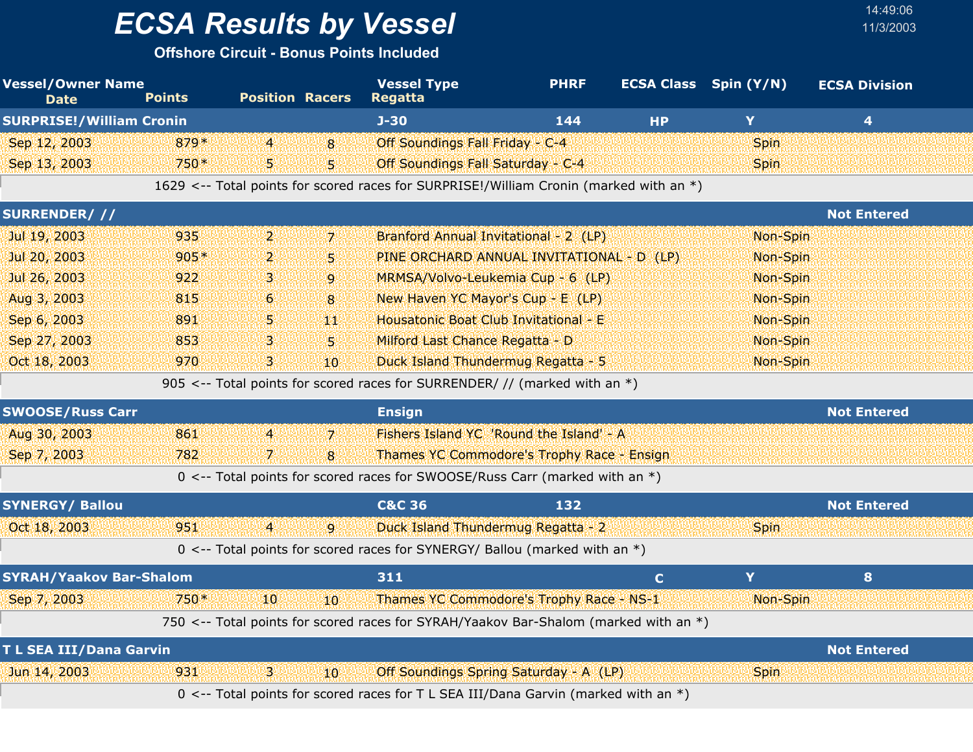**Offshore Circuit - Bonus Points Included**

| <b>Vessel/Owner Name</b><br><b>Date</b> | <b>Points</b> | <b>Position Racers</b> |                 | <b>Vessel Type</b><br><b>Regatta</b>                                                   | <b>PHRF</b> | <b>ECSA Class</b> Spin (Y/N) |             | <b>ECSA Division</b>    |
|-----------------------------------------|---------------|------------------------|-----------------|----------------------------------------------------------------------------------------|-------------|------------------------------|-------------|-------------------------|
| <b>SURPRISE!/William Cronin</b>         |               |                        |                 | $J-30$                                                                                 | 144         | <b>HP</b>                    | Y           | $\overline{\mathbf{4}}$ |
| Sep 12, 2003                            | 879*          | $\overline{4}$         | 8               | Off Soundings Fall Friday - C-4                                                        |             |                              | <b>Spin</b> |                         |
| Sep 13, 2003                            | $750*$        | 5.                     | 5               | Off Soundings Fall Saturday - C-4                                                      |             |                              | <b>Spin</b> |                         |
|                                         |               |                        |                 | 1629 <-- Total points for scored races for SURPRISE!/William Cronin (marked with an *) |             |                              |             |                         |
| SURRENDER///                            |               |                        |                 |                                                                                        |             |                              |             | <b>Not Entered</b>      |
| Jul 19, 2003                            | 935           | 2.                     | 7 <sup>1</sup>  | Branford Annual Invitational - 2 (LP)                                                  |             |                              | Non-Spin    |                         |
| Jul 20, 2003                            | $905*$        | $\overline{2}$         | $\overline{5}$  | PINE ORCHARD ANNUAL INVITATIONAL - D (LP)                                              |             |                              | Non-Spin    |                         |
| Jul 26, 2003                            | 922           | з                      | 9               | MRMSA/Volvo-Leukemia Cup - 6 (LP)                                                      |             |                              | Non-Spin    |                         |
| Aug 3, 2003                             | 815           | 6                      | 8               | New Haven YC Mayor's Cup - E (LP)                                                      |             |                              | Non-Spin    |                         |
| Sep 6, 2003                             | 891           | 5                      | YЩ              | Housatonic Boat Club Invitational - E                                                  |             |                              | Non-Spin    |                         |
| Sep 27, 2003                            | 853           | з                      | 5.              | Milford Last Chance Regatta - D                                                        |             |                              | Non-Spin    |                         |
| Oct 18, 2003                            | 970           | З.                     | 10              | Duck Island Thundermug Regatta - 5                                                     |             |                              | Non-Spin    |                         |
|                                         |               |                        |                 | 905 <-- Total points for scored races for SURRENDER/ // (marked with an *)             |             |                              |             |                         |
| <b>SWOOSE/Russ Carr</b>                 |               |                        |                 | <b>Ensign</b>                                                                          |             |                              |             | <b>Not Entered</b>      |
| Aug 30, 2003                            | 861           | $\overline{4}$         | 7 <sup>1</sup>  | Fishers Island YC 'Round the Island' - A                                               |             |                              |             |                         |
| Sep 7, 2003                             | 782           | 7                      | 8               | Thames YC Commodore's Trophy Race - Ensign                                             |             |                              |             |                         |
|                                         |               |                        |                 | 0 <-- Total points for scored races for SWOOSE/Russ Carr (marked with an *)            |             |                              |             |                         |
| <b>SYNERGY/ Ballou</b>                  |               |                        |                 | <b>C&amp;C 36</b>                                                                      | 132         |                              |             | <b>Not Entered</b>      |
| Oct 18, 2003                            | 951           | $\overline{4}$         | $\overline{9}$  | Duck Island Thundermug Regatta - 2                                                     |             |                              | Spin        |                         |
|                                         |               |                        |                 | 0 <-- Total points for scored races for SYNERGY/ Ballou (marked with an *)             |             |                              |             |                         |
| <b>SYRAH/Yaakov Bar-Shalom</b>          |               |                        |                 | 311                                                                                    |             | $\mathbf C$                  | Y           | 8 <sup>°</sup>          |
| Sep 7, 2003                             | 750*          | 10                     | 10 <sup>°</sup> | Thames YC Commodore's Trophy Race - NS-1                                               |             |                              | Non-Spin    |                         |
|                                         |               |                        |                 | 750 <-- Total points for scored races for SYRAH/Yaakov Bar-Shalom (marked with an *)   |             |                              |             |                         |
| T L SEA III/Dana Garvin                 |               |                        |                 |                                                                                        |             |                              |             | <b>Not Entered</b>      |
| Jun 14, 2003                            | 931           | 3.                     | 10 <sup>°</sup> | Off Soundings Spring Saturday - A (LP)                                                 |             |                              | <b>Spin</b> |                         |
|                                         |               |                        |                 | 0 <-- Total points for scored races for T L SEA III/Dana Garvin (marked with an *)     |             |                              |             |                         |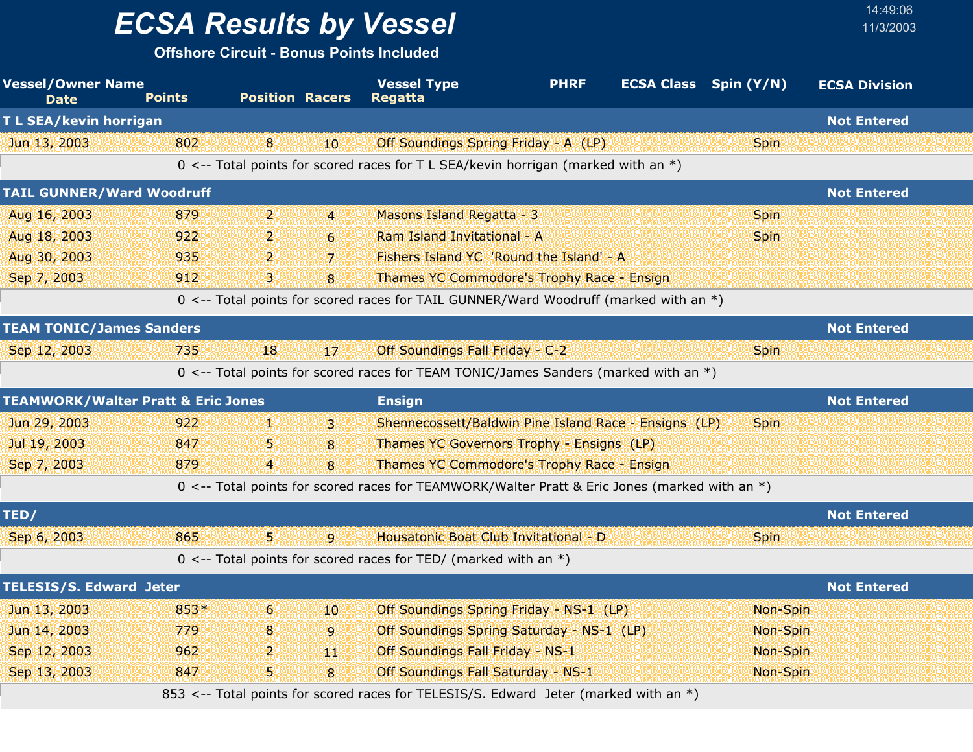**Offshore Circuit - Bonus Points Included**

| <b>Vessel/Owner Name</b><br><b>Date</b>       | <b>Points</b> | <b>Position Racers</b> |                  | <b>Vessel Type</b><br><b>PHRF</b><br><b>Regatta</b>                                           | <b>ECSA Class</b> Spin (Y/N) | <b>ECSA Division</b> |
|-----------------------------------------------|---------------|------------------------|------------------|-----------------------------------------------------------------------------------------------|------------------------------|----------------------|
| T L SEA/kevin horrigan                        |               |                        |                  |                                                                                               |                              | <b>Not Entered</b>   |
| Jun 13, 2003                                  | 802           | 8                      | 10               | Off Soundings Spring Friday - A (LP)                                                          | <b>Spin</b>                  |                      |
|                                               |               |                        |                  | 0 <-- Total points for scored races for T L SEA/kevin horrigan (marked with an *)             |                              |                      |
| <b>TAIL GUNNER/Ward Woodruff</b>              |               |                        |                  |                                                                                               |                              | <b>Not Entered</b>   |
| Aug 16, 2003                                  | 879           | $\mathbf{p}$           | $\overline{4}$   | Masons Island Regatta - 3                                                                     | <b>Spin</b>                  |                      |
| Aug 18, 2003                                  | 922           | 2.                     | $6 \overline{6}$ | Ram Island Invitational - A                                                                   | <b>Spin</b>                  |                      |
| Aug 30, 2003                                  | 935           | 2.                     | $\overline{7}$   | Fishers Island YC 'Round the Island' - A                                                      |                              |                      |
| Sep 7, 2003                                   | 912           | 3.                     | 8                | Thames YC Commodore's Trophy Race - Ensign                                                    |                              |                      |
|                                               |               |                        |                  | 0 <-- Total points for scored races for TAIL GUNNER/Ward Woodruff (marked with an *)          |                              |                      |
| <b>TEAM TONIC/James Sanders</b>               |               |                        |                  |                                                                                               |                              | <b>Not Entered</b>   |
| Sep 12, 2003                                  | 735           | 18                     | 17               | Off Soundings Fall Friday - C-2                                                               | <b>Spin</b>                  |                      |
|                                               |               |                        |                  | 0 <-- Total points for scored races for TEAM TONIC/James Sanders (marked with an *)           |                              |                      |
| <b>TEAMWORK/Walter Pratt &amp; Eric Jones</b> |               |                        |                  | <b>Ensign</b>                                                                                 |                              | <b>Not Entered</b>   |
| Jun 29, 2003                                  | 922           | И.                     | З.               | Shennecossett/Baldwin Pine Island Race - Ensigns (LP)                                         | <b>Spin</b>                  |                      |
| Jul 19, 2003                                  | 847           | 5                      | 8                | <b>Thames YC Governors Trophy - Ensigns (LP)</b>                                              |                              |                      |
| Sep 7, 2003                                   | 879           | 4                      | 8                | Thames YC Commodore's Trophy Race - Ensign                                                    |                              |                      |
|                                               |               |                        |                  | 0 <-- Total points for scored races for TEAMWORK/Walter Pratt & Eric Jones (marked with an *) |                              |                      |
| TED/                                          |               |                        |                  |                                                                                               |                              | <b>Not Entered</b>   |
| Sep 6, 2003                                   | 865           | 5.                     | 9                | Housatonic Boat Club Invitational - D                                                         | <b>Spin</b>                  |                      |
|                                               |               |                        |                  | $0 \le -$ Total points for scored races for TED/ (marked with an $*)$                         |                              |                      |
| <b>TELESIS/S. Edward Jeter</b>                |               |                        |                  |                                                                                               |                              | <b>Not Entered</b>   |
| Jun 13, 2003                                  | 853*          | 6                      | 10               | Off Soundings Spring Friday - NS-1 (LP)                                                       | Non-Spin                     |                      |
| Jun 14, 2003                                  | 779           | 8                      | 9                | Off Soundings Spring Saturday - NS-1 (LP)                                                     | Non-Spin                     |                      |
| Sep 12, 2003                                  | 962           | 2                      | W                | Off Soundings Fall Friday - NS-1                                                              | Non-Spin                     |                      |
| Sep 13, 2003                                  | 847           | 5.                     | 8                | Off Soundings Fall Saturday - NS-1                                                            | Non-Spin                     |                      |
|                                               |               |                        |                  | 853 <-- Total points for scored races for TELESIS/S. Edward Jeter (marked with an *)          |                              |                      |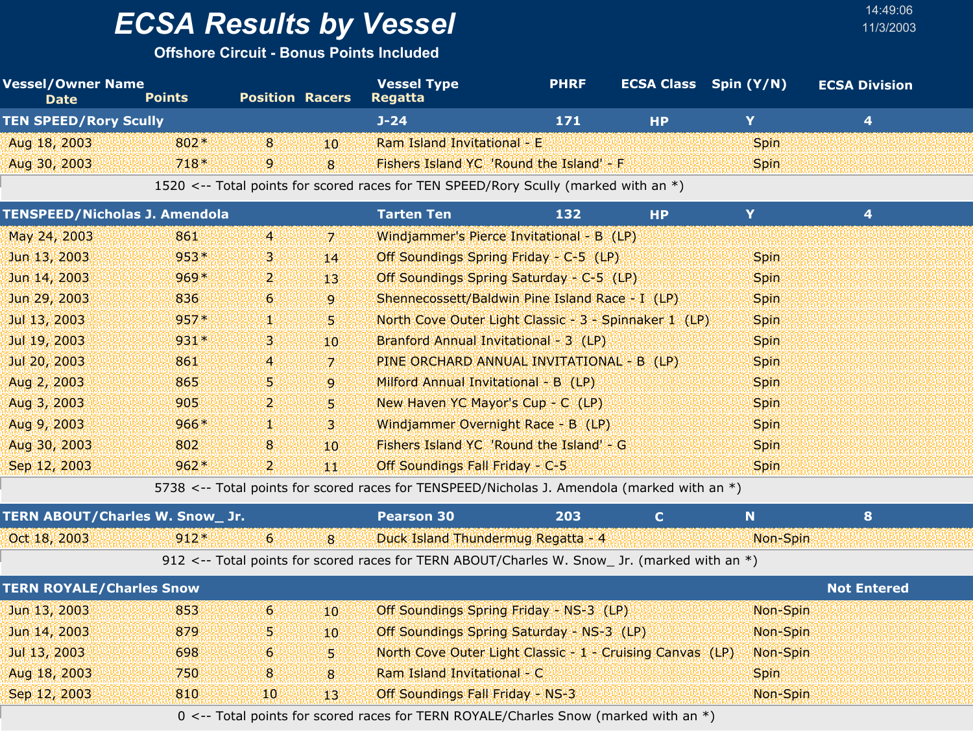**Offshore Circuit - Bonus Points Included**

| <b>Vessel/Owner Name</b><br><b>Date</b> | <b>Points</b> | <b>Position Racers</b> |                 | <b>Vessel Type</b><br>Regatta                                                       | <b>PHRF</b> | <b>ECSA Class</b> | Spin (Y/N)  | <b>ECSA Division</b> |
|-----------------------------------------|---------------|------------------------|-----------------|-------------------------------------------------------------------------------------|-------------|-------------------|-------------|----------------------|
| <b>TEN SPEED/Rory Scully</b>            |               |                        |                 | $J - 24$                                                                            | 171         | <b>HP</b>         | Y           | 4                    |
| Aug 18, 2003                            | $802*$        | 8 <sup>1</sup>         | 10.             | Ram Island Invitational - E                                                         |             |                   | <b>Spin</b> |                      |
| Aug 30, 2003                            | $718*$        | $\overline{9}$         | 8               | Fishers Island YC 'Round the Island' - F                                            |             |                   | <b>Spin</b> |                      |
|                                         |               |                        |                 | 1520 <-- Total points for scored races for TEN SPEED/Rory Scully (marked with an *) |             |                   |             |                      |
| TENSPEED/Nicholas J. Amendola           |               |                        |                 | <b>Tarten Ten</b>                                                                   | 132         | <b>HP</b>         | Y           | 4                    |
| May 24, 2003                            | 861           | $\overline{4}$         | -71             | Windjammer's Pierce Invitational - B (LP)                                           |             |                   |             |                      |
| Jun 13, 2003                            | $953*$        | В.                     | 14              | Off Soundings Spring Friday - C-5 (LP)                                              |             |                   | <b>Spin</b> |                      |
| Jun 14, 2003                            | $969*$        | $\mathbf{p}$           | 13 <sup>1</sup> | Off Soundings Spring Saturday - C-5 (LP)                                            |             |                   | <b>Spin</b> |                      |
| Jun 29, 2003                            | 836           | $\vert 6 \vert$        | $\overline{9}$  | Shennecossett/Baldwin Pine Island Race - I (LP)                                     |             |                   | <b>Spin</b> |                      |
| Jul 13, 2003                            | $957*$        | Y.                     | 51              | North Cove Outer Light Classic - 3 - Spinnaker 1 (LP)                               |             |                   | <b>Spin</b> |                      |
| Jul 19, 2003                            | $931*$        | В.                     | $10^{\circ}$    | Branford Annual Invitational - 3 (LP)                                               |             |                   | <b>Spin</b> |                      |
| Jul 20, 2003                            | 861           | YA.                    | -71             | PINE ORCHARD ANNUAL INVITATIONAL - B (LP)                                           |             |                   | <b>Spin</b> |                      |
| Aug 2, 2003                             | 865           | 5.                     | 9               | Milford Annual Invitational - B (LP)                                                |             |                   | <b>Spin</b> |                      |
|                                         |               |                        |                 |                                                                                     |             |                   |             |                      |

| Aug 3, 2003  | 905    | n yn y                                                                                                                                                                                                                         | New Haven YC Mayor's Cup - C (LP)        | <b>Spin</b> |
|--------------|--------|--------------------------------------------------------------------------------------------------------------------------------------------------------------------------------------------------------------------------------|------------------------------------------|-------------|
| Aug 9, 2003  | $966*$ |                                                                                                                                                                                                                                | Windjammer Overnight Race - B (LP)       | <b>Spin</b> |
| Aug 30, 2003 | 802    | $10^{\circ}$                                                                                                                                                                                                                   | Fishers Island YC 'Round the Island' - G | <b>Spin</b> |
| Sep 12, 2003 | $962*$ | and the second second in the second second in the second second in the second second in the second second in the second second in the second second in the second second in the second second in the second second in the seco | <b>Off Soundings Fall Friday - C-5</b>   | <b>Spin</b> |

5738 <-- Total points for scored races for TENSPEED/Nicholas J. Amendola (marked with an \*)

| <b>TERN ABOUT/Charles W. Snow_Jr.</b> |        |     | <b>Pearson 30</b>                                                                              | 203 |          |  |
|---------------------------------------|--------|-----|------------------------------------------------------------------------------------------------|-----|----------|--|
| Oct 18, 2003                          | $912*$ | - 8 | <b>Duck Island Thundermug Regatta - 4</b>                                                      |     | Non-Spin |  |
|                                       |        |     | 912 <-- Total points for scored races for TERN ABOUT/Charles W. Snow_ Jr. (marked with an $*)$ |     |          |  |

|              | <b>TERN ROYALE/Charles Snow</b> |                |              |                                                                                       |             |  |  |  |
|--------------|---------------------------------|----------------|--------------|---------------------------------------------------------------------------------------|-------------|--|--|--|
| Jun 13, 2003 | 853                             | 46.            | $10^{\circ}$ | Off Soundings Spring Friday - NS-3 (LP)                                               | Non-Spin    |  |  |  |
| Jun 14, 2003 | 879                             | 55             | $10^{\circ}$ | Off Soundings Spring Saturday - NS-3 (LP)                                             | Non-Spin    |  |  |  |
| Jul 13, 2003 | 698                             | 6 <sup>1</sup> | W.           | North Cove Outer Light Classic - 1 - Cruising Canvas (LP)                             | Non-Spin    |  |  |  |
| Aug 18, 2003 | 750                             | 8              | $\mathbf{R}$ | Ram Island Invitational - C                                                           | <b>Spin</b> |  |  |  |
| Sep 12, 2003 | 810                             | 401            | 43           | <b>Off Soundings Fall Friday - NS-3</b>                                               | Non-Spin    |  |  |  |
|              |                                 |                |              | 0 <-- Total points for scored races for TERN ROYALE/Charles Snow (marked with an $*)$ |             |  |  |  |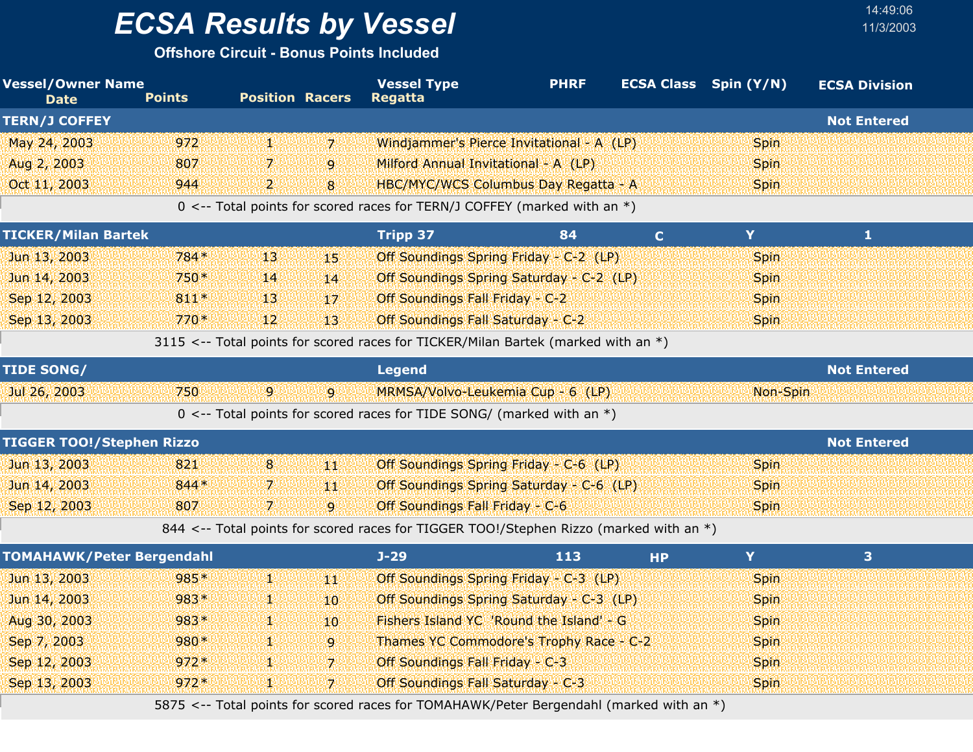**Offshore Circuit - Bonus Points Included**

| <b>Vessel/Owner Name</b><br><b>Date</b> | <b>Points</b> | <b>Position Racers</b> |                | <b>Vessel Type</b><br><b>Regatta</b>                                                    | <b>PHRF</b> | <b>ECSA Class</b> Spin (Y/N) |             | <b>ECSA Division</b>    |  |
|-----------------------------------------|---------------|------------------------|----------------|-----------------------------------------------------------------------------------------|-------------|------------------------------|-------------|-------------------------|--|
| <b>TERN/J COFFEY</b>                    |               |                        |                |                                                                                         |             |                              |             | <b>Not Entered</b>      |  |
| May 24, 2003                            | 972           | 饗                      | $\overline{z}$ | Windjammer's Pierce Invitational - A (LP)                                               |             |                              | <b>Spin</b> |                         |  |
| Aug 2, 2003                             | 807           | 7                      | 9              | Milford Annual Invitational - A (LP)                                                    |             |                              | <b>Spin</b> |                         |  |
| Oct 11, 2003                            | 944           | $\mathbf{2}$           | 8              | HBC/MYC/WCS Columbus Day Regatta - A                                                    |             |                              | <b>Spin</b> |                         |  |
|                                         |               |                        |                | 0 <-- Total points for scored races for TERN/J COFFEY (marked with an *)                |             |                              |             |                         |  |
| <b>TICKER/Milan Bartek</b>              |               |                        |                | <b>Tripp 37</b>                                                                         | 84          | $\mathbf{C}$                 | Y.          | $\mathbf{1}$            |  |
| Jun 13, 2003                            | $784*$        | 13                     | 45             | Off Soundings Spring Friday - C-2 (LP)                                                  |             |                              | <b>Spin</b> |                         |  |
| Jun 14, 2003                            | $750*$        | 14                     | 14             | Off Soundings Spring Saturday - C-2 (LP)                                                |             |                              | <b>Spin</b> |                         |  |
| Sep 12, 2003                            | $811*$        | 13                     | 17             | Off Soundings Fall Friday - C-2                                                         |             |                              | <b>Spin</b> |                         |  |
| Sep 13, 2003                            | $770*$        | 12                     | 13             | Off Soundings Fall Saturday - C-2                                                       |             |                              | <b>Spin</b> |                         |  |
|                                         |               |                        |                | 3115 <-- Total points for scored races for TICKER/Milan Bartek (marked with an *)       |             |                              |             |                         |  |
| <b>TIDE SONG/</b>                       |               |                        |                | <b>Legend</b>                                                                           |             |                              |             | <b>Not Entered</b>      |  |
| Jul 26, 2003                            | 750           | $\overline{9}$         | <b>q</b>       | MRMSA/Volvo-Leukemia Cup - 6 (LP)                                                       |             |                              | Non-Spin    |                         |  |
|                                         |               |                        |                | $0 \le -$ Total points for scored races for TIDE SONG/ (marked with an $*)$             |             |                              |             |                         |  |
| <b>TIGGER TOO!/Stephen Rizzo</b>        |               |                        |                |                                                                                         |             |                              |             | <b>Not Entered</b>      |  |
| Jun 13, 2003                            | 821           | $8\phantom{.}$         | 44             | Off Soundings Spring Friday - C-6 (LP)                                                  |             |                              | <b>Spin</b> |                         |  |
| Jun 14, 2003                            | 844*          | 7.                     | 440            | Off Soundings Spring Saturday - C-6 (LP)                                                |             |                              | <b>Spin</b> |                         |  |
| Sep 12, 2003                            | 807           | 7.                     | $\mathbf{Q}$   | Off Soundings Fall Friday - C-6                                                         |             |                              | <b>Spin</b> |                         |  |
|                                         |               |                        |                | 844 <-- Total points for scored races for TIGGER TOO!/Stephen Rizzo (marked with an *)  |             |                              |             |                         |  |
| <b>TOMAHAWK/Peter Bergendahl</b>        |               |                        |                | $J-29$                                                                                  | 113         | <b>HP</b>                    | Y           | $\overline{\mathbf{3}}$ |  |
| Jun 13, 2003                            | 985*          | W.                     | 488            | Off Soundings Spring Friday - C-3 (LP)                                                  |             |                              | <b>Spin</b> |                         |  |
| Jun 14, 2003                            | 983*          | Ψ                      | 10             | Off Soundings Spring Saturday - C-3 (LP)                                                |             |                              | <b>Spin</b> |                         |  |
| Aug 30, 2003                            | 983*          | 48                     | 10             | Fishers Island YC 'Round the Island' - G                                                |             |                              | <b>Spin</b> |                         |  |
| Sep 7, 2003                             | 980*          | Ψ                      | $\overline{9}$ | Thames YC Commodore's Trophy Race - C-2                                                 |             |                              | <b>Spin</b> |                         |  |
| Sep 12, 2003                            | $972*$        | Y.                     | $\overline{z}$ | Off Soundings Fall Friday - C-3                                                         |             |                              | <b>Spin</b> |                         |  |
| Sep 13, 2003                            | $972*$        | 1                      | $\overline{7}$ | Off Soundings Fall Saturday - C-3                                                       |             |                              | <b>Spin</b> |                         |  |
|                                         |               |                        |                | 5875 <-- Total points for scored races for TOMAHAWK/Peter Bergendahl (marked with an *) |             |                              |             |                         |  |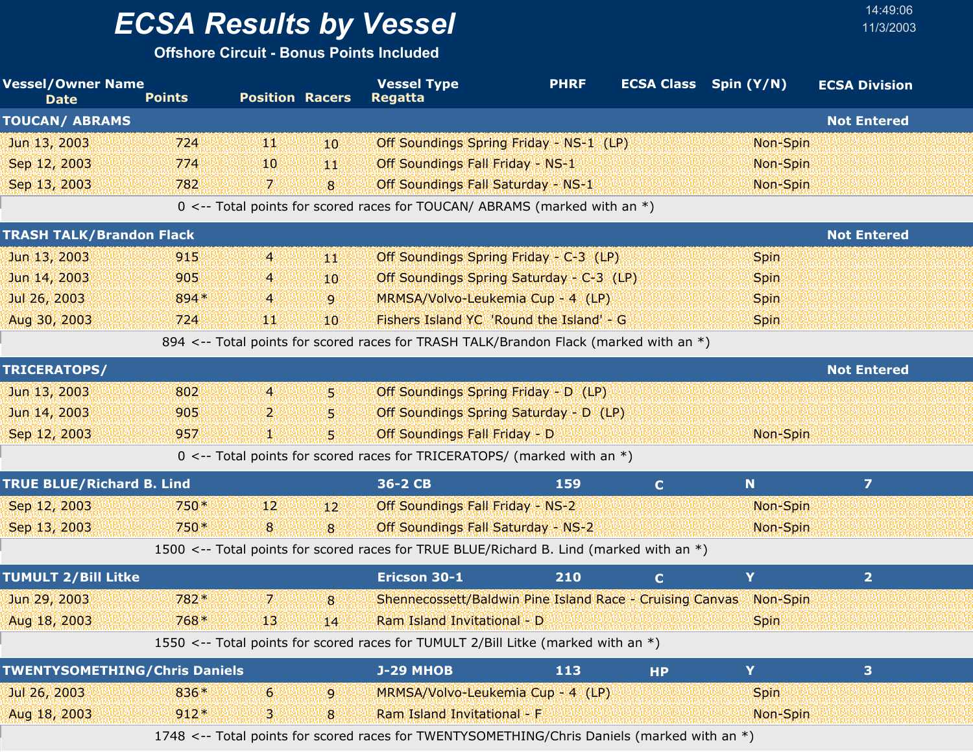**Offshore Circuit - Bonus Points Included**

| <b>Vessel/Owner Name</b><br><b>Date</b> | <b>Points</b> | <b>Position Racers</b> |                 | <b>Vessel Type</b><br><b>Regatta</b>                                                    | <b>PHRF</b> | <b>ECSA Class</b> Spin (Y/N) |             | <b>ECSA Division</b>    |
|-----------------------------------------|---------------|------------------------|-----------------|-----------------------------------------------------------------------------------------|-------------|------------------------------|-------------|-------------------------|
| <b>TOUCAN/ ABRAMS</b>                   |               |                        |                 |                                                                                         |             |                              |             | <b>Not Entered</b>      |
| Jun 13, 2003                            | 724           | щŅ                     | 10.             | Off Soundings Spring Friday - NS-1 (LP)                                                 |             |                              | Non-Spin    |                         |
| Sep 12, 2003                            | 774           | 10                     | 44              | Off Soundings Fall Friday - NS-1                                                        |             |                              | Non-Spin    |                         |
| Sep 13, 2003                            | 782           | 74                     | 8               | Off Soundings Fall Saturday - NS-1                                                      |             |                              | Non-Spin    |                         |
|                                         |               |                        |                 | 0 <-- Total points for scored races for TOUCAN/ ABRAMS (marked with an *)               |             |                              |             |                         |
| <b>TRASH TALK/Brandon Flack</b>         |               |                        |                 |                                                                                         |             |                              |             | <b>Not Entered</b>      |
| Jun 13, 2003                            | 915           | $\overline{4}$         | 44              | Off Soundings Spring Friday - C-3 (LP)                                                  |             |                              | <b>Spin</b> |                         |
| Jun 14, 2003                            | 905           | 4                      | 10              | Off Soundings Spring Saturday - C-3 (LP)                                                |             |                              | <b>Spin</b> |                         |
| Jul 26, 2003                            | 894*          | $\overline{A}$         | $\overline{9}$  | MRMSA/Volvo-Leukemia Cup - 4 (LP)                                                       |             |                              | <b>Spin</b> |                         |
| Aug 30, 2003                            | 724           | ЩI                     | 10 <sup>°</sup> | Fishers Island YC 'Round the Island' - G                                                |             |                              | <b>Spin</b> |                         |
|                                         |               |                        |                 | 894 <-- Total points for scored races for TRASH TALK/Brandon Flack (marked with an *)   |             |                              |             |                         |
| TRICERATOPS/                            |               |                        |                 |                                                                                         |             |                              |             | <b>Not Entered</b>      |
| Jun 13, 2003                            | 802           | $\overline{4}$         | Ы               | Off Soundings Spring Friday - D (LP)                                                    |             |                              |             |                         |
| Jun 14, 2003                            | 905           | 2                      | 5.              | Off Soundings Spring Saturday - D (LP)                                                  |             |                              |             |                         |
| Sep 12, 2003                            | 957           | 9X                     | 5.              | Off Soundings Fall Friday - D                                                           |             |                              | Non-Spin    |                         |
|                                         |               |                        |                 | 0 <-- Total points for scored races for TRICERATOPS/ (marked with an $*)$               |             |                              |             |                         |
| <b>TRUE BLUE/Richard B. Lind</b>        |               |                        |                 | 36-2 CB                                                                                 | <b>159</b>  | $\mathbf{C}$                 | N           | $\overline{z}$          |
| Sep 12, 2003                            | 750*          | 12                     | $12^{\circ}$    | Off Soundings Fall Friday - NS-2                                                        |             |                              | Non-Spin    |                         |
| Sep 13, 2003                            | 750*          | 8                      | 8               | Off Soundings Fall Saturday - NS-2                                                      |             |                              | Non-Spin    |                         |
|                                         |               |                        |                 | 1500 <-- Total points for scored races for TRUE BLUE/Richard B. Lind (marked with an *) |             |                              |             |                         |
| <b>TUMULT 2/Bill Litke</b>              |               |                        |                 | Ericson 30-1                                                                            | 210         | $\mathbf{C}$                 | Y           | 2 <sup>1</sup>          |
| Jun 29, 2003                            | 782*          | $\mathbf{7}$           | 8               | Shennecossett/Baldwin Pine Island Race - Cruising Canvas                                |             |                              | Non-Spin    |                         |
| Aug 18, 2003                            | $768*$        | 13.56666444            |                 | Ram Island Invitational - D                                                             |             |                              | <b>Spin</b> |                         |
|                                         |               |                        |                 | 1550 <-- Total points for scored races for TUMULT 2/Bill Litke (marked with an *)       |             |                              |             |                         |
| <b>TWENTYSOMETHING/Chris Daniels</b>    |               |                        |                 | <b>J-29 MHOB</b>                                                                        | 113         | <b>HP</b>                    | Y           | $\overline{\mathbf{3}}$ |
| Jul 26, 2003                            | 836*          | 6                      | 9               | MRMSA/Volvo-Leukemia Cup - 4 (LP)                                                       |             |                              | <b>Spin</b> |                         |
| Aug 18, 2003                            | $912*$        | В.                     | 8               | Ram Island Invitational - F                                                             |             |                              | Non-Spin    |                         |
|                                         |               |                        |                 | $T$ WENTVCOMETUINC Chris Daniele (marked with                                           |             |                              |             |                         |

14:49:06

1748 <-- Total points for scored races for TWENTYSOMETHING/Chris Daniels (marked with an \*)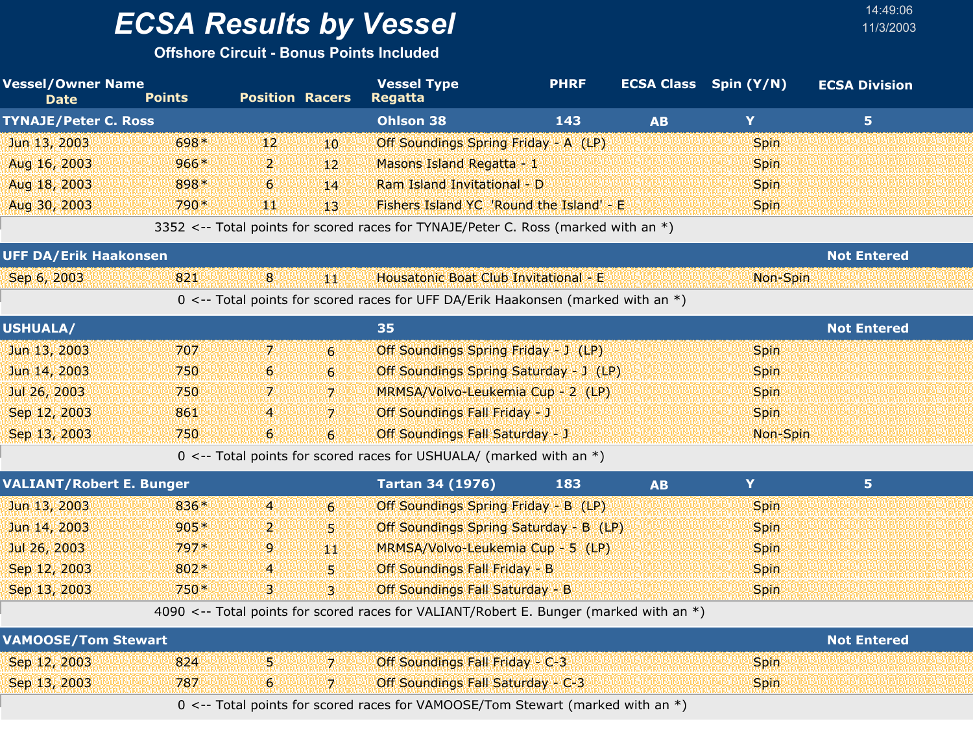**Offshore Circuit - Bonus Points Included**

| <b>Vessel/Owner Name</b><br><b>Date</b> | <b>Points</b> | <b>Position Racers</b> |                  | <b>Vessel Type</b><br><b>Regatta</b>                                                   | <b>PHRF</b> |           | <b>ECSA Class</b> Spin (Y/N) | <b>ECSA Division</b> |  |
|-----------------------------------------|---------------|------------------------|------------------|----------------------------------------------------------------------------------------|-------------|-----------|------------------------------|----------------------|--|
| <b>TYNAJE/Peter C. Ross</b>             |               |                        |                  | <b>Ohlson 38</b>                                                                       | 143         | <b>AB</b> | Y                            | 5 <sub>1</sub>       |  |
| Jun 13, 2003                            | 698*          | 12                     | 10               | Off Soundings Spring Friday - A (LP)                                                   |             |           | <b>Spin</b>                  |                      |  |
| Aug 16, 2003                            | $966*$        | 2.                     | 12               | Masons Island Regatta - 1                                                              |             |           | <b>Spin</b>                  |                      |  |
| Aug 18, 2003                            | 898*          | 6                      | 14               | Ram Island Invitational - D                                                            |             |           | Spin                         |                      |  |
| Aug 30, 2003                            | 790*          | щŅ                     | 13'              | Fishers Island YC 'Round the Island' - E                                               |             |           | <b>Spin</b>                  |                      |  |
|                                         |               |                        |                  | 3352 <-- Total points for scored races for TYNAJE/Peter C. Ross (marked with an *)     |             |           |                              |                      |  |
| <b>UFF DA/Erik Haakonsen</b>            |               |                        |                  |                                                                                        |             |           |                              | <b>Not Entered</b>   |  |
| Sep 6, 2003                             | 821           | 8                      | 判犯               | Housatonic Boat Club Invitational - E                                                  |             |           | Non-Spin                     |                      |  |
|                                         |               |                        |                  | 0 <-- Total points for scored races for UFF DA/Erik Haakonsen (marked with an *)       |             |           |                              |                      |  |
| <b>USHUALA/</b>                         |               |                        |                  | 35                                                                                     |             |           |                              | <b>Not Entered</b>   |  |
| Jun 13, 2003                            | 707           | 7.                     | $6 \,$           | Off Soundings Spring Friday - J (LP)                                                   |             |           | Spin                         |                      |  |
| Jun 14, 2003                            | 750           | 6                      | 6 <sup>1</sup>   | Off Soundings Spring Saturday - J (LP)                                                 |             |           | <b>Spin</b>                  |                      |  |
| Jul 26, 2003                            | 750           | 7.                     | $\overline{7}$   | MRMSA/Volvo-Leukemia Cup - 2 (LP)                                                      |             |           | <b>Spin</b>                  |                      |  |
| Sep 12, 2003                            | 861           | 4                      | $\overline{7}$   | Off Soundings Fall Friday - J                                                          |             |           | <b>Spin</b>                  |                      |  |
| Sep 13, 2003                            | 750           | 6                      | $6 \overline{6}$ | <b>Off Soundings Fall Saturday - J</b>                                                 |             |           | Non-Spin                     |                      |  |
|                                         |               |                        |                  | 0 <-- Total points for scored races for USHUALA/ (marked with an $*)$                  |             |           |                              |                      |  |
| <b>VALIANT/Robert E. Bunger</b>         |               |                        |                  | <b>Tartan 34 (1976)</b>                                                                | 183         | <b>AB</b> | Y                            | 5.                   |  |
| Jun 13, 2003                            | 836*          | $\overline{a}$         | $6 \overline{6}$ | Off Soundings Spring Friday - B (LP)                                                   |             |           | <b>Spin</b>                  |                      |  |
| Jun 14, 2003                            | $905*$        | 2                      | 5.               | Off Soundings Spring Saturday - B (LP)                                                 |             |           | Spin                         |                      |  |
| Jul 26, 2003                            | 797*          | 9                      | 44               | MRMSA/Volvo-Leukemia Cup - 5 (LP)                                                      |             |           | <b>Spin</b>                  |                      |  |
| Sep 12, 2003                            | 802*          | 4                      | 5.               | Off Soundings Fall Friday - B                                                          |             |           | <b>Spin</b>                  |                      |  |
| Sep 13, 2003                            | 750*          | 3                      | 3 <sup>1</sup>   | Off Soundings Fall Saturday - B                                                        |             |           | <b>Spin</b>                  |                      |  |
|                                         |               |                        |                  | 4090 <-- Total points for scored races for VALIANT/Robert E. Bunger (marked with an *) |             |           |                              |                      |  |
| <b>VAMOOSE/Tom Stewart</b>              |               |                        |                  |                                                                                        |             |           |                              | <b>Not Entered</b>   |  |
| Sep 12, 2003                            | 824           | 5.                     | 7 <sup>1</sup>   | Off Soundings Fall Friday - C-3                                                        |             |           | Spin                         |                      |  |
| Sep 13, 2003                            | 787           | 6                      | 7.               | Off Soundings Fall Saturday - C-3                                                      |             |           | <b>Spin</b>                  |                      |  |
|                                         |               |                        |                  | 0 <-- Total points for scored races for VAMOOSE/Tom Stewart (marked with an *)         |             |           |                              |                      |  |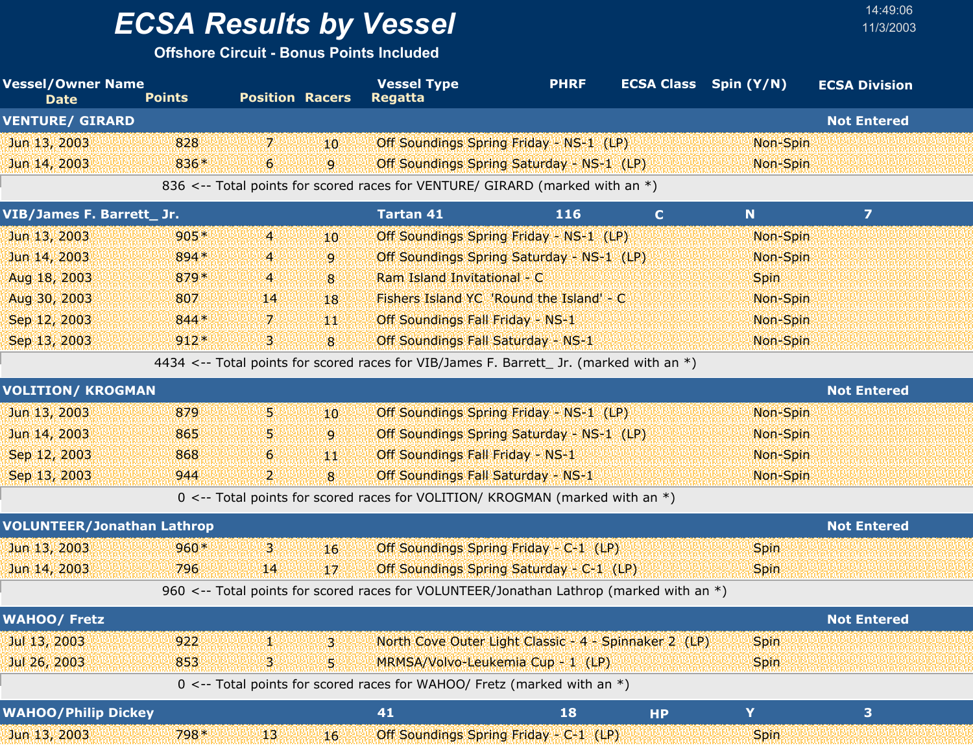**Offshore Circuit - Bonus Points Included**

| <b>Vessel/Owner Name</b><br><b>Date</b> | <b>Points</b> | <b>Position Racers</b> |                 | <b>Vessel Type</b><br><b>Regatta</b>                                                      | <b>PHRF</b> |             | <b>ECSA Class</b> Spin (Y/N) | <b>ECSA Division</b> |
|-----------------------------------------|---------------|------------------------|-----------------|-------------------------------------------------------------------------------------------|-------------|-------------|------------------------------|----------------------|
| <b>VENTURE/ GIRARD</b>                  |               |                        |                 |                                                                                           |             |             |                              | <b>Not Entered</b>   |
| Jun 13, 2003                            | 828           | 71                     | 10              | Off Soundings Spring Friday - NS-1 (LP)                                                   |             |             | Non-Spin                     |                      |
| Jun 14, 2003                            | 836*          | $6^{\circ}$            | $\overline{9}$  | Off Soundings Spring Saturday - NS-1 (LP)                                                 |             |             | Non-Spin                     |                      |
|                                         |               |                        |                 | 836 <-- Total points for scored races for VENTURE/ GIRARD (marked with an *)              |             |             |                              |                      |
| VIB/James F. Barrett_ Jr.               |               |                        |                 | <b>Tartan 41</b>                                                                          | 116         | $\mathbf C$ | N                            | $\overline{z}$       |
| Jun 13, 2003                            | $905*$        | $\overline{4}$         | 10              | Off Soundings Spring Friday - NS-1 (LP)                                                   |             |             | Non-Spin                     |                      |
| Jun 14, 2003                            | 894*          | $\overline{4}$         | 9               | Off Soundings Spring Saturday - NS-1 (LP)                                                 |             |             | Non-Spin                     |                      |
| Aug 18, 2003                            | 879*          | $\overline{4}$         | 8               | Ram Island Invitational - C                                                               |             |             | <b>Spin</b>                  |                      |
| Aug 30, 2003                            | 807           | 14                     | 18              | Fishers Island YC 'Round the Island' - C                                                  |             |             | Non-Spin                     |                      |
| Sep 12, 2003                            | $844*$        | 7.                     | 郷               | Off Soundings Fall Friday - NS-1                                                          |             |             | Non-Spin                     |                      |
| Sep 13, 2003                            | $912*$        | 3.                     | 8               | <b>Off Soundings Fall Saturday - NS-1</b>                                                 |             |             | Non-Spin                     |                      |
|                                         |               |                        |                 | 4434 <-- Total points for scored races for VIB/James F. Barrett_ Jr. (marked with an $*)$ |             |             |                              |                      |
| <b>VOLITION/ KROGMAN</b>                |               |                        |                 |                                                                                           |             |             |                              | <b>Not Entered</b>   |
| Jun 13, 2003                            | 879           | W.                     | 10 <sup>°</sup> | Off Soundings Spring Friday - NS-1 (LP)                                                   |             |             | Non-Spin                     |                      |
| Jun 14, 2003                            | 865           | 5.                     | 9               | Off Soundings Spring Saturday - NS-1 (LP)                                                 |             |             | Non-Spin                     |                      |
| Sep 12, 2003                            | 868           | 6                      | 44              | Off Soundings Fall Friday - NS-1                                                          |             |             | Non-Spin                     |                      |
| Sep 13, 2003                            | 944           | 2.                     | 8               | Off Soundings Fall Saturday - NS-1                                                        |             |             | Non-Spin                     |                      |
|                                         |               |                        |                 | 0 <-- Total points for scored races for VOLITION/ KROGMAN (marked with an *)              |             |             |                              |                      |
| <b>VOLUNTEER/Jonathan Lathrop</b>       |               |                        |                 |                                                                                           |             |             |                              | <b>Not Entered</b>   |
| Jun 13, 2003                            | $960*$        | 3.                     | 16              | Off Soundings Spring Friday - C-1 (LP)                                                    |             |             | <b>Spin</b>                  |                      |
| Jun 14, 2003                            | 796           | 14                     | 17              | Off Soundings Spring Saturday - C-1 (LP)                                                  |             |             | <b>Spin</b>                  |                      |
|                                         |               |                        |                 | 960 <-- Total points for scored races for VOLUNTEER/Jonathan Lathrop (marked with an *)   |             |             |                              |                      |
| <b>WAHOO/ Fretz</b>                     |               |                        |                 |                                                                                           |             |             |                              | <b>Not Entered</b>   |
| Jul 13, 2003                            | 922           | 44                     | 3.              | North Cove Outer Light Classic - 4 - Spinnaker 2 (LP)                                     |             |             | <b>Spin</b>                  |                      |
| Jul 26, 2003                            | 853           | В.                     | 5               | MRMSA/Volvo-Leukemia Cup - 1 (LP)                                                         |             |             | <b>Spin</b>                  |                      |
|                                         |               |                        |                 | 0 <-- Total points for scored races for WAHOO/ Fretz (marked with an $*$ )                |             |             |                              |                      |
| <b>WAHOO/Philip Dickey</b>              |               |                        |                 | 41                                                                                        | <b>18</b>   | <b>HP</b>   | Y                            | 3                    |
| Jun 13, 2003                            | 798*          | 13                     | 16              | Off Soundings Spring Friday - C-1 (LP)                                                    |             |             | <b>Spin</b>                  |                      |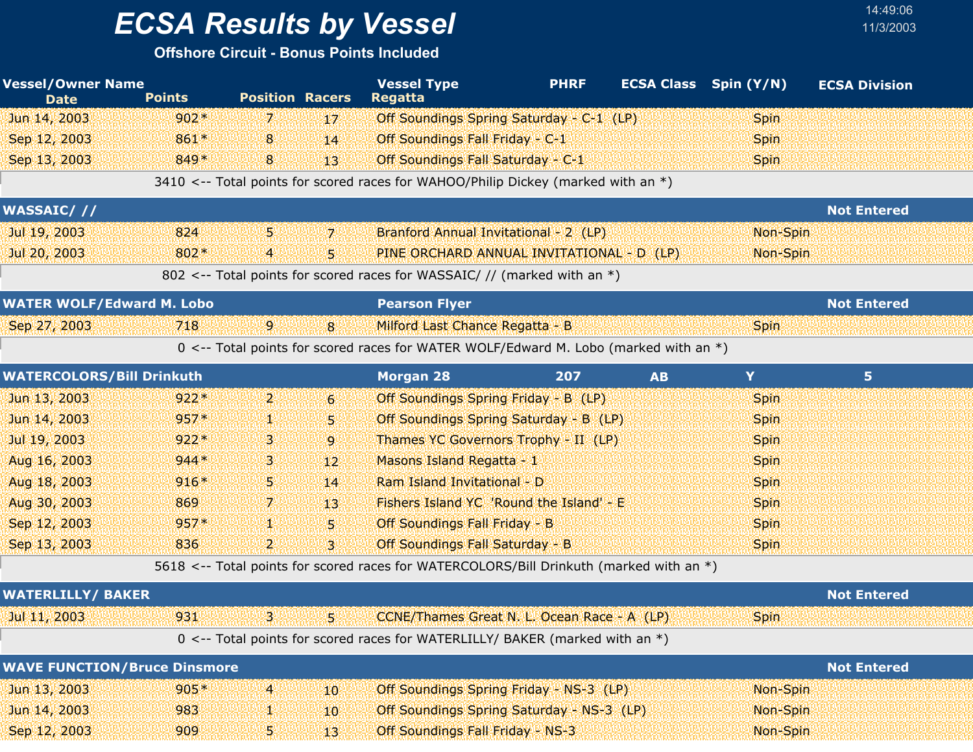## *ECSA Results by Vessel* 11/3/2003

| <b>Vessel/Owner Name</b><br><b>Date</b> | <b>Points</b> | <b>Position Racers</b> |                  | <b>Vessel Type</b><br><b>Regatta</b>                                                    | <b>PHRF</b> | <b>ECSA Class</b> | Spin (Y/N)  | <b>ECSA Division</b> |
|-----------------------------------------|---------------|------------------------|------------------|-----------------------------------------------------------------------------------------|-------------|-------------------|-------------|----------------------|
| Jun 14, 2003                            | $902*$        | 7.                     | 17               | Off Soundings Spring Saturday - C-1 (LP)                                                |             |                   | <b>Spin</b> |                      |
| Sep 12, 2003                            | 861*          | 8                      | 14               | Off Soundings Fall Friday - C-1                                                         |             |                   | <b>Spin</b> |                      |
| Sep 13, 2003                            | 849*          | 8                      | 13 <sup>°</sup>  | Off Soundings Fall Saturday - C-1                                                       |             |                   | <b>Spin</b> |                      |
|                                         |               |                        |                  | 3410 <-- Total points for scored races for WAHOO/Philip Dickey (marked with an *)       |             |                   |             |                      |
| <b>WASSAIC///</b>                       |               |                        |                  |                                                                                         |             |                   |             | <b>Not Entered</b>   |
| Jul 19, 2003                            | 824           | 5.                     | 7.               | Branford Annual Invitational - 2 (LP)                                                   |             |                   | Non-Spin    |                      |
| Jul 20, 2003                            | 802*          | 4                      | 5.               | PINE ORCHARD ANNUAL INVITATIONAL - D (LP)                                               |             |                   | Non-Spin    |                      |
|                                         |               |                        |                  | 802 <-- Total points for scored races for WASSAIC/ // (marked with an *)                |             |                   |             |                      |
| <b>WATER WOLF/Edward M. Lobo</b>        |               |                        |                  | <b>Pearson Flyer</b>                                                                    |             |                   |             | <b>Not Entered</b>   |
| Sep 27, 2003                            | 718           | $\mathbf{9}$           | 8                | Milford Last Chance Regatta - B                                                         |             |                   | <b>Spin</b> |                      |
|                                         |               |                        |                  | 0 <-- Total points for scored races for WATER WOLF/Edward M. Lobo (marked with an *)    |             |                   |             |                      |
| <b>WATERCOLORS/Bill Drinkuth</b>        |               |                        |                  | <b>Morgan 28</b>                                                                        | 207         | <b>AB</b>         | Y           | 5 <sub>1</sub>       |
| Jun 13, 2003                            | $922*$        | $\mathbf{2}$           | $6 \overline{6}$ | Off Soundings Spring Friday - B (LP)                                                    |             |                   | <b>Spin</b> |                      |
| Jun 14, 2003                            | $957*$        | 92                     | 5.               | Off Soundings Spring Saturday - B (LP)                                                  |             |                   | <b>Spin</b> |                      |
| Jul 19, 2003                            | $922*$        | З.                     | 9                | Thames YC Governors Trophy - II (LP)                                                    |             |                   | <b>Spin</b> |                      |
| Aug 16, 2003                            | $944*$        | З.                     | 12 <sup>2</sup>  | Masons Island Regatta - 1                                                               |             |                   | Spin        |                      |
| Aug 18, 2003                            | $916*$        | 5.                     | 14               | Ram Island Invitational - D                                                             |             |                   | <b>Spin</b> |                      |
| Aug 30, 2003                            | 869           | 7.                     | 13 <sup>°</sup>  | Fishers Island YC 'Round the Island' - E                                                |             |                   | <b>Spin</b> |                      |
| Sep 12, 2003                            | $957*$        | 18                     | 5.               | Off Soundings Fall Friday - B                                                           |             |                   | <b>Spin</b> |                      |
| Sep 13, 2003                            | 836           | $\mathbf{2}$           | $\mathbf{3}$     | Off Soundings Fall Saturday - B                                                         |             |                   | <b>Spin</b> |                      |
|                                         |               |                        |                  | 5618 <-- Total points for scored races for WATERCOLORS/Bill Drinkuth (marked with an *) |             |                   |             |                      |
| <b>WATERLILLY/ BAKER</b>                |               |                        |                  |                                                                                         |             |                   |             | <b>Not Entered</b>   |
| Jul 11, 2003                            | 931           | З                      | 5.               | CCNE/Thames Great N. L. Ocean Race - A (LP)                                             |             |                   | <b>Spin</b> |                      |
|                                         |               |                        |                  | 0 <-- Total points for scored races for WATERLILLY/ BAKER (marked with an *)            |             |                   |             |                      |
| <b>WAVE FUNCTION/Bruce Dinsmore</b>     |               |                        |                  |                                                                                         |             |                   |             | <b>Not Entered</b>   |
| Jun 13, 2003                            | $905*$        | $\overline{4}$         | 40.              | Off Soundings Spring Friday - NS-3 (LP)                                                 |             |                   | Non-Spin    |                      |
| Jun 14, 2003                            | 983           | 48                     | 10               | Off Soundings Spring Saturday - NS-3 (LP)                                               |             |                   | Non-Spin    |                      |
| Sep 12, 2003                            | 909           | Ş.                     | 13               | <b>Off Soundings Fall Friday - NS-3</b>                                                 |             |                   | Non-Spin    |                      |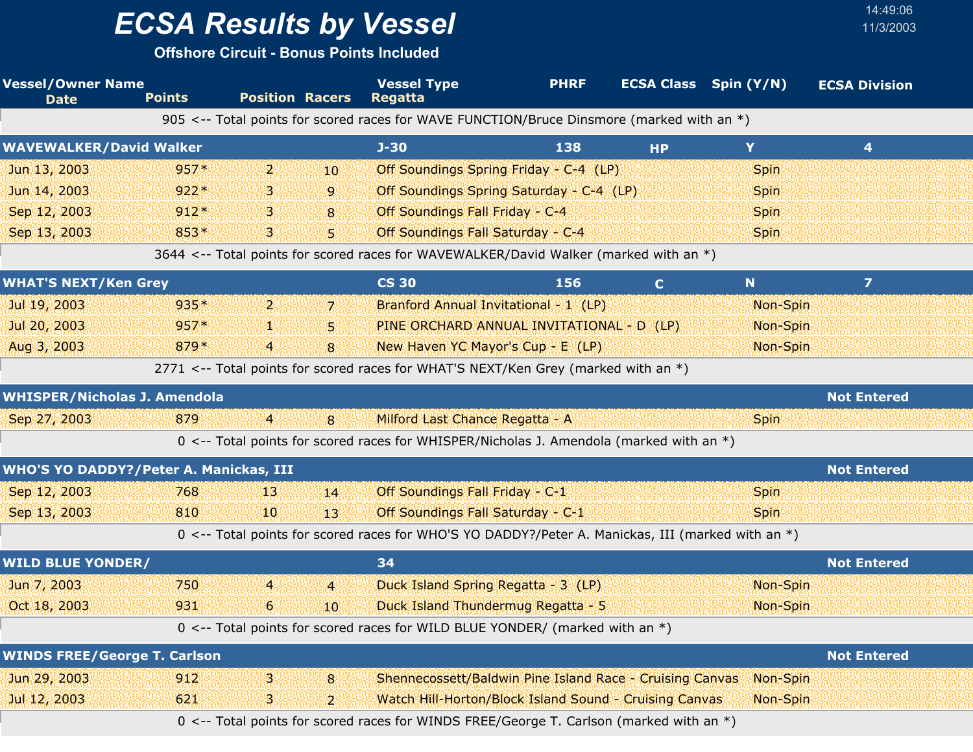**Offshore Circuit - Bonus Points Included**

| <b>Vessel/Owner Name</b><br><b>Date</b>       | <b>Points</b> | <b>Position Racers</b> |                | <b>Vessel Type</b><br><b>Regatta</b>                                                              | <b>PHRF</b> |             | <b>ECSA Class</b> Spin (Y/N) | <b>ECSA Division</b> |
|-----------------------------------------------|---------------|------------------------|----------------|---------------------------------------------------------------------------------------------------|-------------|-------------|------------------------------|----------------------|
|                                               |               |                        |                | 905 <-- Total points for scored races for WAVE FUNCTION/Bruce Dinsmore (marked with an *)         |             |             |                              |                      |
| <b>WAVEWALKER/David Walker</b>                |               |                        |                | $J-30$                                                                                            | 138         | <b>HP</b>   | Y                            | 4                    |
| Jun 13, 2003                                  | $957*$        | 2.                     | 10             | Off Soundings Spring Friday - C-4 (LP)                                                            |             |             | Spin                         |                      |
| Jun 14, 2003                                  | $922*$        | В.                     | 9              | Off Soundings Spring Saturday - C-4 (LP)                                                          |             |             | <b>Spin</b>                  |                      |
| Sep 12, 2003                                  | $912*$        | 3.                     | 8              | Off Soundings Fall Friday - C-4                                                                   |             |             | <b>Spin</b>                  |                      |
| Sep 13, 2003                                  | 853*          | В.                     | 51             | Off Soundings Fall Saturday - C-4                                                                 |             |             | <b>Spin</b>                  |                      |
|                                               |               |                        |                | 3644 <-- Total points for scored races for WAVEWALKER/David Walker (marked with an *)             |             |             |                              |                      |
| <b>WHAT'S NEXT/Ken Grey</b>                   |               |                        |                | <b>CS 30</b>                                                                                      | 156         | $\mathbf C$ | N                            | $\overline{ }$       |
| Jul 19, 2003                                  | $935*$        | 2.                     | $\overline{7}$ | Branford Annual Invitational - 1 (LP)                                                             |             |             | Non-Spin                     |                      |
| Jul 20, 2003                                  | 957*          | 92                     | 5.             | PINE ORCHARD ANNUAL INVITATIONAL - D (LP)                                                         |             |             | Non-Spin                     |                      |
| Aug 3, 2003                                   | 879*          | 4                      | 8              | New Haven YC Mayor's Cup - E (LP)                                                                 |             |             | Non-Spin                     |                      |
|                                               |               |                        |                | 2771 <-- Total points for scored races for WHAT'S NEXT/Ken Grey (marked with an *)                |             |             |                              |                      |
| <b>WHISPER/Nicholas J. Amendola</b>           |               |                        |                |                                                                                                   |             |             |                              | <b>Not Entered</b>   |
| Sep 27, 2003                                  | 879           | $\overline{4}$         | 8              | Milford Last Chance Regatta - A                                                                   |             |             | <b>Spin</b>                  |                      |
|                                               |               |                        |                | 0 <-- Total points for scored races for WHISPER/Nicholas J. Amendola (marked with an $*$ )        |             |             |                              |                      |
| <b>WHO'S YO DADDY?/Peter A. Manickas, III</b> |               |                        |                |                                                                                                   |             |             |                              | <b>Not Entered</b>   |
| Sep 12, 2003                                  | 768           | 13                     | 14             | Off Soundings Fall Friday - C-1                                                                   |             |             | <b>Spin</b>                  |                      |
| Sep 13, 2003                                  | 810           | 10                     | 13             | Off Soundings Fall Saturday - C-1                                                                 |             |             | <b>Spin</b>                  |                      |
|                                               |               |                        |                | 0 <-- Total points for scored races for WHO'S YO DADDY?/Peter A. Manickas, III (marked with an *) |             |             |                              |                      |
| <b>WILD BLUE YONDER/</b>                      |               |                        |                | 34                                                                                                |             |             |                              | <b>Not Entered</b>   |
| Jun 7, 2003                                   | 750           | $\overline{4}$         | $\overline{4}$ | Duck Island Spring Regatta - 3 (LP)                                                               |             |             | Non-Spin                     |                      |
| Oct 18, 2003                                  | 931           | 6 <sup>1</sup>         | 10             | Duck Island Thundermug Regatta - 5                                                                |             |             | Non-Spin                     |                      |
|                                               |               |                        |                | 0 <-- Total points for scored races for WILD BLUE YONDER/ (marked with an *)                      |             |             |                              |                      |
| <b>WINDS FREE/George T. Carlson</b>           |               |                        |                |                                                                                                   |             |             |                              | <b>Not Entered</b>   |
| Jun 29, 2003                                  | 912           | З.                     | 8              | Shennecossett/Baldwin Pine Island Race - Cruising Canvas                                          |             |             | Non-Spin                     |                      |
| Jul 12, 2003                                  | 621           | В.                     | $\vert$        | Watch Hill-Horton/Block Island Sound - Cruising Canvas                                            |             |             | Non-Spin                     |                      |
|                                               |               |                        |                | 0 <-- Total points for scored races for WINDS FREE/George T. Carlson (marked with an *)           |             |             |                              |                      |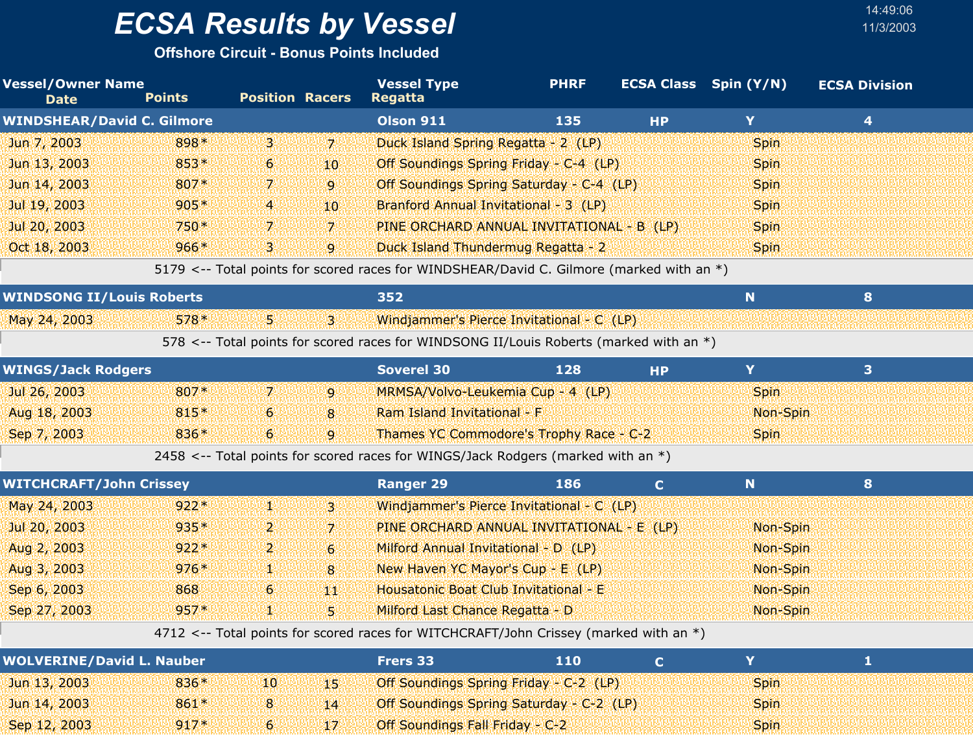**Offshore Circuit - Bonus Points Included**

| <b>Vessel/Owner Name</b><br><b>Date</b> | <b>Points</b> | <b>Position Racers</b> |                | <b>Vessel Type</b><br><b>Regatta</b>                                                     | <b>PHRF</b> |              | <b>ECSA Class</b> Spin (Y/N) | <b>ECSA Division</b>    |  |
|-----------------------------------------|---------------|------------------------|----------------|------------------------------------------------------------------------------------------|-------------|--------------|------------------------------|-------------------------|--|
| <b>WINDSHEAR/David C. Gilmore</b>       |               |                        |                | <b>Olson 911</b>                                                                         | 135         | <b>HP</b>    | Y                            | $\overline{\mathbf{4}}$ |  |
| Jun 7, 2003                             | 898*          | $\mathbf{B}$           | 17.            | Duck Island Spring Regatta - 2 (LP)                                                      |             |              | Spin                         |                         |  |
| Jun 13, 2003                            | $853*$        | $\epsilon$             | 10             | Off Soundings Spring Friday - C-4 (LP)                                                   |             |              | <b>Spin</b>                  |                         |  |
| Jun 14, 2003                            | 807*          | 7.                     | $\overline{9}$ | Off Soundings Spring Saturday - C-4 (LP)                                                 |             |              | <b>Spin</b>                  |                         |  |
| Jul 19, 2003                            | $905*$        | 4                      | 10             | Branford Annual Invitational - 3 (LP)                                                    |             |              | Spin                         |                         |  |
| Jul 20, 2003                            | $750*$        | 7                      | $\overline{7}$ | PINE ORCHARD ANNUAL INVITATIONAL - B (LP)                                                |             |              | Spin                         |                         |  |
| Oct 18, 2003                            | 966*          | 3.                     | 9              | Duck Island Thundermug Regatta - 2                                                       |             |              | <b>Spin</b>                  |                         |  |
|                                         |               |                        |                | 5179 <-- Total points for scored races for WINDSHEAR/David C. Gilmore (marked with an *) |             |              |                              |                         |  |
| <b>WINDSONG II/Louis Roberts</b>        |               |                        |                | 352                                                                                      |             |              | N                            | 8                       |  |
| May 24, 2003                            | $578*$        | 51                     | 31             | Windjammer's Pierce Invitational - C (LP)                                                |             |              |                              |                         |  |
|                                         |               |                        |                | 578 <-- Total points for scored races for WINDSONG II/Louis Roberts (marked with an *)   |             |              |                              |                         |  |
| <b>WINGS/Jack Rodgers</b>               |               |                        |                | <b>Soverel 30</b>                                                                        | 128         | <b>HP</b>    | Y                            | 3                       |  |
| Jul 26, 2003                            | 807*          | 7 <sup>1</sup>         | $\overline{9}$ | MRMSA/Volvo-Leukemia Cup - 4 (LP)                                                        |             |              | <b>Spin</b>                  |                         |  |
| Aug 18, 2003                            | 815*          | 6 <sup>1</sup>         | 8              | Ram Island Invitational - F                                                              |             |              | Non-Spin                     |                         |  |
| Sep 7, 2003                             | 836*          | $6\overline{6}$        | 9              | Thames YC Commodore's Trophy Race - C-2                                                  |             |              | <b>Spin</b>                  |                         |  |
|                                         |               |                        |                | 2458 <-- Total points for scored races for WINGS/Jack Rodgers (marked with an *)         |             |              |                              |                         |  |
| <b>WITCHCRAFT/John Crissey</b>          |               |                        |                | <b>Ranger 29</b>                                                                         | 186         | $\mathbf{C}$ | N                            | 8                       |  |
| May 24, 2003                            | $922*$        | V.                     | 3              | Windjammer's Pierce Invitational - C (LP)                                                |             |              |                              |                         |  |
| Jul 20, 2003                            | 935*          | $\mathbf{2}$           | 7              | PINE ORCHARD ANNUAL INVITATIONAL - E (LP)                                                |             |              | Non-Spin                     |                         |  |
| Aug 2, 2003                             | $922*$        | $\mathbf{Z}$           | $\overline{6}$ | Milford Annual Invitational - D (LP)                                                     |             |              | Non-Spin                     |                         |  |
| Aug 3, 2003                             | $976*$        | V.                     | 8              | New Haven YC Mayor's Cup - E (LP)                                                        |             |              | Non-Spin                     |                         |  |
| Sep 6, 2003                             | 868           | 6 <sup>1</sup>         | 44             | Housatonic Boat Club Invitational - E                                                    |             |              | Non-Spin                     |                         |  |
| Sep 27, 2003                            | $957*$        | 50                     | S.             | Milford Last Chance Regatta - D                                                          |             |              | Non-Spin                     |                         |  |
|                                         |               |                        |                | 4712 <-- Total points for scored races for WITCHCRAFT/John Crissey (marked with an *)    |             |              |                              |                         |  |
| <b>MAINEBYNE /Bachdell Macdon</b>       |               |                        |                | <b>PASSAGE</b>                                                                           | $-1$        |              | $\mathbf{v}$                 | <b>ALC</b>              |  |

| <b>WOLVERINE/David L. Nauber</b> |        |          |     | <b>Frers 33</b>                 | 110                                      |             |  |
|----------------------------------|--------|----------|-----|---------------------------------|------------------------------------------|-------------|--|
| Jun 13, 2003                     | $836*$ | 10.      | 488 |                                 | Off Soundings Spring Friday - C-2 (LP)   | Spin.       |  |
| Jun 14, 2003                     | $861*$ |          | 14  |                                 | Off Soundings Spring Saturday - C-2 (LP) | <b>Spin</b> |  |
| Sep 12, 2003                     | $917*$ | $\sigma$ |     | Off Soundings Fall Friday - C-2 |                                          | Spin.       |  |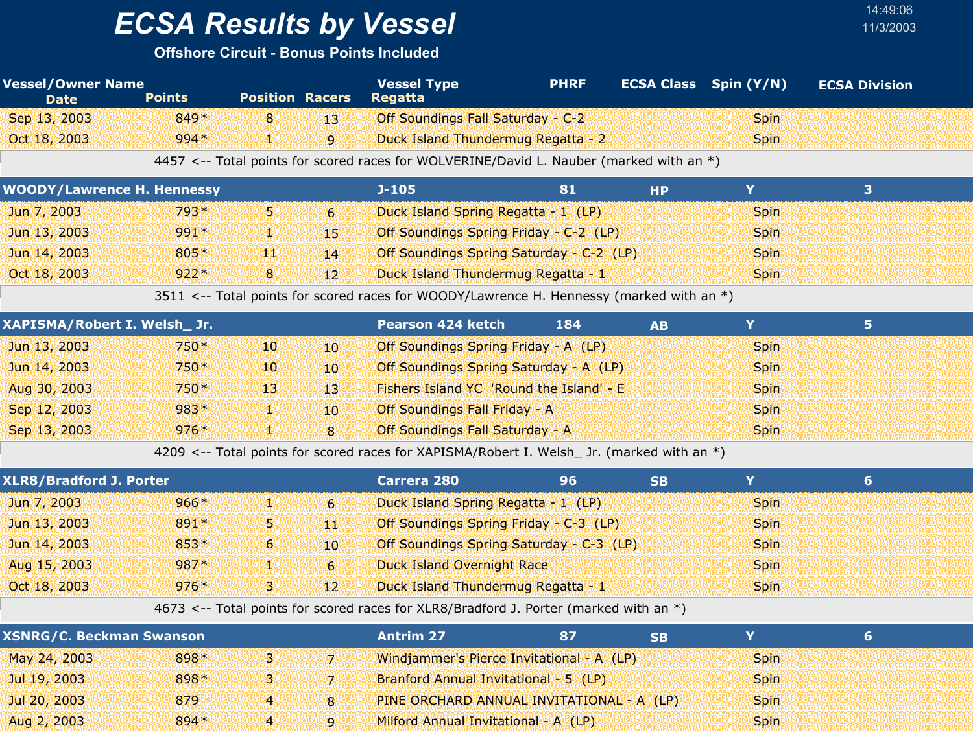## *ECSA Results by Vessel* 11/3/2003

#### **Offshore Circuit - Bonus Points Included**

| <b>Vessel/Owner Name</b><br><b>Date</b> | <b>Points</b> | <b>Position Racers</b> |                 | <b>Vessel Type</b><br><b>Regatta</b>                                                     | <b>PHRF</b> |           | <b>ECSA Class</b> Spin (Y/N) | <b>ECSA Division</b> |  |
|-----------------------------------------|---------------|------------------------|-----------------|------------------------------------------------------------------------------------------|-------------|-----------|------------------------------|----------------------|--|
| Sep 13, 2003                            | 849*          | 8 <sup>8</sup>         | 43.             | Off Soundings Fall Saturday - C-2                                                        |             |           | <b>Spin</b>                  |                      |  |
| Oct 18, 2003                            | $994*$        | V.                     | $\overline{9}$  | Duck Island Thundermug Regatta - 2                                                       |             |           | <b>Spin</b>                  |                      |  |
|                                         |               |                        |                 | 4457 <-- Total points for scored races for WOLVERINE/David L. Nauber (marked with an *)  |             |           |                              |                      |  |
| <b>WOODY/Lawrence H. Hennessy</b>       |               |                        |                 | $J-105$                                                                                  | 81          | <b>HP</b> | Y                            | 3                    |  |
| Jun 7, 2003                             | 793*          | 51                     | 6 <sup>1</sup>  | Duck Island Spring Regatta - 1 (LP)                                                      |             |           | <b>Spin</b>                  |                      |  |
| Jun 13, 2003                            | 991*          | ¥.                     | 49.             | Off Soundings Spring Friday - C-2 (LP)                                                   |             |           | <b>Spin</b>                  |                      |  |
| Jun 14, 2003                            | 805*          | щI                     | 14              | Off Soundings Spring Saturday - C-2 (LP)                                                 |             |           | <b>Spin</b>                  |                      |  |
| Oct 18, 2003                            | $922*$        | $\mathbf{8}$           | 12 <sup>°</sup> | Duck Island Thundermug Regatta - 1                                                       |             |           | <b>Spin</b>                  |                      |  |
|                                         |               |                        |                 | 3511 <-- Total points for scored races for WOODY/Lawrence H. Hennessy (marked with an *) |             |           |                              |                      |  |
| XAPISMA/Robert I. Welsh_ Jr.            |               |                        |                 | <b>Pearson 424 ketch</b>                                                                 | 184         | <b>AB</b> | Y                            | 5                    |  |
| Jun 13, 2003                            | 750*          | 10                     | 10 <sup>1</sup> | Off Soundings Spring Friday - A (LP)                                                     |             |           | <b>Spin</b>                  |                      |  |
| Jun 14, 2003                            | 750*          | 10                     | $10^{\circ}$    | Off Soundings Spring Saturday - A (LP)                                                   |             |           | <b>Spin</b>                  |                      |  |
| Aug 30, 2003                            | $750*$        | 13 <sup>1</sup>        | -13             | Fishers Island YC 'Round the Island' - E                                                 |             |           | <b>Spin</b>                  |                      |  |
| Sep 12, 2003                            | 983*          | W.                     | 10 <sup>°</sup> | Off Soundings Fall Friday - A                                                            |             |           | <b>Spin</b>                  |                      |  |
| Sep 13, 2003                            | $976*$        |                        | 8               | Off Soundings Fall Saturday - A                                                          |             |           | <b>Spin</b>                  |                      |  |

4209 <-- Total points for scored races for XAPISMA/Robert I. Welsh\_ Jr. (marked with an \*)

Sep 13, 2003 1 976 Off Soundings Fall Saturday - A \* Spin

| <b>XSNRG/C. Beckman Swanson</b> |        |   |          | <b>Antrim 27</b>                          |  |             |  |
|---------------------------------|--------|---|----------|-------------------------------------------|--|-------------|--|
| May 24, 2003                    | 898*   | в |          | Windjammer's Pierce Invitational - A (LP) |  | <b>Spin</b> |  |
| Jul 19, 2003                    | 898*   | В |          | Branford Annual Invitational - 5 (LP)     |  | <b>Spin</b> |  |
| Jul 20, 2003                    | 879    | 4 | <b>8</b> | PINE ORCHARD ANNUAL INVITATIONAL - A (LP) |  | <b>Spin</b> |  |
| Aug 2, 2003                     | $894*$ | 4 |          | Milford Annual Invitational - A (LP)      |  | <b>Spin</b> |  |